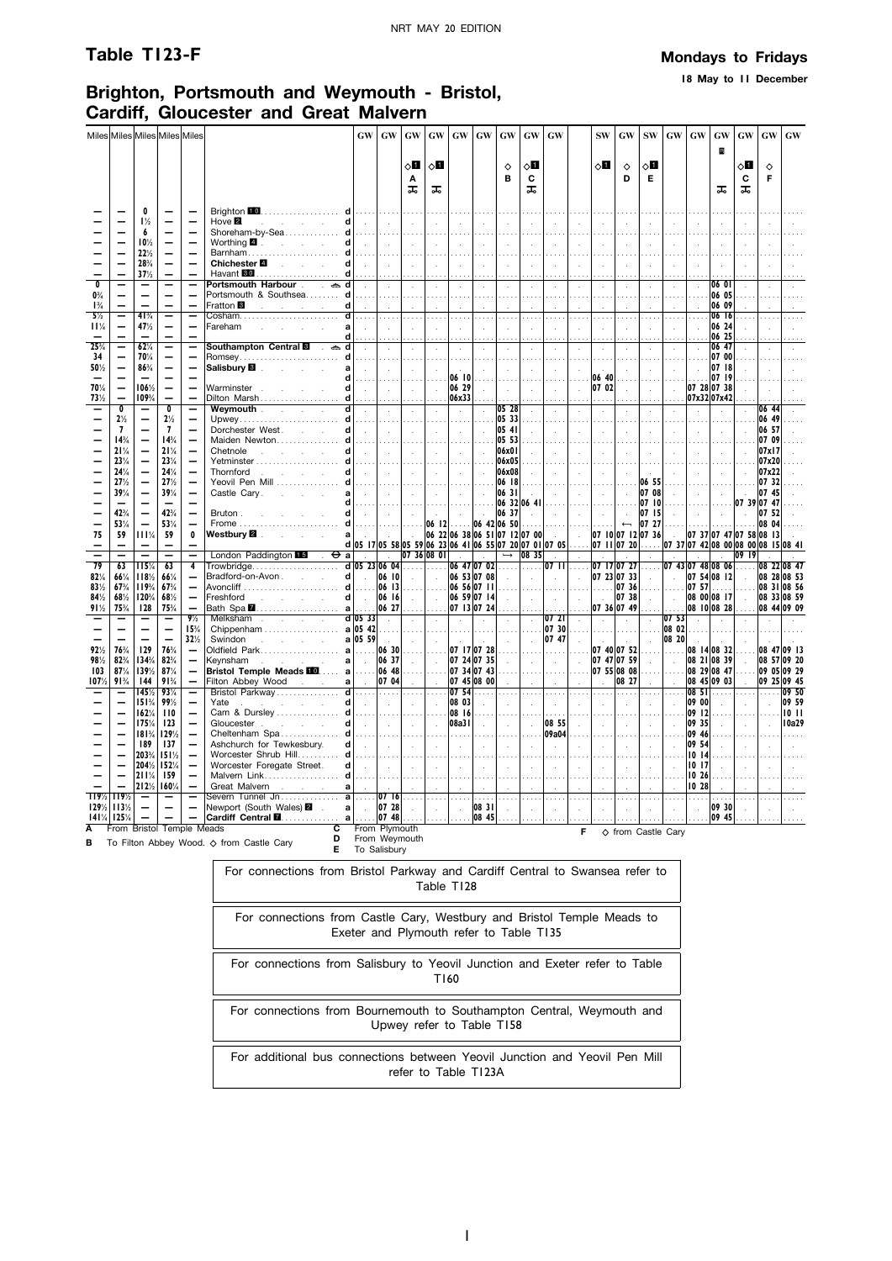**18 May to 11 December**

# **Brighton, Portsmouth and Weymouth - Bristol, Cardiff, Gloucester and Great Malvern**

|                                             |                                  |                          | Miles Miles Miles Miles Miles        |                                                      |                                                                                                                    | GW                                                                                                                              | <b>GW</b>                               | GW                                                                                                                                                                                | GW                          | <b>GW</b>          | GW                                          | <b>GW</b>                    | <b>GW</b>                                | <b>GW</b>                        |                            | ${\bf SW}$                                | GW                                                                                                             | <b>SW</b>                  | GW                            | GW                | <b>GW</b>                                      | GW                                 | GW             | <b>GW</b>                     |
|---------------------------------------------|----------------------------------|--------------------------|--------------------------------------|------------------------------------------------------|--------------------------------------------------------------------------------------------------------------------|---------------------------------------------------------------------------------------------------------------------------------|-----------------------------------------|-----------------------------------------------------------------------------------------------------------------------------------------------------------------------------------|-----------------------------|--------------------|---------------------------------------------|------------------------------|------------------------------------------|----------------------------------|----------------------------|-------------------------------------------|----------------------------------------------------------------------------------------------------------------|----------------------------|-------------------------------|-------------------|------------------------------------------------|------------------------------------|----------------|-------------------------------|
|                                             |                                  |                          |                                      |                                                      |                                                                                                                    |                                                                                                                                 |                                         |                                                                                                                                                                                   |                             |                    |                                             |                              |                                          |                                  |                            |                                           |                                                                                                                |                            |                               |                   | B                                              |                                    |                |                               |
|                                             |                                  |                          |                                      |                                                      |                                                                                                                    |                                                                                                                                 |                                         | ◇П                                                                                                                                                                                | $\diamond$ li               |                    |                                             | $\Diamond$                   | ⊘П                                       |                                  |                            | $\Diamond \blacksquare$                   | ♦                                                                                                              | ू∏                         |                               |                   |                                                | ⊘П                                 | ♦              |                               |
|                                             |                                  |                          |                                      |                                                      |                                                                                                                    |                                                                                                                                 |                                         | Α<br>ᠼ                                                                                                                                                                            | ᠼ                           |                    |                                             | в                            | C<br>ᠼ                                   |                                  |                            |                                           | D                                                                                                              | Е                          |                               |                   | ᠼ                                              | C<br>ᠼ                             | F              |                               |
|                                             |                                  |                          |                                      |                                                      |                                                                                                                    |                                                                                                                                 |                                         |                                                                                                                                                                                   |                             |                    |                                             |                              |                                          |                                  |                            |                                           |                                                                                                                |                            |                               |                   |                                                |                                    |                |                               |
|                                             |                                  | 0<br>$1\frac{1}{2}$      |                                      |                                                      | Brighton 10. d  <br>Hove <sup>2</sup><br>and the company of the com-<br>d                                          | .<br>$\sim$                                                                                                                     | .<br>$\sim$                             | $\sim$                                                                                                                                                                            | $\mathbf{r}$                |                    |                                             |                              |                                          |                                  |                            |                                           |                                                                                                                |                            |                               |                   |                                                |                                    |                |                               |
|                                             |                                  | 6                        |                                      |                                                      | Shoreham-by-Sea d                                                                                                  | .                                                                                                                               | .                                       | .                                                                                                                                                                                 | .                           |                    |                                             |                              |                                          |                                  |                            |                                           |                                                                                                                |                            |                               |                   |                                                |                                    |                |                               |
|                                             |                                  | 10 <sub>2</sub><br>22%   | $\overline{\phantom{0}}$             |                                                      | d<br>Barnham d                                                                                                     | $\sim 10^{-1}$                                                                                                                  | $\sim$                                  | $\sim$                                                                                                                                                                            | $\mathcal{L}_{\mathcal{A}}$ |                    |                                             |                              |                                          |                                  |                            |                                           |                                                                                                                |                            |                               |                   |                                                |                                    |                |                               |
|                                             |                                  | 28%                      |                                      |                                                      | Chichester 4 <b>Chichester</b>                                                                                     | .<br>$\sim 10^{-1}$                                                                                                             | $\sim$                                  | $\sim$                                                                                                                                                                            | $\sim$                      | $\mathbf{r}$       | $\sim$                                      |                              | $\mathbf{r}$                             |                                  |                            |                                           | $\mathbf{r}$                                                                                                   |                            | $\mathbf{r}$                  |                   |                                                |                                    |                |                               |
|                                             |                                  | 37%                      |                                      |                                                      |                                                                                                                    |                                                                                                                                 |                                         |                                                                                                                                                                                   |                             |                    |                                             |                              |                                          |                                  |                            |                                           |                                                                                                                |                            |                               |                   |                                                |                                    |                |                               |
| $\overline{\mathfrak{o}}$<br>$0\frac{3}{4}$ |                                  |                          |                                      | $\qquad \qquad -$                                    | Portsmouth Harbour . a d<br>Portsmouth & Southsea d                                                                | $\sim$<br>.                                                                                                                     | $\sim$                                  | $\sim$                                                                                                                                                                            | $\sim$<br>$\mathbb{R}^2$    | $\sim$             |                                             |                              | $\ddot{\phantom{a}}$                     | $\mathcal{L}$                    | $\ddot{\phantom{a}}$       |                                           | $\ddot{\phantom{a}}$<br>$\sim$                                                                                 | $\mathbf{r}$               | $\mathcal{L}$<br>$\mathbf{r}$ | $\mathcal{L}$     | 106 01<br>06 05                                |                                    |                |                               |
| $1\frac{3}{4}$                              |                                  |                          |                                      |                                                      | Fratton <sup>8</sup><br>and a strategic control.<br>d                                                              |                                                                                                                                 |                                         |                                                                                                                                                                                   |                             |                    |                                             |                              |                                          |                                  |                            |                                           |                                                                                                                |                            |                               |                   | 06 09                                          |                                    |                |                               |
| $5\frac{1}{2}$<br>11%                       | —                                | $41\frac{3}{4}$<br>47%   | $\overline{\phantom{m}}$<br>$\equiv$ | $\overline{\phantom{0}}$                             | $\overline{\mathsf{d}}$<br>Fareham<br>and the state of the state of                                                | $\cdots$<br>$\sim$                                                                                                              |                                         |                                                                                                                                                                                   | $\sim$                      |                    |                                             |                              | $\cdots$                                 |                                  | $\cdots$                   |                                           | $\cdots$                                                                                                       | .                          | $\cdots$                      | $\mathcal{A}$     | 06 16<br>06 24                                 |                                    |                |                               |
|                                             |                                  |                          | $\overline{\phantom{0}}$             |                                                      | d                                                                                                                  |                                                                                                                                 |                                         |                                                                                                                                                                                   | $\sim$                      |                    |                                             |                              | $\sim$                                   |                                  | $\mathbf{r}$               |                                           | $\sim$                                                                                                         | $\ddot{\phantom{a}}$       | $\mathbf{r}$                  |                   | 06 25                                          |                                    |                |                               |
| 25%                                         |                                  | 62%                      |                                      | Ξ                                                    | Southampton Central <b>B</b> . കd                                                                                  | $\sim$                                                                                                                          | $\sim$                                  | $\mathcal{L}$                                                                                                                                                                     | $\sim$                      | $\cdot$            |                                             |                              | $\cdot$                                  | ÷.                               | $\cdot$                    | $\cdot$                                   | $\alpha$                                                                                                       | $\cdot$                    | $\epsilon$                    | $\sim$            | 06 47                                          |                                    |                |                               |
| 34<br>50%                                   |                                  | 70%<br>$86\frac{3}{4}$   | $\overline{\phantom{0}}$             |                                                      | Salisbury <b>8 Salisbury 8</b>                                                                                     | $\sim 100$<br>$\sim$                                                                                                            |                                         |                                                                                                                                                                                   |                             |                    |                                             |                              |                                          |                                  |                            |                                           |                                                                                                                |                            |                               | чù.               | 07 00<br>07 18                                 |                                    |                |                               |
|                                             |                                  |                          |                                      | $\overline{\phantom{0}}$                             | d                                                                                                                  | a a a                                                                                                                           |                                         |                                                                                                                                                                                   | .                           | 06 10              |                                             |                              |                                          |                                  |                            | 06 40                                     |                                                                                                                |                            |                               |                   | 07 19                                          |                                    |                |                               |
| 70%<br>73%                                  |                                  | 106%<br>109%             | $\qquad \qquad -$                    | $\overline{\phantom{0}}$<br>$\overline{\phantom{0}}$ | Warminster.<br>d<br>Dilton Marsh<br><b>d</b>                                                                       | $\sim$                                                                                                                          | $\sim$                                  | $\sim$                                                                                                                                                                            | $\mathcal{A}$               | 06 29<br>06x33     |                                             |                              |                                          |                                  | $\mathcal{L}$              | 07 02                                     | $\mathcal{L}$                                                                                                  | $\mathcal{L}_{\mathbf{a}}$ | $\mathcal{L}$                 |                   | 07 28 07 38<br>07x32 07x42                     |                                    |                |                               |
|                                             | $\overline{0}$                   |                          | $\overline{\mathbf{0}}$              | $\overline{\phantom{0}}$                             | Weymouth New York New York 1989<br>व                                                                               | $\sim$                                                                                                                          | $\sim$                                  | $\sim$                                                                                                                                                                            | $\bar{z}$                   | $\alpha$           | $\mathcal{L}$                               | 05 28                        | $\sim$                                   | $\mathcal{L}$                    | $\mathcal{L}$              | $\mathcal{L}$                             | $\mathcal{L}$                                                                                                  | $\alpha$                   | $\mathcal{L}$                 |                   | $\mathcal{L}$                                  |                                    | 06 44          |                               |
|                                             | $2\frac{1}{2}$<br>$\overline{7}$ |                          | $2\frac{1}{2}$<br>$\overline{7}$     | $\overline{\phantom{0}}$<br>$\overline{\phantom{0}}$ | Dorchester West.<br>d∣                                                                                             |                                                                                                                                 | .                                       | .                                                                                                                                                                                 | $\cdots$                    | $\cdots$           | a a a                                       | 05 33<br>05 41               | .                                        |                                  | $\cdots$                   | .                                         | $\ldots$ .                                                                                                     | .                          | $\sim$                        |                   | $\sim$ $\sim$                                  | .                                  | 06 49<br>06 57 |                               |
|                                             | 14%                              |                          | 14%                                  | $\overline{\phantom{0}}$                             | Maiden Newton d                                                                                                    | $\sim 10^{-1}$<br>.                                                                                                             | $\sim 10^{-1}$<br>.                     | $\sim 10^{-1}$                                                                                                                                                                    | $\sim$                      | $\sim$             | $\sim$                                      | 05 53                        | $\sim$                                   | $\sim$                           | $\sim$                     | $\sim$                                    | $\sim$<br>$\sim$                                                                                               | $\sim 10^{-1}$<br>.        | $\sim$                        | $\sim$            | $\sim$                                         | $\sim$                             | 07 09          |                               |
|                                             | 21%                              | $\overline{\phantom{0}}$ | 21%                                  | $\overline{\phantom{0}}$                             | Chetnole<br>d                                                                                                      | $\sim$                                                                                                                          | $\mathcal{A}^{\mathcal{A}}$             | h an                                                                                                                                                                              | $\sim$                      | $\sim$             | $\mathcal{L}$                               | 06x01                        | $\sim$                                   | $\sim$                           | $\sim$                     | $\sim$                                    | $\sim$                                                                                                         | $\sim$ $\sim$              | $\sim$                        | $\sim$            | $\sim$                                         | $\sim$                             | 07x17          |                               |
|                                             | 23%<br>24%                       | $\overline{\phantom{0}}$ | 23%<br>24%                           | $\overline{\phantom{0}}$<br>$\overline{\phantom{0}}$ | Ч<br>Thornford<br>d                                                                                                | $\sim 10^{-1}$                                                                                                                  | $\sim$ $\sim$                           | $\mathbf{1}$                                                                                                                                                                      | <b>I</b> .                  | $\mathbb{R}^n$     | $\sim$                                      | 06x05<br>06x08               | $\sim$                                   |                                  | $\sim 10^{-1}$             | $\sim 10^{-1}$                            | $\sim$                                                                                                         | $\sim 10^{-11}$            | $\sim$                        | $\sim$            | $\sim$                                         | $\sim$                             | 07x20<br>07x22 |                               |
|                                             | 27%                              | $\overline{\phantom{m}}$ | 27%                                  | $\overline{\phantom{0}}$                             | Yeovil Pen Mill  d                                                                                                 | .                                                                                                                               |                                         | . 1                                                                                                                                                                               | 1.                          |                    |                                             | 06 18                        |                                          |                                  | .                          | .                                         |                                                                                                                | . <b>06 55</b>             | .                             |                   |                                                |                                    | 0732           |                               |
|                                             | 39%                              | $\overline{\phantom{m}}$ | 39%                                  | $\overline{\phantom{0}}$                             | al<br>d <sub>1</sub>                                                                                               | $\sim 10^{-11}$<br>.                                                                                                            | $\sim 10^{-1}$<br>.                     | $\sim 10^{-1}$                                                                                                                                                                    | $\sim 10$<br>.              | $\sim$ $\sim$      | $\sim$<br>.                                 | 0631 <br>$ 06 \t32 06 \t41 $ | $\sim$                                   | $\sim 10^7$                      | $\sim$<br>.                | $\sim$<br>.                               | $\sim$<br>.                                                                                                    | 07 08<br>07 10             | $\sim 10^7$<br>.              | $\sim 10^{-1}$    | $\sim 10^{-1}$                                 | $\sim$<br>07 39 07 47              | 07 45          |                               |
|                                             | 42%                              |                          | 42%                                  | $\overline{\phantom{0}}$                             | $\mathsf{d}$<br>Bruton.                                                                                            | $\sim 10^{-11}$                                                                                                                 |                                         | $\begin{bmatrix} 1 & 0 & 0 & 0 \\ 0 & 0 & 1 & 0 \\ 0 & 0 & 0 & 0 \end{bmatrix}$ $\begin{bmatrix} 0 & 37 \\ 0 & 42 \end{bmatrix}$ $\begin{bmatrix} 0 & 37 \\ 0 & 50 \end{bmatrix}$ |                             |                    |                                             |                              | $\sim 10^{-1}$                           | $\sim 10^7$                      | $\sim$                     | $\sim$                                    | $\sim$                                                                                                         | 07 15                      | $\sim 10^{-1}$                | $\sim 10$         | $\sim$                                         | $\sim$                             | 07, 52         |                               |
|                                             | 53%                              |                          | 53%                                  |                                                      | Frome  d                                                                                                           | $\cdots$                                                                                                                        |                                         |                                                                                                                                                                                   |                             |                    |                                             |                              | .                                        |                                  |                            | .                                         | $\longleftarrow$                                                                                               | 0727                       |                               | .                 | .                                              |                                    | 08 04          |                               |
| 75                                          | 59                               | 111%                     | 59                                   | 0<br>$\overline{\phantom{0}}$                        | Westbury <b>⊠</b> .<br>and the company of the com-<br>al                                                           | $\sim 10^{-11}$<br>$d$  05 17 05 58 05 59 06 23 06 41 06 55 07 20 07 01 07 05  07 11 07 20  07 37 07 42 08 00 08 00 08 15 08 41 |                                         | and the                                                                                                                                                                           |                             |                    | $ 06 \t22 06 \t38 06 \t51 07 \t12 07 \t00 $ |                              |                                          |                                  | $\sim 10^{-1}$             | 07 10 07 12 07 36                         |                                                                                                                |                            |                               |                   |                                                | $ 07 \t37 07 \t47 07 \t58 08 \t13$ |                |                               |
|                                             | $\equiv$                         | $\equiv$                 | $=$                                  | ⋍                                                    | London Paddington 15                                                                                               | $\Theta$ and $\Box$                                                                                                             | $\mathbb{R}^n$                          | 07360801                                                                                                                                                                          |                             |                    | $\mathbf{r}$                                |                              | $\rightarrow$ 08 35                      |                                  | $\sim$                     |                                           |                                                                                                                |                            |                               |                   |                                                | $09$ $19$                          |                |                               |
| 79<br>82%                                   | 63<br>66%                        | 115%<br>118%             | 63<br>66%                            | $\overline{4}$<br>$\overline{\phantom{0}}$           |                                                                                                                    |                                                                                                                                 | $\begin{bmatrix} 06 & 10 \end{bmatrix}$ |                                                                                                                                                                                   |                             |                    | 06 53 07 08                                 |                              |                                          | $\ldots$ . 07 $\prod$            | $\sim$                     | 07 17 07 27 <br>$ 07 \t23 07 \t33 $ .   . |                                                                                                                |                            |                               |                   | $07$ 43 07 48 08 06 $\ldots$<br> 07, 54 08, 12 | $\sim$                             |                | 08 22 08 47<br>08 28 08 53    |
| 83%                                         | 67%                              | 119%                     | 67%                                  | $\overline{\phantom{0}}$                             |                                                                                                                    |                                                                                                                                 |                                         |                                                                                                                                                                                   |                             |                    |                                             | .                            | $\left\lfloor \frac{1}{2} \right\rfloor$ |                                  |                            |                                           | $\ldots$ 07 36                                                                                                 |                            | .                             |                   | $ 07 \t57$                                     | .                                  |                | 08 31 08 56                   |
| 84%<br>91%                                  | 681/2<br>75%                     | 120%<br>128              | 681/2<br>75%                         | $\overline{\phantom{a}}$                             | Freshford $d \mid . \mid 06 \mid 16 \mid$                                                                          |                                                                                                                                 |                                         |                                                                                                                                                                                   | <b>College</b>              |                    | 06 59 07 14                                 | $\sim$                       | $\sim 10^7$                              | $\left\vert \cdot \right\rangle$ | $\sim 10^7$                |                                           | $\begin{array}{ c c c c c c c c } \hline \multicolumn{1}{ c }{07} & 38 & \multicolumn{1}{ c }{07} \end{array}$ |                            |                               |                   | 08 00 08 17                                    | $\sim$                             |                | 08 33 08 59<br> 08, 44 09, 09 |
|                                             |                                  |                          |                                      | $9\frac{1}{2}$                                       | Melksham                                                                                                           | $d$ 05 33 $-$                                                                                                                   |                                         | $\mathbb{R}$                                                                                                                                                                      | $\mathbb{R}$                | $\sim 10$          |                                             | $\sim$                       | $\sim$                                   | 0721                             | $\sim$                     | $\sim$                                    | $\sim 10^{-1}$                                                                                                 | $\sim$                     | $ 07 \t53 $                   | $\sim$            | $\sim$                                         |                                    |                |                               |
|                                             |                                  |                          |                                      | 15%<br>32%                                           | Swindon $a 0559 $                                                                                                  |                                                                                                                                 |                                         |                                                                                                                                                                                   |                             | .<br>$\sim$ $\sim$ | $\sim$                                      | $\mathcal{L}^{\pm}$          | .<br>$\sim$                              | 07 30 <br> 07 47                 | $\sim$                     | .<br>$\sim$                               | $\ldots$<br>$\sim 10^{-1}$                                                                                     | $\sim$                     | $\ldots$ 08 02<br>08 20       | .<br>$\sim$       | $\sim 10^{-1}$                                 |                                    |                |                               |
| 92%                                         | 76%                              | 129                      | 76%                                  | $\overline{\phantom{m}}$                             |                                                                                                                    |                                                                                                                                 |                                         |                                                                                                                                                                                   | $\  \cdot \ $               |                    |                                             |                              | 1.11                                     | $\cdots$                         |                            | 07 40 07 52                               |                                                                                                                |                            | 08 14 08 32                   |                   |                                                |                                    |                | 08 47 09 13                   |
| 98%                                         | 82%                              | 134%                     | 82%                                  |                                                      |                                                                                                                    | $a$   $0637$                                                                                                                    |                                         |                                                                                                                                                                                   |                             |                    |                                             | $\sim$                       | $\sim$                                   | $\sim$                           | $\sim$                     | 07 47 07 59                               |                                                                                                                | $\sim$                     | $\sim$                        |                   | 08 21 08 39                                    | $\sim$                             |                | 08 57 09 20                   |
| 103<br>107%                                 | 87%<br>$91\%$                    | 139%<br>144              | 87%<br>91%                           | $\qquad \qquad -$<br>$\overline{\phantom{0}}$        |                                                                                                                    |                                                                                                                                 |                                         |                                                                                                                                                                                   |                             |                    | 07 45 08 00                                 | $\sim$                       | $\sim 10^{-1}$                           | $\sim 10^{-1}$                   | $\sim$                     | 07 55 08 08<br>$\sim$                     | 08 27                                                                                                          | $\sim$                     |                               |                   | 08 29 08 47<br> 08, 45 09, 03                  |                                    |                | 09 05 09 29<br>09 25 09 45    |
|                                             |                                  | 145%                     | $93\%$                               | Ξ                                                    |                                                                                                                    |                                                                                                                                 |                                         |                                                                                                                                                                                   |                             |                    |                                             | .                            |                                          | .                                | .                          | .                                         | .                                                                                                              | $\ldots$ .                 | .                             |                   |                                                | .                                  | п.,            | 0950                          |
|                                             | $\overline{\phantom{0}}$         | 151%<br>162%             | 99%<br>110                           | $\overline{\phantom{0}}$<br>$\overline{\phantom{0}}$ | Yate $\left  \begin{array}{cccc} 1 & 1 & 1 & 1 \\ 1 & 1 & 1 & 1 \\ 1 & 1 & 1 & 1 \end{array} \right $              | .                                                                                                                               | .                                       | <b>Committee</b><br>.                                                                                                                                                             | $\mathbb{R}$<br>.           | 0803 <br>08 16     | $\sim$                                      | $\sim$                       | $\sim$<br>$\cdots$                       | $\sim$ $\sim$<br>$\ldots$ .      | $\sim 10^{-1}$<br>$\cdots$ | $\sim$                                    | $\sim$<br>$\mathbf{r}$                                                                                         | $\sim 10^{-1}$             | $\sim$                        | 0900 <br> 09   2  | $\sim$                                         | $\sim$ $\sim$                      | $\sim$         | 09 59<br>1011                 |
|                                             |                                  | 175%                     | 123                                  |                                                      | Gloucester and the state of the state of the state of the state of the state of the state of the state of the<br>d | $\sim 10^{-1}$                                                                                                                  | $\sim 10^7$                             | $\left\vert \cdot \right\vert$                                                                                                                                                    | $\mathbf{L}$                | 08a31              | $\sim$                                      | $\sim$                       | $\sim$                                   | 08 55                            | $\sim$                     | $\sim$                                    | $\sim 10^{-1}$                                                                                                 | $\sim 10$                  | n.                            | 09 35             | $\sim$                                         | $\sim$                             |                | 10a29                         |
|                                             |                                  | 181%                     | 129%                                 |                                                      | Cheltenham Spa d                                                                                                   | .                                                                                                                               |                                         |                                                                                                                                                                                   |                             | .                  |                                             |                              |                                          | 09a04                            |                            |                                           |                                                                                                                |                            |                               | 09 46             |                                                |                                    |                |                               |
|                                             |                                  | 189<br>203%              | 137<br>151%                          | $\overline{\phantom{0}}$                             | Ashchurch for Tewkesbury.<br>Worcester Shrub Hill d.                                                               | $d$ $\vert$                                                                                                                     | $\sim 10^7$<br>.                        |                                                                                                                                                                                   | $\sim$                      | $\sim$             | $\sim$                                      |                              | $\sim$                                   | $\sim$                           |                            |                                           | $\sim$                                                                                                         | $\mathcal{L}_{\mathbf{a}}$ | $\sim$                        | 09, 54 <br> 10 14 |                                                |                                    |                |                               |
|                                             |                                  |                          | 2041/2 1521/4                        |                                                      | Worcester Foregate Street. d                                                                                       | $\sim 10^{-1}$                                                                                                                  | $\sim$                                  |                                                                                                                                                                                   | $\sim$                      | $\sim$             | n.                                          |                              | $\sim$                                   |                                  |                            |                                           | $\mathcal{L}$                                                                                                  |                            | $\mathbf{r}$                  | 1017              |                                                |                                    |                |                               |
|                                             |                                  | 211%                     | <b>159</b><br>2121/2 1601/4          |                                                      | Malvern Link $d$                                                                                                   | $\sim$                                                                                                                          | $\cdots$                                |                                                                                                                                                                                   |                             |                    |                                             |                              |                                          |                                  |                            |                                           |                                                                                                                |                            |                               | 1026<br>1028      |                                                |                                    |                |                               |
| $119\frac{1}{2}119\frac{1}{2}$              |                                  |                          |                                      |                                                      | Great Malvern a<br>Severn Tunnel Jn a                                                                              | .                                                                                                                               | $07$ 16                                 |                                                                                                                                                                                   |                             |                    | .                                           |                              |                                          |                                  |                            |                                           |                                                                                                                |                            |                               | .                 |                                                |                                    |                |                               |
| $129\frac{1}{2}$   113 $\frac{1}{2}$        |                                  |                          | $\equiv$                             |                                                      | Newport (South Wales) 2 .<br>al                                                                                    | $\sim$                                                                                                                          | 0728                                    | $\sim$                                                                                                                                                                            |                             | $\sim$             | 08 31                                       | $\mathcal{L}$                | $\sim$                                   | $\mathcal{L}$                    | $\sim$                     |                                           | $\mathcal{L}$                                                                                                  |                            | $\sim$                        | $\sim$            | 09 30                                          |                                    |                |                               |
| 141%<br>А                                   | 125%                             | $\overline{\phantom{0}}$ | From Bristol Temple Meads            | $\equiv$                                             | Cardiff Central <b>M</b> a                                                                                         | C From Plymouth                                                                                                                 | 07 48                                   |                                                                                                                                                                                   |                             |                    | 08 45                                       |                              |                                          |                                  | F                          |                                           |                                                                                                                |                            | ♦ from Castle Cary            |                   | 09 45                                          |                                    |                |                               |
| В                                           |                                  |                          |                                      |                                                      | To Filton Abbey Wood. ◇ from Castle Cary                                                                           | <b>D</b> From Weymouth                                                                                                          |                                         |                                                                                                                                                                                   |                             |                    |                                             |                              |                                          |                                  |                            |                                           |                                                                                                                |                            |                               |                   |                                                |                                    |                |                               |
|                                             |                                  |                          |                                      |                                                      | E.                                                                                                                 | To Salisbury                                                                                                                    |                                         |                                                                                                                                                                                   |                             |                    |                                             |                              |                                          |                                  |                            |                                           |                                                                                                                |                            |                               |                   |                                                |                                    |                |                               |

For connections from Bristol Parkway and Cardiff Central to Swansea refer to Table T128

For connections from Castle Cary, Westbury and Bristol Temple Meads to Exeter and Plymouth refer to Table T135

For connections from Salisbury to Yeovil Junction and Exeter refer to Table T160

For connections from Bournemouth to Southampton Central, Weymouth and Upwey refer to Table T158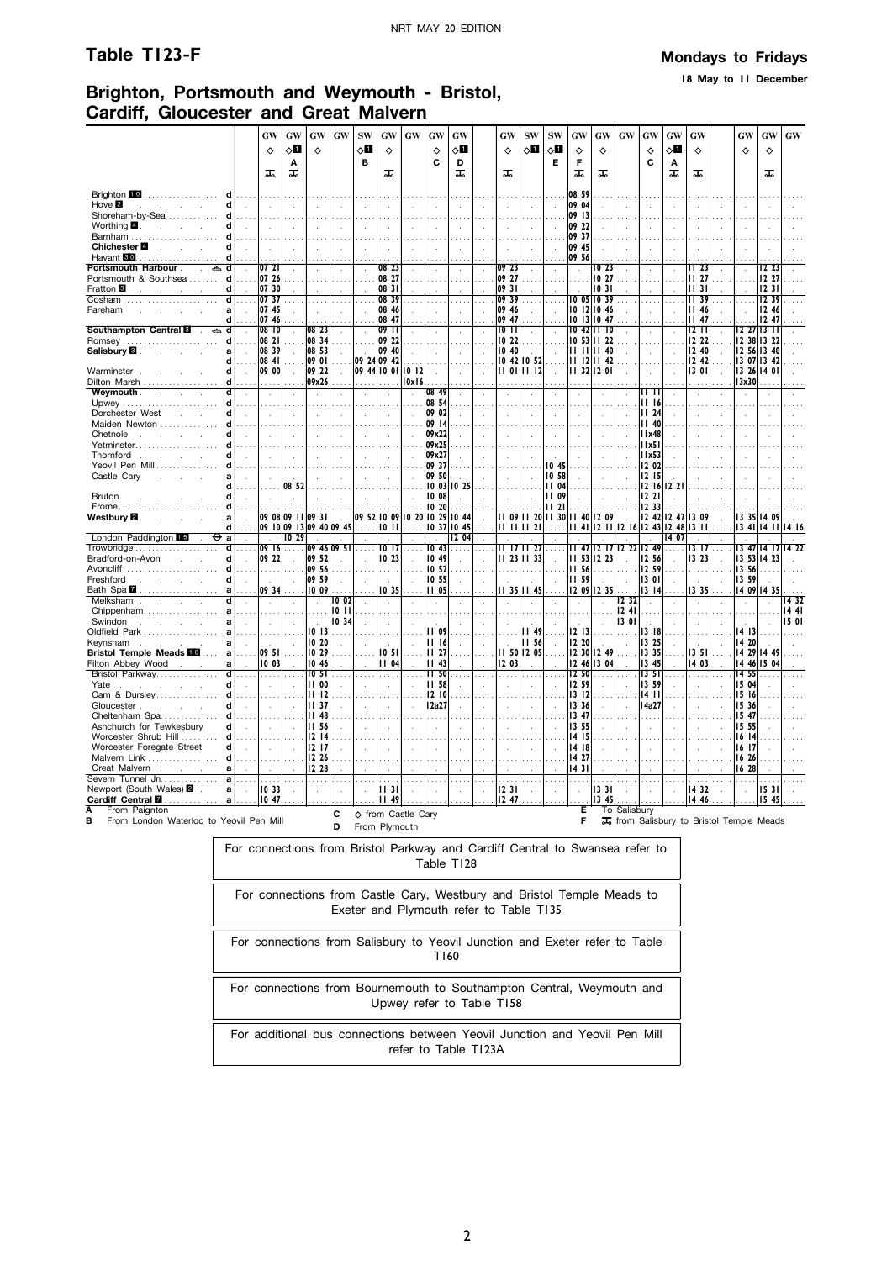**18 May to 11 December**

#### **Brighton, Portsmouth and Weymouth - Bristol, Cardiff, Gloucester and Great Malvern**

|                                                                          |                                                                              | GW               | GW                      | GW                            | GW                   | <b>SW</b>     | GW                         | GW                                    | GW               | GW           |          | GW             | <b>SW</b>                  | <b>SW</b>            | GW                   | GW                         | <b>GW</b>    | GW                               | GW                                            | GW                   |                         | GW                            | GW            | $\boldsymbol{\mathbf{G}}\boldsymbol{\mathbf{W}}$ |
|--------------------------------------------------------------------------|------------------------------------------------------------------------------|------------------|-------------------------|-------------------------------|----------------------|---------------|----------------------------|---------------------------------------|------------------|--------------|----------|----------------|----------------------------|----------------------|----------------------|----------------------------|--------------|----------------------------------|-----------------------------------------------|----------------------|-------------------------|-------------------------------|---------------|--------------------------------------------------|
|                                                                          |                                                                              | ♦                | ◇П                      | ♦                             |                      | ◇Ø            | ♦                          |                                       | ♦                | √П           |          | ♦              | ◇l                         | ⊘Ш                   | $\Diamond$           | ♦                          |              | ♦                                | ◇О                                            | $\Diamond$           |                         | ♦                             | ♦             |                                                  |
|                                                                          |                                                                              |                  | A                       |                               |                      | в             |                            |                                       | C                | D            |          |                |                            | Е                    | F                    |                            |              | C                                | Α                                             |                      |                         |                               |               |                                                  |
|                                                                          |                                                                              | ᠼ                | ᠼ                       |                               |                      |               | ᠼ                          |                                       |                  | ᠼ            |          | ᠼ              |                            |                      | ᅚ                    | ᠼ                          |              |                                  | ᠼ                                             | ᠼ                    |                         |                               | ᠼ             |                                                  |
| Brighton 10<br>.                                                         |                                                                              |                  |                         |                               |                      |               |                            |                                       |                  |              |          |                |                            |                      | 08 59                |                            |              |                                  |                                               |                      |                         |                               |               |                                                  |
| Hove <sup>2</sup><br>Ч<br>$\sim$                                         |                                                                              | ÷.               |                         |                               |                      |               |                            |                                       |                  |              |          |                |                            |                      | 09 04                |                            |              |                                  |                                               |                      |                         |                               |               |                                                  |
| Shoreham-by-Sea<br>d                                                     |                                                                              |                  |                         |                               |                      |               |                            |                                       |                  |              |          |                |                            |                      | 09 13                |                            |              |                                  |                                               |                      |                         |                               |               |                                                  |
| Worthing 4.<br>d<br>and the control of                                   |                                                                              |                  |                         |                               |                      |               |                            |                                       |                  |              |          |                | $\ddot{\phantom{a}}$       |                      | 09 22                |                            |              |                                  |                                               |                      |                         |                               |               |                                                  |
| Barnham<br>Chichester <sup>1</sup><br><b>College</b><br>$\mathcal{L}$    |                                                                              |                  |                         |                               |                      |               |                            |                                       |                  |              |          |                | $\ddot{\phantom{a}}$       |                      | 09 37<br>09 45       |                            |              |                                  |                                               |                      |                         |                               |               |                                                  |
| d                                                                        |                                                                              |                  |                         |                               |                      |               |                            |                                       |                  |              |          |                |                            |                      | 09 56                |                            |              |                                  |                                               |                      |                         |                               |               |                                                  |
| Portsmouth Harbour .<br>$\blacksquare$<br>d<br>$\sim$                    |                                                                              | 072              |                         |                               |                      |               | 082                        |                                       |                  |              |          | 09 23          |                            |                      | $\ddot{\phantom{a}}$ | 10 23                      |              |                                  |                                               | II 23                |                         |                               | 12.23         |                                                  |
| Portsmouth & Southsea<br>d                                               |                                                                              | 07 26            |                         |                               |                      |               | 08 27                      |                                       |                  |              |          | 09 27          |                            |                      |                      | 10 27                      |              |                                  |                                               | II 27                |                         |                               | 12 27         |                                                  |
| Fratton <b>B</b><br>$\overline{\mathbf{d}}$                              |                                                                              | 07 30<br>0737    |                         |                               |                      |               | 08 31<br>08 39             |                                       |                  |              |          | 0931<br>09 39  |                            |                      |                      | 1031<br>10 05 10 39        |              |                                  |                                               | 1131<br><b>II</b> 39 |                         |                               | 123 <br>12.39 |                                                  |
| Fareham<br>a                                                             |                                                                              | 07 45            |                         |                               |                      |               | 08 46                      |                                       |                  |              |          | 09 46          |                            |                      |                      | 10 12 10 46                |              |                                  |                                               | <b>II 46</b>         |                         |                               | 12 46         |                                                  |
| d                                                                        |                                                                              | 07 46            |                         |                               |                      |               | 08 47                      |                                       |                  |              |          | 09 47          |                            |                      |                      | 10 13 10 47                |              |                                  |                                               | 1147                 |                         |                               | 12.47         |                                                  |
| <b>Southampton Central E</b><br>d<br>$\qquad \qquad \Longleftrightarrow$ |                                                                              | 08 <sup>10</sup> |                         | 08 23                         |                      |               | $09$ $11$                  |                                       |                  |              |          | 10 II          |                            |                      |                      | 10 42 11 10                |              |                                  |                                               | 12 I I               |                         | 12 27 13 11                   |               |                                                  |
| Romsey<br>Salisbury <b>B</b> .                                           |                                                                              | 08 21<br>08 39   |                         | 08 34<br>08 53                |                      |               | 09 22<br>09 40             |                                       |                  |              |          | 10 22<br>10 40 |                            |                      | 1111                 | 10 53 11 22<br>$II$ 40     |              | $\mathbf{r}$                     |                                               | 12 22<br>12 40       |                         | 12 38 13 22<br>12 56 13 40    |               |                                                  |
| d                                                                        |                                                                              | 08 41            |                         | 09 01                         |                      |               | 09 24 09 42                |                                       |                  |              |          |                | 10 42 10 52                |                      |                      | $11$ $12$ $11$ $42$        |              |                                  |                                               | 12,42                |                         | 13 07 13 42                   |               |                                                  |
| Warminster.<br>d                                                         | $\sim$                                                                       | 09 00            | $\mathbf{r}$            | 09 22                         | $\sim$               |               |                            | 09 44 10 01 10 12                     | $\cdot$          |              |          |                | $11$ 01 $11$ 12            |                      |                      | $1132$ $1201$              | ÷            | $\cdot$                          |                                               | 13 01                |                         | 3 26  4 01                    |               |                                                  |
| Dilton Marsh                                                             | d                                                                            |                  |                         | 09x26                         |                      |               |                            | 0x 6                                  |                  |              |          |                |                            |                      |                      |                            |              |                                  |                                               |                      |                         | 3x30                          |               |                                                  |
| Weymouth .<br><b>Service</b> State<br>Upwey<br>d                         | d<br>$\sim$                                                                  | $\sim$           |                         | $\cdot$                       |                      | $\cdot$       |                            |                                       | 08 49<br>08 54   |              |          |                | $\cdot$                    |                      | $\cdot$              | à.                         |              | 11 II<br>1116                    |                                               |                      |                         |                               |               |                                                  |
| Dorchester West<br>d<br>and a                                            |                                                                              | ÷                |                         |                               |                      |               | $\mathbf{r}$               |                                       | 09 02            |              |          |                | $\mathbf{r}$               | ÷                    | J.                   |                            |              | 1124                             |                                               |                      |                         |                               |               |                                                  |
| Maiden Newton<br>d                                                       |                                                                              |                  |                         |                               |                      |               |                            |                                       | 09 14            |              |          |                |                            |                      |                      |                            |              | 1140                             |                                               |                      |                         |                               |               |                                                  |
| Chetnole<br>Ч<br>the company of the company                              |                                                                              | $\lambda$        |                         |                               | $\bar{z}$            |               | $\ddot{\phantom{a}}$       |                                       | 09x22            |              |          |                | $\cdot$                    |                      |                      |                            |              | 1x48                             | $\cdot$                                       |                      |                         |                               |               |                                                  |
| Yetminster<br>Thornford<br>and the control of the                        |                                                                              |                  |                         |                               |                      |               |                            |                                       | 09x25<br>09x27   |              |          |                |                            |                      |                      |                            |              | 11x51<br>11x53                   |                                               |                      |                         |                               |               |                                                  |
| Yeovil Pen Mill<br>d                                                     |                                                                              |                  |                         |                               |                      |               | $\mathcal{A}$              |                                       | 09 37            |              |          |                |                            | 10 45                |                      |                            |              | 12 02                            | $\mathbf{r}$                                  |                      |                         |                               |               |                                                  |
| Castle Cary<br>a<br>$\sim$                                               |                                                                              |                  |                         |                               |                      |               |                            |                                       | 09 50            |              |          |                |                            | 10 58                |                      |                            |              | 12 15                            |                                               |                      |                         |                               |               |                                                  |
| d                                                                        |                                                                              |                  | 08 52                   |                               |                      |               |                            |                                       |                  | 10 03 10 25  |          |                |                            | 1104                 |                      |                            |              |                                  | 12 16 12 21                                   |                      |                         |                               |               |                                                  |
| Bruton.<br>d                                                             |                                                                              |                  |                         |                               |                      |               |                            |                                       | 10 08<br>1020    |              |          |                |                            | <b>II 09</b><br>1121 |                      |                            |              | 1221<br>12 33                    |                                               |                      |                         |                               |               |                                                  |
| Frome<br>Westbury <b>⊠</b> .<br>a                                        |                                                                              |                  | 09 08 09 11 09 31       |                               | $\sim$               |               |                            | 09 52   10 09   10 20   10 29   10 44 |                  |              |          |                | 11 09 11 20 11 30          |                      |                      | $1140$   209               | n.           |                                  | 12 42 12 47                                   | 3 09                 |                         | 13 35 14 09                   |               |                                                  |
| d                                                                        |                                                                              |                  | 09 10 09 13 09 40 09 45 |                               |                      |               |                            | $10$ $11$                             |                  | 0 37  0 45   |          |                | II II II 21                |                      |                      |                            |              |                                  | 11 41   12 11   12 16   12 43   12 48   13 11 |                      |                         | $1341$  14 11                 |               | 14 16                                            |
| London Paddington 15<br>⊖<br>a                                           |                                                                              |                  | 1029                    |                               |                      |               |                            |                                       |                  | l2 04        |          |                |                            |                      |                      |                            |              |                                  | 14 07                                         |                      |                         | 13 47 14 17                   |               |                                                  |
| ď<br>Bradford-on-Avon<br>d                                               |                                                                              | 09 161<br>09 22  | .                       | 09 46 09 51<br>09 52          |                      |               | IO 17<br>10 23             |                                       | 1043<br>10 49    |              |          |                | 11 17 11 27<br>11 23 11 33 |                      |                      | 11 53 12 23                | $\sim$       | 11 47 12 17 12 22 12 49<br>12 56 |                                               | 13 17<br>13 23       | $\sim$<br>$\mathcal{L}$ | 13 53   14 23                 |               | 14 22                                            |
| d<br>Avoncliff                                                           |                                                                              |                  |                         | 09 56                         |                      |               |                            |                                       | 10 52            |              |          |                |                            |                      | II 56                |                            |              | 12 59                            |                                               |                      |                         | 13 56                         |               |                                                  |
| Freshford<br>d<br>and the company of                                     |                                                                              |                  | $\sim$                  | 09 59                         | ÷.                   |               |                            |                                       | 10 55            | $\mathbf{r}$ |          |                |                            |                      | <b>II 59</b>         |                            | ÷.           | 13 01                            |                                               |                      |                         | 13 59                         |               |                                                  |
| Bath Spa 2<br>a                                                          |                                                                              | 09 34            |                         | 1009                          |                      |               | 1035                       |                                       | 11 05            |              |          |                | II 35 II 45                |                      |                      | 12 09 12 35                |              | $13 \; 14$                       |                                               | 335                  |                         | 14 09 14 35                   |               |                                                  |
| Melksham<br>Chippenham<br>a                                              | d<br>$\sim$                                                                  | $\sim$           | $\cdot$                 | $\sim$<br>$\cdots$            | 1002<br>1011         | $\lambda$     | $\sim$                     |                                       | $\cdot$          |              |          | $\cdot$        | $\epsilon$                 |                      | $\epsilon$           | $\mathcal{L}$              | 232<br>1241  | $\sim$                           | $\epsilon$                                    | $\sim$               |                         | $\cdot$                       |               | 1432<br>1441                                     |
| Swindon<br>and a strategic and<br>a                                      |                                                                              | $\mathcal{L}$    |                         | $\sim$                        | 10 34                |               | $\mathcal{L}_{\mathbf{r}}$ |                                       |                  |              |          |                | $\mathcal{L}$              |                      |                      | $\ddot{\phantom{a}}$       | 1301         |                                  | $\mathbf{r}$                                  |                      |                         | n.                            | ÷             | 15 01                                            |
| Oldfield Park<br>a                                                       |                                                                              |                  |                         | 1013                          | .                    |               |                            |                                       | <b>II 09</b>     |              |          |                | 1149                       |                      | 12 13                |                            |              | 1318                             |                                               |                      |                         | 1413                          |               |                                                  |
| Keynsham<br>a<br>and the state of the state of                           |                                                                              | $\sim$           | $\overline{a}$          | 10 20                         | $\sim$               |               | $\overline{a}$             |                                       | 1116             |              |          |                | II 56                      |                      | 12 20                | $\sim$                     | ÷.           | 13 25                            |                                               |                      |                         | 14 20                         |               |                                                  |
| <b>Bristol Temple Meads FO</b><br>a<br>Filton Abbey Wood<br>a            |                                                                              | 09 51<br>10 03   |                         | 10 29<br>10 46                |                      |               | 1051<br>II 04              |                                       | II 27<br>$II$ 43 |              |          | 12 03          | 11 50 12 05                |                      |                      | 12 30 12 49<br>12 46 13 04 |              | 13 35<br>13 45                   |                                               | 13 51<br>14 03       |                         | 4 29  4 49<br>  14 46   15 04 |               |                                                  |
| Bristol Parkway<br>d                                                     |                                                                              | .                |                         | 10 <sub>51</sub>              |                      |               | $\sim$                     |                                       | 11,50            |              |          |                | $\cdots$                   |                      | 12,50                |                            |              | 1351                             |                                               | .                    |                         | 14 55                         |               |                                                  |
| Yate<br>d<br><b>Contract Contract</b><br>$\sim 10$                       |                                                                              | $\mathcal{L}$    |                         | <b>II 00</b>                  |                      |               | $\ddot{\phantom{a}}$       |                                       | <b>II 58</b>     | ÷            | ÷        |                | $\ddot{\phantom{a}}$       |                      | 12 59                |                            | $\sim$       | 13 59                            | ÷                                             | $\mathcal{L}$        |                         | 15 04                         |               |                                                  |
| Cam & Dursley<br>d                                                       |                                                                              | $\cdots$         |                         | 11 12                         |                      |               |                            |                                       | 12 10            |              |          |                | $\cdots$                   |                      | 1312                 |                            |              | 14 II                            |                                               |                      |                         | 15 16                         |               |                                                  |
| Gloucester.<br>and the control<br>d<br>Cheltenham Spa                    | d<br>$\mathbf{r}$                                                            | ÷                |                         | <b>III</b> 37<br><b>II 48</b> |                      |               | $\mathcal{L}_{\mathbf{r}}$ |                                       | 12a27            |              |          |                | $\ddot{\phantom{a}}$       |                      | 13 36<br>13 47       |                            |              | 14a27                            |                                               |                      |                         | 15 36<br>15 47                |               |                                                  |
| Ashchurch for Tewkesburv<br>Ч                                            |                                                                              |                  |                         | 11 56                         |                      |               |                            |                                       |                  |              |          |                |                            |                      | 13 55                |                            |              |                                  |                                               |                      |                         | 15 55                         |               |                                                  |
| Worcester Shrub Hill<br>d                                                |                                                                              |                  |                         | 1214                          |                      |               |                            |                                       |                  |              |          |                |                            |                      | 14 15                |                            |              |                                  |                                               |                      |                         | 16 14                         |               |                                                  |
| Worcester Foregate Street<br>d                                           |                                                                              |                  |                         | 1217                          |                      |               |                            |                                       |                  |              |          |                |                            |                      | 14 18                |                            |              |                                  |                                               |                      |                         | 16 17                         |               |                                                  |
| Malvern Link<br>d<br>Great Malvern<br>a                                  |                                                                              |                  |                         | 12 26<br>12 28                |                      |               |                            |                                       |                  |              |          |                |                            |                      | 14 27<br>1431        |                            |              |                                  |                                               |                      |                         | 16 26<br>1628                 |               |                                                  |
| Severn Tunnel Jn.<br>a                                                   |                                                                              | $\cdots$         | .                       | $\sim$                        | $\sim$               |               | $\sim$                     |                                       | $\cdots$         | $\sim$       | $\cdots$ | a sa           | $\cdots$                   |                      | $\cdots$             | $\sim 100$                 | $\sim$       |                                  | $\cdots$                                      | .                    | $\sim$                  |                               | $\sim$ $\sim$ |                                                  |
| Newport (South Wales) 2 .<br>a                                           |                                                                              | 1033             |                         | $\ddot{\phantom{a}}$          | $\ddot{\phantom{a}}$ |               | II 31                      |                                       |                  |              |          | 1231           |                            |                      | $\bar{z}$            | 1331                       | ÷            |                                  |                                               | 1432                 |                         |                               | 1531          |                                                  |
| Cardiff Central <b>M</b><br>a                                            |                                                                              | 1047             |                         |                               |                      |               | II 49                      |                                       |                  |              |          | 12 47          |                            |                      |                      | 13<br>45                   |              |                                  |                                               | 14 46                |                         |                               | 15 45         |                                                  |
| From Paignton<br>А<br>в<br>From London Waterloo to Yeovil Pen Mill       |                                                                              |                  |                         |                               | С                    |               |                            | ♦ from Castle Cary                    |                  |              |          |                |                            |                      | Е<br>F               |                            | To Salisbury |                                  | To from Salisbury to Bristol Temple Meads     |                      |                         |                               |               |                                                  |
|                                                                          |                                                                              |                  |                         |                               | D                    | From Plymouth |                            |                                       |                  |              |          |                |                            |                      |                      |                            |              |                                  |                                               |                      |                         |                               |               |                                                  |
|                                                                          | For connections from Bristol Parkway and Cardiff Central to Swansea refer to |                  |                         |                               |                      |               |                            |                                       |                  |              |          |                |                            |                      |                      |                            |              |                                  |                                               |                      |                         |                               |               |                                                  |
|                                                                          |                                                                              |                  |                         |                               |                      |               |                            |                                       |                  | Table 1128   |          |                |                            |                      |                      |                            |              |                                  |                                               |                      |                         |                               |               |                                                  |

| For connections from Bristol Parkway and Cardiff Central to Swansea refer to<br>Table T128                        |
|-------------------------------------------------------------------------------------------------------------------|
| For connections from Castle Cary, Westbury and Bristol Temple Meads to<br>Exeter and Plymouth refer to Table T135 |
| For connections from Salisbury to Yeovil Junction and Exeter refer to Table<br>T160                               |
| For connections from Bournemouth to Southampton Central, Weymouth and<br>Upwey refer to Table T158                |
| For additional bus connections between Yeovil Junction and Yeovil Pen Mill<br>refer to Table T123A                |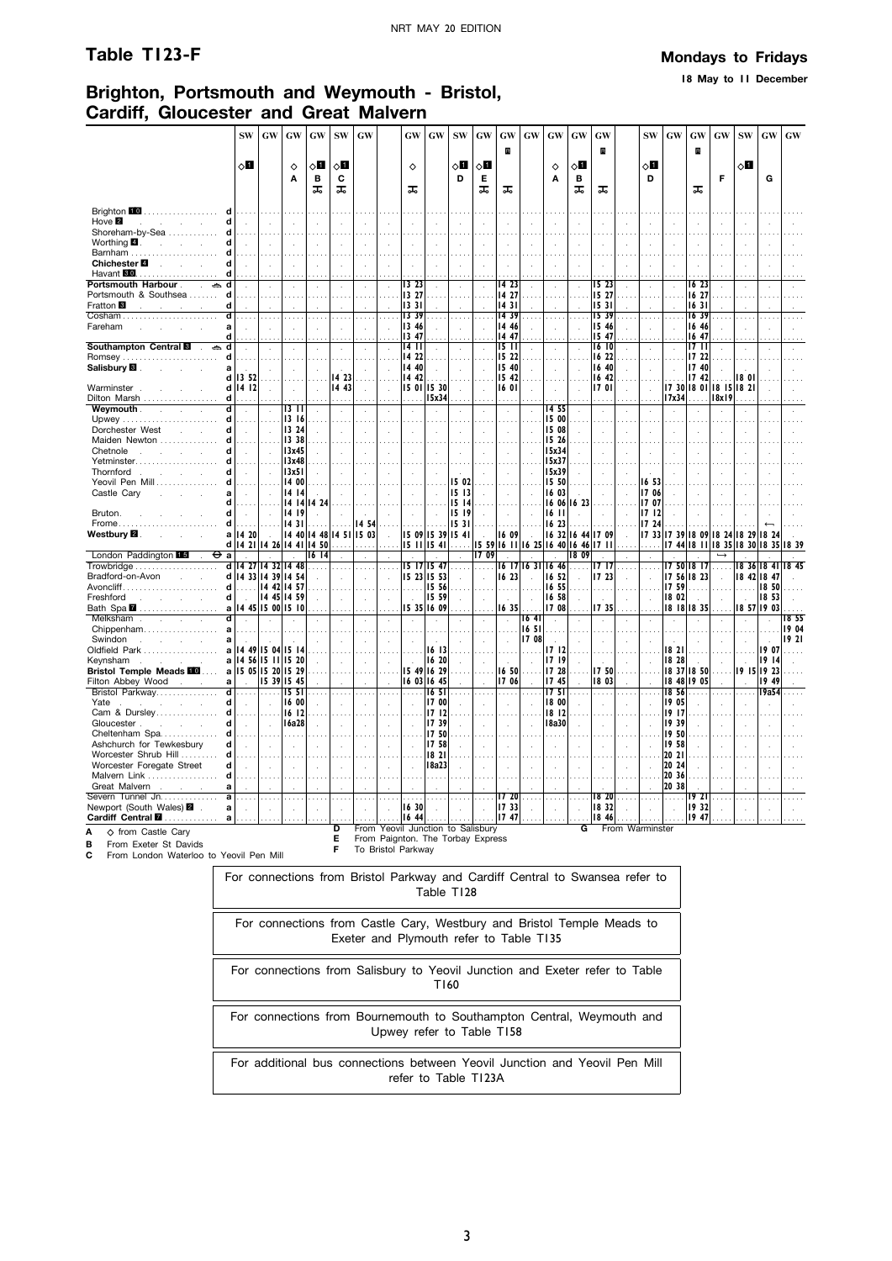**18 May to 11 December**

# **Brighton, Portsmouth and Weymouth - Bristol, Cardiff, Gloucester and Great Malvern**

|                                                                   | <b>SW</b>                         | $\boldsymbol{\mathbf{G}}\boldsymbol{\mathbf{W}}$ | GW                  | GW                     | <b>SW</b>      | <b>GW</b>    |                            | <b>GW</b>                                                              | $\boldsymbol{\mathbf{G}}\boldsymbol{\mathbf{W}}$ | <b>SW</b>     | GW           | GW                                 | $\boldsymbol{\mathsf{G}}\boldsymbol{\mathsf{W}}$ | $\boldsymbol{\mathsf{G}}\boldsymbol{\mathsf{W}}$ | $\boldsymbol{\mathbf{G}}\boldsymbol{\mathbf{W}}$ | GW                |                 | <b>SW</b>                   | $\boldsymbol{\mathbf{G}}\boldsymbol{\mathbf{W}}$ | GW                                      | $\boldsymbol{\mathrm{GW}}$ | $\mathbf{SW}$ | GW                     | $\boldsymbol{\mathsf{G}}\boldsymbol{\mathsf{W}}$ |
|-------------------------------------------------------------------|-----------------------------------|--------------------------------------------------|---------------------|------------------------|----------------|--------------|----------------------------|------------------------------------------------------------------------|--------------------------------------------------|---------------|--------------|------------------------------------|--------------------------------------------------|--------------------------------------------------|--------------------------------------------------|-------------------|-----------------|-----------------------------|--------------------------------------------------|-----------------------------------------|----------------------------|---------------|------------------------|--------------------------------------------------|
|                                                                   |                                   |                                                  |                     |                        |                |              |                            |                                                                        |                                                  |               |              | R                                  |                                                  |                                                  |                                                  | R                 |                 |                             |                                                  | B                                       |                            |               |                        |                                                  |
|                                                                   | 8П                                |                                                  | $\Diamond$          | оП                     | ◇Ø             |              |                            | ♦                                                                      |                                                  | ◇О            | 80           |                                    |                                                  | ♦                                                | $\circ$ l                                        |                   |                 | ◇П                          |                                                  |                                         |                            | √Ц            |                        |                                                  |
|                                                                   |                                   |                                                  | A                   | B                      | C              |              |                            |                                                                        |                                                  | D             | Е            |                                    |                                                  | A                                                | в                                                |                   |                 | D                           |                                                  |                                         | F                          |               | G                      |                                                  |
|                                                                   |                                   |                                                  |                     | ᠼ                      | ᠼ              |              |                            | ᠼ                                                                      |                                                  |               | ᠼ            | ᠼ                                  |                                                  |                                                  | ᠼ                                                | ᠼ                 |                 |                             |                                                  | ᠼ                                       |                            |               |                        |                                                  |
| Brighton 10<br>.                                                  |                                   |                                                  |                     |                        |                |              |                            |                                                                        |                                                  |               |              |                                    |                                                  |                                                  |                                                  |                   |                 |                             |                                                  |                                         |                            |               |                        |                                                  |
| Hove <b>2</b><br>d<br><b>Contractor</b>                           | $\sim$                            | чò.                                              |                     | ÷.                     | χ.             | $\mathbf{r}$ | ÷.                         |                                                                        |                                                  |               | $\mathbf{r}$ |                                    |                                                  | k.                                               | $\mathbf{r}$                                     |                   |                 |                             |                                                  | χ.                                      |                            |               |                        |                                                  |
| Shoreham-by-Sea<br>d<br>d                                         |                                   |                                                  |                     |                        |                |              |                            |                                                                        |                                                  |               |              |                                    |                                                  |                                                  |                                                  |                   |                 |                             |                                                  |                                         |                            |               |                        |                                                  |
| Worthing $\blacksquare$ .<br>and the control of                   |                                   |                                                  |                     |                        | ÷              |              |                            |                                                                        |                                                  |               |              |                                    |                                                  |                                                  |                                                  |                   |                 |                             |                                                  |                                         |                            |               |                        |                                                  |
| Chichester <sup>1</sup><br>$\sim 10$<br>d                         |                                   |                                                  |                     |                        |                |              |                            |                                                                        |                                                  |               |              |                                    |                                                  |                                                  |                                                  |                   |                 |                             |                                                  |                                         |                            |               |                        |                                                  |
| Havant 80<br>d                                                    |                                   |                                                  |                     |                        |                |              |                            |                                                                        |                                                  |               |              |                                    |                                                  |                                                  |                                                  |                   |                 |                             |                                                  |                                         |                            |               |                        |                                                  |
| Portsmouth Harbour.<br>$\mathbf{r}$<br>Portsmouth & Southsea<br>d |                                   |                                                  |                     |                        | $\cdot$        |              | ÷.                         | 13 23<br>13 27                                                         |                                                  |               |              | 14 23<br>14 27                     |                                                  | ÷,                                               |                                                  | 15 23<br>15 27    |                 | $\cdot$                     |                                                  | 16 23<br>16 27                          |                            | $\cdot$       |                        |                                                  |
| Fratton <sup>8</sup><br>d                                         |                                   |                                                  |                     |                        |                |              |                            | 1331                                                                   |                                                  |               |              | 1431                               |                                                  |                                                  |                                                  | 15 31             |                 |                             |                                                  | 1631                                    |                            |               |                        |                                                  |
|                                                                   |                                   |                                                  |                     |                        |                |              |                            | 13 39                                                                  |                                                  |               |              | 14 39                              |                                                  |                                                  |                                                  | 1539              |                 |                             |                                                  | 16 39                                   |                            |               |                        |                                                  |
| Fareham                                                           |                                   |                                                  |                     |                        |                |              |                            | 13 46                                                                  |                                                  |               |              | 14 46                              |                                                  |                                                  |                                                  | 15 46             |                 |                             |                                                  | 16 46                                   |                            |               |                        |                                                  |
| d<br>Southampton Central <b>B</b><br>d<br>گ                       |                                   |                                                  |                     |                        |                |              |                            | 13 47<br>1411                                                          |                                                  |               |              | 14 47<br>$15 \text{ } \text{ } 11$ |                                                  |                                                  |                                                  | 1547<br>1610      |                 |                             |                                                  | 16 47<br>1711                           |                            |               |                        |                                                  |
| Romsey                                                            |                                   |                                                  |                     |                        |                |              |                            | 14 22                                                                  |                                                  |               |              | 15 22                              |                                                  |                                                  |                                                  | 16 22             |                 |                             |                                                  | 17 22                                   |                            |               |                        |                                                  |
| Salisbury <b>B</b> .                                              |                                   |                                                  |                     |                        |                |              |                            | 14 40                                                                  |                                                  |               |              | 15 40                              | $\mathbf{r}$                                     | $\mathbf{r}$                                     |                                                  | 16 40             | ÷.              |                             |                                                  | 17 40                                   |                            |               |                        |                                                  |
| d<br>Warminster.                                                  | 1352<br>$d$   14   12             | ÷.                                               |                     |                        | 14 23<br>14.43 |              |                            | 14 42<br>15 01 15 30                                                   |                                                  |               |              | 15 42<br>16 01                     |                                                  |                                                  |                                                  | 16 42<br>1701     |                 |                             |                                                  | 1742<br>  17 30   18 01   18 15   18 21 |                            | 18 OI         |                        |                                                  |
| Dilton Marsh<br>d l                                               |                                   |                                                  | $\mathbf{r}$        | $\ddot{\phantom{a}}$   |                | ÷            | $\mathcal{L}_{\mathbf{z}}$ |                                                                        | 15x34                                            |               | χ.           |                                    | ÷                                                | à.                                               |                                                  |                   | ÷               | $\mathbf{r}$                | 17x34                                            |                                         | 18x19                      |               |                        |                                                  |
| Weymouth.<br>ਰ<br><b>Service</b><br>$\overline{a}$                | $\overline{a}$                    | ÷.                                               | 13 TT               |                        | ÷              | ÷            |                            |                                                                        | $\mathbf{r}$                                     |               |              |                                    | ÷                                                | 14 55                                            | J.                                               |                   |                 |                             |                                                  |                                         |                            |               |                        |                                                  |
| Upwey<br>d                                                        |                                   |                                                  | 13 16               |                        |                |              |                            |                                                                        |                                                  |               |              |                                    |                                                  | 15 00                                            |                                                  |                   |                 |                             |                                                  |                                         |                            |               |                        |                                                  |
| Dorchester West<br>d<br>÷.<br>Maiden Newton<br>d                  | $\mathbf{r}$                      | ÷.                                               | 13 24<br>13 38      |                        |                |              | ÷.                         |                                                                        | $\mathbf{r}$                                     |               |              |                                    | ÷                                                | 15 08<br>15 26                                   | $\overline{a}$                                   |                   |                 |                             |                                                  |                                         |                            |               |                        |                                                  |
| d<br>Chetnole<br>and the control                                  | $\mathbf{r}$                      |                                                  | 13x45               | ÷                      | ÷.             |              | $\overline{\phantom{a}}$   |                                                                        | $\mathbf{r}$                                     |               |              |                                    | $\mathbf{r}$                                     | 15x34                                            | $\mathbf{r}$                                     |                   |                 |                             |                                                  |                                         |                            |               |                        |                                                  |
| Yetminster<br>d                                                   |                                   |                                                  | 13x48               |                        |                |              |                            |                                                                        |                                                  |               |              |                                    |                                                  | 15x37                                            |                                                  |                   |                 |                             |                                                  |                                         |                            |               |                        |                                                  |
| Thornford<br>Ч                                                    | $\overline{a}$                    |                                                  | 13x51               |                        |                |              |                            |                                                                        |                                                  |               |              |                                    |                                                  | 15x39                                            |                                                  |                   |                 |                             |                                                  |                                         |                            |               |                        |                                                  |
| Yeovil Pen Mill<br>Castle Cary                                    |                                   |                                                  | 14 00<br>14 14      |                        |                |              |                            |                                                                        |                                                  | 15 02<br>1513 |              |                                    |                                                  | 15 50<br>16 03                                   |                                                  |                   |                 | 16 53<br>1706               |                                                  |                                         |                            |               |                        |                                                  |
|                                                                   |                                   |                                                  |                     | 14 14 14 24            |                |              |                            |                                                                        |                                                  | 15 14         |              |                                    |                                                  | 16 06                                            | 16 23                                            |                   |                 | 1707                        |                                                  |                                         |                            |               |                        |                                                  |
| Bruton.<br>d                                                      |                                   |                                                  | 14 19               |                        |                |              |                            |                                                                        |                                                  | 1519          |              |                                    |                                                  | 16 II                                            |                                                  |                   |                 | 1712                        |                                                  |                                         |                            |               |                        |                                                  |
| Frome<br>d                                                        | a   14 20                         |                                                  | 43                  |                        |                | 14 54        |                            |                                                                        | 15 09 15 39 15 41                                | 1531          |              | 16 09                              |                                                  | 1623                                             |                                                  | 16 32 16 44 17 09 |                 | 17 24                       |                                                  | 17 33 17 39 18 09 18 24 18 29 18 24     |                            |               |                        |                                                  |
| Westbury <b>⊠</b> .                                               | d   14 21   14 26   14 41   14 50 | $\sim$                                           |                     | 4 40  4 48  4 51  5 03 |                |              | $\mathcal{L}$              | $15$ 11 $15$ 41                                                        |                                                  |               |              |                                    |                                                  | 15 59 16 11 16 25 16 40 16 46 17 11              |                                                  |                   |                 |                             |                                                  | 17 44 18 11 18 35 18 30 18 35 18 39     |                            |               |                        |                                                  |
| London Paddington 15<br>⊖<br>$\mathbf{a}$                         |                                   |                                                  |                     | 1614                   |                |              |                            |                                                                        |                                                  |               | 1709         |                                    |                                                  |                                                  | 18 09                                            |                   |                 |                             |                                                  |                                         |                            |               |                        |                                                  |
| Trowbridge                                                        | d 14 27 14 32 14 48               |                                                  |                     |                        |                |              |                            | 15 17 15 47                                                            |                                                  |               |              | 16 17                              |                                                  | 16 31 16 46                                      | .                                                | 17 I7             | $\cdots$        |                             |                                                  | 17 50 18 17                             |                            |               | 1836 1841              | 1845                                             |
| Bradford-on-Avon<br>d<br>Avoncliff                                | d   14 33   14 39   14 54         |                                                  | 14 42   14 57       |                        |                |              |                            |                                                                        | 15 23 15 53<br>15 56                             |               |              | 16 23                              | $\mathcal{L}$                                    | 16 52<br>16 55                                   | $\ddot{\phantom{a}}$                             | 17 23             |                 |                             | 17 59                                            | 17 56 18 23                             |                            |               | $1842$ $1847$<br>18 50 |                                                  |
| d<br>Freshford<br>and the company of the company                  |                                   |                                                  | 14 45 14 59         |                        | $\mathcal{L}$  |              | $\mathbf{r}$               |                                                                        | 15 59                                            |               | ÷.           |                                    | $\ddot{\phantom{a}}$                             | 16 58                                            | ÷.                                               |                   | ÷               | $\mathcal{L}_{\mathcal{A}}$ | 18 02                                            |                                         |                            |               | 18 53                  |                                                  |
| Bath Spa <b>2</b>                                                 | a   14 45   15 00   15 10         |                                                  |                     |                        |                |              |                            |                                                                        | 15 35 16 09                                      |               |              | 1635                               |                                                  | 17 08                                            |                                                  | 1735              |                 |                             |                                                  | 18 18 18 35                             |                            |               | 18 57 19 03            |                                                  |
| d<br>Melksham.<br>$\sim$<br><b>College</b>                        |                                   |                                                  |                     |                        |                |              |                            |                                                                        | $\ddot{\phantom{1}}$                             |               |              | $\ddot{\phantom{a}}$               | $16\overline{4}$                                 | à.                                               |                                                  |                   |                 |                             |                                                  |                                         |                            |               |                        | 1855                                             |
| Chippenham<br>Swindon<br><b>Contractor</b><br>$\sim$              |                                   |                                                  |                     |                        |                |              |                            |                                                                        |                                                  |               |              |                                    | 16 51<br>17 08                                   |                                                  |                                                  |                   |                 |                             |                                                  |                                         |                            |               |                        | 19 04<br>1921                                    |
| Oldfield Park<br>a                                                | 1449                              |                                                  | 15 04 15 14         |                        |                |              |                            |                                                                        | 16 13                                            |               |              |                                    |                                                  | 17 12                                            |                                                  |                   |                 |                             | 18 21                                            |                                         |                            |               | 1907                   |                                                  |
| Keynsham                                                          | a   14 56                         | 15<br>ш                                          | 15 20               |                        |                |              |                            |                                                                        | 16 20                                            |               |              |                                    |                                                  | 1719                                             |                                                  |                   |                 |                             | 18 28                                            |                                         |                            |               | 1914                   |                                                  |
| <b>Bristol Temple Meads in Allegan</b>                            | a   15 05   15 20   15 29         |                                                  |                     |                        |                |              |                            | 16 03 16 45                                                            | 15 49 16 29                                      |               |              | 16 50<br>17 06                     |                                                  | 17 28<br>17 45                                   |                                                  | 1750<br>18 03     | $\sim 100$      |                             |                                                  | 8 37  8 50<br>  18 48   19 05           |                            |               | 19 15 19 23<br>19 49   |                                                  |
| Filton Abbey Wood<br>a<br>Bristol Parkway<br>ď                    | $\cdots$                          | .                                                | 15 39 15 45<br>1551 | .                      |                |              |                            |                                                                        | 16 5 I                                           |               |              |                                    |                                                  | 1751                                             | $\cdots$                                         |                   |                 |                             | 18 56                                            |                                         |                            |               | <b>19a54</b>           |                                                  |
| d<br>Yate<br>and the control                                      | $\mathbf{r}$                      |                                                  | 16 00               |                        | $\mathbf{r}$   | J.           | J.                         |                                                                        | 17 00                                            |               |              |                                    |                                                  | 18 00                                            | J.                                               | $\sim$            |                 |                             | 1905                                             |                                         |                            |               |                        |                                                  |
| Cam & Dursley<br>d                                                |                                   |                                                  | 16 12               |                        |                |              |                            |                                                                        | 1712                                             |               |              |                                    |                                                  | 1812                                             |                                                  |                   |                 |                             | 1917                                             |                                         |                            |               |                        |                                                  |
| Gloucester.<br>d<br>and the control                               | $\overline{\phantom{a}}$          |                                                  | 16a28               |                        |                |              |                            |                                                                        | 1739<br>17 50                                    |               |              |                                    |                                                  | <b>18a30</b>                                     |                                                  |                   |                 |                             | 19 39<br>19 50                                   |                                         |                            |               |                        |                                                  |
| Cheltenham Spa<br>Ashchurch for Tewkesbury<br>d                   | $\mathcal{L}$                     |                                                  |                     |                        |                |              | $\ddot{\phantom{a}}$       |                                                                        | 1758                                             |               |              |                                    |                                                  | J.                                               |                                                  |                   |                 |                             | 1958                                             |                                         |                            |               |                        |                                                  |
| Worcester Shrub Hill<br>d                                         |                                   |                                                  |                     |                        |                |              |                            |                                                                        | 1821                                             |               |              |                                    |                                                  |                                                  |                                                  |                   |                 |                             | 20 21                                            |                                         |                            |               |                        |                                                  |
| Worcester Foregate Street<br>q                                    | $\overline{a}$                    |                                                  |                     |                        |                |              |                            |                                                                        | <b>18a23</b>                                     |               |              |                                    |                                                  |                                                  |                                                  |                   |                 |                             | 20 24                                            |                                         |                            |               |                        |                                                  |
| Malvern Link<br>d<br>Great Malvern<br>a                           |                                   |                                                  |                     |                        |                |              |                            |                                                                        | a sa                                             |               |              |                                    |                                                  |                                                  |                                                  |                   |                 |                             | 20 36<br>20 38                                   |                                         |                            |               |                        |                                                  |
| Severn Tunnel Jn.<br>$\overline{a}$                               |                                   |                                                  |                     |                        |                |              |                            |                                                                        |                                                  |               |              | 1720                               |                                                  |                                                  |                                                  | I8 20             |                 |                             |                                                  | 19 21                                   |                            |               |                        |                                                  |
| Newport (South Wales) 2 .<br>a                                    |                                   |                                                  |                     |                        | $\mathbf{r}$   |              |                            | 16 30                                                                  |                                                  |               |              | 1733                               | $\mathbf{r}$                                     |                                                  | $\mathbf{r}$                                     | 18 32             |                 |                             |                                                  | 19 32                                   |                            | ÷.            |                        |                                                  |
| Cardiff Central <b>M</b><br>a                                     |                                   |                                                  |                     |                        |                |              |                            | 16 44                                                                  |                                                  |               |              | 17 47                              |                                                  |                                                  |                                                  | 1846              |                 |                             |                                                  | 19 47                                   |                            |               |                        |                                                  |
| ♦ from Castle Cary<br>А                                           |                                   |                                                  |                     |                        | ъ<br>Е         |              |                            | From Yeovil Junction to Salisbury<br>From Paignton. The Torbay Express |                                                  |               |              |                                    |                                                  |                                                  | G                                                |                   | From Warminster |                             |                                                  |                                         |                            |               |                        |                                                  |
| From Exeter St Davids<br>в                                        |                                   |                                                  |                     |                        | F              |              |                            | To Bristol Parkway                                                     |                                                  |               |              |                                    |                                                  |                                                  |                                                  |                   |                 |                             |                                                  |                                         |                            |               |                        |                                                  |

**C** From London Waterloo to Yeovil Pen Mill

For connections from Bristol Parkway and Cardiff Central to Swansea refer to Table T128

| For connections from Castle Cary, Westbury and Bristol Temple Meads to |  |
|------------------------------------------------------------------------|--|
| Exeter and Plymouth refer to Table T135                                |  |
|                                                                        |  |

For connections from Salisbury to Yeovil Junction and Exeter refer to Table T160

For connections from Bournemouth to Southampton Central, Weymouth and Upwey refer to Table T158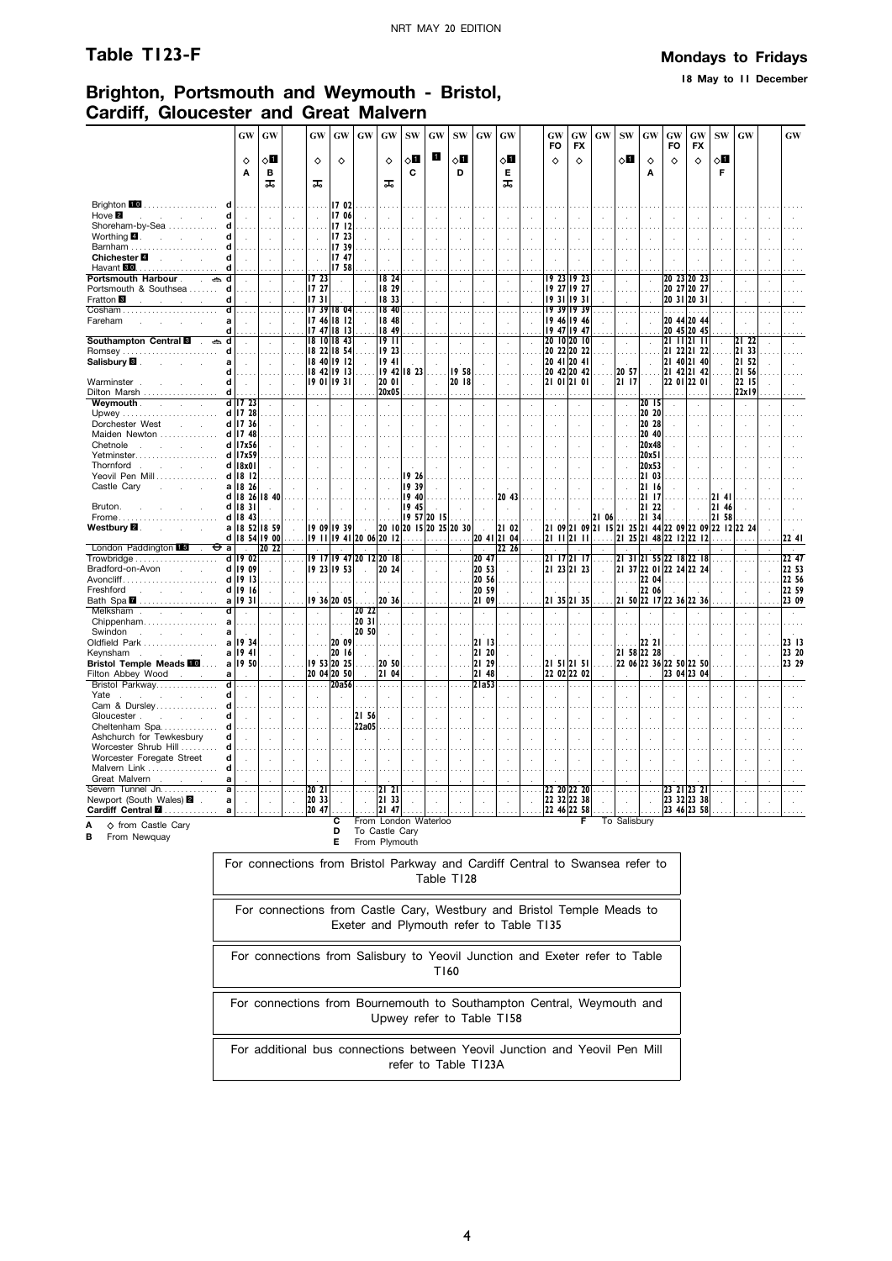**18 May to 11 December**

# **Brighton, Portsmouth and Weymouth - Bristol, Cardiff, Gloucester and Great Malvern**

|                                                                           | <b>GW</b>                   | GW                |                          | GW                                | $\boldsymbol{\mathbf{G}}\boldsymbol{\mathbf{W}}$ | GW                   | GW                               | <b>SW</b>            | GW                                      | <b>SW</b>               | $\boldsymbol{\mathbf{G}}\boldsymbol{\mathbf{W}}$ | <b>GW</b>            |                             | GW<br>FO                    | GW<br><b>FX</b>            | <b>GW</b>    | <b>SW</b>     | GW             | GW<br><b>FO</b> | GW<br><b>FX</b>                                 | <b>SW</b>            | GW                          |    | <b>GW</b>      |
|---------------------------------------------------------------------------|-----------------------------|-------------------|--------------------------|-----------------------------------|--------------------------------------------------|----------------------|----------------------------------|----------------------|-----------------------------------------|-------------------------|--------------------------------------------------|----------------------|-----------------------------|-----------------------------|----------------------------|--------------|---------------|----------------|-----------------|-------------------------------------------------|----------------------|-----------------------------|----|----------------|
|                                                                           | ♦                           | √П                |                          | ♦                                 | ♦                                                |                      | $\Diamond$                       | 0П                   | $\mathbf{1}$                            | $\diamond$ l            |                                                  | √0                   |                             | ♦                           | ♦                          |              | ◇П            | ♦              | $\Diamond$      | ♦                                               | ◇Ⅱ                   |                             |    |                |
|                                                                           | A                           | в<br>ᅚ            |                          | ᠼ                                 |                                                  |                      | ᠼ                                | C                    |                                         | D                       |                                                  | Е<br>ᠼ               |                             |                             |                            |              |               | A              |                 |                                                 | F                    |                             |    |                |
|                                                                           |                             |                   |                          |                                   |                                                  |                      |                                  |                      |                                         |                         |                                                  |                      |                             |                             |                            |              |               |                |                 |                                                 |                      |                             |    |                |
| Brighton 10<br>.<br>d                                                     |                             |                   |                          |                                   | 17 02                                            |                      |                                  |                      |                                         |                         |                                                  |                      |                             |                             |                            |              |               |                |                 |                                                 |                      |                             |    |                |
| Hove <sup>2</sup><br>q<br>and the control<br>Shoreham-by-Sea<br>d         |                             |                   |                          |                                   | 17 06<br>1712                                    |                      |                                  |                      |                                         |                         |                                                  |                      |                             |                             |                            |              |               |                |                 |                                                 |                      |                             |    |                |
| Worthing $\blacksquare$ .<br>d<br>and the control of the                  |                             |                   |                          |                                   | 17 23                                            |                      |                                  |                      |                                         |                         |                                                  |                      |                             |                             |                            |              |               |                |                 |                                                 |                      |                             |    |                |
| Barnham                                                                   |                             |                   |                          |                                   | 1739                                             |                      |                                  |                      |                                         |                         |                                                  |                      |                             |                             |                            |              |               |                |                 |                                                 |                      |                             |    |                |
| Chichester <sup>1</sup><br>d<br><b>Service State</b>                      | $\sim$                      | $\sim$            | $\mathbf{r}$             | $\sim$                            | 1747                                             |                      |                                  |                      | $\mathcal{L}_{\mathbf{a}}$              |                         |                                                  |                      | $\cdot$                     |                             |                            |              | $\cdot$       |                |                 |                                                 |                      | l.                          |    |                |
| Havant 80<br>d<br>.                                                       |                             |                   |                          |                                   | 17 58                                            |                      |                                  |                      |                                         |                         |                                                  |                      |                             |                             |                            |              |               |                |                 |                                                 |                      |                             |    |                |
| Portsmouth Harbour.<br>ڪ<br>$\ddot{\phantom{a}}$<br>Portsmouth & Southsea |                             |                   |                          | 1723<br>17 27                     |                                                  |                      | 18 24<br>18 29                   |                      | $\cdot$                                 |                         |                                                  |                      | à.                          |                             | 19 23 19 23<br>19 27 19 27 |              | ÷,            |                |                 | 20 23 20 23<br>20 27 20 27                      |                      | $\ddot{\phantom{a}}$        |    |                |
| d<br>Fratton <b>B</b><br>contract and contract                            |                             |                   |                          | 1731                              |                                                  |                      | 18 33                            |                      |                                         |                         |                                                  |                      |                             |                             | 19311931                   |              |               |                |                 | 20 31 20 31                                     |                      |                             |    |                |
| Cosham                                                                    |                             |                   |                          | $1739$ 18 04                      |                                                  |                      | 18 40                            |                      | $\ddotsc$                               |                         |                                                  |                      | $\mathbf{r}$                |                             | 19 39 19 39                |              | $\cdots$      |                | .               | .                                               |                      |                             |    |                |
| Fareham                                                                   |                             |                   |                          | 17 46 18 12                       |                                                  |                      | 18 48                            |                      | $\overline{a}$                          |                         |                                                  |                      | $\mathcal{L}$               |                             | 19 46 19 46                |              | ÷.            |                |                 | 20 44 20 44                                     |                      |                             |    |                |
| d<br>Southampton Central <b>8</b><br>ڪ<br>d                               |                             |                   |                          | $1747$ 18 13<br>$18$ $10$ $18$ 43 |                                                  |                      | 18 49<br>19 II                   |                      |                                         |                         |                                                  |                      |                             |                             | 19 47 19 47<br>20 10 20 10 |              |               |                |                 | 20 45 20 45<br>21 11 21 11                      |                      | 21 22                       |    |                |
| Romsey<br>d                                                               | $\sim$                      |                   |                          | 18 22 18 54                       |                                                  |                      | 19 23                            |                      | $\mathbf{r}$                            |                         |                                                  |                      | $\mathbf{r}$                |                             | 20 22 20 22                |              |               |                |                 | 21 22 21 22                                     |                      | 21 33                       |    |                |
| Salisbury <b>B</b> .<br>a                                                 | $\mathcal{L}$               | ÷.                |                          | 18401912                          |                                                  |                      | 1941                             |                      |                                         |                         |                                                  |                      | ÷                           |                             | 20 41 20 41                |              |               |                |                 | 21 40 21 40                                     |                      | 21 52                       |    |                |
| d                                                                         |                             |                   |                          | $1842$ $1913$                     |                                                  |                      |                                  | $19$ 42 18 23        |                                         | 1958                    |                                                  |                      |                             |                             | 20 42 20 42                |              | 20 57         |                |                 | 21 42 21 42                                     |                      | 2156                        |    |                |
| Warminster<br>d<br>d                                                      | $\mathbf{r}$                | i.                |                          | 19011931                          |                                                  |                      | 20 01<br>20x05                   |                      | $\mathbf{r}$                            | 20 18                   |                                                  |                      | $\mathbf{r}$                |                             | 21 01 21 01                |              | 21 17         |                |                 | 22 01 22 01                                     |                      | 22 15<br>22x19              |    |                |
| Dilton Marsh<br>Weymouth.<br>contract and state                           | $d$ 17 23                   |                   |                          |                                   | $\cdot$                                          |                      | $\mathcal{L}_{\mathcal{A}}$      |                      | $\mathcal{L}$                           | $\lambda$               | $\cdot$                                          | $\cdot$              | $\mathcal{L}_{\mathcal{A}}$ | $\mathcal{L}_{\mathcal{A}}$ |                            |              | $\mathcal{L}$ | 2015           |                 |                                                 |                      | $\mathcal{A}$               |    |                |
|                                                                           | $d$   17 28                 |                   |                          |                                   |                                                  |                      |                                  |                      |                                         |                         |                                                  |                      |                             |                             |                            |              |               | 20 20          |                 |                                                 |                      |                             |    |                |
| Dorchester West<br><b>Contract</b>                                        | d 17 36                     |                   |                          |                                   |                                                  |                      |                                  |                      |                                         |                         |                                                  |                      |                             |                             |                            |              | ÷.            | 20 28          |                 |                                                 |                      |                             |    |                |
| Maiden Newton                                                             | $d$   17 48                 |                   |                          |                                   |                                                  |                      |                                  |                      |                                         |                         |                                                  |                      |                             |                             |                            |              |               | 20 40          |                 |                                                 |                      |                             |    |                |
| Chetnole<br>Yetminster                                                    | d 17x56<br>d 17x59          |                   |                          |                                   |                                                  |                      |                                  |                      |                                         |                         |                                                  |                      |                             |                             |                            |              |               | 20x48<br>20x51 |                 |                                                 |                      |                             |    |                |
| Thornford<br>and the company of                                           | $d$   $8x0$                 |                   |                          | $\mathbf{r}$                      | $\sim$                                           | $\overline{a}$       |                                  |                      | $\mathbf{r}$                            |                         |                                                  |                      | $\mathbf{r}$                | $\mathcal{L}$               | $\mathbf{r}$               | $\sim$       | чò.           | 20x53          |                 |                                                 |                      |                             |    |                |
| Yeovil Pen Mill                                                           | d 18 12                     |                   |                          |                                   |                                                  |                      |                                  | 19 26                |                                         |                         |                                                  |                      |                             |                             |                            |              |               | 21 03          |                 |                                                 |                      |                             |    |                |
| Castle Cary<br>a                                                          | 18 26                       |                   |                          |                                   | $\mathcal{L}$                                    |                      |                                  | 19 39                |                                         |                         |                                                  |                      | $\ddot{\phantom{a}}$        | $\overline{a}$              |                            |              |               | 21 16          |                 |                                                 |                      |                             |    |                |
| d l                                                                       | 1826                        | 18 40             |                          |                                   |                                                  |                      |                                  | 40<br>19             |                                         |                         |                                                  | 20 43                |                             |                             |                            |              |               | 21<br>17       |                 |                                                 | 21<br>41             |                             |    |                |
| Bruton.<br>Frome                                                          | d 18 31<br>$d$ 18 43        |                   |                          |                                   | $\mathcal{A}$                                    |                      | $\mathcal{L}_{\mathcal{A}}$<br>. | 19 45<br>19 57 20 15 | $\ddot{\phantom{a}}$                    |                         |                                                  |                      |                             |                             |                            | 21 06        | $\sim$        | 21 22<br>21 34 |                 | $\ddot{\phantom{a}}$                            | 21<br>46<br>21<br>58 |                             |    |                |
| Westbury <b>2</b> .                                                       |                             | a   18 52   18 59 |                          | 19 09 19 39                       |                                                  |                      |                                  |                      |                                         | 20 10 20 15 20 25 20 30 |                                                  | 21 02                | $\mathcal{L}$               |                             |                            |              |               |                |                 | 21 09 21 09 21 15 21 25 21 44 22 09 22 09       | 22 12 22 24          |                             |    |                |
|                                                                           |                             | d   18 54 19 00   |                          |                                   |                                                  |                      | 19 11 19 41 20 06 20 12          | $\cdots$             | $\cdots$                                |                         |                                                  | 20 41 21 04          |                             |                             | 21 11 21 11                |              |               |                |                 | 21 25 21 48 22 12 22 12                         |                      | $\sim$                      |    | 22 41          |
| London Paddington 15<br>$\overline{a}$                                    |                             | 20 22             |                          |                                   |                                                  |                      |                                  |                      | $\cdot$                                 |                         |                                                  | 22 26                |                             |                             |                            |              |               |                |                 |                                                 |                      |                             |    |                |
| d l<br>Bradford-on-Avon<br><b>Contract</b>                                | 19<br>02<br>d 19 09         | ÷.                | $\sim$                   | 19 23 19 53                       |                                                  |                      | 19 17 19 47 20 12 20 18<br>20 24 |                      |                                         |                         | $ 20 \t47$<br>20 53                              | $\mathbf{r}$         | .                           |                             | 21 17 21 17<br>21 23 21 23 |              |               |                |                 | 21 31 21 55 22 18 22 18<br> 2137 2201 2224 2224 | $\overline{a}$       |                             |    | 22 47<br>22 53 |
| $A$ voncliff                                                              | d 19 13                     | $\sim$            |                          | .                                 | .                                                |                      |                                  |                      | $\mathcal{L}_{\mathcal{A}}$<br>$\cdots$ | a a a                   | 20 56                                            |                      |                             |                             | .                          |              | .             |                | $2204$          |                                                 |                      | $\bar{z}$<br>$\mathbb{R}^2$ |    | 22 56          |
| Freshford<br>and the state of the state                                   | d   19   16                 | ÷                 |                          |                                   |                                                  |                      |                                  |                      | $\sim$                                  | $\mathcal{L}$           | 20 59                                            |                      | $\mathbf{r}$                |                             |                            |              | $\sim$        | 22 06          |                 |                                                 |                      | $\mathcal{L}$               | l. | 22 59          |
| Bath Spa 2<br>al                                                          | 1931                        |                   |                          |                                   | 19 36 20 05                                      |                      | 20 36                            |                      | $\ddotsc$                               |                         | 21 09                                            |                      |                             |                             | 21 35 21 35                |              |               |                |                 | 2150 2217 2236 2236                             |                      | $\ddotsc$                   |    | 23 09          |
| Melksham<br>ď<br>and the company                                          | $\ddot{\phantom{a}}$        |                   |                          |                                   | $\alpha$                                         | 2022                 | $\mathcal{A}$                    |                      | $\lambda$                               |                         |                                                  |                      | $\mathcal{L}$               |                             |                            |              |               |                |                 |                                                 |                      | $\cdot$                     |    |                |
| Chippenham<br>a<br>Swindon<br>and the company of the<br>a                 | ÷.                          |                   |                          |                                   | $\sim$                                           | 20 31<br>20 50       | $\overline{a}$                   |                      | $\mathbf{r}$                            |                         |                                                  |                      |                             |                             |                            |              |               |                |                 |                                                 |                      |                             |    |                |
| Oldfield Park<br>a                                                        | 1934                        |                   |                          |                                   | 20 09                                            |                      |                                  |                      |                                         |                         | 21 13                                            |                      |                             |                             |                            |              |               | 22 21          |                 |                                                 |                      |                             |    | 23 13          |
| Keynsham<br>$\sim$<br>$\sim$                                              | a   1941                    |                   |                          |                                   | 20 16                                            |                      |                                  |                      |                                         |                         | 21 20                                            |                      |                             |                             |                            | $\mathbf{r}$ | 21 58 22 28   |                |                 |                                                 |                      |                             |    | 23 20          |
| <b>Bristol Temple Meads FO </b>                                           | a 19 50                     |                   |                          | 19 53 20 25                       |                                                  |                      | 20 50                            |                      |                                         |                         | 21 29                                            |                      |                             |                             | 21 51 21 51                |              |               |                |                 | 22 06 22 36 22 50 22 50                         |                      |                             |    | 23 29          |
| Filton Abbey Wood<br>a                                                    |                             |                   |                          | 20 04 20 50                       |                                                  |                      | 21 04                            |                      |                                         |                         | 21 48                                            |                      |                             |                             | 22 02 22 02                |              |               |                |                 | 23 04 23 04                                     |                      |                             |    |                |
| Bristol Parkway<br>ਰ<br>d<br>Yate<br>and the control of                   | $\mathbf{r}$                | $\cdots$          | $\ddotsc$                | .                                 | 20a56                                            | $\sim$               | .                                |                      | $\ldots$<br>$\overline{a}$              | $\ddotsc$               | $2$ la53                                         | $\ddot{\phantom{a}}$ | $\ldots$<br>÷               | .                           | $\cdots$                   |              |               |                |                 |                                                 |                      | $\ddotsc$<br>J.             |    |                |
| Cam & Dursley<br>d                                                        |                             |                   |                          |                                   |                                                  |                      |                                  |                      |                                         |                         |                                                  |                      |                             |                             |                            |              |               |                |                 |                                                 |                      |                             |    |                |
| Gloucester.<br>d<br>$\sim$<br>$\mathcal{L}^{\mathcal{L}}$                 | $\mathcal{L}_{\mathcal{A}}$ |                   |                          |                                   | ù.                                               | 21 56                |                                  |                      |                                         |                         |                                                  |                      |                             |                             |                            |              |               |                |                 |                                                 |                      |                             |    |                |
| Cheltenham Spa<br>d                                                       |                             |                   |                          |                                   |                                                  | 22a05                |                                  |                      |                                         |                         |                                                  |                      |                             |                             |                            |              |               |                |                 |                                                 |                      |                             |    |                |
| Ashchurch for Tewkesbury<br>d                                             |                             |                   |                          |                                   |                                                  | ÷.                   |                                  |                      |                                         |                         |                                                  |                      |                             |                             |                            |              |               |                |                 |                                                 |                      |                             |    |                |
| Worcester Shrub Hill<br>d<br>Worcester Foregate Street<br>d               |                             |                   |                          |                                   |                                                  |                      |                                  |                      |                                         |                         |                                                  |                      |                             |                             |                            |              |               |                |                 |                                                 |                      |                             |    |                |
| Malvern Link<br>d                                                         |                             |                   |                          |                                   |                                                  |                      |                                  |                      |                                         |                         |                                                  |                      |                             |                             |                            |              |               |                |                 |                                                 |                      |                             |    |                |
| Great Malvern<br>a                                                        |                             |                   |                          |                                   |                                                  |                      |                                  |                      |                                         |                         |                                                  |                      |                             |                             |                            |              |               |                |                 |                                                 |                      |                             |    |                |
| Severn Tunnel Jn.<br>a                                                    |                             |                   | $\mathbf{r}$             | 20 21                             | $\cdots$                                         |                      | $\mathbf{2}$                     |                      | $\ddotsc$                               |                         |                                                  |                      |                             |                             | 22 20 22 20                |              |               |                |                 | 23 21 23 21                                     |                      |                             |    |                |
| Newport (South Wales) 2<br>a                                              | $\overline{\phantom{a}}$    | $\mathcal{L}$     | $\overline{\phantom{a}}$ | 20 33                             | $\mathcal{L}$                                    | $\ddot{\phantom{a}}$ | 21 33                            |                      | $\overline{a}$                          |                         |                                                  |                      | $\mathcal{L}$               |                             | 22 32 22 38<br>22 46 22 58 |              | ÷.            |                |                 | 23 32 23 38                                     |                      |                             |    |                |
| Cardiff Central <b>M</b><br>a                                             |                             |                   |                          | 20 47                             | с                                                |                      | 21 47                            | From London Waterloo |                                         |                         |                                                  |                      |                             |                             | F                          |              | To Salisbury  |                |                 | 23 46 23 58                                     |                      |                             |    |                |
| ♦ from Castle Cary<br>А                                                   |                             |                   |                          |                                   | n.                                               |                      | To Caetle Cany                   |                      |                                         |                         |                                                  |                      |                             |                             |                            |              |               |                |                 |                                                 |                      |                             |    |                |

**B** From Newquay

**D** To Castle Cary **E** From Plymouth

For connections from Bristol Parkway and Cardiff Central to Swansea refer to Table T128

For connections from Castle Cary, Westbury and Bristol Temple Meads to Exeter and Plymouth refer to Table T135

For connections from Salisbury to Yeovil Junction and Exeter refer to Table T160

For connections from Bournemouth to Southampton Central, Weymouth and Upwey refer to Table T158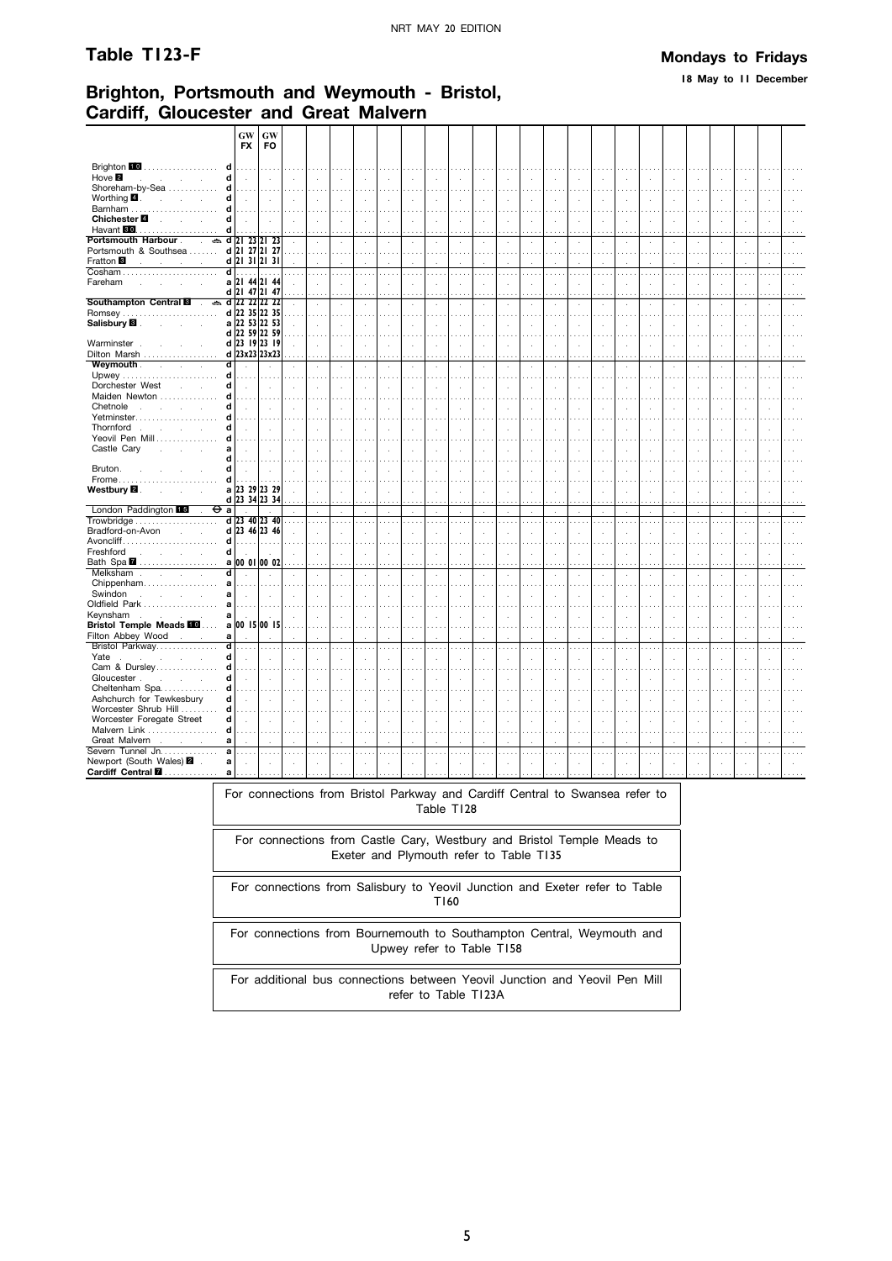#### Table T123-F

#### **Mondays to Fridays**

18 May to 11 December

## Brighton, Portsmouth and Weymouth - Bristol, Cardiff. Gloucester and Great Malvern

|                                                                                 | GW<br><b>FX</b>         | GW<br><b>FO</b>             |         |                             |                             |                      |                             |               |                      |               |               |                      |                      |            |                      |          |                             |                      |                          |        |                      |                     |               |          |
|---------------------------------------------------------------------------------|-------------------------|-----------------------------|---------|-----------------------------|-----------------------------|----------------------|-----------------------------|---------------|----------------------|---------------|---------------|----------------------|----------------------|------------|----------------------|----------|-----------------------------|----------------------|--------------------------|--------|----------------------|---------------------|---------------|----------|
|                                                                                 |                         |                             |         |                             |                             |                      |                             |               |                      |               |               |                      |                      |            |                      |          |                             |                      |                          |        |                      |                     |               |          |
| Brighton 10<br>d<br>.                                                           |                         |                             |         |                             |                             |                      |                             |               |                      |               |               |                      |                      |            |                      |          |                             |                      |                          |        |                      |                     |               |          |
| Hove <sup>2</sup><br>d<br><b>Contract</b><br>÷                                  | $\bar{z}$               | $\mathcal{L}$               |         |                             | $\mathcal{L}_{\mathcal{A}}$ | $\cdot$              | $\ddot{\phantom{a}}$        | $\mathcal{A}$ | $\mathcal{L}$        | $\lambda$     | ÷.            | $\cdot$              | $\mathcal{L}$        | $\lambda$  | $\cdot$              | ÷.       | $\mathbf{r}$                | $\cdot$              | $\ddot{\phantom{a}}$     | ÷,     | $\overline{a}$       | $\mathbf{r}$        |               |          |
| Shoreham-by-Sea<br>d                                                            |                         | .                           | .       |                             | $\sim$                      |                      | $\ldots$                    |               | $\cdots$             | .             |               |                      | $\cdots$             | .          |                      |          |                             | $\cdots$             |                          |        |                      |                     |               |          |
| Worthing 4.<br>d<br>$\mathbf{r}$                                                | $\ddot{\phantom{a}}$    | $\mathcal{L}$               |         |                             |                             | $\overline{a}$       | $\mathcal{L}_{\mathcal{A}}$ |               | $\mathbf{r}$         |               | ÷.            | $\overline{a}$       | ÷                    | ÷.         | ÷.                   |          |                             |                      |                          | J.     | $\overline{a}$       |                     |               |          |
| Barnham<br>d                                                                    | .                       | $\cdots$                    |         |                             |                             |                      | $\sim$ $\sim$               |               | $\sim$ $\sim$        |               |               |                      | $\sim$               |            |                      |          |                             |                      |                          |        |                      |                     |               |          |
| Chichester <sup>1</sup><br>d<br><b>Contract Contract</b><br>Havant 80<br>d<br>. | $\cdot$                 | à.                          |         | $\mathcal{L}_{\mathcal{A}}$ |                             | ÷,                   | ÷,                          |               | $\cdot$              |               | ÷.            |                      | $\cdot$              | ÷,         | $\cdot$              |          |                             |                      |                          |        |                      |                     |               |          |
| Portsmouth Harbour.<br>$\mathcal{L}^{\mathcal{L}}$                              | $\approx$ d 21 23 21 23 |                             |         |                             | $\mathcal{L}$               |                      |                             |               |                      |               |               |                      |                      |            |                      |          |                             |                      |                          |        |                      |                     |               |          |
| Portsmouth & Southsea                                                           | d 21 27 21 27           |                             |         | $\mathcal{L}$               | $\sim$                      | $\bar{z}$            | $\bar{a}$<br>$\sim$         | $\cdot$       | $\cdot$<br>$\cdots$  | $\cdot$       | $\mathcal{L}$ | $\bar{z}$            | à.<br>$\mathbf{r}$   | ÷,         | $\bar{1}$            | $\cdot$  | $\mathcal{L}_{\mathcal{A}}$ | $\cdot$              | $\epsilon$               | à.     | $\cdot$              | $\cdot$<br>$\cdots$ | ÷,            |          |
| Fratton <sup>8</sup>                                                            | $d$ 21 31 21 31         |                             |         |                             |                             |                      |                             |               |                      |               |               |                      |                      |            |                      |          |                             | $\cdots$             |                          |        |                      |                     |               |          |
| $\mathbf{r}$<br>÷<br>$\overline{\mathsf{d}}$                                    |                         |                             |         |                             |                             |                      |                             |               |                      |               |               |                      |                      |            |                      |          |                             |                      |                          |        |                      |                     |               |          |
|                                                                                 | .                       | .                           |         |                             | $\cdots$                    | $\cdots$             | $\cdots$                    | $\cdots$      | $\ldots$             | $\sim$        | $\cdots$      |                      | .                    |            |                      |          | $\cdots$                    | $\sim$               |                          |        |                      | $\mathbf{r}$        |               |          |
| Fareham<br>$\mathcal{L}$                                                        | a 21 44 21 44           |                             |         |                             | J.                          | J.                   | $\ddot{\phantom{a}}$        |               | $\mathbf{r}$         |               | $\mathbf{r}$  | ÷.                   | $\mathbf{r}$         | k.         | $\lambda$            |          |                             | ÷.                   |                          | J.     | $\overline{a}$       |                     |               |          |
|                                                                                 | d 21                    | 47 21 47                    |         |                             |                             |                      |                             |               |                      |               |               |                      |                      |            |                      |          |                             |                      |                          |        |                      |                     |               |          |
| Southampton Central <b>8</b><br>$\mathbf{r}$                                    | $\approx$ d 22 22 22 22 |                             |         |                             | ÷.                          | ÷,                   | $\bar{z}$                   | i,            | $\sim$               | $\cdot$       | $\epsilon$    |                      | $\mathbf{r}$         | ÷,         | $\epsilon$           |          |                             | $\epsilon$           | ÷,                       | ł,     | $\cdot$              | $\lambda$           |               |          |
| <b>Romsey</b>                                                                   | d 22 35 22 35           |                             |         |                             |                             |                      | i.                          |               |                      |               |               |                      |                      |            |                      |          |                             |                      |                          |        |                      |                     |               |          |
| Salisbury <sup>8</sup>                                                          | a 22 53 22 53           |                             |         |                             | J.                          | $\ddot{\phantom{a}}$ | ÷.                          |               | $\cdot$              |               | χ.            | ÷.                   | $\ddot{\phantom{a}}$ | ÷.         | $\ddot{\phantom{a}}$ |          |                             | $\ddot{\phantom{1}}$ |                          | J.     |                      |                     |               |          |
|                                                                                 | d 22 59 22 59           |                             |         |                             | $\sim$                      |                      | $\sim$ $\sim$               |               |                      |               |               |                      |                      |            |                      |          |                             |                      |                          |        |                      |                     |               |          |
| Warminster.                                                                     | d 23 19 23 19           |                             |         |                             | ÷.                          | l.                   | $\ddot{\phantom{a}}$        | ÷.            | $\ddot{\phantom{a}}$ | ÷.            | ÷.            | $\overline{a}$       | ÷                    | ÷.         | $\mathbf{r}$         |          |                             | $\cdot$              | $\overline{\phantom{a}}$ | J.     | $\overline{a}$       | $\overline{a}$      |               |          |
| Dilton Marsh                                                                    | d 23x23 23x23           |                             |         |                             |                             |                      |                             |               |                      |               |               |                      |                      |            |                      |          |                             |                      |                          |        |                      |                     |               |          |
| Weymouth.<br>ď<br>$\sim$<br>$\sim 10$<br>÷.                                     |                         |                             |         |                             | ÷,                          | $\cdot$              | $\ddot{\phantom{a}}$        |               | $\cdot$              |               | i,            | $\cdot$              | ä,                   | à,         |                      |          |                             |                      |                          |        |                      | J.                  |               |          |
| d                                                                               |                         |                             |         |                             |                             |                      | $\sim$                      |               |                      |               |               |                      |                      |            |                      |          |                             |                      |                          |        |                      |                     |               |          |
| Dorchester West<br>d                                                            | $\mathbf{r}$            | ÷.                          |         |                             | ÷.                          |                      | $\ddot{\phantom{a}}$        |               | $\mathbf{r}$         |               | $\mathbf{r}$  | ÷.                   | $\mathbf{r}$         | k.         | ÷                    |          |                             | ÷.                   |                          | ×      | ÷.                   | $\mathcal{L}$       |               |          |
| Maiden Newton<br>d                                                              |                         |                             |         |                             |                             |                      |                             |               |                      |               |               |                      |                      |            |                      |          |                             |                      |                          |        |                      |                     |               |          |
| Chetnole<br>d<br>$\sim$<br>$\sim$<br>÷.                                         |                         |                             |         |                             | l,                          |                      |                             |               | $\ddot{\phantom{a}}$ |               |               |                      | i,                   |            |                      |          |                             |                      |                          |        |                      |                     |               |          |
| Yetminster<br>d                                                                 |                         |                             |         |                             |                             |                      |                             |               |                      |               |               |                      |                      |            |                      |          |                             |                      |                          |        |                      |                     |               |          |
| Thornford<br>d                                                                  |                         |                             |         |                             |                             |                      | J.                          |               | $\overline{a}$       |               |               |                      | $\overline{a}$       |            |                      |          |                             |                      |                          |        |                      |                     |               |          |
| Yeovil Pen Mill<br>d                                                            |                         |                             |         |                             |                             |                      |                             |               |                      |               |               |                      |                      |            |                      |          |                             |                      |                          |        |                      |                     |               |          |
| Castle Cary<br>a                                                                |                         | $\mathbf{r}$                |         |                             |                             |                      |                             |               |                      |               |               |                      |                      |            |                      |          |                             |                      |                          |        |                      |                     |               |          |
| d                                                                               |                         |                             |         |                             |                             |                      |                             |               |                      |               |               |                      |                      |            |                      |          |                             |                      |                          |        |                      |                     |               |          |
| Bruton.<br>d                                                                    |                         | à.                          |         |                             |                             |                      |                             |               |                      |               |               |                      |                      |            |                      |          |                             |                      |                          |        |                      |                     |               |          |
| Frome<br>d                                                                      |                         | $\cdots$                    |         |                             |                             |                      | $\sim$ $\sim$               |               |                      |               |               |                      |                      |            |                      |          |                             |                      |                          |        |                      |                     |               |          |
| Westbury <b>⊠</b> .                                                             | a 23 29 23 29           |                             |         |                             |                             |                      | ÷.                          |               | ÷.                   |               |               |                      |                      |            |                      |          |                             |                      |                          |        |                      |                     |               |          |
|                                                                                 | d 23 34 23 34           |                             |         |                             |                             |                      |                             |               |                      |               |               |                      |                      |            |                      |          |                             |                      |                          |        |                      |                     |               |          |
| London Paddington 15<br>⊖<br>$\overline{a}$                                     |                         |                             |         |                             | $\mathcal{L}_{\mathcal{A}}$ | ÷,                   | $\mathcal{A}$               |               | $\mathcal{L}$        |               | $\mathbf{r}$  |                      | $\mathbf{r}$         | ÷.         |                      |          |                             | $\cdot$              |                          |        |                      | $\mathcal{A}$       |               |          |
| Trowbridge                                                                      | d 23 40 23 40           |                             |         | $\cdots$                    | $\cdots$                    | $\cdots$             | $\ldots$                    | .             | .                    | .             | $\cdots$      | $\sim$               | $\ldots$             | 1.1.1      | $\cdots$             | $\cdots$ | $\sim$                      | $\sim$               | $\cdots$                 | $\sim$ | $\ldots$ .           | $\sim$              | $\sim$ $\sim$ | $\ldots$ |
| Bradford-on-Avon<br>$\mathbf{r}$                                                | d 23 46 23 46           |                             |         |                             | l,                          |                      |                             |               |                      |               |               |                      |                      |            |                      |          |                             |                      |                          |        |                      |                     |               |          |
| Avoncliff<br>d                                                                  | .                       | .                           |         |                             |                             |                      | $\sim$ $\sim$               |               |                      |               |               |                      |                      |            |                      |          |                             |                      |                          |        |                      |                     |               |          |
| Freshford<br>d<br>and the control of                                            | $\mathcal{L}$           | $\mathcal{L}$               |         |                             |                             |                      | ÷.                          |               | $\mathbf{r}$         |               | $\mathbf{r}$  |                      | k.                   | ×          |                      |          |                             |                      |                          | ×      | J.                   |                     |               |          |
| Bath Spa 2                                                                      | a 00 01 00 02           |                             |         |                             |                             |                      |                             |               |                      |               |               |                      |                      |            |                      |          |                             |                      |                          |        |                      |                     |               |          |
| Melksham<br>d<br>$\sim$ $\sim$<br>$\overline{a}$                                | $\ddot{\phantom{a}}$    | à.                          |         |                             |                             | $\cdot$              | ÷,                          |               | ÷,                   | $\cdot$       | $\cdot$       |                      | $\cdot$              | ÷,         | ÷,                   |          |                             | $\ddot{\phantom{a}}$ | ÷,                       |        | $\cdot$              |                     |               |          |
| Chippenham<br>a                                                                 |                         |                             |         |                             |                             |                      |                             |               |                      |               |               |                      |                      |            |                      |          |                             |                      |                          |        |                      |                     |               |          |
| Swindon<br>a<br>and the company of                                              | $\mathcal{A}$           | à.                          |         |                             | ÷,                          | $\ddot{\phantom{a}}$ | ÷.                          |               | $\cdot$              | $\lambda$     | ÷.            | $\ddot{\phantom{1}}$ | $\ddot{\phantom{a}}$ | $\epsilon$ | $\epsilon$           |          |                             | $\ddot{\phantom{1}}$ | $\ddot{\phantom{a}}$     | J.     | $\ddot{\phantom{1}}$ | $\mathcal{L}$       |               |          |
| Oldfield Park<br>a                                                              |                         |                             |         |                             |                             |                      |                             |               |                      |               |               |                      |                      |            |                      |          |                             |                      |                          |        |                      |                     |               |          |
| Keynsham<br>a<br>J.<br>$\sim$                                                   |                         |                             |         |                             |                             |                      |                             |               |                      |               |               |                      |                      |            |                      |          |                             |                      |                          |        |                      |                     |               |          |
| Bristol Temple Meads <b>10 </b>                                                 | a 00 15 00 15           |                             |         |                             | $\sim$ $\sim$ $\sim$        |                      | $\sim$                      |               | $\sim$ $\sim$        |               |               |                      | $\sim$               |            |                      |          |                             |                      |                          |        |                      |                     |               |          |
| Filton Abbey Wood<br>a                                                          |                         |                             |         |                             |                             |                      |                             |               |                      |               |               |                      |                      |            |                      |          |                             |                      |                          |        |                      |                     |               |          |
| Bristol Parkway<br>$\overline{\mathsf{d}}$                                      |                         | $\cdots$                    | والمعاد |                             | $\cdots$                    |                      | $\sim$ $\sim$               |               |                      |               |               |                      | $\mathbf{a}$         |            |                      |          |                             |                      |                          |        |                      |                     |               |          |
| d<br>Yate                                                                       |                         |                             |         |                             |                             | $\cdots$             |                             |               | $\cdots$             | $\sim$ $\sim$ | .             |                      |                      | $\sim$     |                      | $\sim$   |                             | $\cdots$             |                          |        |                      | $\mathbf{r}$        |               |          |
| $\sim$ $\sim$<br>$\mathcal{L}^{\pm}$<br>÷<br>d                                  | ÷,                      | ÷.<br>$\sim$                |         |                             |                             |                      | $\ddot{\phantom{a}}$        |               | $\cdot$              |               |               |                      |                      |            |                      |          |                             |                      |                          |        |                      |                     |               |          |
| Cam & Dursley<br>Gloucester.<br>d                                               |                         |                             |         |                             |                             |                      |                             |               |                      |               |               |                      |                      |            |                      |          |                             |                      |                          |        |                      |                     |               |          |
|                                                                                 | ÷.                      | ÷                           |         |                             | J.                          | J.                   | $\ddot{\phantom{a}}$        |               | $\mathbf{r}$         |               | $\mathbf{r}$  | ÷.                   | $\mathbf{r}$         | k.         | $\lambda$            |          |                             |                      |                          | ×      | ÷.                   |                     |               |          |
| Cheltenham Spa<br>d                                                             |                         |                             |         |                             |                             |                      |                             |               |                      |               |               |                      |                      |            |                      |          |                             |                      |                          |        |                      |                     |               |          |
| Ashchurch for Tewkesbury<br>d                                                   | $\bar{z}$               | à.                          |         |                             | ÷,                          |                      | l.                          |               | ÷,                   |               |               |                      | ÷,                   |            |                      |          |                             |                      |                          |        |                      |                     |               |          |
| Worcester Shrub Hill<br>d                                                       |                         |                             |         |                             |                             |                      | $\sim$ $\sim$               |               |                      |               |               |                      |                      |            |                      |          |                             |                      |                          |        |                      |                     |               |          |
| Worcester Foregate Street<br>d                                                  | ÷                       |                             |         |                             |                             |                      | J.                          |               | $\overline{a}$       |               |               |                      | ł.                   |            |                      |          |                             |                      |                          |        |                      |                     |               |          |
| Malvern Link<br>d                                                               |                         |                             |         |                             |                             |                      |                             |               |                      |               |               |                      |                      |            |                      |          |                             |                      |                          |        |                      |                     |               |          |
| Great Malvern<br>a<br><b>Contract Contract</b>                                  |                         |                             |         |                             |                             |                      |                             |               |                      |               |               |                      |                      |            |                      |          |                             |                      |                          |        |                      |                     |               |          |
| Severn Tunnel Jn.<br>a                                                          | $\sim 100$              | .                           |         | $\sim$ $\sim$               | $\cdots$                    |                      | $\sim$ $\sim$               |               | $\sim$               | $\sim$ $\sim$ | $\sim$        |                      | $\sim$               |            |                      |          |                             | $\cdots$             |                          |        | $\sim$               | $\cdots$            |               |          |
| Newport (South Wales) 2<br>a                                                    | $\mathbf{r}$            | $\mathcal{L}_{\mathcal{A}}$ |         | $\cdot$                     | à.                          | ÷,                   | $\bar{a}$                   | J.            | $\cdot$              |               | ÷.            | $\overline{a}$       | $\cdot$              | ÷,         | ÷.                   |          | $\mathbf{r}$                | $\cdot$              | ÷,                       | ł,     | $\cdot$              | $\bar{z}$           | ÷.            |          |
| Cardiff Central <b>M</b><br>a                                                   |                         |                             |         |                             |                             |                      |                             |               |                      |               |               |                      |                      |            |                      |          |                             |                      |                          |        |                      |                     |               |          |
|                                                                                 |                         |                             |         |                             |                             |                      |                             |               |                      |               |               |                      |                      |            |                      |          |                             |                      |                          |        |                      |                     |               |          |

For connections from Bristol Parkway and Cardiff Central to Swansea refer to Table T128

For connections from Castle Cary, Westbury and Bristol Temple Meads to Exeter and Plymouth refer to Table T135

For connections from Salisbury to Yeovil Junction and Exeter refer to Table T160

For connections from Bournemouth to Southampton Central, Weymouth and Upwey refer to Table T158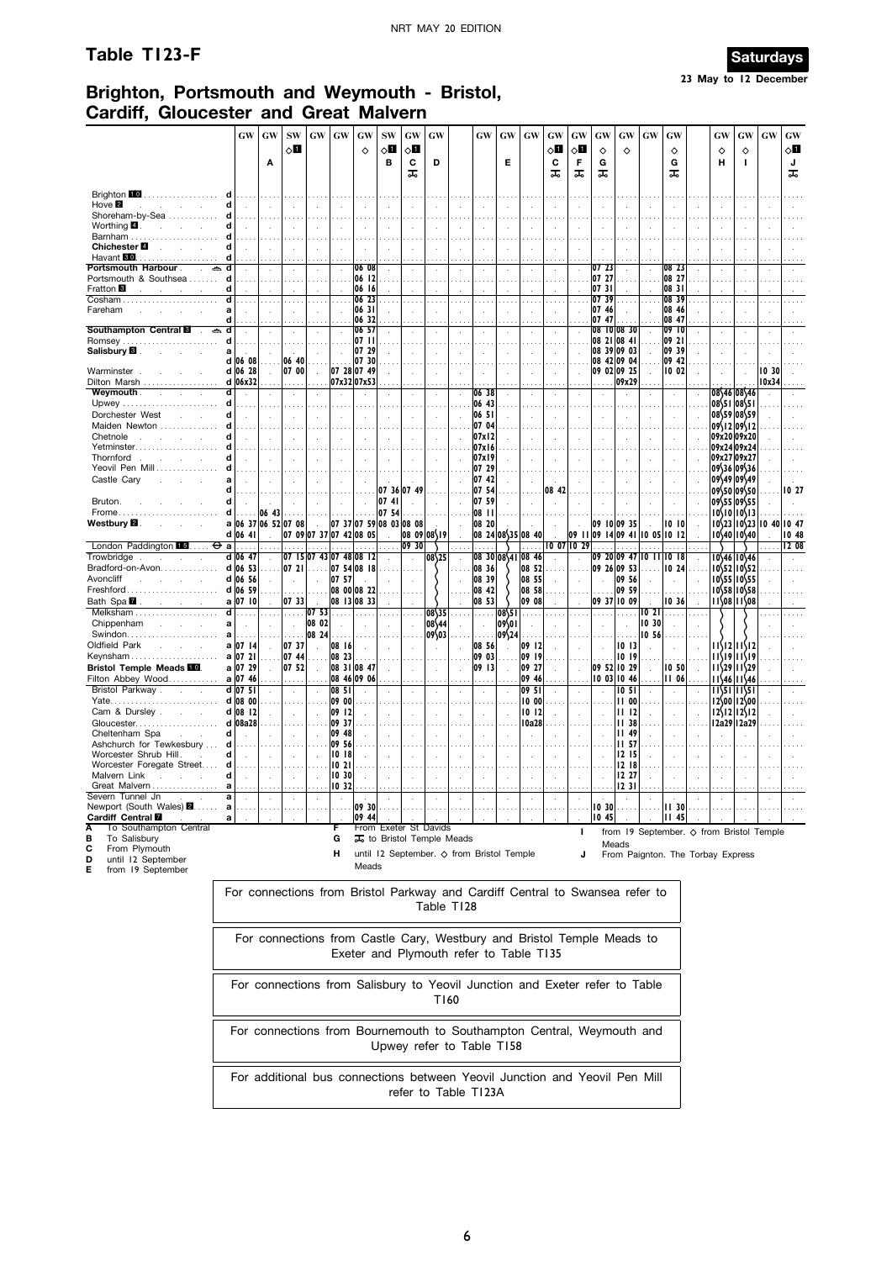# **Table T123-F** Saturdays



**23 May to 12 December**

# **Brighton, Portsmouth and Weymouth - Bristol, Cardiff, Gloucester and Great Malvern**

|                                                                 |                        | <b>GW</b>           | GW        | <b>SW</b>            | <b>GW</b>               | <b>GW</b>        | GW                                 | <b>SW</b>    | <b>GW</b>   | GW                      | <b>GW</b>                                 | $\boldsymbol{\mathrm{GW}}$ | GW                 | GW    | GW                  | GW                            | <b>GW</b>                    | GW                      | GW               |          | GW                                                | <b>GW</b>                                               | <b>GW</b> | <b>GW</b>    |
|-----------------------------------------------------------------|------------------------|---------------------|-----------|----------------------|-------------------------|------------------|------------------------------------|--------------|-------------|-------------------------|-------------------------------------------|----------------------------|--------------------|-------|---------------------|-------------------------------|------------------------------|-------------------------|------------------|----------|---------------------------------------------------|---------------------------------------------------------|-----------|--------------|
|                                                                 |                        |                     |           | √П                   |                         |                  | ♦                                  | √П           | $\circ$ o   |                         |                                           |                            |                    | ◇П    | ⊘∐                  | ♦                             | ♦                            |                         | ♦                |          | ♦                                                 | ♦                                                       |           | $\diamond$ l |
|                                                                 |                        |                     | Α         |                      |                         |                  |                                    | в            | C           | D                       |                                           | Е                          |                    | C     | F                   | G                             |                              |                         | G                |          | н                                                 | I.                                                      |           | J            |
|                                                                 |                        |                     |           |                      |                         |                  |                                    |              | ᠼ           |                         |                                           |                            |                    | ᠼ     | ᇙ                   | ᠼ                             |                              |                         | ᠼ                |          |                                                   |                                                         |           | ᠼ            |
|                                                                 |                        |                     |           |                      |                         |                  |                                    |              |             |                         |                                           |                            |                    |       |                     |                               |                              |                         |                  |          |                                                   |                                                         |           |              |
| Brighton 10<br>Hove <sup>2</sup>                                |                        | d<br>d              |           |                      |                         |                  |                                    |              |             |                         |                                           |                            |                    |       |                     |                               |                              |                         |                  |          |                                                   |                                                         |           |              |
| Shoreham-by-Sea                                                 |                        | d                   |           |                      |                         |                  |                                    |              |             |                         |                                           |                            |                    |       |                     |                               |                              |                         |                  |          |                                                   |                                                         |           |              |
| Worthing <b>4</b> .                                             |                        | d                   |           |                      |                         |                  |                                    |              |             |                         |                                           |                            |                    |       |                     |                               |                              |                         |                  |          |                                                   |                                                         |           |              |
| Barnham                                                         |                        | d                   |           |                      |                         |                  |                                    |              |             |                         |                                           |                            |                    |       |                     |                               |                              |                         |                  |          |                                                   |                                                         |           |              |
| Chichester <sup>1</sup>                                         |                        | d                   |           |                      |                         |                  |                                    |              |             |                         |                                           |                            |                    |       |                     |                               |                              |                         |                  |          |                                                   |                                                         |           |              |
| Havant 80                                                       |                        |                     |           |                      |                         |                  |                                    |              |             |                         |                                           |                            |                    |       |                     |                               |                              |                         |                  |          |                                                   |                                                         |           |              |
| Portsmouth Harbour .<br>Portsmouth & Southsea                   |                        | d                   |           |                      |                         |                  | 06 08<br>06 12                     |              |             |                         |                                           |                            |                    |       |                     | 0723<br>07 27                 |                              |                         | 08 23<br>08 27   |          |                                                   |                                                         |           |              |
| Fratton <sup>8</sup>                                            |                        | d                   |           |                      |                         |                  | 06 16                              |              |             |                         |                                           |                            |                    |       |                     | 0731                          |                              |                         | 08 31            |          |                                                   |                                                         |           |              |
| $\overline{\text{Cosham}\ldots\ldots\ldots\ldots\ldots\ldots}}$ |                        | d                   |           |                      |                         |                  | 0623                               | $\mathbf{r}$ |             | .                       |                                           |                            |                    |       |                     | 07 39                         |                              |                         | 08 39            | $\cdots$ |                                                   |                                                         |           |              |
| Fareham                                                         |                        | a                   |           |                      |                         |                  | 0631                               |              |             | $\cdot$                 | ÷.                                        |                            |                    | ÷.    |                     | 07 46                         |                              |                         | 08 46            |          |                                                   |                                                         |           |              |
|                                                                 |                        |                     |           |                      |                         |                  | 06 32                              |              |             |                         |                                           |                            |                    |       |                     | 07 47                         |                              |                         | 08 47            |          |                                                   |                                                         |           |              |
| Southampton Central <b>8</b>                                    | ڪ                      | d                   |           |                      |                         |                  | 06 57                              |              |             |                         |                                           |                            |                    |       |                     |                               | 08 10 08 30                  |                         | 09 <sup>10</sup> |          |                                                   |                                                         |           |              |
| Romsey<br>Salisbury <sup>8</sup>                                |                        | a                   |           |                      |                         |                  | 07 II<br>07 29                     |              |             |                         |                                           |                            |                    |       |                     |                               | 08 21   08 41<br>08 39 09 03 |                         | 09 21<br>09 39   |          |                                                   |                                                         |           |              |
|                                                                 |                        | d<br>06 08          |           | 06 40                |                         |                  | 07 30                              |              |             | $\cdot$                 |                                           |                            |                    |       |                     |                               | 08 42 09 04                  |                         | 09 42            |          |                                                   |                                                         |           |              |
| Warminster                                                      |                        | d 06 28             | $\bar{z}$ | 07 00                | $\bar{z}$               |                  | 07 28 07 49                        |              |             |                         |                                           |                            |                    |       |                     |                               | 09 02 09 25                  | $\overline{a}$          | 10 02            |          |                                                   |                                                         | 10 30     |              |
| Dilton Marsh                                                    |                        | d 06x32             |           |                      |                         |                  | 07x3207x53                         |              |             |                         |                                           |                            |                    |       |                     |                               | 09x29                        |                         |                  |          |                                                   |                                                         | 10x34     |              |
| Weymouth.                                                       |                        | d                   |           |                      |                         |                  |                                    |              |             |                         | 06 38                                     |                            |                    |       |                     |                               |                              |                         |                  |          |                                                   | 08\46 08\46                                             |           |              |
| Upwey                                                           |                        | d                   |           |                      |                         |                  |                                    |              |             |                         | 06 43                                     |                            |                    |       |                     |                               |                              |                         |                  |          | 08\51 08\51                                       |                                                         |           |              |
| Dorchester West                                                 |                        | d                   |           |                      |                         |                  |                                    |              |             |                         | 06 5                                      |                            |                    |       |                     |                               |                              |                         |                  |          | 08\59 08\59                                       |                                                         |           |              |
| Maiden Newton                                                   |                        | d                   |           |                      |                         |                  |                                    |              |             |                         | 07 04                                     |                            |                    |       |                     |                               |                              |                         |                  |          | 09\12 09\12                                       |                                                         |           |              |
| Chetnole<br>$\mathbf{r}$                                        |                        | d                   |           |                      |                         |                  |                                    |              |             | $\ddot{\phantom{a}}$    | 07x12                                     |                            |                    |       |                     |                               |                              |                         |                  |          | 09x20 09x20                                       |                                                         |           |              |
| Yetminster<br>Thornford<br>$\sim$                               | $\sim$                 | d                   |           |                      |                         |                  |                                    |              |             | ÷                       | 07x16<br>07x19                            |                            |                    |       |                     |                               |                              |                         |                  |          | 09x24 09x24<br>09x27 09x27                        |                                                         |           |              |
| Yeovil Pen Mill                                                 |                        | d                   |           |                      |                         |                  |                                    |              |             |                         | 07 29                                     |                            |                    |       |                     |                               |                              |                         |                  |          | 09\36 09\36                                       |                                                         |           |              |
| Castle Cary                                                     |                        | a                   |           |                      |                         |                  |                                    |              |             |                         | 07 42                                     |                            |                    | ÷.    |                     |                               |                              |                         |                  |          | 09\49 09\49                                       |                                                         |           |              |
|                                                                 |                        | d                   |           |                      |                         |                  |                                    |              | 07 36 07 49 |                         | 07 54                                     |                            |                    | 08 42 |                     |                               |                              |                         |                  |          |                                                   | 09\50 09\50                                             |           | 10 27        |
| Bruton.                                                         |                        | d                   |           |                      |                         |                  |                                    | 0741         |             |                         | 07 59                                     |                            |                    |       |                     |                               |                              |                         |                  |          |                                                   | 09\55 09\55                                             |           |              |
| Frome                                                           |                        | d<br>.              | 06 43     |                      |                         |                  |                                    | 07 54        |             |                         | 08 II                                     |                            |                    |       |                     |                               |                              |                         |                  |          |                                                   | $10\{10 10\}$ 13                                        |           |              |
| Westbury <b>2</b> .                                             |                        | a 06 37 06 52 07 08 |           |                      | $\sim$                  |                  | $ 07 \t37 07 \t59 08 \t03 08 \t08$ |              |             |                         | 08 20                                     |                            |                    |       |                     |                               | 09 10 09 35                  |                         | 1010             |          |                                                   | $10\frac{23}{10\frac{23}{23}}$                          | 10,40     | 10 47        |
|                                                                 |                        | d 06 41             |           |                      | 07 09 07 37 07 42 08 05 |                  |                                    |              |             | 08 09 08 19             |                                           |                            | 08 24 08 35 08 40  |       |                     | 09    09  4 09 41  0 05  0  2 |                              |                         |                  |          |                                                   | 10\40 10\40                                             |           | 10 48        |
| London Paddington 15                                            | ⊖                      | a                   |           |                      |                         |                  |                                    |              | 09 30       |                         |                                           |                            |                    |       | $10$ $07$ $10$ $29$ |                               |                              |                         |                  |          |                                                   |                                                         |           | 1208         |
| Trowbridge                                                      | $\mathbf{r}$           | d 06 47             |           |                      | 07  5 07 43 07 48 08  2 |                  |                                    |              |             | 08\25                   |                                           |                            | 08 30  08 41 08 46 |       |                     |                               |                              | 09 20 09 47 10 11 10 18 |                  |          |                                                   | 10\46 10\46                                             |           |              |
| Bradford-on-Avon                                                |                        | d 06 53             |           | 07 21                |                         |                  | 07 54 08 18                        |              |             |                         | 08 36                                     |                            | 08 52              |       |                     |                               | 09 26 09 53                  |                         | 10 24            |          |                                                   | $10\frac{52}{10}$ $10\frac{52}{52}$                     |           |              |
| Avoncliff<br><b>Allen Adams</b><br>Freshford                    |                        | d 06 56<br>d 06 59  |           |                      | $\mathcal{L}$           | 07 57            | 08 00 08 22                        |              |             |                         | 08 39<br>08 42                            |                            | 08 55<br>08 58     |       |                     |                               | 09 56<br>09 59               |                         |                  |          |                                                   | $10\frac{55}{10}10\frac{55}{5}$<br>$10\frac{58}{10558}$ |           |              |
| Bath Spa <b>M</b>                                               | and the con-           | a 07 10             |           | 07 33                |                         |                  | 08 13 08 33                        |              |             |                         | 08 53                                     |                            | 09 08              |       |                     |                               | 09 37 10 09                  |                         | 10 36            |          |                                                   | 11\08 11\08                                             |           |              |
|                                                                 | Melksham               | ď                   |           | .                    | 07 <sub>53</sub>        | $\sim$           |                                    |              |             | 08\35                   | $\sim$                                    | 08\51                      |                    |       |                     |                               | $\sim$ . $\sim$              | 1021                    | $\sim$           |          |                                                   |                                                         |           |              |
| Chippenham                                                      |                        | a                   |           |                      | 08 02                   |                  |                                    |              |             | 08\44                   |                                           | 109\01                     |                    |       |                     |                               |                              | 10 30                   |                  |          |                                                   |                                                         |           |              |
| Swindon                                                         |                        | $\mathbf{a}$        |           |                      | 08 24                   |                  |                                    |              |             | 09\03                   |                                           | 09\24                      |                    |       |                     |                               |                              | 10 56                   |                  |          |                                                   |                                                         |           |              |
| Oldfield Park                                                   |                        | a 07 14             |           | 0737                 |                         | 08   6           |                                    |              |             | $\mathbf{r}$            | 08 56                                     |                            | 09 12              |       |                     |                               | 1013                         |                         |                  |          |                                                   | $11\frac{12}{11\frac{12}{12}}$                          |           |              |
| Keynsham                                                        |                        | a 07 21             | .         | 07 44                | $\sim 100$              | 08 23            |                                    |              |             |                         | 09 03                                     |                            | 09 19              |       |                     | $\sim$                        | 1019                         |                         |                  |          |                                                   | $11\frac{19}{11}\frac{11}{19}$                          |           |              |
| Bristol Temple Meads <b>10</b> .                                |                        | a 07 29             |           | 07 52                | $\sim$                  |                  | 08 31 08 47                        |              |             | $\ddot{\phantom{a}}$    | 09 13                                     |                            | 09 27              |       |                     |                               | 09 52 10 29                  | $\ddot{\phantom{a}}$    | 10 50            |          |                                                   | $11\frac{29}{11\frac{29}{29}}$                          |           |              |
| Filton Abbey Wood                                               |                        | a 07 46             |           |                      |                         |                  | 08 46 09 06                        |              |             | .                       |                                           |                            | 09 46              |       |                     |                               | 100311046                    |                         | 1106             |          |                                                   | $11\frac{46}{11}$                                       |           |              |
| Bristol Parkway.                                                | $\sim$                 | d 07 51             |           |                      |                         | $ 08\>5 $        |                                    |              |             | $\ddot{\phantom{a}}$    | $\ddot{\phantom{a}}$                      |                            | 09 51              |       |                     |                               | 10 <sub>51</sub>             |                         |                  |          |                                                   | 11\51 11\51                                             |           |              |
|                                                                 |                        | d 08 00             |           |                      |                         | 09 00            |                                    |              |             |                         |                                           |                            | 10 00              |       |                     |                               | II 00                        |                         |                  |          |                                                   | 12\00 12\00                                             |           |              |
| Cam & Dursley.<br>Gloucester                                    |                        | d 08 12<br>d 08a28  |           |                      |                         | 09   12<br>09 37 |                                    |              |             |                         |                                           |                            | 1012<br>10a28      |       |                     |                               | 1112<br><b>II 38</b>         |                         |                  |          |                                                   | $12\frac{12}{12}$ $12\frac{12}{12}$<br>12a29 12a29      |           |              |
| Cheltenham Spa                                                  |                        | d                   |           |                      |                         | 09 48            |                                    |              |             |                         |                                           |                            |                    |       |                     |                               | <b>II 49</b>                 |                         |                  |          |                                                   |                                                         |           |              |
| Ashchurch for Tewkesbury                                        |                        | d                   |           |                      |                         | 09 56            |                                    |              |             |                         |                                           |                            |                    |       |                     |                               | II 57                        |                         |                  |          |                                                   |                                                         |           |              |
| Worcester Shrub Hill.                                           |                        | d                   |           |                      |                         | 1018             |                                    |              |             |                         |                                           |                            |                    |       |                     |                               | 1215                         |                         |                  |          |                                                   |                                                         |           |              |
| Worcester Foregate Street.                                      |                        | d                   |           |                      |                         | 1021             |                                    |              |             |                         |                                           |                            |                    |       |                     |                               | 12 18                        |                         |                  |          |                                                   |                                                         |           |              |
| Malvern Link                                                    |                        | d                   |           | $\ddot{\phantom{a}}$ |                         | 1030             |                                    |              |             | $\cdot$                 | i,                                        |                            |                    |       |                     |                               | 12 27                        |                         |                  |          |                                                   |                                                         |           |              |
| Great Malvern                                                   |                        | a                   |           |                      |                         | 10 32            |                                    |              |             |                         |                                           |                            |                    |       |                     |                               | 12 31                        |                         |                  |          |                                                   |                                                         |           |              |
| Severn Tunnel Jn                                                |                        | a<br>$\cdot$        |           |                      |                         |                  | 09 30                              |              |             |                         |                                           |                            |                    |       | $\cdot$             |                               |                              |                         |                  |          |                                                   |                                                         |           |              |
| Newport (South Wales) 2<br>Cardiff Central <b>M</b>             |                        | a<br>a              |           |                      |                         |                  | 09 44                              |              |             |                         |                                           |                            |                    |       |                     | 10,30<br>1045                 |                              |                         | 11,30<br>45<br>Ш |          |                                                   |                                                         |           |              |
|                                                                 | To Southampton Central |                     |           |                      |                         | F                |                                    |              |             | From Exeter St Davids   |                                           |                            |                    |       |                     |                               |                              |                         |                  |          |                                                   |                                                         |           |              |
| в<br>To Salisbury                                               |                        |                     |           |                      |                         | G                |                                    |              |             | to Bristol Temple Meads |                                           |                            |                    |       | ı                   |                               |                              |                         |                  |          | from 19 September. $\diamond$ from Bristol Temple |                                                         |           |              |
| C<br>From Plymouth                                              |                        |                     |           |                      |                         | н                |                                    |              |             |                         | until 12 September. ◇ from Bristol Temple |                            |                    |       |                     |                               | Meads                        |                         |                  |          |                                                   |                                                         |           |              |
| until 12 September<br>ח                                         |                        |                     |           |                      |                         |                  |                                    |              |             |                         |                                           |                            |                    |       | J                   |                               |                              |                         |                  |          | From Paignton. The Torbay Express                 |                                                         |           |              |

**D** until 12 September **E** from 19 September

Meads

| For connections from Bristol Parkway and Cardiff Central to Swansea refer to<br>Table T128                        |
|-------------------------------------------------------------------------------------------------------------------|
| For connections from Castle Cary, Westbury and Bristol Temple Meads to<br>Exeter and Plymouth refer to Table T135 |
| For connections from Salisbury to Yeovil Junction and Exeter refer to Table<br>T160                               |
| For connections from Bournemouth to Southampton Central, Weymouth and<br>Upwey refer to Table T158                |
| For additional bus connections between Yeovil Junction and Yeovil Pen Mill<br>refer to Table T123A                |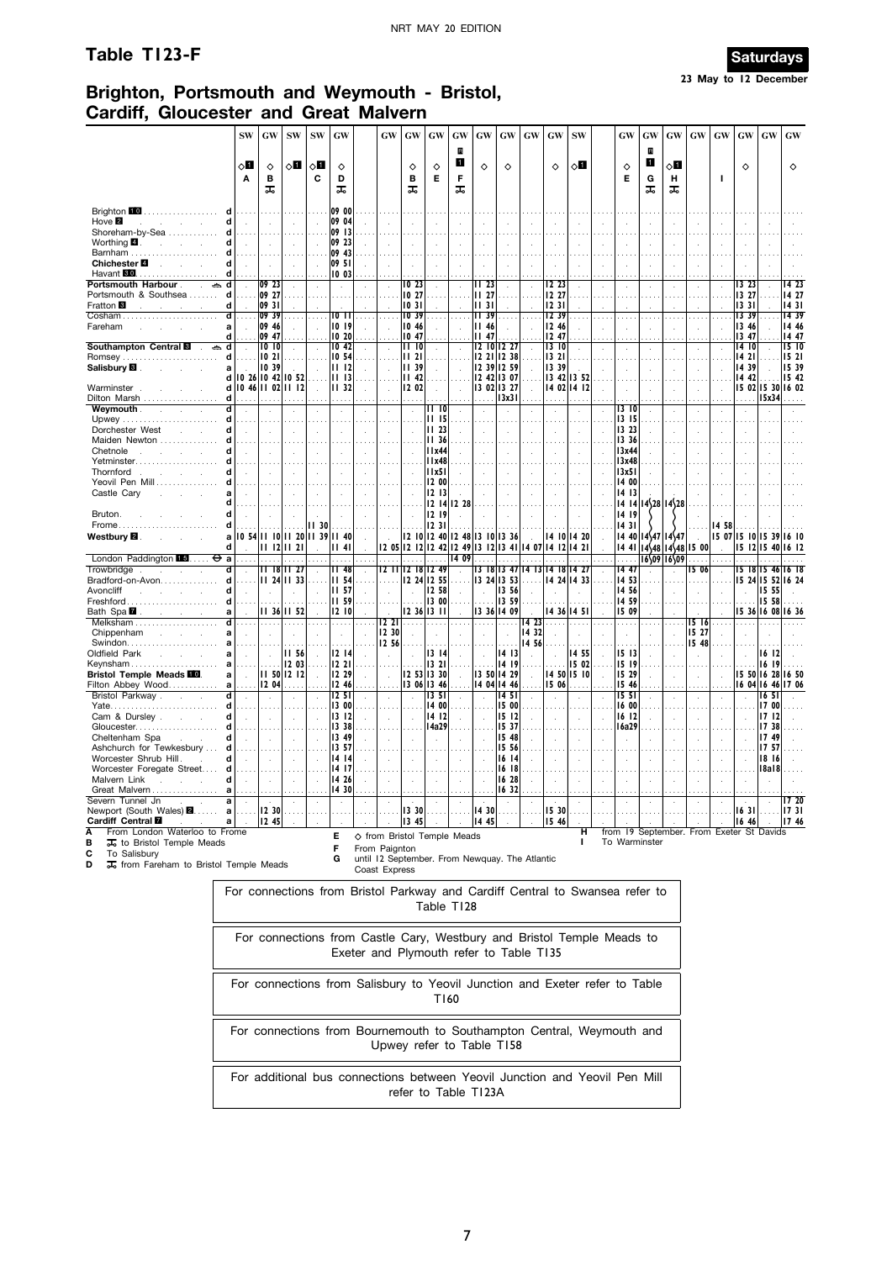## **Table T123-F Saturdays**



# **Brighton, Portsmouth and Weymouth - Bristol, Cardiff, Gloucester and Great Malvern**

|                                                                                            | <b>SW</b>         | GW             | ${\bf SW}$                    | <b>SW</b>    | GW              |                | GW                   | GW                   | GW                   | <b>GW</b>                   | GW                                              | $\boldsymbol{\mathbf{G}}\boldsymbol{\mathbf{W}}$ | $\boldsymbol{\mathrm{GW}}$    | GW                | <b>SW</b>     |      | $\boldsymbol{\mathrm{GW}}$  | GW                     | GW                                  | $\boldsymbol{\mathrm{GW}}$ | GW                   | $\boldsymbol{\mathrm{GW}}$ | GW                | GW                |
|--------------------------------------------------------------------------------------------|-------------------|----------------|-------------------------------|--------------|-----------------|----------------|----------------------|----------------------|----------------------|-----------------------------|-------------------------------------------------|--------------------------------------------------|-------------------------------|-------------------|---------------|------|-----------------------------|------------------------|-------------------------------------|----------------------------|----------------------|----------------------------|-------------------|-------------------|
|                                                                                            | $\diamond$ l<br>A | ♦<br>B<br>ᅚ    | ⊘Ш                            | √П<br>C      | ♦<br>D<br>ᅚ     |                |                      | ♦<br>B<br>ᠼ          | ♦<br>E               | $\mathbf R$<br>1<br>F<br>ᠼ  | $\Diamond$                                      | ♦                                                |                               | ♦                 | ◇Ⅱ            |      | ♦<br>Е                      | B<br>П<br>G<br>ᠼ       | √П<br>н<br>ᠼ                        |                            | т                    | ♦                          |                   | $\Diamond$        |
| Brighton 10<br>.                                                                           |                   |                |                               |              | 09 00           |                |                      |                      |                      |                             |                                                 |                                                  |                               |                   |               |      |                             |                        |                                     |                            |                      |                            |                   |                   |
| Hove $\blacksquare$                                                                        |                   |                |                               |              | 09 04           |                |                      |                      |                      |                             |                                                 |                                                  |                               |                   |               |      |                             |                        |                                     |                            |                      |                            |                   |                   |
| Shoreham-by-Sea                                                                            |                   |                |                               |              | 09 13           |                |                      |                      |                      |                             |                                                 |                                                  |                               |                   |               |      |                             |                        |                                     |                            |                      |                            |                   |                   |
| Worthing $\blacksquare$ .<br>Ч<br>$\sim$                                                   |                   |                |                               |              | 09 23           |                |                      |                      |                      |                             |                                                 |                                                  |                               |                   |               |      |                             |                        |                                     |                            |                      |                            |                   |                   |
| Barnham<br>$\mathbf{d}$<br>$\mathbf{r}$                                                    |                   |                |                               |              | 09 43           |                |                      |                      |                      |                             |                                                 |                                                  |                               |                   |               |      |                             |                        |                                     |                            |                      |                            |                   |                   |
| Chichester <sup>4</sup><br><b>Contract Contract</b><br>$\sim$<br>Havant <b>600</b><br>d    |                   |                |                               |              | 09 51<br>  0 03 |                |                      |                      |                      |                             |                                                 |                                                  |                               |                   |               |      |                             |                        |                                     |                            |                      |                            |                   |                   |
| Portsmouth Harbour.<br>$\qquad \qquad \Longleftrightarrow$<br>$\sim$                       |                   | 09 23          |                               |              |                 |                |                      | 1023                 |                      |                             | II 23                                           |                                                  |                               | 12 23             |               |      | $\epsilon$                  |                        | $\cdot$                             |                            |                      | 13 23                      |                   | 14 23             |
| Portsmouth & Southsea<br>d                                                                 |                   | 09 27          |                               |              |                 |                |                      | 1027                 |                      |                             | 11,27                                           |                                                  |                               | 12 27             |               |      | $\cdots$                    |                        |                                     |                            |                      | 13 27                      |                   | 14 27             |
| Fratton <sup>8</sup><br>d                                                                  |                   | 09 31          |                               |              |                 |                |                      | 1031                 |                      |                             | 1131                                            |                                                  |                               | 1231              |               |      |                             |                        |                                     |                            |                      | 13 31                      |                   | 1431              |
| ď                                                                                          |                   | 09 39          |                               |              | 10 I I          |                |                      | 10 39                |                      |                             | <b>II</b> 39                                    |                                                  |                               | 12 39             |               |      | .                           |                        |                                     |                            |                      | 13 39                      |                   | 14 39             |
| Fareham<br>a<br>Ч                                                                          |                   | 09 46<br>09 47 |                               |              | 10 19<br>10 20  |                |                      | 10 46<br>10 47       |                      |                             | <b>II 46</b><br>II 47                           |                                                  |                               | 12 46<br>12 47    |               |      | i,                          |                        |                                     |                            |                      | 13 46                      |                   | 14 46<br>14 47    |
| Southampton Central <b>8</b><br>d<br>ے                                                     |                   | 1010           |                               |              | 1042            |                |                      | 1110                 |                      |                             | 1210                                            | 12 27                                            |                               | 1310              |               |      | $\mathcal{L}_{\mathcal{A}}$ |                        | $\cdot$                             |                            |                      | 13 47<br>14  0             |                   | 1510              |
| <b>Romsey</b><br>d                                                                         |                   | 1021           |                               |              | 10 54           |                |                      | $\overline{2}1$<br>ш |                      |                             | 12 21                                           | 12 38                                            |                               | 13 21             |               |      |                             |                        |                                     |                            |                      | 14 21                      |                   | 1521              |
| Salisbury <b>B</b> .<br>a<br>$\sim$<br>$\sim$                                              |                   | 10 39          |                               |              | III 12          |                |                      | 1139                 |                      |                             | 12 39                                           | 12 59                                            |                               | 13 39             |               |      |                             |                        |                                     |                            |                      | 14 39                      |                   | 15 39             |
| d                                                                                          |                   |                | 10 26 10 42 10 52             |              | III 13          |                |                      | 42<br>ш              |                      |                             | 12.42                                           | 13 07                                            |                               |                   | 13 42   13 52 |      |                             |                        |                                     |                            |                      | 14.42                      |                   | 15 42             |
| Warminster<br>d<br>d                                                                       |                   |                | 10 46 11 02 11 12             |              | III 32          |                | $\ddot{\phantom{a}}$ | 12 02                | $\overline{a}$       |                             |                                                 | 13 02 13 27                                      | $\bar{z}$                     |                   | 14 02 14 12   |      | $\cdot$                     |                        |                                     |                            |                      |                            | 15 02 15 30 16 02 |                   |
| Dilton Marsh<br>Weymouth.<br>$\overline{\mathbf{d}}$<br><b>Contract Contract</b><br>$\sim$ |                   |                |                               |              |                 |                |                      |                      | II 10                |                             |                                                 | 3x3                                              |                               |                   |               |      | 13 IO                       |                        |                                     |                            |                      |                            | 15x34             |                   |
| d                                                                                          |                   |                |                               |              |                 |                |                      |                      | II 15                |                             |                                                 |                                                  |                               |                   |               |      | 13 15                       |                        |                                     |                            |                      |                            |                   |                   |
| Dorchester West<br>d<br><b>Service</b>                                                     |                   | ÷.             |                               |              | ÷.              |                | $\cdot$              |                      | <b>II 23</b>         |                             |                                                 |                                                  | $\cdot$                       |                   | $\cdot$       |      | 13 23                       |                        |                                     |                            |                      |                            |                   |                   |
| Maiden Newton                                                                              |                   |                |                               |              |                 |                |                      |                      | 11 36                |                             |                                                 |                                                  |                               |                   |               |      | 13 36                       |                        |                                     |                            |                      |                            |                   |                   |
| Chetnole<br>d<br>and the state of the state                                                |                   | ÷.             |                               |              |                 |                |                      |                      | 11x44                |                             |                                                 |                                                  |                               |                   |               |      | 13x44                       |                        |                                     |                            |                      |                            |                   |                   |
| Yetminster<br>Ч<br>d<br><b>Carl Committee</b>                                              |                   |                |                               |              |                 |                |                      |                      | IIx48                |                             |                                                 |                                                  |                               |                   |               |      | 3x48                        |                        |                                     |                            |                      |                            |                   |                   |
| Thornford.<br>Yeovil Pen Mill                                                              |                   |                |                               |              |                 |                |                      |                      | 11x51<br>12 00       |                             |                                                 |                                                  |                               |                   |               |      | 13x51<br>14 00              |                        |                                     |                            |                      |                            |                   |                   |
| Castle Cary                                                                                |                   |                |                               |              |                 |                |                      |                      | 1213                 |                             |                                                 |                                                  |                               |                   |               |      | 14 13                       |                        |                                     |                            |                      |                            |                   |                   |
| d                                                                                          |                   |                |                               |              |                 |                |                      |                      |                      | 12 14 12 28                 |                                                 |                                                  |                               |                   |               |      |                             | $14 \, 14 \, 14 \, 28$ | 14\28                               |                            |                      |                            |                   |                   |
| $\mathbf{d}$<br>Bruton.                                                                    |                   |                |                               |              |                 |                |                      |                      | 12 19                |                             |                                                 |                                                  |                               |                   |               |      | 14 19                       |                        |                                     |                            |                      |                            |                   |                   |
| Frome<br>d                                                                                 |                   |                |                               | <b>II 30</b> |                 |                |                      |                      | 1231                 |                             |                                                 |                                                  |                               |                   |               |      | 14 31                       |                        |                                     |                            | 14 58                |                            |                   |                   |
| Westbury <b>⊠</b> .<br>a                                                                   |                   |                | 10 54 11 10 11 20 11 39 11 40 |              |                 |                |                      |                      |                      |                             | $12$ $10$ $12$ $40$ $12$ $48$ $13$ $10$ $13$ 36 |                                                  |                               |                   | 4   0  4 20   |      |                             | 14 40 14 47            | $14$ 47                             |                            |                      | 15 07 15 10 15 39 16 10    |                   |                   |
| d                                                                                          |                   |                | 11 12 11 21                   |              | I I 4 I         |                |                      |                      |                      | 09                          | 2 05  2 12  2 42  2 49  3 12  3 41              |                                                  |                               | 14 07 14 12 14 21 |               |      | 1441                        |                        | $14\frac{48}{14}\frac{48}{15}$ 00   |                            |                      |                            |                   | 15 12 15 40 16 12 |
| London Paddington 15<br>$\Theta$ a<br>ď<br>Trowbridge<br>$\sim$                            |                   |                | 11 18 11 27                   |              | 1148            |                |                      | 12 11 12 18 12 49    |                      | $\overline{14}$             |                                                 |                                                  | 13 18 13 47 14 13 14 18 14 27 |                   |               |      | 14 47                       |                        | 16\09 16\09                         | 15 06                      | $\ddot{\phantom{a}}$ |                            |                   | 15 18 15 46 16 18 |
| Bradford-on-Avon<br>d                                                                      |                   |                | $1124$ $1133$                 |              | <b>III 54</b>   |                |                      |                      | 12 24 12 55          |                             |                                                 | 13 24 13 53                                      |                               |                   | 4 24  4 33    |      | 14 53                       |                        |                                     |                            |                      |                            | 15 24 15 52 16 24 |                   |
| Avoncliff<br>d<br><b>Service</b><br>s.                                                     |                   | $\mathbf{r}$   | $\mathbf{r}$                  |              | II 57           |                |                      | ÷.                   | 12 58                |                             | $\mathcal{L}_{\mathbf{a}}$                      | 13 56                                            |                               |                   |               |      | 14 56                       |                        |                                     |                            |                      | $\ddot{\phantom{a}}$       | 15 55             |                   |
| Freshford.<br>d                                                                            |                   |                |                               |              | <b>III 59</b>   |                |                      |                      | 13 00                |                             |                                                 | 13 59                                            |                               |                   |               |      | 14 59                       |                        |                                     |                            |                      |                            | 15 58             |                   |
| Bath Spa <b>M</b><br>and the company of the<br>a                                           |                   |                | 11 36 11 52                   |              | 12   10         |                |                      | $ 12 \t36 13 11$     |                      |                             |                                                 | 13 36 14 09                                      |                               | 14 36 14 5        |               |      | 15 09                       |                        |                                     |                            |                      |                            | 15 36 16 08       | 6 36              |
| Melksham<br>d<br>Chippenham<br>and the control of<br>a                                     |                   |                |                               |              |                 |                | 12 21<br>12 30       | .                    | $\cdots$             |                             | $\ldots$                                        |                                                  | 14 23<br>14 32                |                   |               |      | $\cdots$<br>à.              |                        |                                     | $15-16$<br>15 27           |                      |                            |                   |                   |
| a                                                                                          |                   |                |                               |              |                 |                | 12 56                |                      |                      |                             |                                                 |                                                  | 14 56                         |                   |               |      |                             |                        |                                     | 15 48                      |                      |                            |                   |                   |
| Oldfield Park<br>a                                                                         |                   |                | <b>II 56</b>                  |              | 12 14           |                |                      |                      | 13 14                |                             | $\mathcal{L}$                                   | 14 13                                            |                               |                   | 1455          |      | 1513                        |                        |                                     |                            |                      |                            | 1612              |                   |
| Keynsham<br>$\mathbf{a}$                                                                   |                   |                | 12 03                         |              | 12 21           |                |                      |                      | 1321                 |                             |                                                 | 14 19                                            |                               |                   | 15 02         |      | 15 19                       |                        |                                     |                            |                      |                            | 16 19             |                   |
| <b>Bristol Temple Meads III</b><br>$\mathbf{a}$                                            |                   | 11,50          | 12 12                         |              | 12 29           |                | $\ddot{\phantom{a}}$ |                      | 12 53 13 30          |                             |                                                 | 13 50 14 29                                      |                               | 14 50             | 15 10         |      | 15 29                       |                        |                                     |                            |                      |                            |                   | 15 50 16 28 16 50 |
| Filton Abbey Wood<br>a<br>Bristol Parkway.<br>d                                            |                   | 12 04          |                               |              | 12 46<br>12 51  |                |                      |                      | 13 06 13 46<br>13 51 |                             |                                                 | 14 04 14 46<br>1451                              |                               | 15 06             |               |      | 15 46<br>1551               |                        |                                     |                            |                      |                            | 1651              | 16 04 16 46 17 06 |
| Yate<br>d                                                                                  |                   | $\cdot$        |                               |              | 13 00           | $\mathcal{L}$  | $\lambda$            |                      | 14 00                |                             |                                                 | 15 00                                            |                               |                   | ÷,            |      | 16 00                       |                        | $\cdot$                             |                            | $\cdot$              |                            | 17 00             |                   |
| Cam & Dursley.<br>d<br><b>Contract Contract</b>                                            |                   | $\cdot$        |                               |              | 13 12           |                | $\lambda$            |                      | 14 12                |                             |                                                 | 15 12                                            |                               |                   | ÷             |      | 16 12                       |                        | $\cdot$                             |                            | ÷                    |                            | 1712              |                   |
| Gloucester<br>d                                                                            |                   |                |                               |              | 13 38           |                |                      |                      | 14a29                |                             |                                                 | 15 37                                            |                               |                   |               |      | 16a29                       |                        |                                     |                            |                      |                            | 1738              |                   |
| Cheltenham Spa<br>d<br><b>Contract Contract</b>                                            |                   | $\sim$         | $\overline{a}$                |              | 13 49           | $\overline{a}$ | $\cdot$              |                      |                      |                             |                                                 | 15 48                                            |                               |                   | $\epsilon$    |      | $\mathbf{r}$                |                        | $\overline{a}$                      |                            | $\overline{a}$       |                            | 1749              |                   |
| Ashchurch for Tewkesbury<br>d                                                              |                   |                |                               |              | 13 57           |                |                      |                      |                      |                             |                                                 | 15 56                                            |                               |                   |               |      |                             |                        |                                     |                            |                      |                            | 17 57             |                   |
| Worcester Shrub Hill.<br>d<br>$\sim$ 10<br>Worcester Foregate Street<br>d                  |                   | $\mathcal{L}$  |                               |              | 14 14<br>14 17  |                |                      |                      | J.                   |                             |                                                 | 16 14<br>16 18                                   |                               |                   | ÷             |      | $\mathbf{r}$                |                        | ×                                   |                            |                      |                            | 18 16<br>18a18    |                   |
| Malvern Link<br>Ч                                                                          |                   | ÷              |                               |              | 14 26           |                |                      |                      | ÷.                   |                             |                                                 | 16 28                                            |                               |                   | $\mathcal{L}$ |      | ÷.                          |                        | ÷.                                  |                            |                      |                            |                   |                   |
| Great Malvern<br>a                                                                         |                   |                |                               |              | 14 30           |                |                      |                      |                      |                             |                                                 | 16 32                                            |                               |                   |               |      |                             |                        |                                     |                            |                      |                            |                   |                   |
| Severn Tunnel Jn<br>a                                                                      |                   | ÷.             |                               |              | $\cdot$         |                |                      |                      |                      |                             |                                                 |                                                  |                               |                   | $\epsilon$    |      |                             |                        |                                     |                            |                      |                            | $\epsilon$        | 1720              |
| Newport (South Wales) 2<br>a                                                               |                   | 12 30          |                               |              |                 |                |                      | 13 30                |                      |                             | 14 30                                           |                                                  |                               | 15 30             |               |      |                             |                        |                                     |                            |                      | 16 31                      |                   | 1731              |
| Cardiff Central <b>M</b><br>a                                                              |                   | 12 45          |                               |              |                 |                |                      | 13 45                |                      |                             | 14 45                                           |                                                  |                               | 15 46             |               |      |                             |                        |                                     |                            |                      | 1646                       |                   | 17 46             |
| From London Waterloo to Frome<br>A<br>T <sub>o</sub> to Bristol Temple Meads<br>в          |                   |                |                               |              | Е               |                |                      |                      |                      | ♦ from Bristol Temple Meads |                                                 |                                                  |                               |                   | н<br>т        | from | To Warminster               |                        | 19 September. From Exeter St Davids |                            |                      |                            |                   |                   |
| С<br>To Salisbury                                                                          |                   |                |                               |              | F               |                | From Paignton        |                      |                      |                             |                                                 |                                                  |                               |                   |               |      |                             |                        |                                     |                            |                      |                            |                   |                   |
| D<br>T <sub>o</sub> from Fareham to Bristol Temple Meads                                   |                   |                |                               |              | G               |                | Coast Express        |                      |                      |                             | until 12 September. From Newquay. The Atlantic  |                                                  |                               |                   |               |      |                             |                        |                                     |                            |                      |                            |                   |                   |

For connections from Bristol Parkway and Cardiff Central to Swansea refer to Table T128

For connections from Castle Cary, Westbury and Bristol Temple Meads to Exeter and Plymouth refer to Table T135

For connections from Salisbury to Yeovil Junction and Exeter refer to Table T160

For connections from Bournemouth to Southampton Central, Weymouth and Upwey refer to Table T158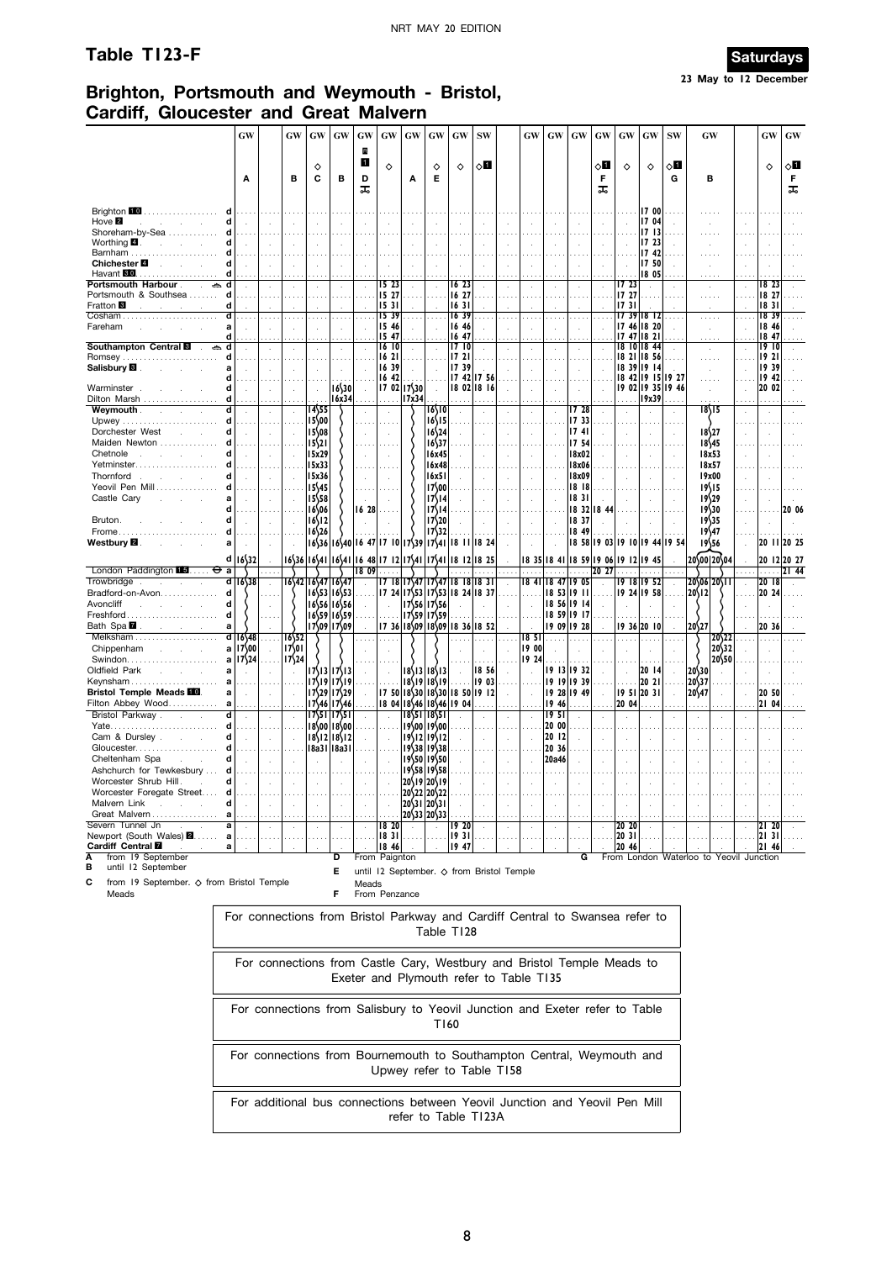# **Table T123-F** Saturdays



# **Brighton, Portsmouth and Weymouth - Bristol, Cardiff, Gloucester and Great Malvern**

|                                                           | GW                                                                           |   | GW                       | GW                                  | GW                                        | GW           | GW             | GW                                                                                  | GW                                            | GW                                                                     | <b>SW</b>   | GW                       | <b>GW</b>         | GW                         | GW                            | GW                | GW                           | <b>SW</b> |                  | GW                             |                      | GW                 | GW          |
|-----------------------------------------------------------|------------------------------------------------------------------------------|---|--------------------------|-------------------------------------|-------------------------------------------|--------------|----------------|-------------------------------------------------------------------------------------|-----------------------------------------------|------------------------------------------------------------------------|-------------|--------------------------|-------------------|----------------------------|-------------------------------|-------------------|------------------------------|-----------|------------------|--------------------------------|----------------------|--------------------|-------------|
|                                                           |                                                                              |   |                          |                                     |                                           | B            |                |                                                                                     |                                               |                                                                        |             |                          |                   |                            |                               |                   |                              |           |                  |                                |                      |                    |             |
|                                                           |                                                                              |   |                          | ♦                                   |                                           | 1            | $\Diamond$     |                                                                                     | ♦                                             | ♦                                                                      | ⊘П          |                          |                   |                            | ⊘П                            | ♦                 | ♦                            | ◇О        |                  |                                |                      | ♦                  | ८∐          |
|                                                           | A                                                                            |   | в                        | C                                   | в                                         | D            |                | Α                                                                                   | Е                                             |                                                                        |             |                          |                   |                            | F                             |                   |                              | G         |                  | в                              |                      |                    | F           |
|                                                           |                                                                              |   |                          |                                     |                                           | ᠼ            |                |                                                                                     |                                               |                                                                        |             |                          |                   |                            | ᠼ                             |                   |                              |           |                  |                                |                      |                    | ᠼ           |
|                                                           |                                                                              |   |                          |                                     |                                           |              |                |                                                                                     |                                               |                                                                        |             |                          |                   |                            |                               |                   |                              |           |                  |                                |                      |                    |             |
| Brighton 10                                               |                                                                              |   |                          |                                     |                                           |              |                |                                                                                     |                                               |                                                                        |             |                          |                   |                            |                               |                   | 17 00                        |           |                  |                                |                      |                    |             |
| Hove <sup>2</sup>                                         |                                                                              |   |                          |                                     |                                           |              |                |                                                                                     |                                               |                                                                        |             |                          |                   |                            |                               |                   | 17 04                        |           |                  |                                |                      |                    |             |
| Shoreham-by-Sea<br>Worthing $\blacksquare$ .              | d                                                                            |   |                          |                                     |                                           |              |                |                                                                                     |                                               |                                                                        |             |                          |                   |                            |                               |                   | 1713<br>17 23                |           |                  |                                |                      |                    |             |
| Barnham                                                   |                                                                              |   |                          |                                     |                                           |              |                |                                                                                     |                                               |                                                                        |             |                          |                   |                            |                               |                   | 1742                         |           |                  |                                |                      |                    |             |
| Chichester <b>■</b>                                       | d                                                                            |   |                          |                                     |                                           |              |                |                                                                                     |                                               |                                                                        |             |                          |                   |                            |                               |                   | 17 50                        |           |                  |                                |                      |                    |             |
| Havant <b>30</b><br>.                                     |                                                                              |   |                          |                                     |                                           |              |                |                                                                                     |                                               |                                                                        |             |                          |                   |                            |                               |                   | 18 05                        |           |                  | .                              |                      |                    |             |
| Portsmouth Harbour<br>Portsmouth & Southsea               | d                                                                            |   |                          |                                     | $\cdot$                                   |              | 15 23<br>15 27 |                                                                                     |                                               | 16 23<br>16 27                                                         |             | $\cdot$                  | ÷.                | $\cdot$                    |                               | 1723<br>  7 27    |                              |           |                  | $\sim$                         | $\cdot$              | 18 23<br>18 27     |             |
| Fratton <b>B</b>                                          | d                                                                            |   |                          |                                     |                                           |              | 1531           |                                                                                     |                                               | 1631                                                                   |             |                          |                   |                            |                               | li7 31            |                              |           |                  | .                              |                      | 1831               |             |
| Cosham                                                    |                                                                              |   |                          |                                     | $\cdots$                                  |              | 1539           |                                                                                     |                                               | 1639                                                                   | $\cdots$    | $\cdots$                 | $\sim$ $\sim$     |                            |                               |                   | $1739$ 18 12                 |           |                  | 1.1.1.1                        |                      | 1839               |             |
| Fareham                                                   | a                                                                            |   |                          |                                     |                                           |              | 15 46          |                                                                                     |                                               | 16 46                                                                  |             | $\overline{\phantom{a}}$ | $\epsilon$        | ÷,                         |                               |                   | 17 46 18 20                  |           |                  | $\cdot$                        |                      | 18 46              |             |
|                                                           | d                                                                            |   |                          |                                     |                                           |              | 1547           |                                                                                     |                                               | 16 47                                                                  |             |                          |                   |                            |                               | 17                | $47$   18 21                 |           |                  | $\cdots$                       |                      | 18 47              |             |
| <b>Southampton Central E</b><br>$\sim$<br>Romsey          | d                                                                            |   |                          |                                     | $\cdot$<br>$\cdots$                       |              | 16 10<br>16 21 |                                                                                     |                                               | 1710<br>1721                                                           |             |                          |                   |                            |                               | 18                | $10$ 18 44<br>18 21 18 56    |           |                  | $\cdot$<br>.                   | $\ddot{\phantom{a}}$ | 19<br>- 10<br>1921 |             |
| Salisbury <sup>1</sup>                                    | a                                                                            |   |                          |                                     | ÷.                                        |              | 16 39          |                                                                                     |                                               | 1739                                                                   |             |                          |                   |                            |                               |                   | 8 39  9 14                   |           |                  |                                |                      | 19 39              |             |
|                                                           | d                                                                            |   |                          |                                     |                                           |              | 16 42          |                                                                                     |                                               | 17 42                                                                  | 1756        |                          |                   |                            |                               |                   | 18 42 19 15 19 27            |           |                  |                                |                      | 19 42              |             |
| Warminster.                                               | d                                                                            |   |                          |                                     | $16$ 50                                   |              |                | $17.02$  17\30                                                                      | $\mathcal{A}$                                 |                                                                        | 18 02 18 16 |                          |                   |                            |                               |                   | 19 02 19 35 19 46            |           |                  | $\sim$                         |                      | 20 02              |             |
| Dilton Marsh                                              | d                                                                            |   |                          |                                     | 16x34                                     |              | .              | 17x34                                                                               |                                               | .                                                                      |             |                          |                   |                            |                               |                   | 19x39                        |           |                  |                                |                      |                    |             |
| <b>Weymouth</b> .<br>$\mathcal{L}^{\mathcal{L}}$<br>Upwey | d<br>d                                                                       |   | $\sim$ $\sim$            | 14\55<br>15,00                      |                                           |              |                |                                                                                     | 16\10<br>16\15                                |                                                                        |             | $\cdot$                  |                   | 1728<br>17 33              |                               |                   |                              | $\cdot$   |                  | 18\15                          |                      |                    |             |
| Dorchester West                                           | d                                                                            |   |                          | $15$ <sub>08</sub>                  |                                           |              |                |                                                                                     | $16\frac{24}{3}$                              |                                                                        |             |                          |                   | 1741                       |                               |                   |                              |           |                  | 18\27                          |                      |                    |             |
| Maiden Newton                                             |                                                                              |   |                          | $15\frac{21}{2}$                    |                                           |              |                |                                                                                     | 16\37                                         |                                                                        |             |                          |                   | 17 54                      |                               |                   |                              |           |                  | 18\45                          |                      |                    |             |
| Chetnole                                                  | d                                                                            |   |                          | 15x29                               |                                           | $\mathbf{r}$ | ÷.             |                                                                                     | 16x45                                         |                                                                        |             | $\mathbf{r}$             |                   | 8x02                       |                               |                   | $\mathbf{r}$                 | ÷         |                  | 18x53                          | ÷.                   |                    |             |
| Yetminster                                                |                                                                              |   |                          | 15x33                               |                                           |              |                |                                                                                     | 16x48                                         |                                                                        |             |                          |                   | 8x06                       |                               |                   |                              |           |                  | 18x57                          |                      |                    |             |
| Thornford                                                 | d                                                                            |   |                          | 15x36                               |                                           |              |                |                                                                                     | 16x51                                         |                                                                        |             | ł.                       |                   | <b>18x09</b>               |                               |                   |                              |           |                  | 19x00                          |                      |                    |             |
| Yeovil Pen Mill                                           |                                                                              |   |                          | $15\frac{45}{45}$                   |                                           |              |                |                                                                                     | 17\00                                         |                                                                        |             |                          |                   | 1818                       |                               |                   |                              |           |                  | 19\15                          |                      |                    |             |
| Castle Cary                                               | a                                                                            |   |                          | 1558                                |                                           |              |                |                                                                                     | 17\14                                         |                                                                        |             | $\overline{a}$           |                   | 1831                       |                               |                   |                              |           |                  | 19\29                          |                      |                    |             |
|                                                           | d                                                                            |   |                          | $16$ 06                             |                                           | 16 28        |                |                                                                                     | 17\14                                         |                                                                        |             |                          |                   | 1832                       | 18 44                         |                   |                              |           |                  | 19\30                          |                      |                    | 20 06       |
| Bruton.                                                   | d                                                                            |   |                          | $16\frac{12}{2}$                    |                                           |              |                |                                                                                     | 17\20                                         |                                                                        |             | $\mathbf{r}$             |                   | 18 37                      |                               |                   |                              |           |                  | 19\35                          |                      |                    |             |
| Frome.<br>Westbury <b>2</b> .                             | d<br>a                                                                       |   |                          | $16\frac{26}{2}$                    |                                           |              |                | $16\frac{36}{16\frac{40}{16}}$ $1640$ $1647$ $1710$ $17\frac{39}{17\frac{41}{641}}$ | 17\32                                         |                                                                        |             |                          |                   | 18 49                      | 18 58 19 03 19 10 19 44 19 54 |                   |                              |           |                  | $19\frac{47}{47}$<br>1956      |                      |                    | 20 11 20 25 |
|                                                           |                                                                              |   |                          |                                     |                                           |              |                |                                                                                     |                                               | 18 II                                                                  | 8 24        |                          |                   |                            |                               |                   |                              |           |                  |                                |                      |                    |             |
|                                                           | d 16\32                                                                      |   |                          | 16\36 16\41 16\41 16 48 17 12 17\41 |                                           |              |                |                                                                                     | 17541                                         |                                                                        | 18 12 18 25 |                          | 18 35 18 41 18 59 |                            |                               | 19 06 19 12 19 45 |                              |           |                  | 20\00 20\04                    |                      |                    | 20 12 20 27 |
| London Paddington $\blacksquare$ $\Theta$                 | a                                                                            |   |                          |                                     |                                           | 18 09        |                |                                                                                     |                                               |                                                                        |             |                          |                   |                            | 20, 27                        |                   |                              |           |                  |                                |                      | .                  | 2144        |
| Trowbridge<br>Bradford-on-Avon                            | ਗ<br>$16$ \38<br>d                                                           |   |                          | 16\42 16\47 16\47                   | 16\53   16\53                             |              |                |                                                                                     |                                               | 17 18 17\47 17\47 18 18 18 31                                          |             | 1841                     |                   | 18 47 19 05<br>18 53 19 11 |                               |                   | 19 18 19 52<br>  19 24 19 58 |           | $20\frac{1}{2}$  | $20\sqrt{06}$ 20   1           | $\mathcal{A}$        | 20 18<br>20 24     |             |
| Avoncliff                                                 | d                                                                            |   |                          |                                     | 1656 16556                                |              |                |                                                                                     | 17\56 17\56                                   | 17 24 17\53 17\53 18 24 18 37                                          |             | ÷.                       |                   | 18 56 19 14                |                               |                   |                              |           |                  |                                |                      |                    |             |
| Freshford                                                 | d                                                                            |   |                          |                                     | $16$ 59 $16$ 59                           |              |                |                                                                                     | $1759$ $1759$                                 |                                                                        |             |                          |                   | 18 59 19 17                |                               |                   |                              |           |                  |                                |                      |                    |             |
| Bath Spa <b>7</b>                                         | a                                                                            |   |                          |                                     | 17\09 17\09                               |              |                |                                                                                     |                                               | 17 36 18\09 18\09 18 36 18 52                                          |             |                          |                   | 19 09 19 28                |                               |                   | 9 36  20    10               |           | 20\27            |                                |                      | 20 36              |             |
| Melksham                                                  | $d$   16\48                                                                  | . | 1652                     |                                     |                                           |              | $\cdots$       |                                                                                     |                                               |                                                                        |             | 18 <sub>51</sub>         |                   | .                          |                               |                   |                              |           |                  | $20\frac{22}{2}$               |                      |                    |             |
| Chippenham                                                | a   17\00                                                                    |   | 17501                    |                                     |                                           |              |                |                                                                                     |                                               |                                                                        |             | 19 00                    |                   |                            |                               |                   |                              |           |                  | 20\32                          |                      |                    |             |
|                                                           | a<br>$17\frac{24}{7}$                                                        |   | $17\frac{24}{7}$         |                                     |                                           |              |                |                                                                                     |                                               |                                                                        | $\cdots$    | 19 24                    |                   |                            |                               |                   | $\cdots$                     |           |                  | 20\50                          |                      |                    |             |
| Oldfield Park                                             | a                                                                            |   |                          |                                     | $17\frac{13}{17}\frac{17}{13}$            |              |                |                                                                                     | 18\13   18\13                                 |                                                                        | 18 56       |                          |                   | 19 13 19 32                |                               |                   | 20 14                        |           | 20\30            |                                |                      |                    |             |
| Keynsham                                                  | a                                                                            |   |                          |                                     | $17\frac{19}{17}\frac{17}{19}$            |              |                |                                                                                     | $18\19 18\19$                                 |                                                                        | 19 03       |                          |                   | 19 19 19 39                |                               |                   | 20 21                        |           | $20\frac{37}{3}$ |                                |                      |                    |             |
| <b>Bristol Temple Meads FO</b>                            | a                                                                            |   |                          |                                     | $17\frac{29}{17}$ 29                      |              |                |                                                                                     |                                               | 17 50 18 30 18 30 18 50 19 12                                          |             |                          |                   | 19 28 19 49                |                               | 95                | 20 31                        |           | 20\47            |                                |                      | 20 50              |             |
| Filton Abbey Wood                                         | a                                                                            |   |                          |                                     | $17\frac{46}{17}$ 46                      |              | 1804           |                                                                                     |                                               | 18\46 18\46 19 04                                                      |             |                          | 1946              | $\cdots$                   |                               | 20 04             |                              |           |                  |                                |                      | 21 04              |             |
| Bristol Parkway.                                          | d                                                                            |   |                          |                                     | 17\51 17\51                               |              |                |                                                                                     | 18\51 18\51                                   |                                                                        |             |                          | 1951<br>20 00     |                            |                               |                   |                              |           |                  |                                |                      |                    |             |
| Cam & Dursley.                                            | d<br>d                                                                       |   | $\sim$                   |                                     | $18\,00$  18 $\,00$                       |              |                |                                                                                     | 19\00 19\00<br>$19\frac{12}{19}\frac{19}{12}$ |                                                                        |             |                          | 20 12             |                            |                               |                   |                              |           |                  |                                |                      |                    |             |
| Gloucester                                                |                                                                              |   | $\overline{\phantom{a}}$ |                                     | $18\frac{12}{18}$ 18<br>$ 8a3 $   $ 8a3 $ |              |                |                                                                                     | $19\frac{38}{19}\frac{19}{38}$                |                                                                        |             |                          | 20 36             |                            |                               |                   |                              |           |                  |                                |                      |                    |             |
| Cheltenham Spa                                            | d                                                                            |   |                          |                                     |                                           |              |                |                                                                                     | 19\50 19\50                                   |                                                                        |             |                          | 20a46             |                            |                               |                   |                              |           |                  |                                |                      |                    |             |
| Ashchurch for Tewkesbury                                  | d<br>.                                                                       |   |                          |                                     |                                           |              |                |                                                                                     | $19\frac{58}{1958}$                           |                                                                        |             |                          |                   |                            |                               |                   |                              |           |                  |                                |                      |                    |             |
| Worcester Shrub Hill.                                     | d                                                                            |   |                          |                                     |                                           |              |                |                                                                                     | 20\19\20\19                                   |                                                                        |             |                          |                   |                            |                               |                   |                              |           |                  |                                |                      |                    |             |
| Worcester Foregate Street                                 | a                                                                            |   |                          |                                     |                                           |              |                |                                                                                     | 20\22 20\22                                   |                                                                        |             |                          |                   |                            |                               |                   |                              |           |                  |                                |                      |                    |             |
| Malvern Link                                              | d                                                                            |   |                          |                                     |                                           |              |                |                                                                                     | $20\frac{31}{20}\frac{20}{31}$                |                                                                        |             |                          |                   |                            |                               |                   |                              |           |                  |                                |                      |                    |             |
| Great Malvern                                             | a                                                                            |   |                          |                                     |                                           |              |                |                                                                                     | 20\33 20\33                                   |                                                                        |             |                          |                   |                            |                               |                   |                              |           |                  |                                |                      |                    |             |
| Severn Tunnel Jn<br>Newport (South Wales) <b>2</b>        | а<br>$\ddot{\phantom{1}}$<br>a                                               |   |                          |                                     |                                           |              | 18 20<br>1831  |                                                                                     |                                               | 9 20<br>  I 9 3 I                                                      |             |                          |                   |                            |                               | 20 20<br> 20 31   |                              |           |                  |                                |                      | 21 20<br>2131      |             |
| Cardiff Central <b>M</b>                                  | .<br>a                                                                       |   |                          |                                     |                                           |              | 18 46          |                                                                                     |                                               | 1947                                                                   |             |                          |                   |                            |                               | 20 46             |                              |           |                  |                                |                      | 21 46              |             |
| from 19 September<br>А                                    |                                                                              |   |                          |                                     | D                                         |              | From Paignton  |                                                                                     |                                               |                                                                        |             |                          |                   | G                          |                               |                   |                              |           |                  | From London Waterloo to Yeovil |                      | Junction           |             |
| until 12 September<br>в                                   |                                                                              |   |                          |                                     | Е                                         |              |                |                                                                                     |                                               | until 12 September. ◇ from Bristol Temple                              |             |                          |                   |                            |                               |                   |                              |           |                  |                                |                      |                    |             |
| С<br>from 19 September. ◇ from Bristol Temple             |                                                                              |   |                          |                                     |                                           | Meads        |                |                                                                                     |                                               |                                                                        |             |                          |                   |                            |                               |                   |                              |           |                  |                                |                      |                    |             |
| Meads                                                     |                                                                              |   |                          |                                     | F                                         |              | From Penzance  |                                                                                     |                                               |                                                                        |             |                          |                   |                            |                               |                   |                              |           |                  |                                |                      |                    |             |
|                                                           |                                                                              |   |                          |                                     |                                           |              |                |                                                                                     |                                               |                                                                        |             |                          |                   |                            |                               |                   |                              |           |                  |                                |                      |                    |             |
|                                                           | For connections from Bristol Parkway and Cardiff Central to Swansea refer to |   |                          |                                     |                                           |              |                |                                                                                     |                                               |                                                                        |             |                          |                   |                            |                               |                   |                              |           |                  |                                |                      |                    |             |
|                                                           |                                                                              |   |                          |                                     |                                           |              |                |                                                                                     |                                               | Table T128                                                             |             |                          |                   |                            |                               |                   |                              |           |                  |                                |                      |                    |             |
|                                                           |                                                                              |   |                          |                                     |                                           |              |                |                                                                                     |                                               |                                                                        |             |                          |                   |                            |                               |                   |                              |           |                  |                                |                      |                    |             |
|                                                           |                                                                              |   |                          |                                     |                                           |              |                |                                                                                     |                                               |                                                                        |             |                          |                   |                            |                               |                   |                              |           |                  |                                |                      |                    |             |
|                                                           |                                                                              |   |                          |                                     |                                           |              |                |                                                                                     |                                               | For connections from Castle Cary, Westbury and Bristol Temple Meads to |             |                          |                   |                            |                               |                   |                              |           |                  |                                |                      |                    |             |
|                                                           |                                                                              |   |                          |                                     |                                           |              |                |                                                                                     |                                               | Exeter and Plymouth refer to Table T135                                |             |                          |                   |                            |                               |                   |                              |           |                  |                                |                      |                    |             |
|                                                           |                                                                              |   |                          |                                     |                                           |              |                |                                                                                     |                                               |                                                                        |             |                          |                   |                            |                               |                   |                              |           |                  |                                |                      |                    |             |
|                                                           |                                                                              |   |                          |                                     |                                           |              |                |                                                                                     |                                               |                                                                        |             |                          |                   |                            |                               |                   |                              |           |                  |                                |                      |                    |             |
|                                                           | For connections from Salisbury to Yeovil Junction and Exeter refer to Table  |   |                          |                                     |                                           |              |                |                                                                                     |                                               |                                                                        |             |                          |                   |                            |                               |                   |                              |           |                  |                                |                      |                    |             |
|                                                           |                                                                              |   |                          |                                     |                                           |              |                |                                                                                     |                                               | T160                                                                   |             |                          |                   |                            |                               |                   |                              |           |                  |                                |                      |                    |             |
|                                                           |                                                                              |   |                          |                                     |                                           |              |                |                                                                                     |                                               |                                                                        |             |                          |                   |                            |                               |                   |                              |           |                  |                                |                      |                    |             |
|                                                           | For connections from Bournemouth to Southampton Central, Weymouth and        |   |                          |                                     |                                           |              |                |                                                                                     |                                               |                                                                        |             |                          |                   |                            |                               |                   |                              |           |                  |                                |                      |                    |             |
|                                                           |                                                                              |   |                          |                                     |                                           |              |                |                                                                                     |                                               |                                                                        |             |                          |                   |                            |                               |                   |                              |           |                  |                                |                      |                    |             |
|                                                           |                                                                              |   |                          |                                     |                                           |              |                |                                                                                     |                                               | Upwey refer to Table T158                                              |             |                          |                   |                            |                               |                   |                              |           |                  |                                |                      |                    |             |
|                                                           |                                                                              |   |                          |                                     |                                           |              |                |                                                                                     |                                               |                                                                        |             |                          |                   |                            |                               |                   |                              |           |                  |                                |                      |                    |             |
|                                                           | For additional bus connections between Yeovil Junction and Yeovil Pen Mill   |   |                          |                                     |                                           |              |                |                                                                                     |                                               |                                                                        |             |                          |                   |                            |                               |                   |                              |           |                  |                                |                      |                    |             |

refer to Table T123A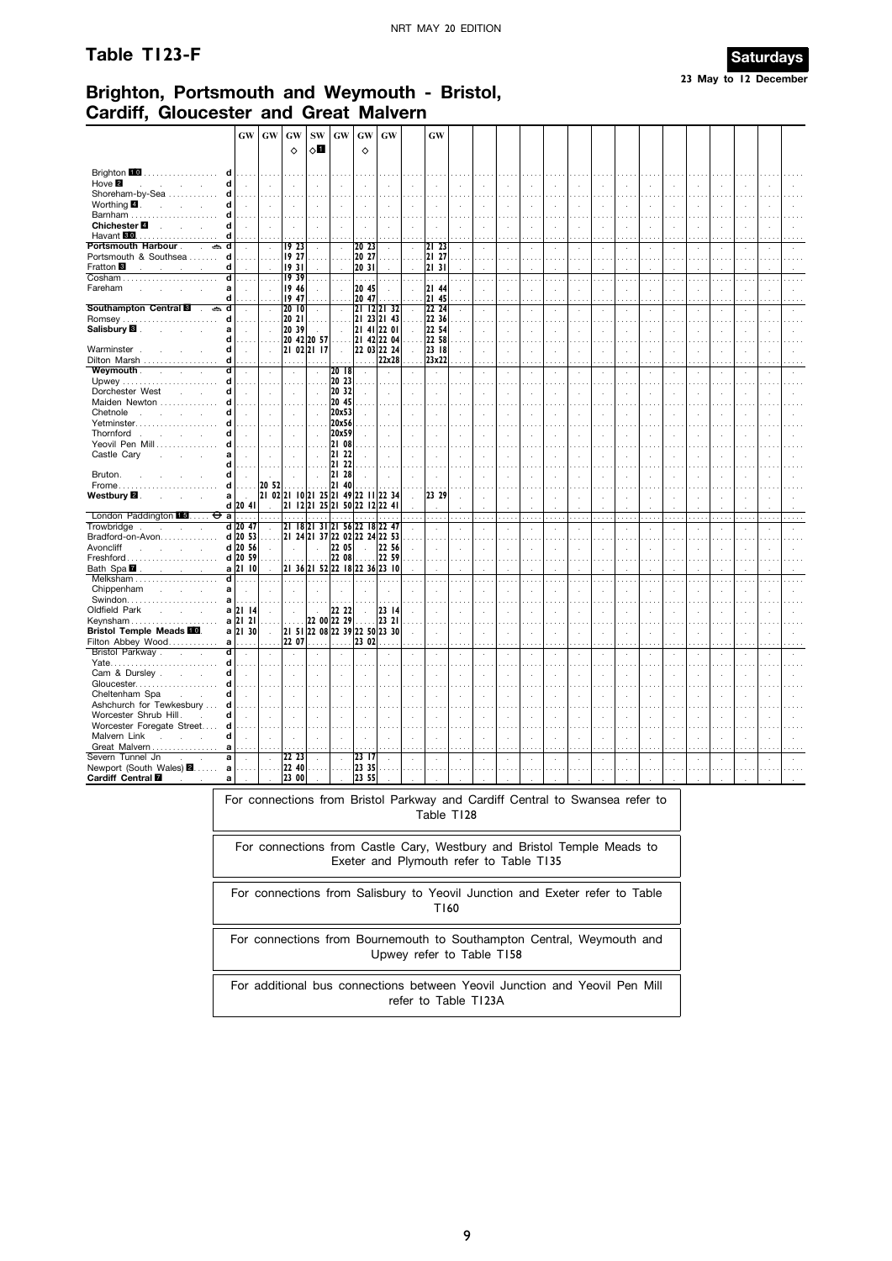#### Table T123-F



# Brighton, Portsmouth and Weymouth - Bristol, **Cardiff. Gloucester and Great Malvern**

|                                                         | <b>GW</b>                   | GW                       | GW                       | <b>SW</b>                                                      | GW                               | GW                         | <b>GW</b>    | GW                 |                      |               |            |                          |            |                |    |              |                |              |              |            |                                  |    |  |
|---------------------------------------------------------|-----------------------------|--------------------------|--------------------------|----------------------------------------------------------------|----------------------------------|----------------------------|--------------|--------------------|----------------------|---------------|------------|--------------------------|------------|----------------|----|--------------|----------------|--------------|--------------|------------|----------------------------------|----|--|
|                                                         |                             |                          | $\Diamond$               | $\circ$ l                                                      |                                  | $\Diamond$                 |              |                    |                      |               |            |                          |            |                |    |              |                |              |              |            |                                  |    |  |
| Brighton 10<br>.<br>d                                   | is sis                      |                          |                          |                                                                |                                  |                            |              |                    |                      |               |            |                          |            |                |    |              |                |              |              |            |                                  |    |  |
| Hove <b>2</b><br>d<br>$\mathbf{r}$                      | $\mathcal{A}$               |                          |                          |                                                                | ÷,                               |                            |              |                    |                      |               |            | $\ddot{\phantom{a}}$     |            |                |    |              |                |              |              |            |                                  |    |  |
| Shoreham-by-Sea<br>d<br>Worthing 4<br>d                 | .                           |                          | $\sim$ $\sim$            | $\overline{a}$                                                 | J.                               | ÷.                         |              |                    |                      | ÷.            |            | $\overline{a}$           | k.         | ÷.             |    |              |                |              |              |            | $\ddot{\phantom{a}}$             |    |  |
| Barnham<br>d                                            |                             |                          |                          |                                                                |                                  |                            |              |                    |                      |               |            |                          |            |                |    |              |                |              |              |            |                                  |    |  |
| Chichester <b>■</b><br>d<br>Havant 80<br>d<br>.         | $\sim$<br>$\cdots$          |                          |                          |                                                                | ÷,<br>$\cdots$                   | J.                         |              |                    |                      | ÷.<br>.       |            | $\cdot$<br>.             | ÷,         | $\cdot$<br>.   |    |              | $\cdots$       |              |              |            | $\ddot{\phantom{a}}$<br>$\cdots$ |    |  |
| Portsmouth Harbour.<br>ð.<br>d                          |                             |                          | 19 23                    |                                                                | $\ddot{\phantom{a}}$             | 20 23                      | $\cdot$      | 21 23              |                      |               |            | $\cdot$                  | $\epsilon$ | $\cdot$        |    |              | $\blacksquare$ |              |              |            | $\cdot$                          |    |  |
| d<br>Portsmouth & Southsea<br>d<br>Fratton <sup>1</sup> | a sala                      | $\cdots$                 | 19 27<br>1931            | $\sim$                                                         | .                                | 20 27<br>20 31             | $\sim 100$   | 21 27<br>2131      |                      | $\sim$        |            | $\cdots$                 |            | $\cdots$       |    | $\cdots$     | $\cdots$       |              |              |            | $\cdots$                         |    |  |
| Cosham<br>d                                             |                             |                          | 1939                     |                                                                |                                  | .                          |              |                    |                      |               |            | .                        |            |                |    |              |                |              |              |            |                                  |    |  |
| Fareham<br>a<br>d                                       | $\cdots$                    |                          | 19 46<br>19 47           |                                                                | $\ddot{\phantom{a}}$<br>$\cdots$ | 20 45<br>20 47             |              | 12144<br>21 45     |                      |               |            | $\epsilon$<br>.          |            |                |    |              | $\mathbf{r}$   |              |              |            | $\sim$                           |    |  |
| Southampton Central<br>d<br>ക<br>$\mathbf{r}$           | $\mathcal{A}$               |                          | 2010                     | $\bar{z}$                                                      | $\bar{z}$                        | 21 12 21 32                |              | 22 24              |                      | J.            |            | $\cdot$                  |            |                |    |              |                |              |              |            | ÷.                               |    |  |
| Romsey<br>d<br>Salisbury <sup>1</sup><br>a              | a sala                      |                          | 20 21<br>20 39           | $\sim$                                                         | $\ddot{\phantom{a}}$<br>l.       | 21 23 21 43<br>21 41 22 01 |              | 22 36<br>22 54     |                      | J.            |            | $\sim$<br>$\overline{a}$ | ×          |                |    |              |                |              |              |            | ÷.                               |    |  |
| d                                                       |                             |                          | 20 42 20 57              |                                                                |                                  | 21 42 22 04                |              | $\overline{22}$ 58 |                      |               |            |                          |            |                |    |              |                |              |              |            |                                  |    |  |
| Warminster<br>d<br>Dilton Marsh<br>d                    | $\sim$                      | $\sim$                   |                          | 21 02 21 17                                                    | $\mathcal{L}$                    | 22 03 22 24<br>.           | 22x28        | 23 18<br>23x22     | $\mathbf{r}$         | $\mathcal{L}$ | ÷.         | $\mathcal{L}$            | ÷.         | $\cdot$        | ÷. | $\mathbf{r}$ | $\mathbf{r}$   | ÷.           | $\mathbf{r}$ | $\lambda$  | $\lambda$                        |    |  |
| Weymouth.<br>d<br>$\mathcal{L}$                         | $\ddot{\phantom{a}}$        |                          | $\bar{z}$                | $\bar{z}$                                                      | 2018                             |                            |              | $\cdot$            |                      | ÷,            |            | ÷,                       |            |                |    |              |                |              |              |            | l.                               |    |  |
| d<br>Dorchester West<br>d                               | $\cdots$<br>$\mathbf{r}$    |                          | $\sim$ $\sim$<br>$\cdot$ | $\sim$<br>$\mathcal{L}_{\mathcal{A}}$                          | 20 23<br>20 32                   |                            |              |                    |                      |               |            | $\cdots$                 |            |                |    |              |                |              |              |            |                                  |    |  |
| Maiden Newton<br>d                                      |                             |                          |                          |                                                                | 20 45                            |                            |              |                    |                      |               |            |                          |            |                |    |              |                |              |              |            |                                  |    |  |
| Chetnole<br>d<br>÷.<br>Yetminster<br>d                  |                             |                          | $\lambda$                | $\lambda$                                                      | 20x53<br>20x56                   | ÷.                         | $\mathbf{r}$ | $\cdot$            |                      | ÷.            |            | $\cdot$                  | ÷.         | $\lambda$      |    |              |                |              |              |            | ÷.                               |    |  |
| Thornford<br>d<br>$\sim$                                |                             |                          |                          |                                                                | 20x59                            |                            |              |                    |                      |               |            |                          |            |                |    |              |                |              |              |            |                                  |    |  |
| Yeovil Pen Mill<br>d<br>Castle Cary<br>a                | $\mathbf{r}$                |                          |                          | $\ddot{\phantom{a}}$                                           | 2108<br>21 22                    |                            |              |                    |                      |               |            |                          |            |                |    |              |                |              |              |            |                                  |    |  |
| d                                                       |                             |                          |                          |                                                                | 21<br>22                         |                            |              |                    |                      |               |            |                          |            |                |    |              |                |              |              |            |                                  |    |  |
| Bruton.<br>d<br>Frome<br>d                              | $\mathcal{L}_{\mathcal{A}}$ | 20, 52                   | $\overline{\phantom{a}}$ | $\mathcal{L}$                                                  | 21<br>28<br>21<br>40             |                            |              | .                  |                      |               |            | ł.                       |            |                |    |              |                |              |              |            |                                  |    |  |
| Westbury <sup>2</sup><br>a                              | $\sim$                      |                          |                          | $ 2 $ 02 $ 2 $ 10 $ 2 $ 25 $ 2 $ 49 $ 22 $ 11                  |                                  |                            | 22 34        | 23 29              |                      |               |            | $\overline{a}$           |            |                |    |              |                |              |              |            |                                  |    |  |
| London Paddington 15<br>⊖<br>a                          | d 20 41<br>.                | .                        |                          | 21 12 21 25 21 50 22 12 22 4                                   |                                  |                            |              | $\cdots$           |                      | $\cdots$      |            | .                        |            | $\cdots$       |    | $\cdots$     |                |              |              |            |                                  |    |  |
| Trowbridge<br>$\ddot{\phantom{a}}$<br>Bradford-on-Avon  | $d$ 20 47<br>d 20 53        | $\mathcal{L}$            |                          | 21 18 21 31 21 56 22 18 22 47<br>21 24 21 37 22 02 22 24 22 53 |                                  |                            |              | $\cdot$            | $\ddot{\phantom{a}}$ | $\epsilon$    | $\epsilon$ | $\cdot$                  | $\epsilon$ | $\blacksquare$ |    | $\epsilon$   | $\blacksquare$ | $\cdot$      | ÷.           | $\epsilon$ | $\ddot{\phantom{a}}$             | ÷. |  |
| Avoncliff                                               | d 20 56                     | $\cdots$<br>$\sim$       | $\mathcal{L}$            | $\mathcal{L}^{\pm}$                                            | 22 05                            | $\mathcal{L}$              | 22 56        | $\mathbf{r}$       |                      | ÷.            |            | $\ddot{\phantom{a}}$     | J.         | ÷.             |    |              |                |              |              |            | $\ddot{\phantom{a}}$             |    |  |
| Freshford                                               | d 20 59<br>$a$ 21 10        | $\cdots$                 | .                        | 21 36 21 52 22 18 22 36 23 10                                  | 22 08                            |                            | 22 59        |                    |                      |               |            |                          |            |                |    |              |                |              |              |            |                                  |    |  |
| Bath Spa <b>M</b><br>Melksham<br>d                      | .                           | $\ldots$ .               | .                        | .                                                              | .                                |                            |              | $\cdots$           |                      |               |            | $\cdots$                 |            |                |    |              |                |              |              |            |                                  |    |  |
| Chippenham<br>a<br>Swindon.<br>a                        |                             |                          | $\mathbf{r}$             | ÷                                                              | ÷,                               | J.                         |              |                    |                      |               |            | $\epsilon$               | J.         |                |    |              |                |              |              |            |                                  |    |  |
| Oldfield Park<br>$\mathcal{L}$<br>s.<br>÷.              | a 21 14                     | ÷                        | $\mathcal{A}$            |                                                                | 22 22                            | J.                         | 23 14        |                    |                      |               |            |                          |            |                |    |              |                |              |              |            |                                  |    |  |
| Keynsham<br><b>Bristol Temple Meads FO</b>              | $a$ 21 $21$<br>$a$ 21 30    | $\cdots$                 | $\cdots$                 | 22 00 22 29<br>21 51 22 08 22 39 22 50 23 30                   |                                  |                            | 23 21        |                    |                      |               |            |                          |            |                |    |              |                |              |              |            |                                  |    |  |
| Filton Abbey Wood<br>a                                  |                             |                          | 22 07                    |                                                                |                                  | 23<br>02                   |              |                    |                      |               |            | $\mathbf{r}$             |            |                |    |              |                |              |              |            | ÷.                               |    |  |
| Bristol Parkway.<br>ď<br>$\mathcal{L}$<br>Yate<br>d     | $\mathbf{r}$                |                          |                          |                                                                | J.                               |                            |              |                    |                      | k.            |            | $\cdot$                  | i,         | $\lambda$      |    |              |                | $\mathbf{r}$ |              |            | $\ddot{\phantom{a}}$             |    |  |
| Cam & Dursley.<br>d                                     |                             |                          |                          |                                                                |                                  |                            |              |                    |                      |               |            |                          |            |                |    |              |                |              |              |            |                                  |    |  |
| Gloucester<br>d<br>Cheltenham Spa<br>d                  |                             |                          |                          |                                                                |                                  |                            |              |                    |                      |               |            |                          |            |                |    |              |                |              |              |            |                                  |    |  |
| Ashchurch for Tewkesbury<br>d                           |                             |                          |                          |                                                                | J.                               |                            |              |                    |                      |               |            | $\mathbf{r}$             |            |                |    |              |                |              |              |            |                                  |    |  |
| Worcester Shrub Hill.<br>d                              |                             |                          |                          |                                                                | J.                               |                            |              |                    |                      |               |            | $\mathbf{r}$             | ×          |                |    |              |                |              |              |            | ÷.                               |    |  |
| Worcester Foregate Street.<br>d<br>d<br>Malvern Link    |                             |                          |                          |                                                                | ÷,                               |                            |              |                    |                      |               |            | $\ddot{\phantom{a}}$     |            |                |    |              |                |              |              |            | ÷,                               |    |  |
| Great Malvern<br>a                                      |                             |                          |                          |                                                                |                                  |                            |              |                    |                      |               |            |                          |            |                |    |              |                |              |              |            |                                  |    |  |
| Severn Tunnel Jn<br>a<br>Newport (South Wales) 2<br>a   | $\Delta$<br>.               | $\mathbf{r}$<br>$\cdots$ | 22 23<br>22 40           | $\cdot$<br>$\cdots$                                            | $\bar{z}$<br>.                   | 2317<br>23 35              | $\mathbf{r}$ | $\blacksquare$     | $\cdot$              | $\epsilon$    | $\epsilon$ | $\ddot{\phantom{a}}$     | ×          | $\epsilon$     |    |              |                |              |              | $\cdot$    | $\ddot{\phantom{1}}$             |    |  |
| Cardiff Central<br>a                                    |                             |                          | 23 00                    |                                                                |                                  | 23 55                      |              |                    |                      |               |            |                          |            |                |    |              |                |              |              |            |                                  |    |  |

For connections from Bristol Parkway and Cardiff Central to Swansea refer to Table T128

For connections from Castle Cary, Westbury and Bristol Temple Meads to Exeter and Plymouth refer to Table T135

For connections from Salisbury to Yeovil Junction and Exeter refer to Table T160

For connections from Bournemouth to Southampton Central, Weymouth and Upwey refer to Table T158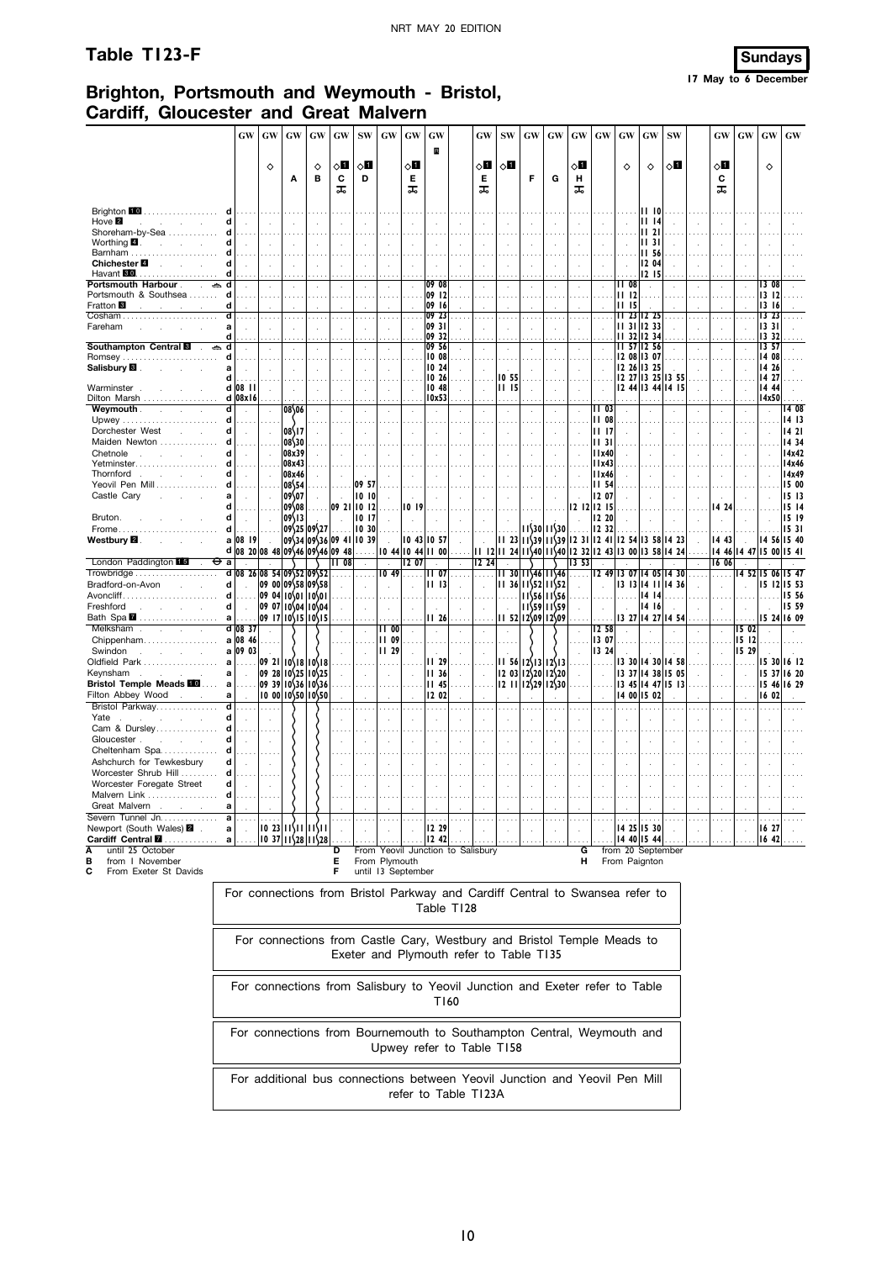# **Table T123-F Sundays**



# **Brighton, Portsmouth and Weymouth - Bristol, Cardiff, Gloucester and Great Malvern**

|                                                                            | <b>GW</b>                                                                    | <b>GW</b>                                                                   | GW                                               | GW                                     | <b>GW</b>          | <b>SW</b>            | GW                                 | $\boldsymbol{\mathsf{G}}\boldsymbol{\mathsf{W}}$ | GW                            |            | GW                                      | <b>SW</b>    | <b>GW</b>    | GW                                                                                                          | <b>GW</b>                   | GW             | <b>GW</b>             | GW                         | <b>SW</b>         | GW       | <b>GW</b>                                  | GW                   | $\boldsymbol{\mathbf{G}}\boldsymbol{\mathbf{W}}$ |
|----------------------------------------------------------------------------|------------------------------------------------------------------------------|-----------------------------------------------------------------------------|--------------------------------------------------|----------------------------------------|--------------------|----------------------|------------------------------------|--------------------------------------------------|-------------------------------|------------|-----------------------------------------|--------------|--------------|-------------------------------------------------------------------------------------------------------------|-----------------------------|----------------|-----------------------|----------------------------|-------------------|----------|--------------------------------------------|----------------------|--------------------------------------------------|
|                                                                            |                                                                              | ♦                                                                           |                                                  | ♦                                      | ◇Ø                 | 8П                   |                                    | ८⊡                                               | B                             |            | ◇Ш                                      | $\diamond$ l |              |                                                                                                             | $\diamond$ l                |                | ♦                     | ♦                          | ू∏                | ◇Ø       |                                            | $\Diamond$           |                                                  |
|                                                                            |                                                                              |                                                                             | Α                                                | в                                      | C<br>ᠼ             | D                    |                                    | Е<br>ᠼ                                           |                               |            | Е<br>ᠼ                                  |              | F            | G                                                                                                           | н<br>ᠼ                      |                |                       |                            |                   | С<br>ᠼ   |                                            |                      |                                                  |
| Brighton 10<br>Hove $\blacksquare$<br>$\sim$                               | d<br>$\sim$                                                                  |                                                                             |                                                  | ÷                                      | $\sim$             |                      |                                    |                                                  |                               |            | ÷.                                      |              | ÷            | ÷.                                                                                                          | $\overline{a}$              |                |                       | II 10<br>1114              |                   |          |                                            |                      |                                                  |
| Shoreham-by-Sea<br>Worthing $\blacksquare$ .                               | d<br>d                                                                       |                                                                             |                                                  |                                        |                    |                      |                                    |                                                  |                               |            |                                         |              |              |                                                                                                             |                             |                |                       | 11 <sub>21</sub><br>II 31  |                   |          |                                            |                      |                                                  |
| Barnham<br>Chichester <sup>1</sup>                                         | d                                                                            |                                                                             |                                                  |                                        |                    |                      |                                    |                                                  |                               |            |                                         |              |              |                                                                                                             |                             |                |                       | II 56<br>12 04             |                   |          |                                            |                      |                                                  |
| Havant 30<br><b>Portsmouth Harbour</b><br>÷.                               | d<br>d                                                                       |                                                                             |                                                  |                                        |                    |                      |                                    |                                                  | 09 08                         |            |                                         |              |              |                                                                                                             |                             |                | II 08                 | 12 15<br>$\overline{a}$    |                   |          |                                            | 13 08                |                                                  |
| Portsmouth & Southsea<br>Fratton <sup>1</sup>                              | d<br>d                                                                       |                                                                             |                                                  |                                        |                    |                      |                                    |                                                  | 09 12<br>09<br>16             |            |                                         |              |              |                                                                                                             |                             |                | 1112<br><b>III</b> 15 |                            |                   |          |                                            | 1312<br>13 16        |                                                  |
| Fareham                                                                    | d<br>a                                                                       |                                                                             |                                                  |                                        |                    |                      |                                    |                                                  | 09 23<br>09 31                |            |                                         |              | $\cdot$      |                                                                                                             |                             |                |                       | 23 12 25<br>$1131$ 12 33   |                   |          |                                            | 1323<br> 1331        |                                                  |
| <b>Southampton Central E</b>                                               | d<br>d                                                                       |                                                                             |                                                  |                                        | ÷,                 |                      |                                    |                                                  | 09 32<br>09 56                |            |                                         |              |              |                                                                                                             |                             |                | п<br>32<br>н.         | 12 34<br>57 12 56          |                   |          |                                            | 13 32<br>13 57       |                                                  |
| <b>Romsey</b>                                                              | d                                                                            |                                                                             |                                                  |                                        |                    |                      |                                    |                                                  | 10 08                         |            |                                         |              |              |                                                                                                             |                             |                |                       | 12 08 13 07                |                   |          |                                            | 14 08                |                                                  |
| Salisbury <sup>1</sup>                                                     | a<br>d                                                                       |                                                                             |                                                  |                                        |                    |                      |                                    |                                                  | 10 24<br>10 26                |            |                                         | 10 55        |              |                                                                                                             |                             |                | 1226                  | 13 25                      | 12 27 13 25 13 55 |          |                                            | 14 26<br>14 27       |                                                  |
| Warminster                                                                 | $d$ 08 $H$                                                                   |                                                                             |                                                  |                                        |                    |                      |                                    |                                                  | 10 48                         |            | $\cdot$                                 | 11 15        |              |                                                                                                             |                             |                |                       |                            | 12 44 13 44 14 15 |          | ÷.                                         | 14 44                |                                                  |
| Dilton Marsh<br><b>Weymouth</b> .<br>$\mathbf{r}$                          | d 08x16<br>d                                                                 |                                                                             | 08\06                                            |                                        |                    |                      |                                    |                                                  | 10x53<br>$\ddot{\phantom{1}}$ |            |                                         | $\sim$       |              |                                                                                                             |                             | II 03          |                       |                            |                   |          |                                            | 14x50                | 14 08                                            |
| Upwey                                                                      | d                                                                            |                                                                             |                                                  |                                        |                    |                      |                                    |                                                  |                               |            |                                         |              |              |                                                                                                             |                             | II 08          |                       |                            |                   |          |                                            |                      | 1413                                             |
| Dorchester West                                                            | d                                                                            |                                                                             | 08\17                                            |                                        |                    |                      |                                    |                                                  |                               |            |                                         |              |              |                                                                                                             |                             | II 17          |                       |                            |                   |          |                                            |                      | 1421                                             |
| Maiden Newton<br>Chetnole                                                  | d<br>d                                                                       |                                                                             | 08\30<br>08x39                                   |                                        |                    |                      |                                    |                                                  |                               |            |                                         |              |              |                                                                                                             |                             | II 31<br>11x40 |                       |                            |                   |          |                                            |                      | 14 34<br>14x42                                   |
| Yetminster                                                                 |                                                                              |                                                                             | 08x43                                            |                                        |                    |                      |                                    |                                                  |                               |            |                                         |              |              |                                                                                                             |                             | l I x43        |                       |                            |                   |          |                                            |                      | 14x46                                            |
| Thornford<br>and the control of                                            | d<br>$\mathbf{r}$                                                            |                                                                             | 08x46                                            |                                        |                    | $\ddot{\phantom{a}}$ |                                    |                                                  |                               |            |                                         |              | $\cdot$      |                                                                                                             |                             | 11x46          |                       |                            |                   |          |                                            |                      | 14x49                                            |
| Yeovil Pen Mill<br>Castle Cary                                             | d<br>a                                                                       |                                                                             | 08\54<br>09\07                                   |                                        |                    | 09 57<br>1010        |                                    |                                                  |                               |            | ÷.                                      |              |              |                                                                                                             |                             | II 54<br>12 07 |                       |                            |                   |          |                                            |                      | 15 00<br>1513                                    |
|                                                                            | d                                                                            |                                                                             | 09\08                                            |                                        | 109 21             | 0   2                |                                    | 1019                                             |                               |            |                                         |              |              |                                                                                                             | 12 12 1                     | 12 15          |                       |                            |                   | 14 24    |                                            |                      | 1514                                             |
| Bruton.                                                                    |                                                                              |                                                                             | 09\13                                            |                                        |                    | 1017                 |                                    |                                                  |                               |            |                                         |              |              |                                                                                                             |                             | 12 20          |                       |                            |                   |          |                                            |                      | 15 19                                            |
| Frome<br>Westbury <b>⊠</b> .                                               | d<br>a 08 19                                                                 | .<br>$\sim$                                                                 |                                                  | 09\25 09\27<br>09\34 09\36 09 41 10 39 |                    | 10 30                |                                    |                                                  | a sa<br>$1043$ $1057$         |            |                                         |              |              | $11\frac{30}{11}30$<br>$11$ 23 $1$ $\frac{539}{15}$ $1$ $\frac{539}{12}$ 31 $12$ 41 $12$ 54 $13$ 58 $14$ 23 |                             | 12 32          |                       |                            |                   | 14 43    |                                            | 14 56 15 40          | 15 31                                            |
|                                                                            | d 08 20 08 48 09 46 09 46 09 48                                              |                                                                             |                                                  |                                        |                    | $\ldots$ .           | $\mathbf{r}$                       |                                                  | $10$ 44 $10$ 44 $11$ 00       |            | $\ddot{\phantom{a}}$                    |              |              | 2      24    240   240  232  243  300  358  424                                                             |                             |                |                       |                            |                   |          | $\overline{\phantom{a}}$<br>14 46 14 47 15 |                      | 00 154                                           |
| London Paddington 15                                                       | Θа                                                                           |                                                                             |                                                  |                                        | $\overline{11}$ 08 |                      | $\ddot{\phantom{a}}$               | 12 07                                            |                               |            | 12,24                                   |              |              |                                                                                                             | 13 53                       |                |                       |                            |                   | 16 06    |                                            |                      |                                                  |
|                                                                            | d                                                                            | 08 26 08 54 09 52 09 52                                                     |                                                  |                                        |                    |                      | 1049                               | $\ldots$ .                                       | 1107                          |            | .                                       |              |              | 11 30 11\46 11\46                                                                                           | $\cdots$                    | 1249           |                       |                            | 13 07 14 05 14 30 |          |                                            | 14 52 15 06 15 47    |                                                  |
| Bradford-on-Avon<br>Avoncliff                                              | d<br>d<br>$\sim$                                                             |                                                                             | 09 00 09 58 09 58<br> 09 04  0\01  0\01          |                                        |                    |                      |                                    |                                                  | 1113                          |            |                                         | $\cdots$     |              | 1136 11552 11552<br> 11556 11556                                                                            |                             |                | .                     | 14 14                      | 13 13 14 11 14 36 |          |                                            | 15 12 15 53          | 15 56                                            |
| Freshford                                                                  | d                                                                            |                                                                             | 09 07 10 04 10 04                                |                                        |                    |                      |                                    |                                                  | $\ddot{\phantom{a}}$          |            |                                         |              |              | 11\59 11\59                                                                                                 | $\mathcal{L}_{\mathcal{A}}$ |                |                       | 14 16                      |                   |          |                                            |                      | 15 59                                            |
| Bath Spa <b>7</b>                                                          | a                                                                            |                                                                             | $ 09 17 10\overline{15} 10\overline{15}$         |                                        |                    |                      |                                    |                                                  | II 26                         |            |                                         |              |              | $11\,52\,12\,09\,12\,09$                                                                                    |                             | .              |                       |                            | 13 27 14 27 14 54 |          |                                            | 15 24 16 09          |                                                  |
| Melksham<br>$\mathcal{L}$<br>$\mathcal{L}^{\mathcal{L}}$<br>Chippenham     | $d$ 08 37<br>a 08 46                                                         |                                                                             |                                                  |                                        |                    |                      | $\overline{11}$ 00<br><b>II 09</b> |                                                  |                               |            |                                         |              |              |                                                                                                             |                             | 12,58<br>13 07 |                       |                            |                   |          | 15 02<br>1512                              |                      |                                                  |
| Swindon<br><b>Contract Contract</b><br>$\sim$<br>÷.                        | a 09 03                                                                      |                                                                             |                                                  |                                        |                    |                      | <b>II</b> 29                       |                                                  |                               |            |                                         |              |              |                                                                                                             |                             | 13 24          |                       |                            |                   |          | 15 29                                      |                      |                                                  |
| Oldfield Park                                                              | a<br>.                                                                       |                                                                             | 09 21   10   18   10   18                        |                                        |                    |                      |                                    |                                                  | II 29                         |            |                                         | II 56        |              | 12\13 12\13                                                                                                 |                             |                |                       |                            | 13 30 14 30 14 58 |          |                                            | 15 30                | 16 12                                            |
| Keynsham<br>$\sim$                                                         | a                                                                            |                                                                             | $ 09 \t28 10 25 10 25$                           |                                        |                    |                      |                                    |                                                  | 1136                          |            |                                         | 12 03        | 12\20        | 12\20                                                                                                       |                             |                |                       |                            | 13 37 14 38 15 05 |          |                                            | 15 37                | 16 20                                            |
| <b>Bristol Temple Meads FO</b><br>Filton Abbey Wood                        | a<br>.<br>a                                                                  |                                                                             | $ 09 \t39 10 36 10 36$<br>  0 00  0\50  0\50     |                                        |                    |                      |                                    |                                                  | <b>II 45</b><br>12 02         |            |                                         | 12 II        |              | $12\frac{29}{12}30$                                                                                         |                             |                |                       | 14 00 15 02                | 13 45 14 47 15 13 |          |                                            | 15 46 16 29<br>16 02 |                                                  |
| Bristol Parkway                                                            | d<br>.                                                                       | .                                                                           |                                                  |                                        |                    | $\sim$ $\sim$        | $\cdots$                           |                                                  | $\cdots$                      |            | $\cdots$                                |              | $\mathbf{r}$ |                                                                                                             |                             |                |                       |                            |                   | $\cdots$ | $\sim$                                     |                      |                                                  |
| Yate<br>Cam & Dursley                                                      | d                                                                            |                                                                             |                                                  |                                        | ×                  |                      |                                    |                                                  |                               |            |                                         |              |              |                                                                                                             |                             |                |                       |                            |                   |          |                                            |                      |                                                  |
| Gloucester.                                                                | d                                                                            |                                                                             |                                                  |                                        |                    |                      |                                    |                                                  |                               |            |                                         |              | ÷            |                                                                                                             |                             |                |                       |                            |                   |          |                                            |                      |                                                  |
| Cheltenham Spa                                                             |                                                                              |                                                                             |                                                  |                                        |                    |                      |                                    |                                                  |                               |            |                                         |              |              |                                                                                                             |                             |                |                       |                            |                   |          |                                            |                      |                                                  |
| Ashchurch for Tewkesbury                                                   | d                                                                            |                                                                             |                                                  |                                        | ÷,                 |                      |                                    |                                                  |                               |            |                                         |              |              |                                                                                                             |                             |                |                       |                            |                   |          |                                            |                      |                                                  |
| Worcester Shrub Hill<br>Worcester Foregate Street                          | d<br>d                                                                       |                                                                             |                                                  |                                        |                    |                      |                                    |                                                  |                               |            |                                         |              |              |                                                                                                             |                             |                |                       |                            |                   |          |                                            |                      |                                                  |
| Malvern Link.                                                              |                                                                              |                                                                             |                                                  |                                        |                    |                      |                                    |                                                  |                               |            |                                         |              |              |                                                                                                             |                             |                |                       |                            |                   |          |                                            |                      |                                                  |
| Great Malvern<br>$\ddot{\phantom{a}}$                                      | а                                                                            |                                                                             |                                                  |                                        |                    |                      |                                    |                                                  |                               |            |                                         |              |              |                                                                                                             |                             |                |                       |                            |                   |          |                                            |                      |                                                  |
| Severn Tunnel Jn.<br>Newport (South Wales) 2 .<br>Cardiff Central <b>M</b> | a<br>a<br>a                                                                  |                                                                             | 0 23   1\        \   <br>$ 10 \t37 11 28 11 28 $ |                                        |                    |                      |                                    |                                                  | 12 29<br>12 42                |            |                                         |              |              |                                                                                                             |                             |                |                       | 14 25 15 30<br>14 40 15 44 |                   |          |                                            | 16 27<br>1642        |                                                  |
| until 25 October<br>Α                                                      |                                                                              |                                                                             |                                                  |                                        | D                  |                      |                                    |                                                  |                               |            | From Yeovil Junction to Salisbury       |              |              |                                                                                                             | G                           |                | from 20 September     |                            |                   |          |                                            |                      |                                                  |
| from I November<br>в                                                       |                                                                              |                                                                             |                                                  |                                        | Е                  |                      | From Plymouth                      |                                                  |                               |            |                                         |              |              |                                                                                                             | н                           |                | From Paignton         |                            |                   |          |                                            |                      |                                                  |
| From Exeter St Davids<br>С                                                 |                                                                              |                                                                             |                                                  |                                        | F                  |                      |                                    | until 13 September                               |                               |            |                                         |              |              |                                                                                                             |                             |                |                       |                            |                   |          |                                            |                      |                                                  |
|                                                                            | For connections from Bristol Parkway and Cardiff Central to Swansea refer to |                                                                             |                                                  |                                        |                    |                      |                                    |                                                  |                               |            |                                         |              |              |                                                                                                             |                             |                |                       |                            |                   |          |                                            |                      |                                                  |
|                                                                            |                                                                              |                                                                             |                                                  |                                        |                    |                      |                                    |                                                  |                               | Table T128 |                                         |              |              |                                                                                                             |                             |                |                       |                            |                   |          |                                            |                      |                                                  |
|                                                                            |                                                                              |                                                                             |                                                  |                                        |                    |                      |                                    |                                                  |                               |            |                                         |              |              |                                                                                                             |                             |                |                       |                            |                   |          |                                            |                      |                                                  |
|                                                                            |                                                                              | For connections from Castle Cary, Westbury and Bristol Temple Meads to      |                                                  |                                        |                    |                      |                                    |                                                  |                               |            |                                         |              |              |                                                                                                             |                             |                |                       |                            |                   |          |                                            |                      |                                                  |
|                                                                            |                                                                              |                                                                             |                                                  |                                        |                    |                      |                                    |                                                  |                               |            |                                         |              |              |                                                                                                             |                             |                |                       |                            |                   |          |                                            |                      |                                                  |
|                                                                            |                                                                              |                                                                             |                                                  |                                        |                    |                      |                                    |                                                  |                               |            | Exeter and Plymouth refer to Table T135 |              |              |                                                                                                             |                             |                |                       |                            |                   |          |                                            |                      |                                                  |
|                                                                            |                                                                              |                                                                             |                                                  |                                        |                    |                      |                                    |                                                  |                               |            |                                         |              |              |                                                                                                             |                             |                |                       |                            |                   |          |                                            |                      |                                                  |
|                                                                            |                                                                              | For connections from Salisbury to Yeovil Junction and Exeter refer to Table |                                                  |                                        |                    |                      |                                    |                                                  |                               |            |                                         |              |              |                                                                                                             |                             |                |                       |                            |                   |          |                                            |                      |                                                  |
|                                                                            |                                                                              |                                                                             |                                                  |                                        |                    |                      |                                    |                                                  |                               | T160       |                                         |              |              |                                                                                                             |                             |                |                       |                            |                   |          |                                            |                      |                                                  |
|                                                                            |                                                                              |                                                                             |                                                  |                                        |                    |                      |                                    |                                                  |                               |            |                                         |              |              |                                                                                                             |                             |                |                       |                            |                   |          |                                            |                      |                                                  |
|                                                                            | For connections from Bournemouth to Southampton Central, Weymouth and        |                                                                             |                                                  |                                        |                    |                      |                                    |                                                  |                               |            |                                         |              |              |                                                                                                             |                             |                |                       |                            |                   |          |                                            |                      |                                                  |

Upwey refer to Table T158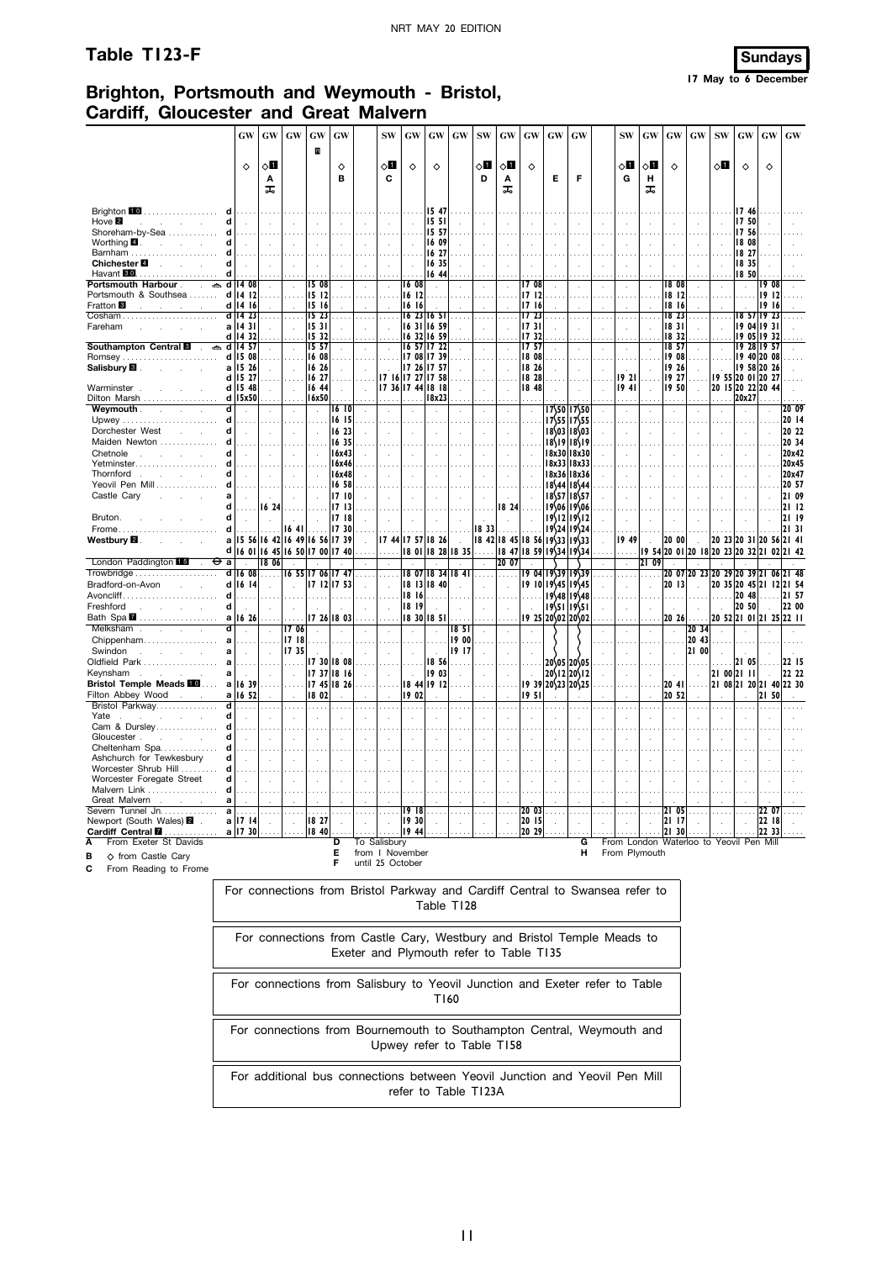## **Table T123-F Sundays**



# **Brighton, Portsmouth and Weymouth - Bristol, Cardiff, Gloucester and Great Malvern**

|                                                               | <b>GW</b>                                 | <b>GW</b>           | GW                         | GW                         | GW                          |               | <b>SW</b>                  | <b>GW</b>            | <b>GW</b>                        | <b>GW</b>     | <b>SW</b>                  | <b>GW</b>                  | GW                          | <b>GW</b>                    | GW                             | <b>SW</b>     | GW             | <b>GW</b>            | GW                                            | <b>SW</b>    | GW                          | GW                  | <b>GW</b> |
|---------------------------------------------------------------|-------------------------------------------|---------------------|----------------------------|----------------------------|-----------------------------|---------------|----------------------------|----------------------|----------------------------------|---------------|----------------------------|----------------------------|-----------------------------|------------------------------|--------------------------------|---------------|----------------|----------------------|-----------------------------------------------|--------------|-----------------------------|---------------------|-----------|
|                                                               |                                           |                     |                            | R                          |                             |               |                            |                      |                                  |               |                            |                            |                             |                              |                                |               |                |                      |                                               |              |                             |                     |           |
|                                                               | $\Diamond$                                | √П<br>Α<br>ᠼ        |                            |                            | ♦<br>B                      |               | 8П<br>C                    | ♦                    | ♦                                |               | 8П<br>D                    | ⊘Ц<br>Α                    | $\Diamond$                  | Е                            | F                              | 8П<br>G       | √П<br>н        | $\Diamond$           |                                               | ू∏           | $\Diamond$                  | $\Diamond$          |           |
|                                                               |                                           |                     |                            |                            |                             |               |                            |                      |                                  |               |                            | ᠼ                          |                             |                              |                                |               | ᠼ              |                      |                                               |              |                             |                     |           |
| Brighton 10<br>.                                              |                                           |                     |                            |                            |                             |               |                            |                      | 1547<br>15 <sub>51</sub>         |               |                            |                            |                             |                              |                                |               |                |                      |                                               |              | 1746<br>17 50               |                     |           |
| Hove <b>2</b><br>d<br>and the control of<br>Shoreham-by-Sea   | $\sim$                                    | ÷                   |                            |                            | $\mathcal{L}_{\mathbf{a}}$  |               |                            |                      | 15 57                            |               |                            |                            | ÷                           | $\mathbf{r}$                 |                                |               |                |                      | $\sim$                                        |              | 1756                        |                     |           |
| Worthing $\blacksquare$ .<br>and the company of the com-<br>d | $\ddot{\phantom{a}}$                      | $\sim$              |                            | $\ddot{\phantom{a}}$       | $\cdot$                     | $\bar{z}$     | $\ddot{\phantom{a}}$       | $\ddot{\phantom{a}}$ | 16 09                            |               | ÷                          |                            | à.                          |                              | ÷,                             | $\cdot$       |                | $\ddot{\phantom{a}}$ | $\ddot{\phantom{a}}$                          |              | 18 08                       |                     |           |
| Barnham<br>d                                                  |                                           |                     |                            |                            |                             |               |                            |                      | 16 27                            |               |                            |                            |                             |                              |                                |               |                |                      |                                               |              | 18 27                       |                     |           |
| Chichester 4 <b>Chichester</b><br>d                           |                                           | $\mathbf{r}$        |                            | $\overline{a}$             | $\mathcal{L}_{\mathcal{A}}$ | $\mathbf{r}$  | $\mathcal{L}$              | ÷                    | 16 35                            |               | ÷                          |                            |                             |                              | l.                             | ÷             |                |                      | $\mathbf{r}$                                  | $\mathbf{r}$ | 18 35                       |                     |           |
| Havant <b>80</b><br>d                                         |                                           |                     |                            |                            |                             |               |                            |                      | 16 44                            |               |                            |                            |                             |                              |                                |               |                |                      |                                               |              | 18,50                       |                     |           |
| Portsmouth Harbour .<br>$\frac{1}{2}$ and 14 08               |                                           |                     |                            | 15 08                      | $\cdot$                     |               | $\cdot$                    | 16 08                | $\mathbf{r}$                     |               |                            |                            | 17 08                       |                              |                                | ÷.            |                | 18 08                |                                               |              | J.                          | 08<br>19            |           |
| Portsmouth & Southsea                                         | $d$ 14 12                                 |                     |                            | 15 12                      |                             |               |                            | 1612                 |                                  |               |                            |                            | 1712                        |                              |                                |               |                | 18 12                |                                               |              |                             | 1912                |           |
| Fratton <sup>8</sup><br>and the company                       | $d$ 14 16                                 |                     |                            | 15 16                      |                             |               |                            | 16 16                |                                  |               |                            |                            | 1716<br>1723                |                              |                                |               |                | 18 16<br>18 23       |                                               |              |                             | 1916<br>18 57 19 23 |           |
| Cosham<br>Fareham                                             | $d$ 14 23<br>a   14 3                     |                     |                            | 15 23<br>15 31             | $\cdots$<br>$\sim$          |               |                            | $16$ 23 $ 16$ 5      | 16 31 16 59                      |               | $\ddot{\phantom{a}}$       |                            | 1731                        |                              |                                |               |                | 18 31                | $\ddot{\phantom{a}}$                          |              |                             | 19 04 19 31         |           |
|                                                               | d   14 32                                 |                     |                            | 15 32                      |                             |               |                            |                      | 16 32 16 59                      |               |                            |                            | 1732                        |                              |                                | $\epsilon$    |                | 18 32                |                                               |              |                             | 19 05 19 32         |           |
| Southampton Central <b>E</b><br>$ightharpoonup$ d   14        | 57                                        |                     |                            | 15, 57                     | $\cdot$                     |               |                            |                      | 16 57 17 22                      |               | ÷.                         |                            | 1757                        |                              | $\mathcal{L}$                  | $\epsilon$    |                | 18 57                |                                               |              | 19 28 19 57                 |                     |           |
| <b>Romsey</b>                                                 | $d$ 15 08                                 |                     |                            | 16 08                      |                             |               |                            |                      | 17 08 17 39                      |               |                            |                            | 18 08                       |                              |                                |               |                | 19 08                |                                               |              | 1940 2008                   |                     |           |
| Salisbury <b>Si</b> Product of the Salisbury <b>Si</b>        | a 15 26                                   |                     | $\sim$                     | 16 26                      | $\mathcal{L}$               |               |                            |                      | 17 26 17 57                      |               |                            |                            | 18 26                       |                              |                                |               |                | 19 26                |                                               |              | 19 58 20 26                 |                     |           |
|                                                               | d 15 27                                   |                     |                            | 16 27                      |                             |               |                            |                      | 17 16 17 27 17 58                |               |                            |                            | 18 28                       |                              |                                | 1921          |                | 19 27                |                                               |              | 19 55 20 01 20 27           |                     |           |
| Warminster                                                    | d 15 48                                   |                     | $\sim$                     | 16 44                      | $\sim$                      |               |                            |                      | 17 36 17 44 18 18                |               | ÷                          |                            | 18 48                       |                              | $\mathbf{r}$                   | 1941          |                | 1950                 | $\mathcal{L}$                                 |              | 20 15 20 22 20 44           |                     |           |
| Dilton Marsh<br>Weymouth .<br>ď                               | $d$ 15 $x50$                              |                     |                            | 16x50                      | 16 10                       |               |                            |                      | 18x23                            |               |                            |                            |                             |                              |                                | $\cdots$      |                |                      |                                               | .            | 20x27                       |                     | 20 09     |
| 70<br>$\sim$<br>d                                             |                                           |                     |                            | $\mathcal{L}$              | 16 15                       |               |                            |                      |                                  |               |                            |                            | $\cdot$                     |                              | 17\50 17\50<br>$1755$ $1755$   |               |                |                      |                                               |              |                             |                     | 20 14     |
| d<br>Dorchester West                                          | $\mathbf{r}$                              | ÷                   |                            |                            | 16 23                       |               |                            |                      | $\overline{\phantom{a}}$         |               | ÷.                         |                            | $\bar{z}$                   |                              | 18\03 18\03                    |               |                |                      | ÷.                                            |              | $\mathbf{r}$                |                     | 20 22     |
| Maiden Newton<br>d                                            |                                           |                     |                            |                            | 1635                        |               |                            |                      |                                  |               |                            |                            | $\ldots$                    |                              | 18\19 18\19                    |               |                |                      |                                               |              |                             |                     | 20 34     |
| d<br>Chetnole                                                 | $\sim$                                    | $\sim$              | $\sim$                     | $\sim$                     | 16x43                       |               | $\mathbf{r}$               | ÷                    | $\overline{a}$                   |               | $\mathbf{r}$               | $\overline{a}$             | $\mathbf{r}$                |                              | 18x30 18x30                    |               |                | $\overline{a}$       | ÷                                             | $\mathbf{r}$ | $\sim$                      |                     | 20x42     |
| Yetminster                                                    |                                           |                     |                            |                            | 16x46                       |               |                            |                      |                                  |               |                            |                            |                             |                              | 18x33 18x33                    |               |                |                      |                                               |              |                             |                     | 20x45     |
| Thornford<br>d                                                | $\sim$                                    | $\sim$              | $\sim$                     |                            | 16x48                       |               | $\mathbf{r}$               | ÷.                   | $\mathbf{r}$                     | $\mathbf{r}$  | $\mathcal{A}$              | $\mathcal{L}_{\mathbf{z}}$ | $\mathbf{r}$                |                              | 18x36 18x36                    | $\mathbf{r}$  | $\mathbf{r}$   | $\sim$               | $\sim$                                        | $\mathbf{r}$ | $\sim$                      |                     | 20x47     |
| Yeovil Pen Mill<br>d                                          |                                           |                     |                            |                            | 16 58                       |               |                            |                      |                                  |               |                            |                            |                             |                              | $18\frac{44}{18\frac{44}{4}}$  |               |                |                      |                                               |              |                             |                     | 20 57     |
| Castle Cary                                                   | $\mathcal{L}_{\mathbf{r}}$                | n.                  | $\mathbf{r}$               | $\mathcal{L}_{\mathbf{r}}$ | 1710                        |               |                            |                      | $\mathcal{L}_{\mathcal{A}}$      |               | $\mathcal{L}_{\mathbf{r}}$ |                            | $\alpha$                    |                              | $18\frac{57}{1857}$            |               |                |                      | $\mathcal{L}$                                 |              | $\mathcal{L}_{\mathcal{A}}$ |                     | 21 09     |
| d                                                             |                                           | 16 24               | .                          |                            | 1713                        |               |                            |                      |                                  |               |                            | 18 24                      | .                           |                              | 19\06 19\06                    |               |                |                      |                                               |              |                             |                     | 21 12     |
| Bruton.<br>d                                                  |                                           |                     |                            |                            | 1718                        |               |                            |                      |                                  |               | $\mathcal{L}$              |                            | $\mathcal{L}_{\mathcal{A}}$ |                              | $19\frac{12}{19}\frac{19}{12}$ |               |                |                      |                                               |              |                             |                     | 21 19     |
| Frome<br>d                                                    |                                           |                     | 1641                       |                            | 1730                        |               |                            |                      |                                  |               | 18 33                      |                            | .                           |                              | $19\frac{24}{19}\frac{24}{24}$ |               |                |                      |                                               |              |                             |                     | 2131      |
| Westbury <b>⊠</b> .                                           | a   15 56   16 42   16 49   16 56   17 39 |                     |                            |                            |                             |               |                            |                      | 17 44 17 57 18 26                | $\sim$        |                            |                            |                             | 8 42  8 45  8 56  9\33  9\33 |                                | 19 49         |                | 20 00                | $\sim$                                        |              | 20 23 20 31 20 56 21 41     |                     |           |
|                                                               | d 16 01 16 45 16 50 17 00 17 40           |                     |                            |                            |                             |               |                            |                      | $18$ 01 $18$ 28 $18$ 35 $\ldots$ |               |                            |                            |                             | 8 47  8 59  9\34  9\34       |                                | $\sim$        |                |                      | 19 54 20 01 20 18 20 23 20 32 21 02 21 42     |              |                             |                     |           |
| London Paddington 15<br>$\overline{\Theta}$ a                 | $d$ 16 08                                 | 18 06<br>.          |                            | 16 55 17 06 17 47          |                             |               |                            |                      | 18 07 18 34 18 41                |               | $\mathcal{L}$              | 20 07<br>.                 |                             | 19 04 19 39 19 39            |                                |               | 2109<br>$\sim$ |                      |                                               |              |                             |                     |           |
| Bradford-on-Avon<br>$\mathcal{L}^{\text{max}}$ and            | $d$ 16 14                                 | $\mathcal{L}$       |                            | 17 12 17 53                |                             |               | $\cdots$<br>$\bar{z}$      |                      | 18 13 18 40                      |               | $\cdots$<br>$\mathcal{L}$  |                            |                             | 19 10 19 45 19 45            |                                |               |                | 20 13                | 20 07 20 23 20 29 20 39 21 06 21 48<br>$\sim$ |              | 20 35  20 45  21 12  21 54  |                     |           |
| Avoncliff<br>d                                                |                                           |                     |                            | 1.111                      |                             |               |                            |                      | $18 \t16$                        |               |                            |                            |                             |                              | $19\frac{48}{19}\frac{19}{48}$ |               |                | .                    |                                               | $\ldots$ .   | $ 20 \t48$                  |                     | 21 57     |
| d<br>Freshford<br>and the company of the company of           | $\overline{a}$                            | $\mathcal{L}^{\pm}$ | $\sim$                     |                            |                             |               | $\mathcal{L}_{\mathbf{r}}$ | 1819                 | $\sim$                           | $\mathcal{L}$ | $\sim$                     |                            |                             |                              | 1951 1951                      | $\mathcal{L}$ |                |                      | $\mathcal{L}_{\mathcal{A}}$                   |              | 20 50                       |                     | 22 00     |
| Bath Spa <b>1</b>                                             | a 16 26                                   |                     |                            | $1726$ 18 03               |                             |               |                            |                      | 18 30 18 51                      |               |                            |                            |                             | 19 25 20\02 20\02            |                                |               |                | 20 26                |                                               |              | 20 52  2 01  21 25  22 11   |                     |           |
| Melksham.<br><b>Service</b><br>d l                            | $\mathcal{L}$                             | $\sim$              | 17 06                      | $\sim$                     | $\mathcal{A}$               |               | $\ddot{\phantom{a}}$       | ÷.                   | $\mathcal{A}$                    | 1851          | $\mathcal{L}$              |                            | $\ddot{\phantom{a}}$        |                              |                                |               |                | $\mathcal{A}$        | 20 34                                         | $\mathbf{r}$ |                             |                     |           |
| Chippenham<br>a                                               |                                           | .                   | 1718                       |                            |                             |               |                            |                      |                                  | 1900          |                            |                            |                             |                              |                                |               |                |                      | 20 43                                         |              |                             |                     |           |
| Swindon<br>al<br>the control of the control of                | $\sim$                                    | $\mathcal{L}$       | 17 35                      |                            |                             |               | $\mathbf{r}$               | $\mathcal{L}$        | $\sim$                           | 1917          | $\mathcal{L}$              |                            |                             |                              |                                | ÷             |                | $\mathcal{L}$        | 21 OO                                         |              |                             |                     |           |
| Oldfield Park<br>a                                            |                                           |                     |                            | 17 30 18 08                |                             |               |                            |                      | 18 56                            |               |                            |                            |                             |                              | 20\05 20\05                    |               |                |                      |                                               |              | 21 05                       |                     | 22 15     |
| Keynsham<br>a                                                 | $\sim$                                    | $\sim$              |                            | 17 37 18 16                |                             |               | $\mathcal{L}$              | $\sim$               | 19 03                            | $\mathbf{r}$  | $\mathcal{L}$              |                            | $\sim$                      |                              | 20\1220\12                     | ÷.            |                | $\sim$               | $\bar{z}$                                     |              | 21 00 21 11                 |                     | 22 22     |
| <b>Bristol Temple Meads in Allegan</b>                        | a 16 39                                   |                     |                            | 17 45 18 26                |                             |               |                            |                      | 18441912                         |               |                            |                            |                             | 19 39 20 23 20 25            |                                |               |                | 20 41                |                                               |              | 21 08 21 20 21 40 22 30     |                     |           |
| Filton Abbey Wood                                             | a 16 52                                   |                     | $\sim$                     | 18 02                      |                             |               |                            | 1902                 |                                  |               |                            |                            | 1951                        |                              |                                |               |                | 20 52                |                                               |              |                             | 21 50               |           |
| Bristol Parkway<br>ď                                          | .                                         | .                   |                            | .                          |                             |               |                            |                      |                                  |               |                            |                            |                             |                              |                                |               |                | a a a a              |                                               |              |                             |                     |           |
| Yate<br>d<br>and the state of the<br>d                        | $\mathcal{L}$                             | $\sim$              |                            | $\mathbf{r}$               | ÷                           |               |                            |                      |                                  |               | ÷.                         |                            |                             |                              |                                |               |                |                      |                                               |              |                             |                     |           |
| Cam & Dursley<br>d<br>Gloucester.<br>and the company          | $\sim$                                    |                     |                            |                            |                             |               |                            |                      |                                  |               |                            |                            |                             |                              |                                |               |                |                      |                                               |              |                             |                     |           |
| Cheltenham Spa<br>d                                           |                                           |                     |                            |                            |                             |               |                            |                      |                                  |               |                            |                            |                             |                              |                                |               |                |                      |                                               |              |                             |                     |           |
| Ashchurch for Tewkesbury<br>d                                 |                                           |                     |                            |                            |                             |               |                            |                      |                                  |               |                            |                            |                             |                              |                                |               |                |                      |                                               |              |                             |                     |           |
| Worcester Shrub Hill<br>d                                     |                                           |                     |                            |                            |                             |               |                            |                      |                                  |               |                            |                            |                             |                              |                                |               |                |                      |                                               |              |                             |                     |           |
| Worcester Foregate Street<br>d                                |                                           |                     |                            |                            |                             |               |                            |                      |                                  |               |                            |                            |                             |                              |                                |               |                |                      |                                               |              |                             |                     |           |
| d<br>Malvern Link                                             |                                           |                     |                            |                            |                             |               |                            |                      |                                  |               |                            |                            |                             |                              |                                |               |                |                      |                                               |              |                             |                     |           |
| Great Malvern<br>a<br>and the control                         |                                           |                     |                            |                            |                             |               |                            |                      |                                  |               |                            |                            |                             |                              |                                |               |                |                      |                                               |              |                             |                     |           |
| Severn Tunnel Jn.<br>al                                       | .                                         | .                   | $\sim$ $\sim$              | .                          | $\sim$                      |               |                            | 1918                 | $\sim$                           |               | .                          | $\cdots$                   | 2003                        | $\cdots$                     | $\cdots$                       |               |                | 2105                 | $\sim$                                        |              | $\cdots$                    | 22 07               |           |
| Newport (South Wales) 2 .<br>Cardiff Central <b>M</b>         | a   17   4  <br>a 17 30                   | $\sim$              | $\mathcal{L}_{\mathbf{a}}$ | 18 27<br>18 40             | $\mathcal{L}_{\mathbf{a}}$  | $\mathcal{L}$ | ÷.                         | 9 30  <br>19 44      |                                  |               | $\ddot{\phantom{a}}$       | $\ddot{\phantom{a}}$       | 20 15<br>20 29              | ÷.                           | $\mathbf{r}$                   |               |                | 21 17<br>21 30       | $\mathcal{L}$                                 | ÷.           | J.                          | 22 18<br>22 33      |           |
| From Exeter St Davids<br>Ā                                    |                                           |                     |                            |                            | D                           |               | To Salisbury               |                      |                                  |               |                            |                            |                             |                              | G                              |               |                |                      | From London Waterloo to Yeovil Pen Mill       |              |                             |                     |           |
|                                                               |                                           |                     |                            |                            | E                           |               | from I November            |                      |                                  |               |                            |                            |                             |                              | н                              | From Plymouth |                |                      |                                               |              |                             |                     |           |
| ♦ from Castle Cary<br>в                                       |                                           |                     |                            |                            | F                           |               | until 25 October           |                      |                                  |               |                            |                            |                             |                              |                                |               |                |                      |                                               |              |                             |                     |           |

**C** From Reading to Frome

For connections from Bristol Parkway and Cardiff Central to Swansea refer to Table T128

For connections from Castle Cary, Westbury and Bristol Temple Meads to Exeter and Plymouth refer to Table T135 For connections from Salisbury to Yeovil Junction and Exeter refer to Table T160

For connections from Bournemouth to Southampton Central, Weymouth and Upwey refer to Table T158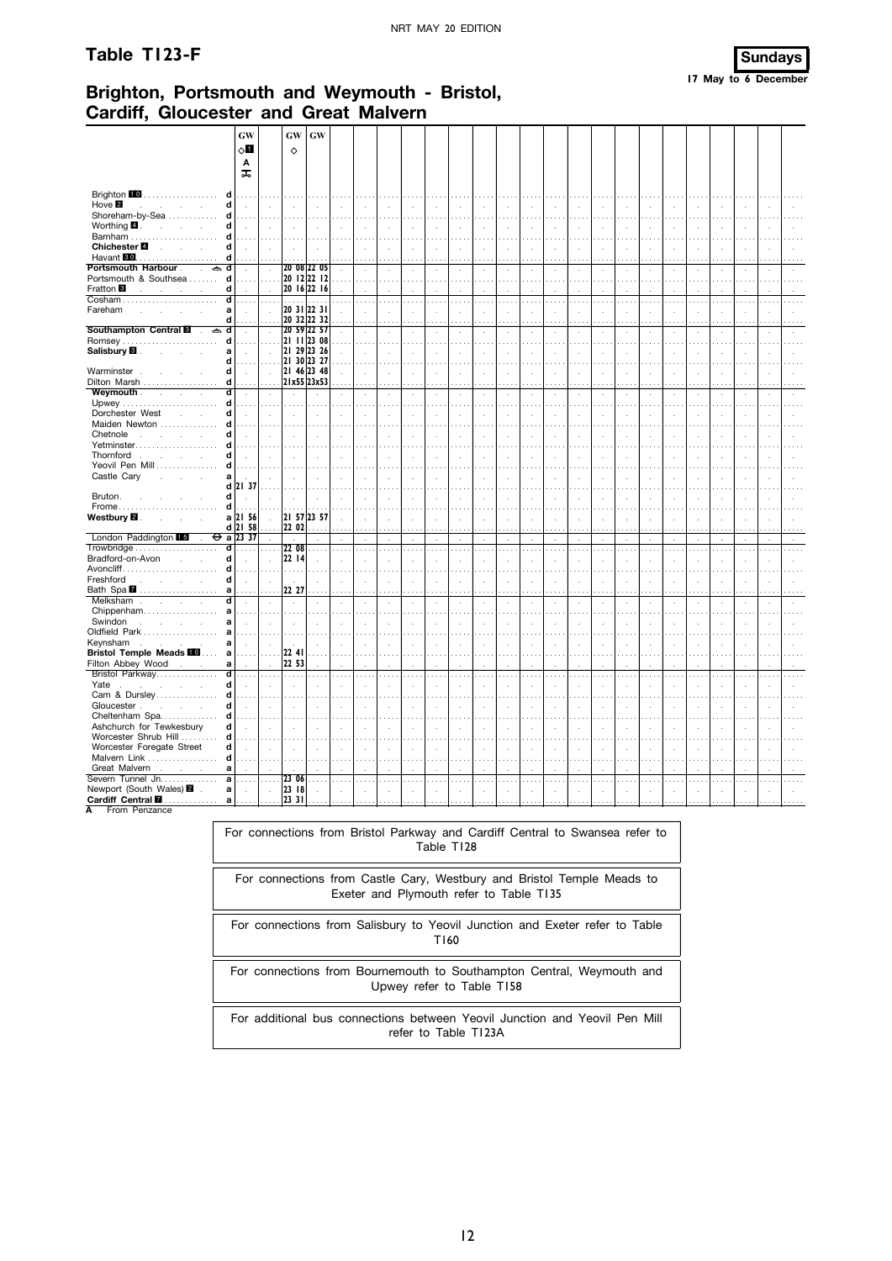#### Table T123-F



# Brighton, Portsmouth and Weymouth - Bristol, **Cardiff, Gloucester and Great Malvern**

|                                                                                             | GW                   |                             | GW                       | GW                    |               |               |                             |               |                             |                            |                             |                      |                             |                      |                             |               |                             |                      |                      |                             |                      |                                      |    |              |
|---------------------------------------------------------------------------------------------|----------------------|-----------------------------|--------------------------|-----------------------|---------------|---------------|-----------------------------|---------------|-----------------------------|----------------------------|-----------------------------|----------------------|-----------------------------|----------------------|-----------------------------|---------------|-----------------------------|----------------------|----------------------|-----------------------------|----------------------|--------------------------------------|----|--------------|
|                                                                                             | ⊘Ш                   |                             | ♦                        |                       |               |               |                             |               |                             |                            |                             |                      |                             |                      |                             |               |                             |                      |                      |                             |                      |                                      |    |              |
|                                                                                             | Α                    |                             |                          |                       |               |               |                             |               |                             |                            |                             |                      |                             |                      |                             |               |                             |                      |                      |                             |                      |                                      |    |              |
|                                                                                             | ᠼ                    |                             |                          |                       |               |               |                             |               |                             |                            |                             |                      |                             |                      |                             |               |                             |                      |                      |                             |                      |                                      |    |              |
|                                                                                             |                      |                             |                          |                       |               |               |                             |               |                             |                            |                             |                      |                             |                      |                             |               |                             |                      |                      |                             |                      |                                      |    |              |
| Brighton $\blacksquare$<br>d                                                                |                      |                             |                          |                       |               |               |                             |               |                             |                            |                             |                      |                             |                      |                             |               |                             |                      |                      |                             |                      |                                      |    |              |
| Hove <b>2</b><br>d<br><b>Contractor</b>                                                     | $\ddot{\phantom{a}}$ | $\cdot$                     |                          |                       |               |               | $\cdot$                     | ÷,            | $\mathcal{L}_{\mathbf{a}}$  |                            | $\bar{z}$                   |                      | $\ddot{\phantom{a}}$        | ÷,                   | $\bar{z}$                   |               | $\ddot{\phantom{a}}$        |                      |                      | ÷,                          | $\ddot{\phantom{a}}$ | $\ddot{\phantom{a}}$                 |    |              |
| d<br>Shoreham-by-Sea                                                                        |                      | $\cdots$                    |                          | المتعاد               | .             |               | $\cdots$                    |               | $\cdots$                    |                            | $\sim$                      |                      | 1.11                        |                      | $\cdots$                    |               | $\cdots$                    |                      |                      | $\sim$                      |                      | $\cdots$                             |    |              |
| Worthing $\blacksquare$ .<br>d<br>$\mathcal{L}^{\text{max}}$ and $\mathcal{L}^{\text{max}}$ | $\mathcal{L}$        | $\mathcal{L}$               | $\cdot$                  | $\mathbf{r}$          |               | $\mathbf{r}$  | $\mathcal{L}$               | ÷             | $\lambda$                   | $\mathbf{r}$               | $\mathcal{L}$               | $\mathbf{r}$         | $\mathbf{r}$                | à.                   | $\mathcal{L}$               | $\mathbf{r}$  | ÷                           | $\overline{a}$       | $\mathbf{r}$         | ÷.                          | $\cdot$              | $\bar{a}$                            |    |              |
| Barnham<br>d                                                                                |                      |                             |                          |                       |               |               |                             |               |                             |                            |                             |                      |                             |                      |                             |               |                             |                      |                      |                             |                      |                                      |    |              |
| Chichester <sup>1</sup><br>d<br><b>Service</b>                                              | $\ddot{\phantom{a}}$ | $\mathcal{A}$               | $\overline{\phantom{a}}$ | $\mathbf{r}$          |               | $\mathcal{L}$ | $\cdot$                     | $\epsilon$    | $\bar{z}$                   | $\mathcal{L}_{\mathbf{z}}$ | $\bar{z}$                   | $\ddot{\phantom{a}}$ | $\cdot$                     | $\ddot{\phantom{a}}$ | $\bar{z}$                   | $\lambda$     | $\mathcal{L}$               | $\cdot$              | $\ddot{\phantom{a}}$ | $\bar{z}$                   | à.                   | $\sim$                               | ł. |              |
| Havant 80<br>d<br>.                                                                         |                      | $\sim$                      |                          |                       |               |               |                             |               | $\cdots$                    |                            |                             |                      |                             |                      |                             |               |                             |                      |                      |                             |                      | $\cdots$                             |    |              |
| <b>Portsmouth Harbour</b> .<br>$\overline{\phantom{a}}$<br>d                                | $\cdot$              | $\mathcal{L}$               |                          | 20 08 22 05           |               |               | $\cdot$                     | $\cdot$       | $\cdot$                     | $\mathcal{A}$              | ÷.                          |                      | $\cdot$                     | $\epsilon$           | à.                          |               | $\epsilon$                  |                      |                      | $\epsilon$                  | $\epsilon$           | $\cdot$                              |    |              |
| d<br>Portsmouth & Southsea                                                                  |                      | $\ldots$ .                  |                          | 20 12 22 12           |               |               | $\sim$ $\sim$               | $\sim$        | .                           |                            | $\sim$                      |                      | $\cdots$                    |                      | $\cdots$                    |               | $\cdots$                    | $\sim$ $\sim$ $\sim$ | $\sim$ $\sim$        | $\sim$ $\sim$               | $\cdots$             | $\sim$                               |    |              |
| d<br>Fratton <sup>8</sup>                                                                   |                      | $\mathcal{L}$               |                          | 20 16 22 16           |               |               | ÷                           |               | $\overline{\phantom{a}}$    |                            |                             |                      |                             |                      |                             |               |                             |                      |                      |                             |                      |                                      |    |              |
| d<br>Fareham                                                                                |                      | .                           | $\cdots$                 | .<br> 20 31 22 31     |               |               |                             |               | $\sim$ $\sim$               |                            |                             |                      | $\cdots$                    |                      | $\cdots$                    |               |                             |                      |                      |                             |                      | $\sim$                               |    |              |
| a<br>d                                                                                      |                      | $\sim$<br>$\sim$            |                          | 20 32 22 32           |               |               | $\cdot$                     | ÷,            | $\bar{z}$                   | ÷.                         | ÷.                          |                      | $\cdot$                     | ÷.                   | $\mathcal{L}$               | ÷.            | $\mathcal{L}_{\mathcal{A}}$ |                      |                      | ÷,                          | $\epsilon$           | $\mathcal{A}$                        |    |              |
| Southampton Central <b>8</b><br>त<br>$\Rightarrow$                                          | $\mathcal{L}$        | $\sim$                      |                          | 20 59 22 57           |               |               | $\overline{a}$              | ÷             | $\cdots$<br>$\mathbf{r}$    | $\mathbf{r}$               | ÷.                          | $\mathbf{r}$         | .<br>$\mathcal{L}$          | ÷                    | $\mathcal{L}$               |               | ÷                           | $\overline{a}$       | ÷.                   | J.                          | ÷.                   | $\bar{a}$                            |    |              |
| Romsey<br>d                                                                                 |                      | $\ldots$ .                  |                          | 2111 2308             |               |               |                             |               |                             |                            |                             |                      |                             |                      |                             |               |                             |                      |                      |                             |                      |                                      |    |              |
| Salisbury <b>8</b> .<br>a                                                                   | $\mathcal{L}$        | $\mathcal{L}$               |                          | 21 29 23 26           |               |               | $\cdot$                     | ä,            | $\ddot{\phantom{a}}$        | $\mathbf{r}$               | ÷.                          | $\mathbf{r}$         | $\cdot$                     | $\cdot$              | $\mathcal{L}_{\mathcal{A}}$ | ÷.            | $\mathcal{L}_{\mathcal{A}}$ |                      |                      | ÷,                          | ÷,                   | $\mathcal{A}$                        |    |              |
| d                                                                                           |                      | .                           |                          | 21 30 23 27           |               |               | $\sim$                      | $\sim$        | $\sim$                      |                            |                             |                      | $\sim$                      |                      | $\cdots$                    |               | $\cdots$                    |                      |                      |                             | $\sim$ $\sim$        | $\sim$ $\sim$                        |    |              |
| Warminster.<br>d                                                                            | $\sim$               | $\sim$                      |                          | 21 46 23 48           |               | ÷             | $\ddot{\phantom{a}}$        | ÷             | $\overline{\phantom{a}}$    | ÷.                         | ÷.                          | $\mathbf{r}$         | $\mathbf{r}$                | ÷                    | $\mathcal{L}$               | $\mathbf{r}$  | ÷                           | $\overline{a}$       | $\mathbf{r}$         | J.                          | ÷                    | $\bar{a}$                            |    |              |
| Dilton Marsh<br>d                                                                           |                      |                             |                          | $\ldots$  21x55 23x53 |               |               |                             |               |                             |                            |                             |                      | .                           |                      |                             |               | .                           |                      |                      |                             |                      | $\cdots$                             |    |              |
| Weymouth.<br>ď<br>$\ddot{\phantom{0}}$<br>$\mathbf{r}$                                      | $\lambda$            | $\sim$                      | $\lambda$                | $\cdot$               |               | $\cdot$       | $\cdot$                     | $\epsilon$    | $\cdot$                     | $\cdot$                    | $\cdot$                     | $\cdot$              | $\cdot$                     | $\cdot$              | $\cdot$                     | $\lambda$     | $\sim$                      | $\ddot{\phantom{1}}$ | $\epsilon$           | $\cdot$                     | $\cdot$              | $\alpha$                             | i, | $\mathbf{r}$ |
| d                                                                                           |                      |                             |                          |                       |               |               |                             |               | $\ldots$                    |                            |                             |                      |                             |                      |                             |               |                             |                      |                      |                             |                      | $\mathbf{r}$                         |    |              |
| d<br>Dorchester West                                                                        | $\mathcal{L}$        | ÷                           | $\mathcal{L}$            | ÷                     |               |               |                             | i,            | $\overline{\phantom{a}}$    |                            |                             |                      | ÷                           |                      | J.                          |               | ÷                           |                      |                      |                             |                      | $\overline{\phantom{a}}$             |    |              |
| Maiden Newton<br>d                                                                          |                      |                             |                          |                       |               |               |                             |               | $\sim$ $\sim$               |                            |                             |                      |                             |                      |                             |               |                             |                      |                      |                             |                      |                                      |    |              |
| Chetnole<br>d<br><b>Service</b><br>$\mathbf{r}$                                             | $\cdot$              | $\cdot$                     | $\cdot$                  | $\sim$                |               | $\cdot$       | ÷,                          | $\cdot$       | $\mathcal{L}_{\mathcal{A}}$ | ÷.                         | $\epsilon$                  | $\mathbf{r}$         | $\cdot$                     | $\epsilon$           | $\mathcal{L}$               | $\epsilon$    | $\cdot$                     |                      |                      | $\epsilon$                  | $\mathcal{L}$        | $\ddot{\phantom{a}}$                 |    |              |
| Yetminster<br>d                                                                             |                      |                             |                          |                       |               |               |                             |               | $\sim$ $\sim$               |                            |                             |                      | $\cdots$                    |                      |                             |               |                             |                      |                      |                             |                      |                                      |    |              |
| Thornford<br>d<br>$\mathcal{L}$<br><b>Contractor</b>                                        |                      |                             |                          |                       |               |               |                             |               | $\overline{\phantom{a}}$    |                            |                             |                      | $\mathbf{r}$                |                      | ÷.                          |               | ÷                           |                      |                      |                             |                      | $\ddot{\phantom{a}}$                 |    |              |
| Yeovil Pen Mill<br>d                                                                        |                      |                             |                          |                       |               |               |                             |               | $\sim$ $\sim$               |                            |                             |                      |                             |                      |                             |               |                             |                      |                      |                             |                      |                                      |    |              |
| Castle Cary<br>a<br>÷.<br>d                                                                 | 21 37                | $\cdot$                     |                          |                       |               |               |                             |               | J.                          |                            |                             |                      |                             |                      | ÷,                          |               |                             |                      |                      |                             |                      | J.                                   |    |              |
| Bruton.<br>d                                                                                |                      |                             |                          |                       |               |               | ÷.                          |               | $\overline{a}$              |                            |                             |                      |                             |                      | J.                          |               |                             |                      |                      |                             |                      | $\ddot{\phantom{a}}$                 |    |              |
| d<br>Frome                                                                                  |                      | $\cdots$                    |                          |                       |               |               |                             |               |                             |                            |                             |                      |                             |                      |                             |               |                             |                      |                      |                             |                      | $\ddot{\phantom{a}}$                 |    |              |
| Westbury <b>2</b> .<br>$\mathbf a$<br>÷.                                                    | 21 56                | $\sim$                      |                          | 21 57 23 57           | $\mathcal{L}$ | $\mathbf{r}$  | $\mathcal{A}$               | ÷.            | $\mathcal{A}$               | ÷.                         | ÷.                          | $\mathbf{r}$         | $\mathcal{L}_{\mathcal{A}}$ | $\cdot$              | $\bar{L}$                   | $\mathcal{A}$ | $\mathcal{L}$               | $\overline{a}$       | ÷.                   | $\mathcal{L}_{\mathcal{A}}$ | $\mathcal{L}$        | $\alpha$                             | ł. |              |
| d                                                                                           | 21 58                |                             | $\ldots$ 22 02           | .                     | $\ldots$      |               | $\cdots$                    | $\cdots$      | $\ldots$                    |                            | .                           |                      | $\cdots$                    | $\cdots$             | .                           |               | $\cdots$                    | $\cdots$             | $\cdots$             | $\cdots$                    | $\cdots$             | $\cdots$                             |    |              |
| London Paddington 15<br>$\ddot{\phantom{a}}$                                                | $\Theta$ a 23 37     | $\mathcal{L}^{\mathcal{L}}$ | $\sim$                   | ÷                     | ÷             | $\mathbf{r}$  | $\mathcal{L}_{\mathcal{A}}$ | $\sim$        | $\sim$                      | $\mathcal{L}$              | $\mathcal{L}_{\mathcal{A}}$ | $\mathbf{r}$         | $\sim$                      | $\mathcal{L}$        | $\mathcal{L}$               | $\mathbf{r}$  | $\sim$                      | $\mathbf{r}$         | $\mathbf{r}$         | ÷                           | $\mathbf{r}$         | $\sim$                               |    | $\mathbf{r}$ |
| ਰ                                                                                           | .                    | .                           | 22 08                    | $\cdots$              | .             | .             | $\cdots$                    | $\ldots$      | $\sim$ .                    | $\ldots$                   | $\cdots$                    | $\cdots$             | $\sim$ . $\sim$             | $\ldots$             | .                           | $\cdots$      | $\sim$ .                    | $\cdots$             | $\cdots$             | $\cdots$                    | $\ldots$             | $\ldots$                             |    | $\cdots$     |
| Bradford-on-Avon<br>d                                                                       | $\mathbf{r}$         | $\mathcal{L}$               | 22 14                    | ÷                     |               |               | J.                          | ł.            | $\mathbf{r}$                |                            |                             |                      | ÷.                          | ÷.                   | ÷.                          |               | $\mathbf{r}$                |                      |                      |                             | ÷.                   | $\ddot{\phantom{a}}$                 |    |              |
| Avoncliff<br>d                                                                              |                      |                             | $\sim$                   |                       |               |               |                             |               | $\cdots$                    |                            |                             |                      |                             |                      |                             |               |                             |                      |                      |                             |                      |                                      |    |              |
| d<br>Freshford<br>and the control of                                                        | $\sim$               | $\ddot{\phantom{a}}$        | $\sim$                   | $\mathbf{r}$          | ÷             | ÷             | $\cdot$                     | $\mathcal{L}$ | $\sim$                      | $\mathbf{r}$               | ÷.                          | $\mathbf{r}$         | $\mathbf{r}$                | ÷                    | ÷                           | $\mathbf{r}$  | $\mathcal{L}$               | $\overline{a}$       | i.                   | ÷.                          | $\mathcal{L}$        | $\mathcal{A}$                        |    |              |
| Bath Spa 2<br>a                                                                             |                      |                             | 22 27                    |                       | $\ddotsc$     |               |                             |               | $\cdots$                    |                            |                             |                      | .                           |                      | $\ddotsc$                   |               | $\cdots$                    | $\cdots$             |                      |                             |                      | $\cdots$                             |    |              |
| Melksham<br>d<br><b>Service State</b><br>$\mathcal{L}$                                      | $\cdot$              | i,                          |                          | $\cdot$               |               |               | $\ddot{\phantom{a}}$        | i,            | $\bar{ }$                   | $\cdot$                    | $\cdot$                     |                      | $\cdot$                     | $\cdot$              | $\cdot$                     |               | $\epsilon$                  |                      |                      | J.                          | $\cdot$              | $\cdot$                              |    |              |
| Chippenham<br>a                                                                             |                      |                             |                          | $\cdots$              | .             |               |                             |               | $\cdots$                    |                            |                             |                      | $\cdots$                    |                      |                             |               |                             |                      |                      |                             |                      | $\sim$ $\sim$                        |    |              |
| Swindon<br>a<br>$\mathcal{L}$<br><b>Contract Contract</b><br>a                              |                      | ÷                           |                          |                       |               |               |                             |               | J.                          |                            |                             |                      | $\overline{a}$              |                      | ÷.                          |               |                             |                      |                      |                             |                      | $\ddot{\phantom{a}}$                 |    |              |
| Oldfield Park<br>Keynsham<br>a<br>the control of the control of                             |                      | à.                          |                          | $\mathbf{r}$          |               |               |                             |               | $\ddot{\phantom{a}}$        |                            |                             |                      | ÷.                          |                      | ÷.                          |               | $\mathbf{r}$                |                      |                      |                             |                      |                                      |    |              |
| <b>Bristol Temple Meads III</b><br>a                                                        |                      | .                           | 22 41                    | $\cdots$              |               |               | $\ddot{\phantom{a}}$        |               | $\sim$                      |                            |                             |                      |                             |                      |                             |               |                             |                      |                      |                             |                      | $\ddot{\phantom{1}}$<br>$\mathbf{r}$ |    |              |
| Filton Abbey Wood<br>a                                                                      | ÷                    | $\cdot$                     | 22 53                    | $\ddot{\phantom{a}}$  |               |               |                             |               | $\cdot$                     |                            |                             |                      |                             |                      | ÷                           |               | ÷                           |                      |                      |                             |                      | $\overline{a}$                       |    |              |
| Bristol Parkway<br>ਰ                                                                        |                      |                             |                          | .                     | $\cdots$      |               | $\cdots$                    |               | $\cdots$                    | $\cdots$                   |                             |                      | .                           | $\cdots$             | .                           |               | $\cdots$                    | $\cdots$             |                      |                             |                      | $\cdots$                             |    |              |
| d<br>Yate<br>$\sim$ 100 $\mu$<br>J.<br>$\mathbf{r}$<br>$\mathbf{r}$                         | $\cdot$              | $\cdot$                     | $\cdot$                  | $\cdot$               |               |               | ÷,                          | i,            | $\ddot{\phantom{a}}$        | $\ddot{\phantom{a}}$       |                             |                      |                             | i,                   | i,                          |               | i,                          |                      |                      |                             |                      | ÷,                                   |    |              |
| Cam & Dursley<br>d                                                                          |                      |                             |                          |                       |               |               |                             |               | $\sim$                      |                            |                             |                      |                             |                      |                             |               |                             |                      |                      |                             |                      | $\cdots$                             |    |              |
| Gloucester.<br>d<br>÷                                                                       |                      |                             |                          |                       |               |               |                             |               |                             |                            |                             |                      |                             |                      |                             |               |                             |                      |                      |                             |                      |                                      |    |              |
| Cheltenham Spa<br>d                                                                         |                      |                             |                          |                       |               |               |                             |               | $\sim$                      |                            |                             |                      |                             |                      |                             |               |                             |                      |                      |                             |                      |                                      |    |              |
| Ashchurch for Tewkesbury<br>d                                                               | $\cdot$              | $\mathcal{L}$               |                          | $\cdot$               |               |               |                             | ÷,            | $\mathcal{L}_{\mathcal{A}}$ |                            |                             |                      |                             | $\cdot$              | $\mathcal{L}$               |               | $\cdot$                     |                      |                      |                             | $\mathcal{L}$        | ÷.                                   |    |              |
| Worcester Shrub Hill<br>d                                                                   |                      |                             |                          |                       |               |               |                             |               |                             |                            |                             |                      |                             |                      |                             |               |                             |                      |                      |                             |                      |                                      |    |              |
| d<br>Worcester Foregate Street                                                              | ÷                    | $\cdot$                     | $\mathbf{r}$             | $\mathbf{r}$          | $\mathbf{r}$  | $\mathbf{r}$  | ÷.                          | ÷.            | $\mathbf{r}$                | $\mathbf{r}$               | ÷.                          | $\mathbf{r}$         | $\mathbf{r}$                | $\mathbf{r}$         | ÷                           | $\mathbf{r}$  | ÷                           | $\mathbf{r}$         | $\mathbf{r}$         | ÷.                          | ÷.                   | $\bar{a}$                            |    |              |
| Malvern Link<br>d                                                                           |                      |                             |                          |                       |               |               |                             |               | $\ldots$                    |                            |                             |                      |                             |                      |                             |               |                             |                      |                      |                             |                      | $\ddot{\phantom{a}}$ .               |    |              |
| Great Malvern<br>a                                                                          |                      | ÷                           |                          |                       |               |               |                             |               |                             |                            |                             |                      |                             |                      | $\mathbf{r}$                |               |                             |                      |                      |                             |                      |                                      |    |              |
| Severn Tunnel Jn.<br>a                                                                      |                      | $\ldots$                    | 23 06                    | $\cdots$              | $\cdots$      | $\sim$ $\sim$ | $\sim$ $\sim$               | $\sim$        | $\cdots$                    | $\sim$                     | $\sim$ $\sim$               | 1.1.1                | $\cdots$                    | $\cdots$             | $\cdots$                    |               | $\cdots$                    | $\sim$               | $\cdots$             | $\sim$                      | $\sim$               | $\cdots$                             |    | $\sim$       |
| Newport (South Wales) 2 .<br>$\mathbf a$                                                    | ÷.                   | $\sim$                      | 23 18                    | $\mathbf{r}$          |               |               |                             |               |                             |                            |                             |                      |                             |                      |                             |               |                             |                      |                      |                             |                      |                                      |    |              |
| Cardiff Central <b>II</b><br>a                                                              |                      |                             | .  23 31                 |                       |               |               |                             |               |                             |                            |                             |                      |                             |                      |                             |               |                             |                      |                      |                             |                      |                                      |    |              |

A From Penzance

For connections from Bristol Parkway and Cardiff Central to Swansea refer to Table T128

For connections from Castle Cary, Westbury and Bristol Temple Meads to Exeter and Plymouth refer to Table T135

For connections from Salisbury to Yeovil Junction and Exeter refer to Table T160

For connections from Bournemouth to Southampton Central, Weymouth and Upwey refer to Table T158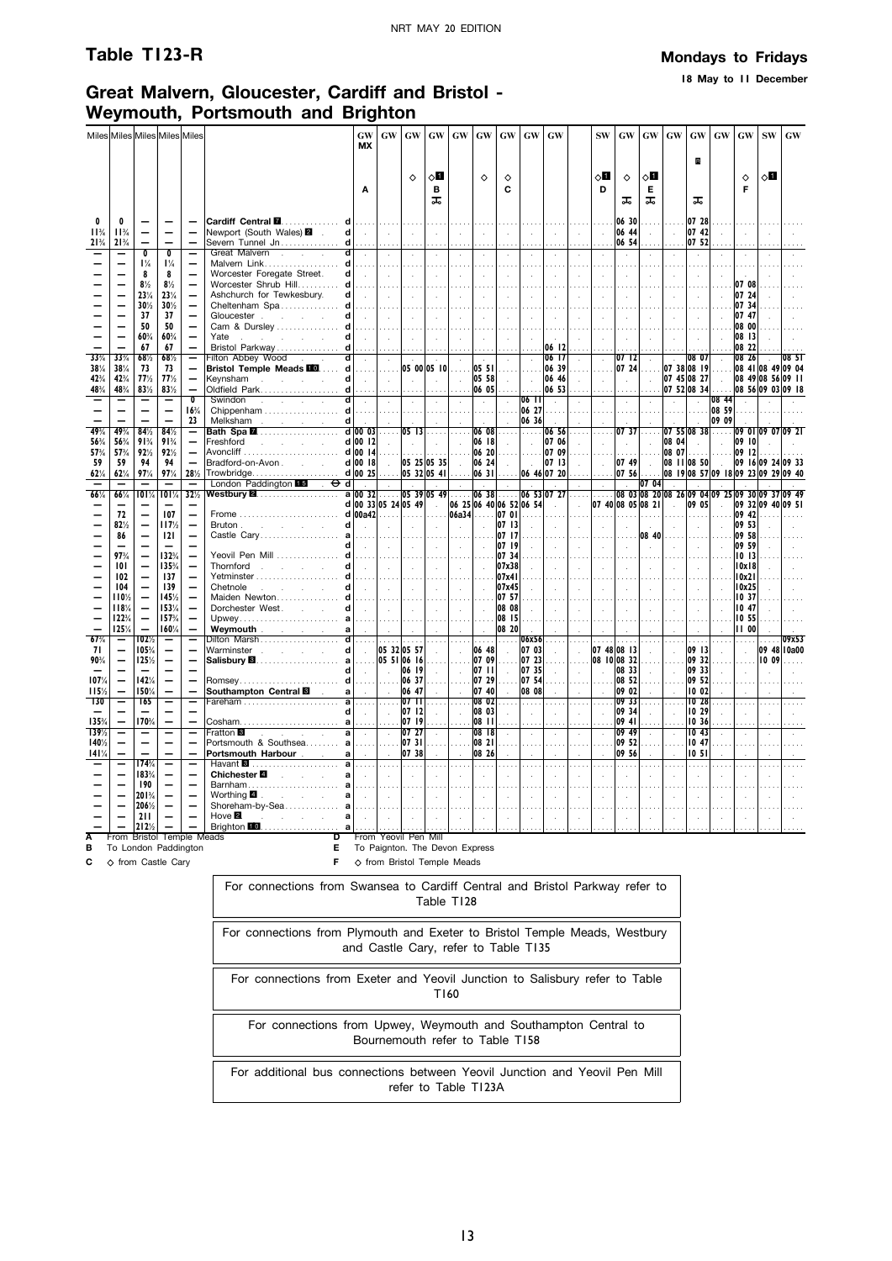**18 May to 11 December**

## **Great Malvern, Gloucester, Cardiff and Bristol - Weymouth, Portsmouth and Brighton**

|                     |                  |                                  | Miles Miles Miles Miles Miles                     |                                                      |                                                                          | GW<br>МX                   | <b>GW</b>                                              | <b>GW</b>                  | GW                      | GW                                                   | GW                 | GW                               | GW                                     | <b>GW</b>                   |                                       | <b>SW</b>          | GW                                              | <b>GW</b>             | GW             | GW                     | <b>GW</b>                                                                     | <b>GW</b>                                                                      | <b>SW</b> | <b>GW</b>   |
|---------------------|------------------|----------------------------------|---------------------------------------------------|------------------------------------------------------|--------------------------------------------------------------------------|----------------------------|--------------------------------------------------------|----------------------------|-------------------------|------------------------------------------------------|--------------------|----------------------------------|----------------------------------------|-----------------------------|---------------------------------------|--------------------|-------------------------------------------------|-----------------------|----------------|------------------------|-------------------------------------------------------------------------------|--------------------------------------------------------------------------------|-----------|-------------|
|                     |                  |                                  |                                                   |                                                      |                                                                          |                            |                                                        | $\Diamond$                 | ⊘∐                      |                                                      | $\Diamond$         | ♦                                |                                        |                             |                                       | оΩ                 | ♦                                               | ⊘∐                    |                | B                      |                                                                               | ♦                                                                              | 8П        |             |
|                     |                  |                                  |                                                   |                                                      |                                                                          | A                          |                                                        |                            | в<br>ᠼ                  |                                                      |                    | C                                |                                        |                             |                                       | D                  | ᠼ                                               | Е<br>ᠼ                |                | ᠼ                      |                                                                               | F                                                                              |           |             |
| 0                   | 0                |                                  |                                                   |                                                      |                                                                          |                            | 1.1.1.1                                                |                            |                         |                                                      |                    |                                  |                                        |                             |                                       |                    | 06 30                                           |                       |                | 07 28                  |                                                                               |                                                                                |           |             |
| $11^{3}/$<br>$21\%$ | $11^{3}/$<br>21% | $\overline{\phantom{0}}$         |                                                   |                                                      | Newport (South Wales) 2 .<br>Severn Tunnel Jn <b>d</b>                   | $d$ $\vert$                | $\sim 10$<br>.                                         | $\sim 10^{-1}$             | $\sim$<br>.             | $\sim 10^7$                                          | $\sim$             | $\sim$                           | $\sim$                                 | $\sim$                      | $\sim$                                | $\sim$             | 06 44<br>06 54                                  | $\sim$                | $\mathbb{R}^2$ | 07 42 <br>07 52        | S.                                                                            | $\sim$                                                                         |           |             |
|                     |                  | $\overline{\mathfrak{o}}$        | $\overline{\mathbf{0}}$                           | —                                                    | d<br>Great Malvern                                                       | $\sim 10^{-1}$             | $\sim$                                                 | $\sim$                     | $\sim$                  | $\sim$                                               | $\mathcal{L}$      | $\mathcal{L}$                    | $\ddot{\phantom{a}}$                   | $\sim$                      | $\mathcal{L}$                         | $\sim$             | $\sim$                                          | $\sim$                | $\sim$         | $\sim$                 | $\sim$                                                                        | $\mathcal{A}$                                                                  |           |             |
|                     |                  | $1\frac{1}{4}$                   | $1\frac{1}{4}$                                    | $\overline{\phantom{0}}$                             |                                                                          |                            | .                                                      |                            | .                       | 1.1.1.1                                              | .                  |                                  | .                                      | .                           | .                                     |                    | .                                               | .                     |                | .                      | 1.111                                                                         |                                                                                |           |             |
|                     |                  | 8                                | 8                                                 | $\equiv$<br>$\frac{1}{\sqrt{2}}$                     | Worcester Foregate Street.                                               | $d$ .                      | $\sim 10^{-1}$                                         | $\sim 10^{-1}$             | $\sim$                  | $\sim 10^7$                                          | $\sim$             | $\sim$                           | $\sim$                                 | $\sim$                      | $\sim$                                | $\sim 10^7$        | $\sim$                                          | $\sim$                | $\sim$         | $\sim$                 | $\sim$                                                                        | $\sim$<br>07 08                                                                |           |             |
|                     |                  | $8\frac{1}{2}$<br>23%            | $8\frac{1}{2}$<br>$23\%$                          | $\overline{\phantom{0}}$                             | Worcester Shrub Hill d<br>Ashchurch for Tewkesbury.                      | $d$ $\vert$ .              | .<br>$\ \cdot\ $                                       | .                          | $\cdots$<br>$\sim 10^7$ | $\sim 10$                                            | $\sim$             |                                  | $\ddot{\phantom{a}}$<br>$\sim 10^{-1}$ | $\sim$                      | $\sim$                                | $\sim 10$          | $\sim 10^7$                                     | $\sim$                | $\sim$         | $\sim$                 |                                                                               | 07 24                                                                          |           |             |
|                     |                  | 30%                              | 30%                                               | $\overline{\phantom{0}}$                             | Cheltenham Spa $d$                                                       |                            |                                                        |                            |                         |                                                      |                    |                                  |                                        |                             |                                       |                    |                                                 |                       |                |                        |                                                                               | 0734                                                                           |           |             |
|                     |                  | 37                               | 37                                                | $\overline{\phantom{0}}$                             | Gloucester reserves                                                      | $d$ $\vert$ .              | $\mathbf{L}$                                           | $\sim 10^{-1}$             | $\sim$                  | $\sim 10$                                            | $\sim$             |                                  | $\sim$                                 | $\sim$                      | $\sim$                                | $\sim$             | $\sim$                                          | $\sim 10^7$           | $\sim 10^7$    | $\sim$                 |                                                                               | 07 47                                                                          |           |             |
|                     |                  | 50<br>60%                        | 50<br>60%                                         | $\overline{\phantom{0}}$                             | Cam & Dursley  d <br>Yate<br>and the company of the company of           | $d$ $\vert$ .              | 1.                                                     |                            |                         |                                                      |                    |                                  | .                                      | .                           |                                       |                    | $\sim$                                          |                       |                |                        |                                                                               | 08 00<br> 08 13                                                                |           |             |
|                     |                  | 67                               | 67                                                | $\overline{a}$                                       |                                                                          |                            | $\sim 10$<br>$\ldots$ .                                | $\sim$                     | $\sim$                  | $\sim 10^7$                                          | $\sim$             |                                  | $\sim$                                 | 06   2                      |                                       |                    |                                                 |                       |                | $\sim$                 |                                                                               | 08 22                                                                          |           |             |
| 33%                 | 33%              | 68%                              | 68%                                               | Ξ                                                    | Filton Abbey Wood<br> d <br><b>The Common</b>                            | $\sim$                     | $\sim$                                                 | $\sim$                     | $\sim$                  | $\alpha$                                             | $\sim$             |                                  | $\sim$                                 | 06 17                       | $\ddot{\phantom{a}}$                  | $\mathcal{A}$      | 07 12                                           | $\sim$                | $\sim$         | 08 07                  | $\sim$                                                                        | 08 26                                                                          |           | 08 51       |
| 38%                 | 38%              | 73                               | 73                                                |                                                      | Bristol Temple Meads <b>10</b> d                                         |                            | 1.1.1.1                                                | 05 00 05 10                |                         |                                                      |                    | $ 05 \; 51 $                     |                                        | $\ldots$ . 06 39            |                                       |                    | $ 07 \t24 $                                     |                       |                |                        |                                                                               | $ 07 \t38 08 \t19 $ 08 41 08 49 09 04                                          |           |             |
| 42%<br>48%          | 42%<br>48%       | 77%<br>$83\%$                    | 77%<br>83%                                        | $\qquad \qquad -$                                    | Keynsham<br>Oldfield Park d                                              | $d$ $\vert$                | $\sim 10^7$                                            | .                          | 1920   S. 1920          |                                                      |                    | 05 58<br>$\ldots$ 06 05 $\ldots$ | $\sim$ $\sim$<br>.                     | 06 46<br> 06, 53            | $\sim$<br>.                           | $\sim$             |                                                 | $\sim 10^7$           |                | 07 45 08 27            |                                                                               | 08 49 08 56 09 11<br>$\ldots$   07 52   08 34 $\ldots$   08 56   09 03   09 18 |           |             |
|                     |                  |                                  |                                                   | $\overline{\mathbf{0}}$                              | ਗ<br>Swindon New York Swindon                                            | $\sim$                     | $\sim$                                                 | $\sim$                     | .<br>$\sim$             | $\sim 10^{-1}$                                       | $\sim$             | $\sim$                           | $\overline{06}$ $\overline{11}$ .      |                             | $\sim$                                | $\sim$             | التبيت التنب<br>$\sim$                          | $\sim$                | $\sim 10^{-1}$ |                        | $\begin{array}{ c c c c c c } \hline \textbf{08 44} & \textbf{0} \end{array}$ |                                                                                |           |             |
|                     |                  |                                  |                                                   | 16%                                                  |                                                                          |                            | 1.1.1.1                                                | .                          | .                       | .                                                    | .                  |                                  | . 06 27                                | .                           | $\cdots$                              | .                  | $\ldots$ .                                      | .                     | .              | $  \ldots  $ 08 59 $ $ |                                                                               |                                                                                |           |             |
|                     | 49%              |                                  |                                                   | 23                                                   |                                                                          |                            |                                                        | $\sim$                     | $\sim 10^{-1}$          |                                                      | $\sim 10^{-1}$     | $\sim$                           | 06 36                                  |                             |                                       |                    | $\sim 10^{-1}$                                  |                       |                | $\sim$                 | 09 09                                                                         |                                                                                |           |             |
| 49%<br>56%          | 56%              | 84%<br>91%                       | 84%<br>91%                                        | —                                                    | Freshford<br>and the company of the com-                                 | $d$ 00 12                  | $\sim$                                                 | $\overline{05}$ 13<br>l an | $\left  \cdot \right $  | $\ldots$ .<br>$\ \cdot\ $                            |                    | $\overline{06}$ $\overline{08}$  | $\sim$ $\sim$                          | $\ldots$ 06 56<br>07 06     | $\cdots$<br>$\sim$                    | $\sim 10^7$        | 07, 37 <br>$\mathbb{R}$                         | 1.1.1<br>$\sim$       |                |                        |                                                                               | $\overline{07}$ 55 08 38 $\overline{000}$ 09 01 09 07 09 21<br> 09 10          |           |             |
| 57%                 | 57%              | 92%                              | 92%                                               | $\overline{\phantom{0}}$                             |                                                                          |                            |                                                        |                            | .                       | $\ldots$                                             |                    | $ 06 \ 20 $                      |                                        | . 07 09                     | .                                     |                    | 1.                                              |                       |                |                        |                                                                               |                                                                                |           |             |
| 59                  | 59               | 94                               | 94                                                |                                                      | Bradford-on-Avon.                                                        | $d$ 00 18                  | $\sim$                                                 | $ 05 \t25 05 \t35 $        |                         |                                                      |                    | $ 06 \t24 $                      | $\sim 10$                              | 07 13                       | $\sim$                                | $\sim$             | 07 49                                           | $\sim$                |                | 08 11 08 50            |                                                                               | 09 16 09 24 09 33                                                              |           |             |
| 62%                 | 62%              | 97%<br>$\equiv$                  | 97%                                               | 28%<br>$=$                                           |                                                                          |                            |                                                        |                            |                         |                                                      |                    |                                  |                                        | .   06 31     06 46   07 20 |                                       |                    | .  07 56                                        | 0704                  |                |                        |                                                                               | 08 19 08 57 09 18 09 23 09 29 09 40                                            |           |             |
| 66%                 | 66%              | 101%                             | 101%                                              | 32%                                                  | London Paddington <b>15 Cddd</b> Nestbury <b>2</b> Communication 2013 2  |                            |                                                        | 0539 0549                  |                         |                                                      | $\sim 10^7$        | $\sim$<br>$\overline{06}$ 38     |                                        | 06 53 07 27                 | $\epsilon$<br>.                       | $\mathcal{A}$<br>. | 08 03 08 20 08 26 09 04 09 25 09 30 09 37 09 49 |                       |                |                        |                                                                               |                                                                                |           |             |
|                     |                  |                                  |                                                   |                                                      |                                                                          |                            |                                                        |                            |                         |                                                      |                    |                                  |                                        |                             |                                       |                    |                                                 |                       |                |                        |                                                                               |                                                                                |           |             |
|                     |                  |                                  |                                                   |                                                      |                                                                          |                            | d 00 33 05 24 05 49                                    |                            |                         |                                                      |                    |                                  |                                        | 06 25 06 40 06 52 06 54     | $\sim$                                |                    | $ 07 \t{40} 08 \t{05} 08 \t{21} $               |                       |                | 0905                   | $\sim 10^{-1}$                                                                | 09 32 09 40 09 51                                                              |           |             |
|                     | 72               |                                  | 107                                               |                                                      |                                                                          |                            |                                                        |                            |                         |                                                      |                    |                                  | $ 06a34 $ $ 07 01 $ $  $               |                             | $\ldots$                              |                    | بتنبيل بتنبأ بتنب                               |                       |                |                        |                                                                               | $ 09, 42 $                                                                     |           |             |
|                     | 82%              | $\qquad \qquad -$                | 117%                                              | $\equiv$                                             | $\mathsf{d}$<br>Bruton                                                   | $\sim 10^{-1}$             |                                                        | <b>Contract</b>            | $\mathbf{L}$            | $\sim$ $\sim$                                        | $\sim$             | 07 13                            | $\sim$                                 | $\sim 10^{-1}$              | $\sim$                                | $\sim$             | $\sim$                                          | $\sim$                | $\sim$         | $\sim 10^7$            | $\sim$                                                                        | 09, 53                                                                         |           |             |
|                     | 86               | $\overline{\phantom{0}}$         | 121                                               | $\overline{\phantom{0}}$                             | Castle Cary a                                                            |                            |                                                        | .                          | .                       |                                                      | $\sim$ $\sim$      | 07 17<br>07 19                   | .<br>$\sim 10^{-1}$                    | .                           | .<br>$\sim 10^{-1}$                   |                    | <b>Carolina</b>                                 | . 08 40               | $\sim 10^{-1}$ | .                      | 1.1.1.                                                                        | 09, 58 <br> 09, 59                                                             | $\sim$    |             |
|                     | 97%              | —                                | 132%                                              |                                                      |                                                                          |                            |                                                        |                            |                         | $\left  \begin{array}{c} 1 \\ 1 \end{array} \right $ |                    | 07, 34                           | $\cdots$                               | $\sim 10^{-1}$<br>.         | .                                     | .                  | .                                               | - 1<br>.              | .              | $\sim 10^{-1}$<br>.    | $\sim$<br>.                                                                   | 0   3                                                                          |           |             |
|                     | 101              | -                                | 135%                                              | $\equiv$                                             |                                                                          |                            |                                                        |                            |                         | $\ \cdot\ $                                          | $\sim$             | 07x38                            | $\sim$                                 | - 1                         | $\sim 10^{-1}$                        | $\sim$ $\sim$      | $\mathbb{R}$                                    | $\mathbb{F}_{\geq 0}$ | $\ \cdot\ $    | <b>Bar</b>             | $\sim 10^7$                                                                   | 10x18                                                                          |           |             |
|                     | 102<br>104       |                                  | 137<br>139                                        | $\overline{\phantom{0}}$                             | Chetnole                                                                 |                            |                                                        |                            |                         | 1.1.1.1                                              |                    | 07x41<br>07x45                   |                                        |                             |                                       |                    |                                                 |                       |                | .                      |                                                                               | 10x21<br>10x25                                                                 |           |             |
|                     | 110%             | $\overline{\phantom{0}}$         | 145%                                              | $\overline{\phantom{0}}$                             | the control of the control of                                            |                            | $d \mid x \mid x \mid x \mid x$                        |                            |                         | $\sim$ 100 $\sim$<br>.                               | $\sim$ $\sim$      | 07 57                            | $\sim$                                 | $\sim 10^{-11}$             | $\sim 10^7$                           | $\sim 10^{-1}$     | $\mathbb{R}$<br>1.1.1.1                         | $\sim 10^7$<br>.      | <b>Taxa</b>    | l an                   | $\sim 10^7$                                                                   | $10.37$ .                                                                      |           |             |
|                     | 118%             | $\overline{\phantom{0}}$         | 153%                                              |                                                      | Dorchester West.<br>d                                                    | $\sim 10^{-1}$             | $\sim 10^7$                                            |                            | $\sim 10^7$             | $\sim 10^7$                                          | $\sim 10$          | 08 08                            | $\sim$                                 | $\sim$                      | $\sim$                                | $\sim 10^7$        | $\sim 10^{-1}$                                  | $\sim$                | $\sim$         | $\sim$                 | $\sim$                                                                        | 1047                                                                           |           |             |
|                     | 122%             | $\qquad \qquad -$                | 157%                                              | $\overline{\phantom{0}}$                             | Upwey a                                                                  |                            |                                                        | .                          | $\ldots$                | .                                                    | $\cdots$           | 08 15                            |                                        |                             | $\cdots$                              |                    |                                                 | .                     |                | $\cdots$               |                                                                               | 10, 55                                                                         |           |             |
| 67%                 | 125%             | $\overline{\phantom{0}}$<br>102% | 160%                                              | $\overline{\phantom{0}}$                             | weymouth<br>Dilton Marsh<br>al                                           | $\sim 10^{-1}$<br>$d$      | $\sim 10^{-1}$<br>1.1.1.1                              | $\sim$<br>11111 11111      | $\sim 10^{-1}$          | $\sim 10^7$<br>.                                     | $\sim$ $\sim$<br>. | 08 20<br>.                       | 06x56                                  |                             | .                                     | $\sim$<br>.        |                                                 | $\sim$                |                | $\sim$<br>1.1.1.1      |                                                                               | III 001<br>.                                                                   |           | 09x53       |
| 71                  |                  | 105%                             |                                                   |                                                      | d<br>Warminster                                                          | $\sim$                     |                                                        | 05 32 05 57                |                         | $\sim 10^7$                                          | 06 48              |                                  | 07 03                                  | $\sim$                      | $\sim$                                |                    | 07, 48 08, 13                                   | $\sim$                | $\sim$         | 09 13                  | $\sim$                                                                        | $\sim$                                                                         |           | 09 48 10a00 |
| 90%                 |                  | 125%                             | $\overline{\phantom{0}}$                          | $\equiv$                                             | Salisbury <b>⊠</b> ………………… a│……∣05 5Ⅰ∣06 16│……                           |                            |                                                        |                            |                         | .                                                    |                    |                                  | $ 07 09 $ 07 23                        |                             | $\ldots$ .                            |                    | 08 10 08 32                                     |                       |                | 09 32                  |                                                                               | .                                                                              | 0 09      |             |
| 107%                |                  | 142%                             | $\overline{\phantom{0}}$                          | $\overline{\phantom{0}}$<br>$\overline{\phantom{0}}$ |                                                                          | $d$   $\ddot{\phantom{a}}$ | $\sim 10$<br>1.1.1.1                                   | 06 <br>$ 06 \ 37 $         | $\sim 10^{-1}$          | $\sim 10$<br>.                                       | 07 11 .            |                                  | 0735 <br>$ 07, 29 $ $ 07, 54 $         | $\sim 10^{-1}$              | $\sim$<br>.                           | $\sim$<br>.        | 08, 33 <br> 08, 52                              | $\sim$                | $\sim$         | 09 33<br> 09, 52       | $\sim$<br>.                                                                   | $\sim 10^7$<br>.                                                               | $\sim$    |             |
| 115%                |                  | 150%                             | $\overline{a}$                                    |                                                      | d d .<br>Romsey…………………………… d .……                                         |                            | <b>College</b>                                         | 06 47                      | $\sim$                  | $\sim 10$                                            | 07 40              | $\sim$                           | 08 08                                  | $\sim 10^{-1}$              | $\sim$                                | $\sim$             | 09 02                                           |                       |                | 1002                   | $\sim$                                                                        | $\sim$                                                                         |           |             |
| 130                 |                  | 165                              | —                                                 | Ξ                                                    |                                                                          |                            | 1.1.1.1                                                | 07                         | .                       | .                                                    |                    | $0802$                           | .                                      | .                           | .                                     | .                  | 09 33                                           | .                     |                | 1028                   | .                                                                             | .                                                                              | .         |             |
|                     |                  |                                  |                                                   |                                                      | d                                                                        | $\sim$                     | $\sim$                                                 | 07 12                      | $\sim$                  | $\mathcal{L}_{\mathcal{A}}$                          | 08 03              | $\sim$                           | $\sim$                                 | $\sim$                      | $\sim$                                | $\sim$             | 09, 34                                          | $\sim$                |                | 10 29                  | $\sim$                                                                        | $\sim$                                                                         | $\sim$    |             |
| 135%<br>139%        |                  | 170%<br>$\qquad \qquad -$        | $\overline{\phantom{0}}$                          | $\qquad \qquad -$<br>$\overline{\phantom{0}}$        |                                                                          | $\sim$                     | $\sim 10^7$                                            | 0727                       | $\sim$                  | $\sim$                                               | 08 11<br>$08$ 18   | $\sim 10^{-1}$                   | $\ldots$ .<br>$\sim$                   | .<br>$\sim$                 | .<br>$\sim$                           | $\sim$             | 09 4 <br> 09 49                                 | $\sim$                |                | 10.36<br>10,43         | $\sim$                                                                        | $\cdots$<br>$\sim$                                                             |           |             |
| 140%                |                  |                                  | $\overline{\phantom{0}}$                          | $\overline{\phantom{0}}$                             | Fratton <b>8</b> (a) Tratton <b>8</b> (a) Transformation <b>a</b>        | .                          |                                                        | $  \ldots  $ 07 31 $ $     |                         |                                                      |                    | $ 08 \; 21 $                     | .                                      |                             |                                       |                    | 09 52                                           |                       |                | 10 47                  |                                                                               |                                                                                |           |             |
| 141%                |                  |                                  | —                                                 | $\overline{\phantom{0}}$                             | Portsmouth Harbour<br>$a \mid$                                           | $\sim$                     | $\sim 10^{-1}$                                         | 07, 38                     | $\sim$                  | $\sim$                                               | 08 26              |                                  | $\mathcal{L}$                          |                             |                                       |                    | 09 56                                           |                       |                | 10 <sub>51</sub>       |                                                                               |                                                                                |           |             |
|                     |                  | 174%                             | $=$                                               | Ξ                                                    |                                                                          |                            | .                                                      | .                          | 1.1.1.1                 | $\sim$                                               | .                  |                                  | .                                      | .                           | $\sim$<br>$\mathcal{L}^{\mathcal{L}}$ |                    | .                                               |                       |                | .                      |                                                                               |                                                                                |           |             |
|                     |                  | 183%<br>190                      |                                                   | $\overline{\phantom{0}}$                             | Chichester <sup>2</sup> and the chichester <sup>2</sup><br>a l           | $\sim$                     | $\sim$<br>.                                            | $\sim$<br>1.               | .                       |                                                      |                    |                                  | $\sim$<br>.                            | $\sim$                      |                                       |                    |                                                 |                       |                |                        |                                                                               |                                                                                |           |             |
|                     |                  | 201%                             | $\overline{\phantom{0}}$                          | $\overline{\phantom{0}}$                             | and the company<br>Worthing $\blacksquare$ .                             | $a$ $\vert$                | $\sim 100$                                             | $\sim 10^{-1}$             | $\sim$                  | $\sim$ 10 $\sim$                                     |                    |                                  | $\sim$                                 | $\sim$                      | $\sim$                                |                    |                                                 |                       | $\sim$         |                        |                                                                               |                                                                                |           |             |
|                     |                  | 2061/2                           | $\overline{\phantom{0}}$                          |                                                      | Shoreham-by-Sea $a$                                                      |                            | .                                                      | .                          |                         |                                                      |                    |                                  |                                        |                             |                                       |                    |                                                 |                       |                |                        |                                                                               |                                                                                |           |             |
|                     |                  | 211<br>212%                      |                                                   | $\overline{\phantom{0}}$                             | Hove <sup>2</sup><br>and the company of the com-<br>Brighton <b>10</b> . | al.<br>$a$                 | $\sim 10$                                              | $\sim$                     | $\sim$                  | $\sim$                                               | $\sim$<br>.        | $\sim$                           | $\sim$                                 | $\mathcal{L}$               | $\sim$                                | $\sim$             | $\sim$                                          | $\sim$                | $\sim$         | $\sim$                 | $\sim$                                                                        | $\sim$                                                                         | $\sim$    |             |
| A<br>в              |                  |                                  | From Bristol Temple Meads<br>To London Paddington |                                                      | ъ<br>E.                                                                  |                            | From Yeovil Pen Mill<br>To Paignton. The Devon Express |                            |                         |                                                      |                    |                                  |                                        |                             |                                       |                    |                                                 |                       |                |                        |                                                                               |                                                                                |           |             |

**C**  $\Diamond$  from Castle Cary

**D** From Yeovil Pen Mill **E** To Paignton. The Devon Express

 $F \quad \diamond$  from Bristol Temple Meads

For connections from Swansea to Cardiff Central and Bristol Parkway refer to Table T128

For connections from Plymouth and Exeter to Bristol Temple Meads, Westbury and Castle Cary, refer to Table T135

For connections from Exeter and Yeovil Junction to Salisbury refer to Table T160

For connections from Upwey, Weymouth and Southampton Central to Bournemouth refer to Table T158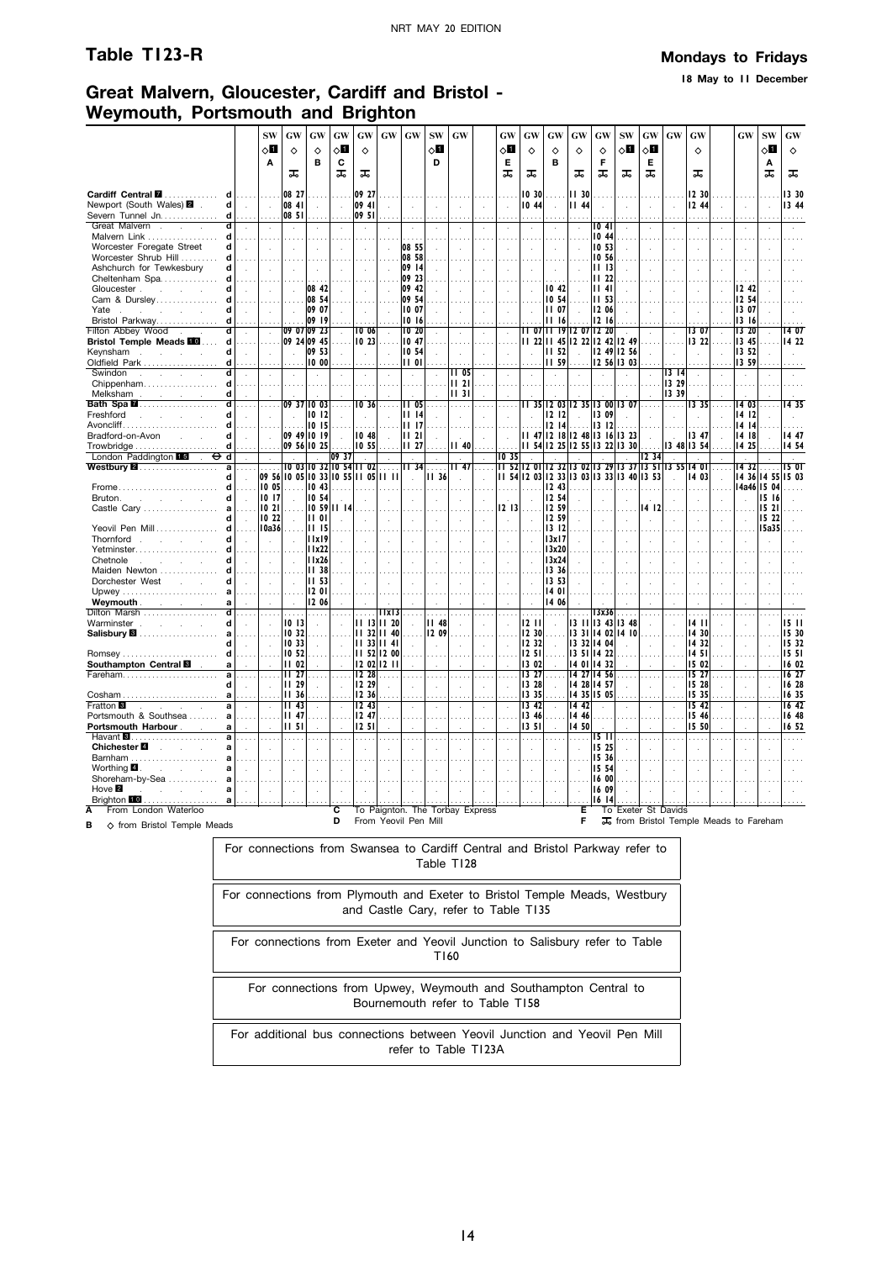**18 May to 11 December**

# **Great Malvern, Gloucester, Cardiff and Bristol - Weymouth, Portsmouth and Brighton**

|                                                              |                            | <b>SW</b>            |                               |                         | GW                          | GW                   | <b>GW</b>                   | GW                          | <b>SW</b>    | <b>GW</b>                       |              |       |                                           |                               |                      | GW                |              |                      | <b>GW</b>                                           | <b>GW</b>       |              |       |             | GW                |
|--------------------------------------------------------------|----------------------------|----------------------|-------------------------------|-------------------------|-----------------------------|----------------------|-----------------------------|-----------------------------|--------------|---------------------------------|--------------|-------|-------------------------------------------|-------------------------------|----------------------|-------------------|--------------|----------------------|-----------------------------------------------------|-----------------|--------------|-------|-------------|-------------------|
|                                                              |                            |                      | GW                            | GW                      |                             |                      |                             |                             |              |                                 |              | GW    | GW                                        | GW                            | GW                   |                   | <b>SW</b>    | GW                   |                                                     |                 |              | GW    | <b>SW</b>   |                   |
|                                                              |                            | ⊘П                   | ♦                             | ♦                       | √П                          | ♦                    |                             |                             | 0П           |                                 |              | √П    | ♦                                         | ♦                             | ♦                    | ♦                 | оΩ           | 0П                   |                                                     | ♦               |              |       | √П          | $\Diamond$        |
|                                                              |                            | A                    |                               | в                       | C                           |                      |                             |                             | D            |                                 |              | Е     |                                           | в                             |                      | F                 |              | Е                    |                                                     |                 |              |       | Α           |                   |
|                                                              |                            |                      | ᠼ                             |                         | ᠼ                           | ᠼ                    |                             |                             |              |                                 |              | ᠼ     | ᠼ                                         |                               | ᠼ                    | ᠼ                 | ᠼ            | ᠼ                    |                                                     | ᠼ               |              |       | ᠼ           | ᠼ                 |
| Cardiff Central <b>II</b>                                    |                            |                      | 08 27                         |                         |                             | 09 27                |                             |                             |              |                                 |              |       | 0 30                                      |                               | 11 30                |                   |              |                      |                                                     | 12 30           |              |       |             | 13 30             |
| d<br>Newport (South Wales) 2<br>d                            | $\sim$                     | $\sim$               | 08 41                         |                         | $\mathcal{L}_{\mathcal{A}}$ | 09 41                |                             |                             | $\mathbf{r}$ |                                 |              |       | 1044                                      |                               | II 44                |                   |              | ÷.                   | $\overline{a}$                                      | 12 44           |              |       |             | 13 44             |
| Severn Tunnel Jn.<br>d                                       |                            |                      | 08 51                         |                         |                             | 09 51                |                             |                             |              |                                 |              |       |                                           |                               |                      |                   | ÷.           |                      |                                                     |                 |              |       |             |                   |
| ď<br>Great Malvern.                                          |                            |                      |                               |                         |                             | $\cdot$              |                             |                             |              |                                 |              |       |                                           |                               | $\cdot$              | $\overline{1041}$ |              |                      |                                                     |                 |              |       |             |                   |
| Malvern Link<br>d                                            |                            |                      |                               |                         |                             |                      |                             |                             |              |                                 |              |       |                                           |                               |                      | 10 44             |              |                      |                                                     |                 |              |       |             |                   |
| Worcester Foregate Street<br>d                               |                            | ÷.                   |                               |                         |                             | $\ddot{\phantom{a}}$ |                             | 08 55                       |              |                                 |              |       | $\overline{\phantom{a}}$                  |                               |                      | 10 53             |              | $\ddot{\phantom{a}}$ | ÷                                                   |                 | ÷.           |       |             |                   |
| Worcester Shrub Hill<br>Ч                                    |                            |                      |                               |                         |                             |                      |                             | 08 58                       |              |                                 |              |       |                                           |                               |                      | 10 56             |              |                      |                                                     |                 |              |       |             |                   |
| Ashchurch for Tewkesbury<br>d                                | $\overline{a}$             | ÷.                   |                               |                         |                             |                      |                             | 09 14                       |              |                                 |              |       | $\mathbf{r}$                              |                               |                      | 1113              |              |                      |                                                     |                 |              |       |             |                   |
| Cheltenham Spa<br>Ч                                          |                            |                      |                               |                         |                             |                      |                             | 09 23                       |              |                                 |              |       |                                           |                               |                      | II 22             |              |                      |                                                     |                 |              |       |             |                   |
| Gloucester.<br>d<br><b>Service</b><br>$\mathbf{r}$           | $\mathcal{L}$              | ÷.                   |                               | 08 42                   |                             |                      |                             | 09 42                       |              |                                 |              |       |                                           | 10.42                         |                      | 1141              |              |                      |                                                     |                 |              | 12 42 |             |                   |
| Cam & Dursley                                                |                            |                      |                               | 08 54                   |                             |                      |                             | 09 54                       |              |                                 |              |       |                                           | 10 54                         |                      | 11 53             |              |                      |                                                     |                 |              | 12 54 |             |                   |
| Yate<br>d                                                    |                            |                      |                               | 09 07                   |                             |                      |                             | 10 07                       |              |                                 |              |       |                                           | ii 07                         |                      | 12 06             |              |                      |                                                     |                 |              | 13 07 |             |                   |
| Bristol Parkway<br>d                                         |                            |                      |                               | 09 19                   |                             |                      |                             | 1016                        |              |                                 |              |       |                                           | 16                            |                      | 12 16             |              |                      |                                                     |                 |              | 13 16 |             |                   |
| <b>Filton Abbey Wood</b><br>d                                | $\cdot$                    |                      |                               | 09 07 09 23             |                             | 10 06                |                             | $\overline{10}$ 20          |              |                                 |              |       |                                           | 11 07 11 19 12 07             |                      | 1220              |              |                      | $\cdot$                                             | 13 07           |              | 13 20 |             | 14 07             |
| <b>Bristol Temple Meads FO </b><br>d                         |                            |                      |                               | 09 24 09 45             |                             | 10 23                |                             | 1047                        |              |                                 |              |       |                                           | 11 22 11 45 12 22             |                      |                   | 2 42  2 49   |                      |                                                     | 322             |              | 13 45 |             | 14 22             |
| Keynsham<br>d<br>$\sim$<br>$\sim$<br>$\mathbf{r}$            | $\mathcal{L}_{\mathbf{z}}$ | $\ddot{\phantom{a}}$ |                               | 09 53                   |                             |                      |                             | 10,54                       |              |                                 |              |       |                                           | <b>III</b> 52                 |                      |                   | $1249$  1256 |                      | $\overline{a}$                                      | ÷.              | $\mathbf{r}$ | 13 52 |             |                   |
| Oldfield Park<br>d                                           |                            |                      |                               | 1000                    |                             |                      |                             | 0                           |              |                                 |              |       |                                           | II 59                         |                      |                   | 12 56 13 03  |                      |                                                     |                 |              | 13 59 |             |                   |
| Swindon<br>7.<br>$\mathcal{L}^{\text{max}}$<br>$\sim$        | ÷.                         |                      |                               |                         |                             |                      |                             | $\mathcal{L}_{\mathcal{A}}$ |              | TI 05                           | $\mathbf{r}$ |       |                                           |                               |                      |                   |              |                      | 1314                                                |                 |              |       |             |                   |
| Chippenham<br>d                                              |                            |                      |                               |                         |                             |                      |                             |                             |              | 1121                            |              |       |                                           |                               |                      |                   |              |                      | 13 29                                               |                 |              |       |             |                   |
| d<br>Melksham<br>and the company of the company              |                            |                      |                               |                         |                             |                      |                             |                             |              | 1131                            |              |       |                                           |                               |                      |                   |              |                      | 13 39                                               |                 |              |       |             |                   |
| Bath Spa <b>M</b><br>d                                       |                            | $\mathbf{r}$         |                               | 09 37 10 03             |                             | 10 36                |                             | $\overline{11}$ 05          |              | .                               |              |       |                                           | 1 35 12 03 12 35 13 00 13 07  |                      |                   |              |                      | .                                                   | 1335            |              | 14 03 |             | 1435              |
| Freshford<br>d<br>$\sim$<br>$\sim 10^{-1}$                   |                            |                      |                               | 10 12                   |                             |                      |                             | 1114                        |              |                                 |              |       |                                           | 1212                          |                      | 13 09             |              |                      |                                                     |                 |              | 14 12 |             |                   |
| Avoncliff<br>d                                               |                            |                      |                               | 10 15                   |                             |                      |                             | 1117                        |              |                                 |              |       |                                           | 12 14                         |                      | 13 12             |              |                      |                                                     |                 |              | 14 14 |             |                   |
| Bradford-on-Avon<br>d<br>$\sim$ $\sim$ $\sim$                |                            |                      |                               | 09 49 10 19             |                             | 10 48                |                             | 1121                        |              |                                 |              |       |                                           | 47  2   8  2 48               |                      |                   | 3   6  3 23  |                      |                                                     | 13 47           |              | 14 18 |             | 14 47             |
| d                                                            |                            |                      |                               | 09 56 10 25             |                             | 10 55                |                             | 11 27                       |              | II 40                           |              |       |                                           | 11 54 12 25 12 55 13 22 13 30 |                      |                   |              |                      |                                                     | 13 48 13 54     |              | 14 25 |             | 14 54             |
| London Paddington 15<br>$\overline{\mathsf{d}}$<br>a         |                            |                      |                               | 10 03 10 32 10 54 11 02 | 09 37                       |                      |                             |                             |              | II 47                           |              | 10 35 |                                           |                               |                      |                   |              | 12 34                | 11 5212 0112 3213 0213 2913 3713 5113 55            |                 |              |       |             | 15 OI             |
| Westbury 2.<br>d                                             |                            |                      | 09 56  0 05  0 33  0 55    05 |                         |                             |                      |                             | II 34                       | II 36        |                                 |              |       | 11 54 12 03 12 33 13 03 13 33 13 40 13 53 |                               |                      |                   |              |                      |                                                     | 14 O I<br>14 03 | $\sim$       | 1432  |             | 14 36 14 55 15 03 |
| d<br>Frome.                                                  | $\ddot{\phantom{a}}$       | 10 05                | .                             | 10 43                   |                             |                      |                             | $\sim$                      |              |                                 |              |       |                                           | 12 43                         |                      |                   |              |                      |                                                     |                 |              |       | 14a46 15 04 |                   |
| d<br>Bruton.<br><b>Service</b><br>$\mathcal{L}^{\text{max}}$ | $\sim$                     | 10 17                |                               | 10 54                   |                             |                      |                             |                             |              |                                 |              |       |                                           | 12 54                         |                      |                   |              |                      |                                                     |                 |              |       | 15 16       |                   |
| Castle Cary<br>a                                             |                            | 1021                 |                               | 10 59 11 14             |                             |                      |                             |                             |              |                                 |              | 1213  |                                           | 12 59                         |                      |                   |              | 14 12                |                                                     |                 |              |       | 1521        |                   |
| d                                                            |                            | 10 22                |                               | <b>II</b> 01            |                             |                      |                             |                             |              |                                 |              |       |                                           | 12 59                         |                      |                   |              | ÷.                   |                                                     |                 |              |       | 15 22       |                   |
| Yeovil Pen Mill<br>d                                         |                            | 10a36                |                               | <b>III 15</b>           |                             |                      |                             |                             |              |                                 |              |       |                                           | 1312                          |                      |                   |              |                      |                                                     |                 |              |       | 15a35       |                   |
| Thornford .<br>d<br>$\sim$<br>$\sim$                         |                            | ÷.                   |                               | 11x19                   |                             |                      |                             |                             |              |                                 |              |       |                                           | 13x17                         |                      |                   |              |                      |                                                     |                 |              |       |             |                   |
| Yetminster                                                   |                            |                      |                               | 11x22                   |                             |                      |                             |                             |              |                                 |              |       |                                           | 13x20                         |                      |                   |              |                      |                                                     |                 |              |       |             |                   |
| Chetnole<br>d<br>and the company                             | $\mathbf{r}$               | ÷                    |                               | 11x26                   |                             | $\mathbf{r}$         | $\mathcal{L}$               | ÷                           | $\mathbf{r}$ | $\sim$                          |              |       |                                           | 13x24                         |                      |                   |              | ÷.                   |                                                     |                 |              |       |             |                   |
| Maiden Newton                                                |                            |                      |                               | 1138                    |                             |                      |                             |                             |              |                                 |              |       |                                           | 13 36                         |                      |                   |              |                      |                                                     |                 |              |       |             |                   |
| Dorchester West<br>d<br>s.                                   | $\mathcal{L}$              | ÷.                   |                               | II 53                   |                             |                      |                             |                             |              |                                 |              |       |                                           | 353                           |                      |                   |              |                      |                                                     |                 |              |       |             |                   |
|                                                              |                            |                      |                               | 12 01                   |                             |                      |                             |                             |              |                                 |              |       |                                           | 1401                          |                      |                   |              |                      |                                                     |                 |              |       |             |                   |
| Weymouth.<br>and the company<br>a                            |                            |                      |                               | 12 06                   |                             |                      |                             |                             |              |                                 |              |       |                                           | 14 06                         |                      |                   |              |                      |                                                     |                 |              |       |             |                   |
| Dilton Marsh                                                 |                            |                      |                               | .                       |                             |                      | 11x13                       |                             |              |                                 |              |       |                                           |                               |                      | 3x36              |              |                      |                                                     |                 |              |       |             |                   |
| Warminster<br>d<br>$\mathcal{L}$<br>$\sim$                   |                            | ÷                    | 10 13                         |                         |                             |                      | $11$ $13$ $11$ 20           |                             | II 48        |                                 |              |       | 12 I I                                    |                               | 1311                 | 13.43             | 348          |                      |                                                     | 14 I I          |              |       |             | 1511              |
| a<br>d                                                       |                            |                      | 10 32<br>10 33                |                         |                             |                      | 11 32 11 40<br>    33    41 |                             | 12 09        |                                 |              |       | 12 30                                     |                               | 1331                 | 13 32 14 04       | 14 02 14 10  |                      |                                                     | 14 30<br>14 32  |              |       |             | 15 30<br>15 32    |
| d<br><b>Romsey</b>                                           | $\cdots$                   |                      | 10 52                         | $\sim$                  |                             |                      | 52  2 00                    |                             | $\cdot$      |                                 |              |       | 12 32<br>12 51                            |                               | 35                   | 14 22             |              |                      |                                                     | 14 51           |              |       |             | 1551              |
| Southampton Central <b>8</b><br>a                            |                            |                      | 1102                          |                         |                             |                      | 2 02  2                     |                             |              |                                 |              |       | 13 02                                     |                               | 14 01                | 14 32             |              |                      |                                                     | 15 02           |              |       |             | 16 02             |
| Fareham<br>a                                                 | a sa                       |                      | II 27                         | $\cdots$                |                             | 12,28                |                             |                             | $\cdots$     |                                 | $\sim$       |       | 13 27                                     |                               | 14 27                | 14 56             |              |                      |                                                     | 15 27           | $\sim$       |       |             | 1627              |
| d                                                            | $\mathbf{r}$               |                      | <b>II</b> 29                  |                         | $\sim$                      | 2 29                 |                             |                             | $\bar{z}$    |                                 | $\sim$       |       | 13 28                                     |                               | 14 28                | 14 57             |              | $\ddot{\phantom{a}}$ |                                                     | 15 28           | $\mathbf{r}$ |       |             | 16 28             |
| Cosham                                                       |                            |                      | <b>II 36</b>                  |                         |                             | 12 36                |                             |                             |              |                                 |              |       | 13 35                                     |                               |                      | 14 35 15 05       |              |                      |                                                     | 15 35           |              |       |             | 16 35             |
| Fratton <sup>8</sup>                                         | $\mathcal{L}$              |                      | 1143                          | $\cdot$                 |                             | 12.43                | $\cdot$                     | $\mathcal{L}_{\mathcal{A}}$ | $\cdot$      | $\lambda$                       | ÷.           |       | $13 \; 42$                                |                               | 14 42                |                   |              | $\cdot$              | $\mathbf{r}$                                        | 15/42           |              |       |             | 16 <sub>42</sub>  |
| Portsmouth & Southsea<br>a                                   |                            |                      | II 47                         |                         |                             | 247                  |                             |                             |              |                                 |              |       | 13 46                                     |                               | 14 46                |                   |              |                      |                                                     | 1546            |              |       |             | 16 48             |
| Portsmouth Harbour<br>a                                      | $\sim$                     |                      | 11 <sub>51</sub>              |                         |                             | 1251                 |                             |                             |              |                                 |              |       | 1351                                      |                               | 14 50                |                   |              |                      |                                                     | 15 50           |              |       |             | 16 52             |
| Havant <b>8.</b><br>$\overline{\mathbf{a}}$                  |                            |                      |                               |                         |                             | .                    |                             |                             |              |                                 |              |       | $\cdots$                                  |                               | $\ddotsc$            | 15 I I            |              |                      |                                                     |                 |              |       |             |                   |
| Chichester <sup>2</sup><br>$\sim 10^{-10}$ km s $^{-1}$      |                            |                      |                               |                         |                             | $\ddot{\phantom{a}}$ |                             |                             |              |                                 |              |       | $\ddot{\phantom{a}}$                      |                               | $\ddot{\phantom{a}}$ | 15 25             |              |                      |                                                     |                 |              |       |             |                   |
| Barnham<br>a                                                 |                            |                      |                               |                         |                             |                      |                             |                             |              |                                 |              |       |                                           |                               |                      | 15 36             |              |                      |                                                     |                 |              |       |             |                   |
| Worthing 4.<br>a<br><b>Service</b>                           |                            |                      |                               |                         |                             | $\cdot$              |                             |                             |              |                                 |              |       | $\mathcal{L}_{\mathcal{A}}$               |                               | $\mathbf{r}$         | 15 54             |              |                      |                                                     |                 |              |       |             |                   |
| Shoreham-by-Sea                                              |                            |                      |                               |                         |                             |                      |                             |                             |              |                                 |              |       |                                           |                               |                      | 16 00             |              |                      |                                                     |                 |              |       |             |                   |
| Hove 2<br>a                                                  |                            |                      |                               |                         |                             |                      |                             |                             |              |                                 |              |       |                                           |                               | $\cdot$              | 16 09             |              |                      |                                                     |                 |              |       |             |                   |
| Brighton 10<br>.                                             |                            |                      |                               |                         |                             |                      |                             |                             |              |                                 |              |       |                                           |                               |                      | 16 14             |              |                      |                                                     |                 |              |       |             |                   |
| From London Waterloo<br>A                                    |                            |                      |                               |                         | ट<br>D                      |                      | From Yeovil Pen Mill        |                             |              | To Paignton. The Torbay Express |              |       |                                           |                               | Έ<br>F               |                   |              |                      | To Exeter St Davids                                 |                 |              |       |             |                   |
| ♦ from Bristol Temple Meads<br>в                             |                            |                      |                               |                         |                             |                      |                             |                             |              |                                 |              |       |                                           |                               |                      |                   |              |                      | T <sub>o</sub> from Bristol Temple Meads to Fareham |                 |              |       |             |                   |

For connections from Swansea to Cardiff Central and Bristol Parkway refer to Table T128 For connections from Plymouth and Exeter to Bristol Temple Meads, Westbury and Castle Cary, refer to Table T135 For connections from Exeter and Yeovil Junction to Salisbury refer to Table T160 For connections from Upwey, Weymouth and Southampton Central to Bournemouth refer to Table T158 For additional bus connections between Yeovil Junction and Yeovil Pen Mill refer to Table T123A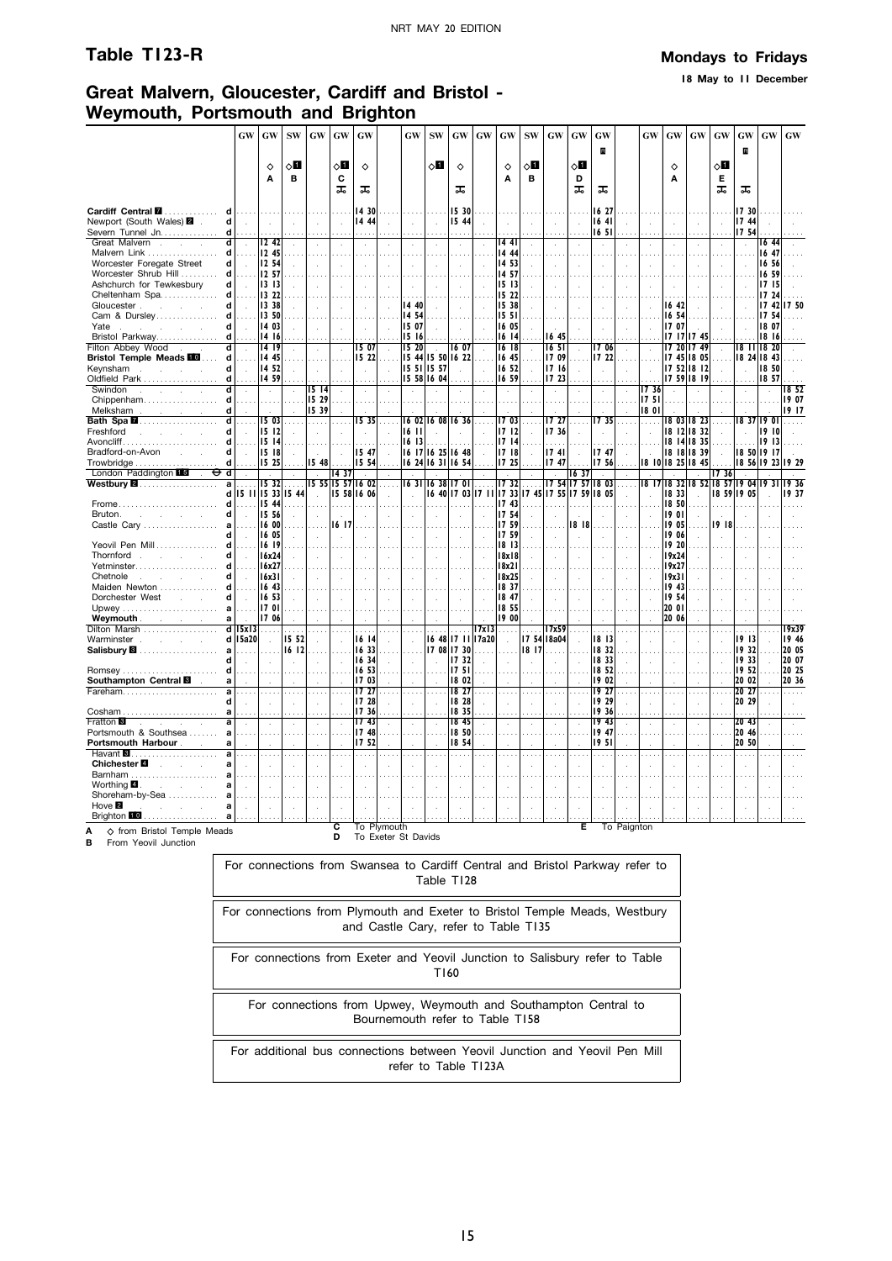**18 May to 11 December**

# **Great Malvern, Gloucester, Cardiff and Bristol - Weymouth, Portsmouth and Brighton**

|                                                                                                        | GW                                           | <b>GW</b>      | <b>SW</b>            | <b>GW</b>            | GW                         | GW               |               | <b>GW</b> | <b>SW</b>     | GW                | GW             | <b>GW</b>             | <b>SW</b>     | <b>GW</b>                                      | <b>GW</b>            | GW               |               | GW            | <b>GW</b>            | <b>GW</b>                     | <b>GW</b>            | <b>GW</b>            | <b>GW</b>     | <b>GW</b>    |
|--------------------------------------------------------------------------------------------------------|----------------------------------------------|----------------|----------------------|----------------------|----------------------------|------------------|---------------|-----------|---------------|-------------------|----------------|-----------------------|---------------|------------------------------------------------|----------------------|------------------|---------------|---------------|----------------------|-------------------------------|----------------------|----------------------|---------------|--------------|
|                                                                                                        |                                              |                |                      |                      |                            |                  |               |           |               |                   |                |                       |               |                                                |                      | R                |               |               |                      |                               |                      | R                    |               |              |
|                                                                                                        |                                              | ♦              | ◇Ø                   |                      | ⊘Ш                         | ♦                |               |           | ⊘Ш            | $\Diamond$        |                | ♦                     | ◇Ш            |                                                | 80                   |                  |               |               | ♦                    |                               | $\circ$ l            |                      |               |              |
|                                                                                                        |                                              | A              | в                    |                      | C                          |                  |               |           |               |                   |                | A                     | в             |                                                | D                    |                  |               |               | Α                    |                               | Е                    |                      |               |              |
|                                                                                                        |                                              |                |                      |                      | ᠼ                          | ᠼ                |               |           |               | ᠼ                 |                |                       |               |                                                | ᠼ                    | ᠼ                |               |               |                      |                               | ᠼ                    | ᠼ                    |               |              |
|                                                                                                        |                                              |                |                      |                      |                            |                  |               |           |               |                   |                |                       |               |                                                |                      |                  |               |               |                      |                               |                      |                      |               |              |
| Cardiff Central <b>M</b><br>d<br>Newport (South Wales) 2<br>d                                          | $\sim$                                       | $\mathcal{L}$  |                      |                      |                            | 14 30<br>14 44   |               |           | $\sim$        | 15 30<br>15 44    |                |                       |               |                                                | $\overline{a}$       | 16 27<br>1641    |               | $\mathbf{r}$  | ÷                    |                               |                      | 17 30<br>17 44       |               |              |
| Severn Tunnel Jn.<br>d                                                                                 |                                              |                |                      |                      | $\sim$<br>$\cdots$         |                  |               |           |               |                   |                |                       |               |                                                |                      | 1651             |               |               |                      |                               |                      | 17 54                |               |              |
| Great Malvern<br>$\overline{\mathbf{d}}$<br><b>Contract Contract</b>                                   | $\sim$                                       | 1242           |                      |                      | $\sim$                     |                  |               |           |               | $\cdot$           | à.             | 14 41                 | $\mathcal{L}$ |                                                |                      |                  |               | $\cdot$       | $\ddot{\phantom{a}}$ | $\ddot{\phantom{a}}$          |                      | $\bar{a}$            | $16\,44$      |              |
| d<br>Malvern Link                                                                                      |                                              | 12 45          |                      |                      |                            |                  |               |           |               |                   |                | 14 44                 |               |                                                |                      |                  |               |               |                      |                               |                      |                      | 16 47         |              |
| Worcester Foregate Street<br>d                                                                         | $\sim$                                       | 12 54          |                      |                      | ÷.                         |                  |               |           |               |                   |                | 14 53                 |               |                                                |                      |                  |               |               |                      |                               |                      | $\ddot{\phantom{a}}$ | 16 56         |              |
| Worcester Shrub Hill<br>d                                                                              |                                              | 12 57          |                      |                      |                            |                  |               |           |               |                   |                | 14 57                 |               |                                                |                      |                  |               |               |                      |                               |                      |                      | 16 59         |              |
| Ashchurch for Tewkesbury<br>d                                                                          |                                              | 3  3           |                      |                      |                            |                  |               |           |               |                   |                | 1513                  |               |                                                |                      |                  |               |               |                      |                               |                      |                      | 1715          |              |
| Cheltenham Spa<br>d<br>d<br>Gloucester.                                                                |                                              | 3 22<br>  3 38 |                      |                      |                            |                  |               | 14 40     |               |                   |                | 15 22<br>15 38        |               |                                                |                      |                  |               |               | 1642                 |                               |                      |                      | 17 24<br>1742 | 1750         |
| $\sim$<br>Cam & Dursley<br>d l                                                                         | .                                            | 13 50          |                      |                      |                            |                  |               | 14 54     |               |                   |                | 15 51                 |               |                                                |                      |                  |               |               | 16 54                |                               |                      |                      | 17 54         |              |
| Yate .<br>d<br>$\sim$                                                                                  | $\sim$                                       | 14 03          |                      |                      | ÷.                         |                  |               | 15 07     |               |                   |                | 16 05                 |               |                                                |                      |                  |               |               | 17 07                |                               |                      |                      | 18 07         |              |
| Bristol Parkway<br>d                                                                                   |                                              | 14 16          |                      |                      |                            |                  |               | 15 16     |               |                   |                | 16<br>$\overline{14}$ |               | 16 45                                          |                      |                  |               |               |                      | 17   17   17 45               |                      |                      | 18 16         |              |
| Filton Abbey Wood<br>ď                                                                                 | $\sim$                                       | 114 19         | $\ddot{\phantom{a}}$ | $\ddot{\phantom{a}}$ | $\sim$                     | 15 07            | $\mathcal{L}$ | 15 20     | $\mathbf{r}$  | 1607              | Ŷ.             | 1618                  | $\mathcal{L}$ | 1651                                           | $\mathcal{L}$        | 1706             | $\mathcal{L}$ | $\mathcal{A}$ |                      | $1720$ 1749                   | $\ddot{\phantom{a}}$ | 18 11 18 20          |               |              |
| <b>Bristol Temple Meads FO </b><br>d                                                                   | .                                            | 14 45          |                      |                      |                            | 15 22            |               |           |               | 15 44 15 50 16 22 |                | 1645                  |               | 1709                                           | $\sim$               | 17 22            | $\sim$ $\sim$ |               |                      | 7 45  8 05                    | $\cdots$             | $1824$ $1843$        |               |              |
| $\mathbf d$<br>Keynsham.<br>$\sim$                                                                     | $\sim$                                       | 14 52          |                      |                      |                            |                  |               |           | 15 51 15 57   |                   | $\cdot$        | 16 52                 |               | 17 16                                          | $\ddot{\phantom{a}}$ |                  |               | $\bar{z}$     |                      | 17 52 18 12                   |                      | $\mathbf{r}$         | 18 50         |              |
| Oldfield Park<br>d<br>d                                                                                | $\ldots$                                     | 1459           |                      |                      |                            |                  |               |           | 15 58 16 04   |                   |                | 16 59                 |               | 17 23                                          |                      |                  |               |               |                      | 1759 1819                     |                      |                      | 18 57         |              |
| Swindon<br>$\sim$<br><b>Service</b> State<br>Chippenham<br>d                                           |                                              | $\sim$         | $\cdot$              | 15 14<br>15 29       | $\lambda$                  |                  |               |           |               |                   |                |                       |               |                                                |                      |                  |               | 17 36<br>1751 | $\ddot{\phantom{a}}$ |                               |                      |                      |               | 1852<br>1907 |
| Melksham<br>d<br>and the company of                                                                    |                                              |                |                      | 15 39                |                            |                  |               |           |               |                   |                |                       |               |                                                |                      |                  |               | 1801          |                      |                               |                      |                      |               | 19 17        |
| Bath Spa <b>M</b> …………………<br>ਰ                                                                         | $\sim$                                       | 115 03         |                      | .                    |                            | 1535             |               |           |               | 16 02 16 08 16 36 | $\sim$         | 1703                  | $\sim$        | 17 27                                          | $\cdots$             | TT 351           |               | .             |                      | 803   823                     |                      | 18371901             |               | .            |
| Freshford<br>d<br>$\sim$                                                                               |                                              | 5  2           |                      |                      |                            |                  |               | 16 11     |               |                   |                | 1712                  |               | 1736                                           |                      |                  |               |               |                      | 18 12 18 32                   |                      |                      | 1910          |              |
| Avoncliff<br>d                                                                                         |                                              | 15   14        |                      |                      |                            |                  |               | 16 13     |               |                   |                | 1714                  |               |                                                |                      |                  |               |               |                      | 18 14 18 35                   |                      |                      | 1913          |              |
| Bradford-on-Avon<br>d<br>and the state of                                                              | $\mathbf{r}$                                 | 5  8           | $\mathbf{r}$         |                      | ÷.                         | 15 47            | ÷.            |           |               | 16 17 16 25 16 48 | ÷              | 1718                  |               | 1741                                           |                      | 1747             |               |               |                      | 18 18 18 39                   |                      | 18 50 19 17          |               |              |
| d                                                                                                      |                                              | 5 25           |                      | 1548                 |                            | 15 54            |               |           |               | 16 24 16 31 16 54 |                | 17 25                 |               | 1747                                           |                      | 1756             |               |               |                      | 18 10 18 25 18 45             |                      | 18 56 19 23 19 29    |               |              |
| London Paddington 15<br>d<br>⊖<br>$\sim$<br>Westbury <b>2.</b><br>a                                    |                                              | 1532           |                      |                      | 14 37<br>15 55 15 57 16 02 |                  | $\sim$        |           |               | 1631 1638 1701    |                | 1732                  |               |                                                | 16 37<br>17 54 17 57 | 18 03            | $\cdots$      | 1817          |                      | 18 32 18 52 18 57 19 04 19 31 | 1736                 |                      |               | 1936         |
| dl                                                                                                     |                                              |                | 15 11 15 33 15 44    | $\sim$               |                            | 15 58 16 06      |               |           |               |                   |                |                       |               | 6 40  7 03  7 11  7 33  7 45  7 55  7 59  8 05 |                      |                  |               |               | 18 33                | ÷.                            | 18 59 19 05          |                      |               | 1937         |
| d<br>Frome                                                                                             |                                              | $\vert$ 15 44  |                      |                      |                            |                  |               |           |               |                   |                | 17 43                 |               |                                                |                      |                  |               |               | 18 50                |                               |                      |                      |               |              |
| Bruton.<br>d<br>and the company of the state                                                           | $\sim$                                       | 5 56           |                      |                      |                            |                  |               |           |               |                   |                | 17 54                 |               |                                                |                      |                  |               |               | 1901                 |                               |                      |                      |               |              |
| Castle Cary<br>a                                                                                       |                                              | 16 00          |                      |                      | 16 17                      |                  |               |           |               |                   |                | 17 59                 |               |                                                | 18 18                |                  |               |               | 19 05                |                               | 1918                 |                      |               |              |
| d                                                                                                      |                                              | 16 05          |                      |                      | ÷.                         |                  | $\sim$        |           | $\mathcal{L}$ |                   |                | 17 59                 |               |                                                |                      |                  |               |               | 19 06<br>19 20       |                               |                      |                      |               |              |
| Yeovil Pen Mill<br>d<br>Thornford<br>d<br>n.<br>and the control of                                     | $\sim$                                       | 6  9<br>16x24  |                      |                      | $\sim$                     |                  |               |           |               |                   |                | 18 13<br>18x18        |               |                                                |                      |                  |               |               | 19x24                |                               |                      |                      |               |              |
| Yetminster                                                                                             |                                              | 16x27          |                      |                      |                            |                  |               |           |               |                   |                | 18x21                 |               |                                                |                      |                  |               |               | 19x27                |                               |                      |                      |               |              |
| Chetnole<br>d<br>and a strategic and                                                                   |                                              | 16x31          |                      |                      |                            |                  |               |           |               |                   |                | 18x25                 |               |                                                |                      |                  |               |               | 19x31                |                               |                      |                      |               |              |
| Maiden Newton<br>d                                                                                     |                                              | 16 43          |                      |                      |                            |                  |               |           |               |                   |                | 18 37                 |               |                                                |                      |                  |               |               | 19 43                |                               |                      |                      |               |              |
| Dorchester West<br>d<br>$\sim$                                                                         |                                              | 16 53          |                      |                      |                            |                  |               |           |               |                   |                | 18 47                 |               |                                                |                      |                  |               |               | 19 54                |                               |                      |                      |               |              |
| a                                                                                                      |                                              | 11701          |                      |                      |                            |                  |               |           |               |                   |                | 18 55                 |               |                                                |                      |                  |               |               | 20 01                |                               |                      |                      |               |              |
| <b>Weymouth Contract Contract in the Second</b><br>a                                                   |                                              | 17 06          |                      |                      |                            |                  |               |           |               |                   |                | 19 00                 |               |                                                |                      |                  |               |               | 20 06                |                               |                      |                      |               | 9x39         |
| Dilton Marsh<br>Warminster.<br><b>Service</b>                                                          | $\overline{d}$   15x 13   $\dots$<br>d 15a20 |                | 15 52                |                      |                            | 16 14            |               |           |               | 16 48 17 11       | 17x13<br>17a20 |                       |               | 17x59<br>17 54 18a04                           |                      | 1813             |               |               |                      |                               |                      | 1913                 |               | 19 46        |
| Salisbury <b>8</b><br>a                                                                                |                                              |                | 16 12                |                      |                            | 16 33            |               |           |               | 7 08  7 30        |                |                       | 18 17         |                                                |                      | 1832             |               |               |                      |                               |                      | 19 32                |               | 20 05        |
| d                                                                                                      |                                              |                |                      |                      | $\mathcal{L}$              | 16 34            |               |           |               | 1732              |                |                       |               |                                                |                      | 18 33            |               |               |                      |                               |                      | 19 33                |               | 20 07        |
| d<br>Romsey                                                                                            |                                              |                |                      |                      |                            | 16 53            |               |           |               | 1751              |                |                       |               |                                                |                      | 18 52            |               |               |                      |                               |                      | 1952                 |               | 20 25        |
| Southampton Central <b>8</b><br>a                                                                      |                                              |                |                      |                      |                            | 17 03            |               |           |               | 18 02             |                |                       |               |                                                |                      | 19 02            |               |               |                      |                               |                      | 20 02                |               | 20 36        |
| Fareham<br>a<br>d                                                                                      |                                              |                |                      |                      |                            | 1727<br>17 28    |               |           |               | 18 27<br>18 28    |                |                       |               |                                                |                      | 19 27<br>19 29   |               |               |                      |                               |                      | 20 27<br>20 29       |               | $\cdots$     |
| Cosham<br>a                                                                                            |                                              |                |                      |                      |                            | 17 36            |               |           |               | 18 35             |                |                       |               |                                                |                      | 1936             |               |               |                      |                               |                      |                      |               |              |
| Fratton <sup>3</sup><br>a                                                                              |                                              |                |                      |                      |                            | 17 <sub>43</sub> |               |           |               | 18,45             | ÷              |                       |               |                                                |                      | 19 <sub>43</sub> |               |               |                      |                               |                      | 20 43                |               |              |
| Portsmouth & Southsea<br>a                                                                             |                                              |                |                      |                      |                            | 1748             |               |           |               | 18 50             |                |                       |               |                                                |                      | 1947             |               |               |                      |                               |                      | 20 46                |               |              |
| Portsmouth Harbour.<br>a                                                                               |                                              |                |                      |                      |                            | 17 52            |               |           |               | 18 54             |                |                       |               |                                                |                      | 19 5 I           |               |               |                      |                               |                      | 20 50                |               |              |
| Havant $\blacksquare$<br>a                                                                             |                                              |                |                      |                      |                            |                  |               |           |               |                   |                |                       |               |                                                |                      |                  |               |               |                      |                               |                      |                      |               |              |
| Chichester <sup>1</sup><br>a                                                                           |                                              |                |                      |                      |                            |                  |               |           |               |                   |                |                       |               |                                                |                      |                  |               |               |                      |                               |                      |                      |               |              |
| Barnham<br>Worthing $\blacksquare$ .<br>a<br>$\mathcal{L}^{\text{max}}$ and $\mathcal{L}^{\text{max}}$ |                                              |                |                      |                      |                            |                  |               |           |               |                   |                |                       |               |                                                |                      |                  |               |               |                      |                               |                      |                      |               |              |
| Shoreham-by-Sea<br>a                                                                                   |                                              |                |                      |                      |                            |                  |               |           |               |                   |                |                       |               |                                                |                      |                  |               |               |                      |                               |                      |                      |               |              |
| Hove $\blacksquare$<br>a                                                                               |                                              |                |                      |                      |                            |                  |               |           |               |                   |                |                       |               |                                                |                      |                  |               |               |                      |                               |                      |                      |               |              |
| Brighton 10                                                                                            |                                              |                |                      |                      |                            |                  |               |           |               |                   |                |                       |               |                                                |                      |                  |               |               |                      |                               |                      |                      |               |              |
| from Bristol Temple Meads                                                                              |                                              |                |                      |                      | С                          |                  | To Plymouth   |           |               |                   |                |                       |               |                                                | Е                    |                  | To Paignton   |               |                      |                               |                      |                      |               |              |

**A**  $\Diamond$  from Bristol Temple Meads<br>**B** From Yeovil Junction

**C** To Plymouth **D** To Exeter St Davids

| For connections from Swansea to Cardiff Central and Bristol Parkway refer to<br>Table T128                         |
|--------------------------------------------------------------------------------------------------------------------|
| For connections from Plymouth and Exeter to Bristol Temple Meads, Westbury<br>and Castle Cary, refer to Table T135 |
| For connections from Exeter and Yeovil Junction to Salisbury refer to Table<br>T160                                |
| For connections from Upwey, Weymouth and Southampton Central to<br>Bournemouth refer to Table T158                 |
| For additional bus connections between Yeovil Junction and Yeovil Pen Mill<br>refer to Table T123A                 |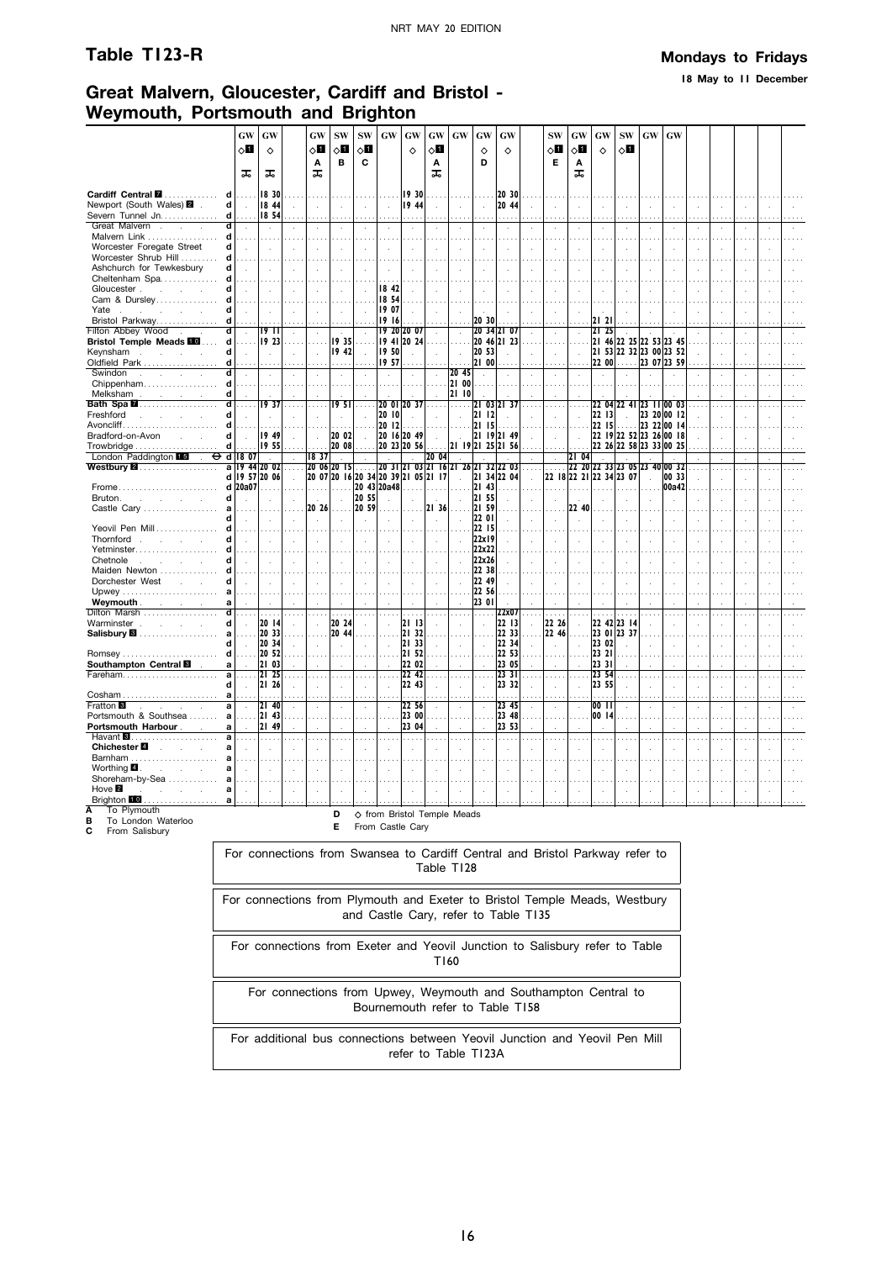**18 May to 11 December**

# **Great Malvern, Gloucester, Cardiff and Bristol - Weymouth, Portsmouth and Brighton**

|                                                                                                                                                                                                                                                         | <b>GW</b>                   | GW                     |                             | GW                          | <b>SW</b>                     | <b>SW</b>                   | $\boldsymbol{\mathbf{G}}\boldsymbol{\mathbf{W}}$ | GW                                                      | $\boldsymbol{\mathrm{GW}}$ | $\boldsymbol{\mathbf{G}}\boldsymbol{\mathbf{W}}$ | GW             | GW                   |                      | <b>SW</b>            | GW                         | GW             | ${\bf SW}$                    | $\boldsymbol{\mathsf{G}}\boldsymbol{\mathsf{W}}$ | GW                   |                            |                |               |              |  |
|---------------------------------------------------------------------------------------------------------------------------------------------------------------------------------------------------------------------------------------------------------|-----------------------------|------------------------|-----------------------------|-----------------------------|-------------------------------|-----------------------------|--------------------------------------------------|---------------------------------------------------------|----------------------------|--------------------------------------------------|----------------|----------------------|----------------------|----------------------|----------------------------|----------------|-------------------------------|--------------------------------------------------|----------------------|----------------------------|----------------|---------------|--------------|--|
|                                                                                                                                                                                                                                                         | $\diamond$ l                | ♦                      |                             | ◇П                          | ⊘Ш                            | $\Diamond \blacksquare$     |                                                  | $\Diamond$                                              | ⊘П                         |                                                  | ♦              | ♦                    |                      | $\diamond$ l         | $\Diamond$                 | $\Diamond$     | оΩ                            |                                                  |                      |                            |                |               |              |  |
|                                                                                                                                                                                                                                                         |                             |                        |                             | A                           | в                             | C                           |                                                  |                                                         | А                          |                                                  | D              |                      |                      | Е                    | Α                          |                |                               |                                                  |                      |                            |                |               |              |  |
|                                                                                                                                                                                                                                                         | ᠼ                           | ᠼ                      |                             | ᠼ                           |                               |                             |                                                  |                                                         | ᠼ                          |                                                  |                |                      |                      |                      | ᠼ                          |                |                               |                                                  |                      |                            |                |               |              |  |
| Cardiff Central <b>M</b><br>d                                                                                                                                                                                                                           | .                           | 18 30                  |                             |                             |                               |                             |                                                  | 19 30                                                   |                            |                                                  |                | 20 30                |                      |                      |                            |                |                               |                                                  |                      |                            |                |               |              |  |
| Newport (South Wales) 2 .<br>$\mathbf d$                                                                                                                                                                                                                | $\sim$                      | 18 44                  |                             | $\mathbf{r}$                | $\mathbf{r}$                  | $\mathcal{L}$               | $\sim$                                           | 19 44                                                   | $\mathbf{r}$               | $\mathbf{r}$                                     | $\mathcal{L}$  | 20 44                |                      | ÷                    | $\overline{a}$             |                | $\sim$                        | $\cdot$                                          | $\mathbf{r}$         |                            | ÷              | $\lambda$     | $\mathbf{r}$ |  |
| Severn Tunnel Jn.<br>d                                                                                                                                                                                                                                  | $\cdots$                    | 18 54                  |                             |                             |                               |                             |                                                  |                                                         |                            |                                                  |                |                      |                      |                      |                            |                |                               |                                                  |                      |                            |                |               |              |  |
| ਗ<br>Great Malvern<br>Malvern Link<br>d                                                                                                                                                                                                                 |                             |                        |                             | $\ddot{\phantom{a}}$        | $\ddot{\phantom{a}}$          | $\mathcal{L}$               | $\mathcal{L}_{\mathbf{a}}$                       |                                                         | $\ddot{\phantom{a}}$       | $\ddot{\phantom{a}}$                             | $\cdot$        |                      | $\ddot{\phantom{a}}$ | $\epsilon$           | $\epsilon$                 |                | $\epsilon$                    |                                                  | $\epsilon$           |                            |                |               |              |  |
| Worcester Foregate Street<br>d                                                                                                                                                                                                                          | $\mathcal{L}_{\mathcal{A}}$ |                        |                             |                             | ÷,                            |                             |                                                  |                                                         |                            |                                                  |                |                      |                      |                      |                            |                |                               |                                                  |                      |                            |                |               |              |  |
| Worcester Shrub Hill<br>d                                                                                                                                                                                                                               |                             |                        |                             |                             |                               |                             |                                                  |                                                         |                            |                                                  |                |                      |                      |                      |                            |                |                               |                                                  |                      |                            |                |               |              |  |
| Ashchurch for Tewkesbury<br>d                                                                                                                                                                                                                           | $\mathcal{L}$               | $\sim$                 |                             |                             | $\mathcal{L}$                 |                             | $\mathcal{A}$                                    |                                                         |                            |                                                  | ÷.             |                      |                      |                      |                            |                | $\mathbf{r}$                  |                                                  |                      |                            |                |               |              |  |
| Cheltenham Spa<br>d                                                                                                                                                                                                                                     |                             | .                      |                             |                             |                               |                             |                                                  |                                                         |                            |                                                  |                |                      |                      |                      |                            |                |                               |                                                  |                      |                            |                |               |              |  |
| d<br>Gloucester The Cloucester<br>Cam & Dursley<br>d                                                                                                                                                                                                    | $\mathbf{r}$                | $\sim$                 | $\sim$                      |                             | $\ddot{\phantom{a}}$          |                             | 18 42<br>18 54                                   |                                                         |                            |                                                  |                |                      |                      |                      |                            |                |                               |                                                  |                      |                            |                |               |              |  |
| Yate<br>d                                                                                                                                                                                                                                               |                             |                        |                             |                             | $\mathcal{L}$                 |                             | 19 07                                            |                                                         |                            |                                                  |                |                      |                      |                      |                            |                |                               |                                                  |                      |                            |                |               |              |  |
| Bristol Parkway<br>d                                                                                                                                                                                                                                    |                             |                        |                             |                             |                               |                             | 19 16                                            |                                                         |                            |                                                  | 20 30          |                      |                      |                      |                            | 21 21          |                               |                                                  |                      |                            |                |               |              |  |
| ਰ<br>Filton Abbey Wood                                                                                                                                                                                                                                  | $\sim$                      | 1911                   | $\mathcal{L}_{\mathcal{A}}$ | $\cdot$                     |                               | $\lambda$                   |                                                  | 19 20 20 07                                             | $\lambda$                  | $\mathcal{L}$                                    |                | 20 34 21 07          | $\mathcal{L}$        | à.                   | $\ddot{\phantom{a}}$       | 2125           |                               |                                                  |                      |                            | $\cdot$        | $\cdot$       | $\cdot$      |  |
| <b>Bristol Temple Meads III</b>                                                                                                                                                                                                                         |                             | $d$   19 23            | .                           | $\sim$                      | $19.35$                       |                             |                                                  | 19 41 20 24                                             |                            |                                                  |                | 20 46 21 23          | .                    | .                    |                            |                | 21 46 22 25 22 53 23 45       |                                                  |                      |                            |                |               |              |  |
| Keynsham<br>d l                                                                                                                                                                                                                                         | $\sim$                      | $\sim$                 | $\mathcal{A}$               | $\sim$                      | 1942                          | $\sim$                      | 1950                                             | $\mathcal{L}$                                           | $\mathcal{L}$              | $\bar{z}$                                        | 20 53          | $\overline{a}$       | $\mathcal{L}$        | $\mathcal{L}$        | $\mathcal{A}$              |                | 21 53 22 32 23 00 23 52       |                                                  |                      |                            | $\mathbf{r}$   | $\lambda$     |              |  |
| Oldfield Park<br>d                                                                                                                                                                                                                                      | $\sim$                      |                        |                             |                             | .                             |                             | 19 57                                            |                                                         |                            |                                                  | 21 00          |                      |                      |                      |                            |                | $2200$ 23 07 23 59            |                                                  |                      |                            |                |               |              |  |
| Swindon<br>Chippenham<br>ď<br>d                                                                                                                                                                                                                         | $\cdot$                     | $\epsilon$             |                             |                             | $\cdot$                       |                             | $\alpha$                                         |                                                         | $\cdot$                    | 2045<br>21 00                                    | $\epsilon$     |                      | $\cdot$              | $\epsilon$           |                            |                |                               |                                                  |                      |                            |                |               |              |  |
| Melksham November 2014<br>d                                                                                                                                                                                                                             |                             |                        |                             |                             |                               |                             |                                                  |                                                         |                            | 2110                                             |                |                      |                      |                      |                            |                |                               |                                                  |                      |                            |                |               |              |  |
| Bath Spa <b>M</b><br>ď                                                                                                                                                                                                                                  | .                           | 1937                   | $\cdots$                    |                             | 1951                          | $\cdots$                    |                                                  | 20 01 20 37                                             |                            | .                                                |                | 21 03 21 37          |                      | $\sim$               |                            |                | 22 04 22 41 23 11 00 03       |                                                  |                      |                            |                |               |              |  |
| Freshford<br>and the company of the<br>d                                                                                                                                                                                                                | $\ddot{\phantom{a}}$        | $\ddot{\phantom{a}}$   |                             |                             | $\alpha$                      | $\cdot$                     | 2010                                             | $\sim$                                                  | $\mathcal{L}_{\mathbf{a}}$ | $\mathcal{L}_{\mathbf{a}}$                       | $2112$         | $\ddot{\phantom{a}}$ |                      | $\ddot{\phantom{a}}$ | $\ddot{\phantom{a}}$       | 2213           | $\sim 10^{-1}$                |                                                  | 23 20 00 12          |                            |                |               |              |  |
| d                                                                                                                                                                                                                                                       |                             |                        |                             |                             |                               |                             | 2012                                             |                                                         |                            |                                                  | 21 15          |                      |                      |                      |                            |                | $22$ 15                       |                                                  | 23 22 00 14          |                            |                |               |              |  |
| Bradford-on-Avon<br>d                                                                                                                                                                                                                                   |                             | 19 49                  |                             |                             | 20 02                         | $\sim$                      |                                                  | 20 16 20 49                                             | $\mathcal{L}$              | $\sim$                                           |                | 21 19 21 49          |                      |                      |                            |                | 22 19 22 52 23 26 00 18       |                                                  |                      |                            |                |               |              |  |
| $\mathbf d$<br>London Paddington 15 . O d 18 07                                                                                                                                                                                                         |                             | 1955<br>$\sim 10^{-1}$ |                             |                             | $ 20 08 $                     |                             | $\sim$                                           | 20 23 20 56                                             | 20 04                      |                                                  |                | 21 19 21 25 21 56    |                      |                      | 2104                       |                | 22 26 22 58 23 33 00 25       |                                                  |                      |                            |                |               |              |  |
| <b>Westbury 2</b>                                                                                                                                                                                                                                       |                             | a 19 44 20 02          | $\sim$<br>$\cdots$          | 18 37                       | <b>College</b><br>20 06 20 15 | $\sim$<br>.                 |                                                  | $\sim$<br>20 31 21 03 21 16 21 26 21 32 22 03           |                            |                                                  |                |                      | $\cdots$             | $\mathcal{L}$        |                            |                | 22 20 22 33 23 05 23 40 00 32 |                                                  |                      |                            |                |               |              |  |
|                                                                                                                                                                                                                                                         |                             | d 19 57 20 06          | $\mathcal{L}$               |                             |                               |                             |                                                  | 20 07 20 16 20 34 20 39 21 05 21 17                     |                            | $\sim$                                           |                | 21 34 22 04          | $\mathcal{L}$        |                      |                            |                | 22 18 22 21 22 34 23 07       | $\mathcal{L}_{\mathcal{A}}$                      | 00 33                |                            | $\overline{a}$ | $\mathcal{L}$ | $\mathbf{r}$ |  |
| Frome                                                                                                                                                                                                                                                   | d 20a07                     | .                      |                             | .                           |                               |                             |                                                  |                                                         |                            |                                                  | $ 21$ 43       | .                    |                      |                      |                            |                | .                             |                                                  | 00a42                |                            |                |               |              |  |
| Bruton.<br>$\mathbf d$<br>and the company of the company                                                                                                                                                                                                |                             | ÷                      |                             | $\sim$                      | $\sim$                        | 20 55                       |                                                  |                                                         | $\sim$                     |                                                  | 2155           |                      | $\mathbf{r}$         |                      |                            |                | ÷                             |                                                  |                      |                            |                |               |              |  |
| Castle Cary<br>a<br>d                                                                                                                                                                                                                                   |                             |                        |                             | 20 26                       | $\cdots$                      | 20 59                       | $\cdots$                                         |                                                         | 21 36                      |                                                  | 21 59<br>22 01 |                      |                      |                      | 22 40                      |                |                               |                                                  |                      |                            |                |               |              |  |
| Yeovil Pen Mill<br>d                                                                                                                                                                                                                                    | $\mathcal{L}$               | $\mathcal{L}$          | $\sim$                      | $\sim$                      | $\mathcal{L}$                 | $\sim$                      | $\sim$                                           | $\sim$                                                  | $\sim$                     | $\mathbf{r}$                                     | 22 15          |                      | $\sim$               | ÷                    | $\mathbf{r}$               | $\sim$         | $\sim$                        | $\overline{a}$                                   | $\overline{a}$       |                            |                | $\mathbf{r}$  |              |  |
| Thornford<br>d                                                                                                                                                                                                                                          | $\mathcal{L}$               | $\sim$                 | $\mathcal{L}$               | $\mathcal{L}_{\mathcal{A}}$ | $\mathcal{L}$                 | $\mathcal{L}_{\mathcal{A}}$ | $\mathcal{L}_{\mathbf{r}}$                       |                                                         | $\mathcal{L}$              |                                                  | 22x19          |                      | $\bar{z}$            | $\mathcal{A}$        |                            |                | $\mathcal{L}$                 | $\mathcal{A}$                                    |                      |                            |                |               |              |  |
| Yetminster                                                                                                                                                                                                                                              |                             |                        |                             |                             |                               |                             |                                                  |                                                         |                            |                                                  | 22x22          |                      |                      |                      |                            |                |                               |                                                  |                      |                            |                |               |              |  |
| d<br>Chetnole<br>and the company of the company                                                                                                                                                                                                         |                             | $\sim$                 | $\sim$                      | $\ddot{\phantom{a}}$        | $\sim$                        | $\mathcal{L}$               | $\sim$                                           |                                                         | $\mathcal{A}$              |                                                  | 22x26          |                      | $\mathcal{L}$        | $\mathcal{L}$        | $\mathcal{L}_{\mathbf{a}}$ |                | $\ddot{\phantom{a}}$          | $\mathcal{L}_{\mathbf{a}}$                       | $\cdot$              |                            |                |               |              |  |
| Maiden Newton<br>d                                                                                                                                                                                                                                      |                             |                        |                             |                             |                               |                             |                                                  |                                                         |                            |                                                  | 22 38          |                      |                      |                      |                            |                |                               |                                                  |                      |                            |                |               |              |  |
| Dorchester West<br>d                                                                                                                                                                                                                                    | $\mathcal{L}$               | $\sim$                 | $\sim$                      | $\mathcal{L}$               | $\mathcal{A}$                 | $\mathcal{L}$               | $\mathcal{A}$                                    |                                                         | $\lambda$                  | $\mathcal{A}$                                    | 22 49<br>22 56 |                      |                      | $\bar{z}$            | $\ddot{\phantom{a}}$       |                |                               |                                                  |                      |                            |                |               |              |  |
| a<br><b>Weymouth Contract Contract Contract Contract Contract Contract Contract Contract Contract Contract Contract Contract Contract Contract Contract Contract Contract Contract Contract Contract Contract Contract Contract Con</b><br>$\mathbf{a}$ |                             |                        |                             |                             |                               |                             |                                                  |                                                         |                            |                                                  | 23 01          |                      |                      |                      |                            |                |                               |                                                  |                      |                            |                |               |              |  |
| Dilton Marsh<br>$\overline{\mathbf{d}}$                                                                                                                                                                                                                 |                             | .                      |                             |                             |                               |                             |                                                  |                                                         |                            |                                                  |                | 22x07                |                      |                      |                            |                |                               |                                                  |                      |                            |                |               |              |  |
| Warminster<br>d                                                                                                                                                                                                                                         | $\sim$                      | 20   4                 | $\mathcal{A}$               | $\mathcal{L}$               | 20 24                         | $\mathcal{L}$               | $\sim$                                           | 2113                                                    | $\mathcal{L}_{\mathbf{a}}$ |                                                  |                | 22 13                | $\mathcal{L}$        | 22 26                | $\sim$                     |                | 22 42 23 14                   |                                                  | $\ddot{\phantom{a}}$ |                            |                |               |              |  |
| Salisbury <b>8</b><br>аl                                                                                                                                                                                                                                | .                           | 20 33                  | .                           | $\sim$ $\sim$               | 20 44                         |                             | $\cdots$                                         | 21 32                                                   | $\cdots$                   |                                                  |                | 22 33                | $\cdots$             | 22 46                | .                          |                | 23 01 23 37                   |                                                  |                      |                            |                |               |              |  |
| d                                                                                                                                                                                                                                                       | $\sim$ $\sim$               | 20, 34                 | $\sim$                      | $\alpha$                    | $\sim$                        | $\epsilon$                  | $\alpha$                                         | 21 33                                                   | $\bar{z}$                  | $\epsilon$                                       | $\sim$         | 22 34                | $\sim$               | $\sim$               | $\mathbf{r}$               | 23 02<br>23 21 | з.                            | $\sim$                                           | $\mathbf{r}$         | чà.                        | чb.            | $\lambda$     | $\mathbf{r}$ |  |
| Southampton Central <b>⊠</b> ∴<br>a                                                                                                                                                                                                                     | .<br>$\sim$                 | 20, 52 <br>21 03       | $\cdots$                    |                             |                               |                             | $\sim 10$                                        | 21 52<br>22 02                                          | $\cdots$                   |                                                  |                | 22 53<br>23 05       | $\cdots$             |                      |                            | 23 31          |                               |                                                  |                      |                            |                |               |              |  |
| Fareham<br>al                                                                                                                                                                                                                                           | .                           | 2125                   |                             |                             | $\ldots$                      | $\cdots$                    | $\ddotsc$                                        | 22 42                                                   | $\cdots$                   |                                                  | $\ddotsc$      | 23 31                | .                    | $\sim$               |                            | 23 54          | .                             | $\cdots$                                         | $\mathbf{r}$         |                            |                |               |              |  |
| d                                                                                                                                                                                                                                                       | $\mathcal{L}_{\mathcal{A}}$ | 21 26                  | $\mathbf{r}$                | $\overline{a}$              | $\mathcal{L}_{\mathcal{A}}$   | $\mathcal{L}$               | $\mathcal{A}$                                    | 22 43                                                   | $\mathcal{L}$              | ÷.                                               | J.             | 23 32                | $\mathbf{r}$         | ÷                    | $\ddot{\phantom{a}}$       | 23 55          | $\sim$                        | $\mathbf{r}$                                     | $\mathbf{r}$         |                            |                | $\mathbf{r}$  |              |  |
| $\mathbf{a}$                                                                                                                                                                                                                                            |                             | .                      |                             |                             | $\cdots$                      |                             | $\sim$                                           | .                                                       |                            |                                                  |                |                      | $\cdots$             |                      |                            |                |                               |                                                  | .                    |                            |                | .             |              |  |
| Fratton <sup>8</sup><br>$\overline{a}$<br>the control of the control of                                                                                                                                                                                 | $\sim$                      | 2140                   |                             |                             | $\alpha$                      | $\cdot$                     | $\sim$                                           | 22 56                                                   | $\bar{z}$                  |                                                  | ÷,             | 23 45                | $\epsilon$           | $\epsilon$           | $\bar{z}$                  | 0011           | $\mathcal{L}$                 | $\mathcal{L}_{\mathbf{z}}$                       | $\ddot{\phantom{a}}$ |                            |                | $\alpha$      |              |  |
| Portsmouth & Southsea<br>a<br><b>Portsmouth Harbour</b><br>al                                                                                                                                                                                           | $\sim$                      | 21 43<br>21 49         |                             |                             | $\sim$<br>÷                   |                             | $\mathbf{r}$                                     | 23 00<br>23 04                                          |                            |                                                  |                | 23 48<br>23 53       |                      | ÷.                   |                            | 0014           |                               |                                                  |                      |                            |                |               |              |  |
| Havant <b>8</b><br>a                                                                                                                                                                                                                                    | .                           | .                      |                             |                             | $\ldots$                      | $\sim$ $\sim$               | $\sim$                                           | .                                                       |                            |                                                  | $\cdots$       | .                    | .                    | $\cdots$             | $\cdots$                   | $\cdots$       | 44                            | $\sim$ $\sim$                                    | $\cdots$             |                            |                |               |              |  |
| Chichester <sup>1</sup><br>a                                                                                                                                                                                                                            |                             |                        |                             |                             |                               |                             |                                                  |                                                         |                            |                                                  |                |                      |                      |                      |                            |                | ÷                             |                                                  |                      |                            |                |               |              |  |
| Barnham<br>я                                                                                                                                                                                                                                            |                             |                        |                             |                             |                               |                             |                                                  |                                                         |                            |                                                  |                |                      |                      |                      |                            |                |                               |                                                  |                      |                            |                |               |              |  |
| Worthing $\blacksquare$ .<br>a<br>and the control                                                                                                                                                                                                       |                             |                        |                             |                             |                               |                             |                                                  |                                                         |                            |                                                  |                |                      |                      |                      |                            |                |                               |                                                  |                      |                            |                |               |              |  |
| Shoreham-by-Sea                                                                                                                                                                                                                                         |                             |                        |                             |                             |                               |                             |                                                  |                                                         |                            |                                                  |                |                      |                      |                      |                            |                |                               |                                                  |                      |                            |                |               |              |  |
| Hove $\blacksquare$<br>and a state<br>a<br>Brighton 10<br>.<br>a                                                                                                                                                                                        | $\mathcal{L}_{\mathbf{a}}$  | ÷                      |                             |                             | $\mathcal{L}$                 | $\ddot{\phantom{a}}$        |                                                  |                                                         |                            |                                                  |                |                      |                      |                      |                            | $\cdot$        | ÷                             | $\cdot$                                          | $\mathbf{r}$         | $\mathcal{L}_{\mathbf{a}}$ | $\cdot$        | $\lambda$     | ÷            |  |
| To Plymouth                                                                                                                                                                                                                                             |                             |                        |                             |                             |                               |                             |                                                  |                                                         |                            |                                                  |                |                      |                      |                      |                            |                |                               |                                                  |                      |                            |                |               |              |  |
| B<br>To London Waterloo                                                                                                                                                                                                                                 |                             |                        |                             |                             | D                             |                             |                                                  | ♦ from Bristol Temple Meads                             |                            |                                                  |                |                      |                      |                      |                            |                |                               |                                                  |                      |                            |                |               |              |  |
| From Salisbury<br>С                                                                                                                                                                                                                                     |                             |                        |                             |                             | E                             |                             |                                                  | From Castle Cary                                        |                            |                                                  |                |                      |                      |                      |                            |                |                               |                                                  |                      |                            |                |               |              |  |
|                                                                                                                                                                                                                                                         |                             |                        |                             |                             |                               |                             |                                                  |                                                         |                            |                                                  |                |                      |                      |                      |                            |                |                               |                                                  |                      |                            |                |               |              |  |
|                                                                                                                                                                                                                                                         |                             |                        |                             | For connections from        |                               |                             |                                                  | Swanses to Cardiff Central and Bristol Parkway refer to |                            |                                                  |                |                      |                      |                      |                            |                |                               |                                                  |                      |                            |                |               |              |  |

| For connections from Swansea to Cardiff Central and Bristol Parkway refer to<br>Table T128                         |
|--------------------------------------------------------------------------------------------------------------------|
| For connections from Plymouth and Exeter to Bristol Temple Meads, Westbury<br>and Castle Cary, refer to Table T135 |
| For connections from Exeter and Yeovil Junction to Salisbury refer to Table<br>T160                                |
| For connections from Upwey, Weymouth and Southampton Central to<br>Bournemouth refer to Table T158                 |
| For additional bus connections between Yeovil Junction and Yeovil Pen Mill<br>refer to Table T123A                 |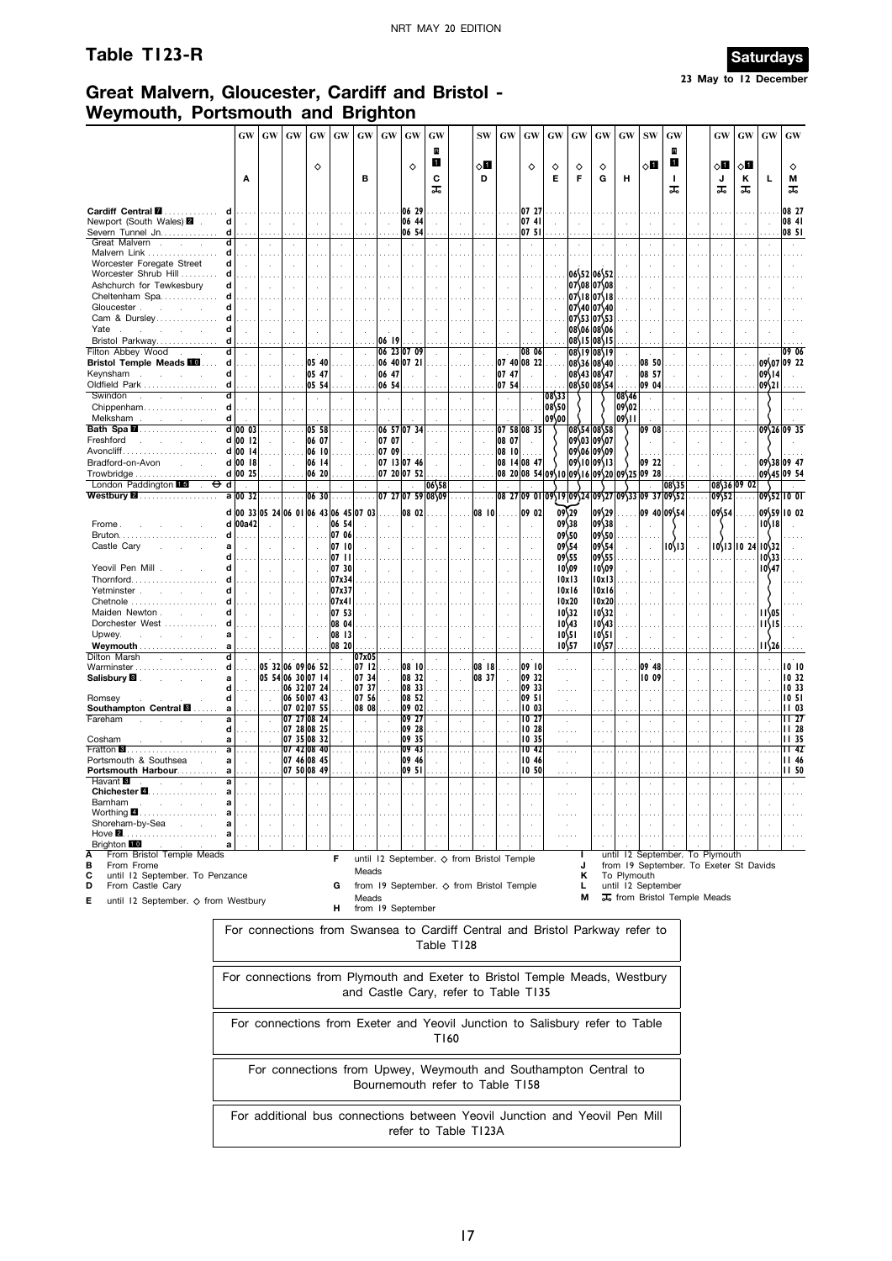# **Table T123-R Saturdays**



# **Great Malvern, Gloucester, Cardiff and Bristol - Weymouth, Portsmouth and Brighton**

|                                                         | GW                                                                         |                 | GW       | GW       | <b>GW</b>                        | GW              | GW                                  | <b>GW</b>      | $\boldsymbol{\mathsf{G}}\boldsymbol{\mathsf{W}}$                             | GW     |            | <b>SW</b> | <b>GW</b>            | $\boldsymbol{\mathbf{G}}\boldsymbol{\mathbf{W}}$ | GW     | GW                        | GW                         | <b>GW</b>   | $\textbf{SW}$      | GW                                     |               | <b>GW</b>   | GW                | GW                                    | GW                       |
|---------------------------------------------------------|----------------------------------------------------------------------------|-----------------|----------|----------|----------------------------------|-----------------|-------------------------------------|----------------|------------------------------------------------------------------------------|--------|------------|-----------|----------------------|--------------------------------------------------|--------|---------------------------|----------------------------|-------------|--------------------|----------------------------------------|---------------|-------------|-------------------|---------------------------------------|--------------------------|
|                                                         |                                                                            |                 |          |          |                                  |                 |                                     |                |                                                                              | R<br>1 |            |           |                      |                                                  |        |                           |                            |             |                    | R<br>0                                 |               |             |                   |                                       |                          |
|                                                         | Α                                                                          |                 |          |          | ♦                                |                 | в                                   |                | ♦                                                                            | C      |            | ◇Ø<br>D   |                      | ♦                                                | ♦<br>Е | ♦<br>F                    | ♦<br>G                     | н           | ◇Ⅱ                 | т.                                     |               | ा<br>J      | 8П<br>Κ           | Г                                     | ♦<br>м                   |
|                                                         |                                                                            |                 |          |          |                                  |                 |                                     |                |                                                                              | ᠼ      |            |           |                      |                                                  |        |                           |                            |             |                    | ᠼ                                      |               | ᠼ           | ᠼ                 |                                       | ᠼ                        |
| Cardiff Central <b>M</b>                                |                                                                            |                 |          |          |                                  |                 |                                     |                | 06 29                                                                        |        |            |           |                      | 07 27                                            |        |                           |                            |             |                    |                                        |               |             |                   |                                       | 08 27                    |
| Newport (South Wales) 2<br>Severn Tunnel Jn.            | d<br>$\mathcal{L}$<br>d                                                    |                 |          |          |                                  |                 |                                     | $\mathbf{r}$   | 06 44<br>06 54                                                               |        |            |           |                      | 07 41<br>07 51                                   |        |                           |                            |             |                    |                                        |               |             |                   |                                       | 08 41<br>08 51           |
| Great Malvern.                                          | d                                                                          |                 |          |          |                                  |                 | $\blacksquare$                      |                |                                                                              |        |            |           |                      | $\cdot$                                          |        |                           |                            |             |                    |                                        |               |             |                   |                                       |                          |
| Malvern Link<br>Worcester Foregate Street               | d<br>d<br>$\mathcal{L}$                                                    |                 | ÷        |          |                                  | ÷               |                                     | $\mathcal{L}$  |                                                                              |        |            |           |                      |                                                  |        |                           |                            |             |                    |                                        |               |             |                   |                                       |                          |
| Worcester Shrub Hill                                    |                                                                            |                 |          |          |                                  |                 |                                     |                |                                                                              |        |            |           |                      |                                                  |        |                           | 06\52 06\52                |             |                    |                                        |               |             |                   |                                       |                          |
| Ashchurch for Tewkesbury                                |                                                                            |                 |          |          |                                  |                 |                                     |                |                                                                              |        |            |           |                      |                                                  |        |                           | 07\08 07\08                |             |                    |                                        |               |             |                   |                                       |                          |
| Cheltenham Spa<br>Gloucester.                           |                                                                            |                 |          |          |                                  |                 |                                     |                |                                                                              |        |            |           |                      |                                                  |        |                           | 07\18 07\18<br>07\40 07\40 |             |                    |                                        |               |             |                   |                                       |                          |
| Cam & Dursley                                           |                                                                            |                 |          |          |                                  |                 |                                     |                |                                                                              |        |            |           |                      |                                                  |        |                           | 07\53 07\53                |             |                    |                                        |               |             |                   |                                       |                          |
| Yate<br>Bristol Parkway                                 |                                                                            |                 |          |          |                                  |                 |                                     | 06 19          |                                                                              |        |            |           |                      |                                                  |        |                           | 08\06 08\06<br>08\15 08\15 |             |                    |                                        |               |             |                   |                                       |                          |
| Filton Abbey Wood                                       | d                                                                          |                 |          |          |                                  |                 |                                     |                | 06 23 07 09                                                                  |        |            |           |                      | 08 06                                            |        |                           | 08\19 08\19                |             |                    |                                        |               |             |                   |                                       | 09 06                    |
| <b>Bristol Temple Meads III</b>                         | d                                                                          |                 |          | .        | 05 40                            |                 |                                     |                | 06 40 07 21                                                                  |        |            |           |                      | 07 40 08 22                                      |        |                           | 08\36 08\40                |             | 08 50              |                                        |               |             |                   |                                       | 09\07 09 22              |
| Keynsham<br>$\sim$<br>$\sim$<br>Oldfield Park           | d                                                                          |                 |          |          | 05 47<br>05 54                   |                 |                                     | 06 47<br>06 54 |                                                                              |        |            |           | 07 47<br>07 54       |                                                  |        |                           | 08\43 08\47<br>08\50 08\54 |             | 08 57<br>09 04     |                                        |               |             |                   | 09\14<br>109\21                       |                          |
| Swindon<br>$\mathcal{L}$<br>$\sim$<br>$\sim$            |                                                                            |                 |          |          |                                  |                 |                                     |                |                                                                              |        |            |           |                      |                                                  | 08\33  |                           |                            | 08\46       |                    |                                        |               |             |                   |                                       |                          |
| Chippenham                                              | d                                                                          |                 |          |          |                                  |                 |                                     |                |                                                                              |        |            |           |                      |                                                  | 08\50  |                           |                            | 09\02       |                    |                                        |               |             |                   |                                       |                          |
| Melksham<br>Bath Spa <b>M</b>                           | d<br>d 00 03                                                               |                 | $\cdots$ | $\cdots$ | 05 58                            |                 |                                     |                | 06 57 07 34                                                                  |        |            |           |                      | 07 58 08 35                                      | 09\00  |                           | 08\54 08\58                | 09\11       | 09 08              | $\cdots$                               |               | $\cdots$    | $\sim$            |                                       | 09 26 09 35              |
| Freshford                                               | $d$ 00 12                                                                  |                 |          |          | 06 07                            |                 |                                     | 07 07          |                                                                              |        |            |           | 08 07                |                                                  |        |                           | 09\03 09\07                |             |                    |                                        |               |             |                   |                                       |                          |
| Avoncliff<br>Bradford-on-Avon                           | d 00<br>$d$ 00 $18$                                                        | $\overline{14}$ |          |          | 06 10<br>06 14                   |                 |                                     | 07 09          | 07 13 07 46                                                                  |        |            |           | 08 10                | 08 14 08 47                                      |        |                           | 09\06 09\09<br>09\10 09\13 |             | 09 22              |                                        |               |             |                   |                                       | 09\38 09 47              |
| Trowbridge                                              | $d$ 00 25                                                                  |                 |          |          | 06 20                            |                 |                                     |                | 07 20 07 52                                                                  |        |            |           |                      | 08 20 08 54 09 10 09 16 09 20 09 25 09 28        |        |                           |                            |             |                    |                                        |               |             |                   |                                       | 09\45 09 54              |
| London Paddington 15<br>⊖<br>$\sim$                     | d                                                                          |                 |          |          | $\mathbf{r}$                     | ÷               |                                     | $\sim$         | ÷                                                                            | 06\58  |            |           | $\ddot{\phantom{a}}$ |                                                  |        |                           |                            |             |                    | 08\35                                  | $\mathcal{L}$ | 08\36 09 02 |                   |                                       |                          |
| Westbury <b>2.</b>                                      | a 00 32                                                                    |                 |          |          | 06 30                            |                 |                                     |                | 07 27 07 59 08 \ 09                                                          |        |            |           |                      | 08 27 09 01 09 19 09 24                          |        |                           |                            |             |                    | 09\27 09\33 09 37 09\52                |               | $0952$      |                   |                                       | 09\52  0 0               |
| Frome                                                   | d<br>d 00a42                                                               |                 |          |          |                                  | 06 54           | 00 33 05 24 06 01 06 43 06 45 07 03 |                | 08 02                                                                        |        |            | 08 10     |                      | 09 02                                            |        | 09529<br>09\38            | 09\29<br>09\38             |             |                    | 09 40 09 54                            |               | 09\54       |                   | 10\18                                 | 09\59  0 02              |
| Bruton                                                  |                                                                            |                 |          |          |                                  | 07 06           |                                     |                |                                                                              |        |            |           |                      |                                                  |        | 09\50                     | 09\50                      |             |                    |                                        |               |             |                   |                                       |                          |
| Castle Cary                                             |                                                                            |                 |          |          |                                  | 07 10           |                                     |                |                                                                              |        |            |           |                      |                                                  |        | 09\54                     | 09\54                      |             |                    | 10\13                                  |               |             | 10\13 10 24 10\32 |                                       |                          |
| Yeovil Pen Mill                                         |                                                                            |                 |          |          |                                  | 07 II<br>07 30  |                                     |                |                                                                              |        |            |           |                      |                                                  |        | 09\55<br>10\09            | 09\55<br>10\09             |             |                    |                                        |               |             |                   | $10\frac{33}{3}$<br>$10\frac{47}{47}$ |                          |
| Thornford                                               |                                                                            |                 |          |          |                                  | 07x34           |                                     |                |                                                                              |        |            |           |                      |                                                  |        | 10x13                     | 10x13                      |             |                    |                                        |               |             |                   |                                       |                          |
| Yetminster.                                             |                                                                            |                 |          |          |                                  | 07x37           |                                     |                |                                                                              |        |            |           |                      |                                                  |        | 10x16                     | 10x16                      |             |                    |                                        |               |             |                   |                                       |                          |
| Chetnole<br>Maiden Newton.                              |                                                                            |                 |          |          |                                  | 07x41<br>07 53  |                                     |                |                                                                              |        |            |           |                      |                                                  |        | 10x20<br>$10\frac{32}{3}$ | 10x20<br>10\32             |             |                    |                                        |               |             |                   | 11\05                                 |                          |
| Dorchester West                                         |                                                                            |                 |          |          |                                  | 08 04           |                                     |                |                                                                              |        |            |           |                      |                                                  |        | $10\frac{43}{3}$          | $10\frac{43}{3}$           |             |                    |                                        |               |             |                   | 11 S 15                               |                          |
| Upwey.<br>Weymouth                                      |                                                                            |                 |          |          |                                  | 08   3<br>08 20 |                                     |                |                                                                              |        |            |           |                      |                                                  |        | 10\51<br>10\57            | 10\51<br>10\57             |             |                    |                                        |               |             |                   | 11\26                                 |                          |
| Dilton Marsh<br>$\mathcal{L}$<br>$\mathbf{r}$           |                                                                            |                 |          |          |                                  |                 | 07x05                               |                |                                                                              |        |            |           |                      |                                                  |        |                           |                            |             |                    |                                        |               |             |                   |                                       |                          |
| Warminster                                              |                                                                            |                 |          |          | 05 32 06 09 06 52                |                 | 07   12<br>07 34                    |                | 08 10<br>08 32                                                               |        |            | 08 18     |                      | 09 10                                            |        | .                         |                            |             | 09 48              |                                        |               |             |                   |                                       | IO 10                    |
| Salisbury ⊠ .                                           | a                                                                          |                 |          |          | 05 54 06 30 07 14<br>06 32 07 24 |                 | 07 37                               |                | 08 33                                                                        |        |            | 08 37     |                      | 09 32<br>09 33                                   |        | .                         |                            |             | 10 09              |                                        |               |             |                   |                                       | 10 32<br>10 33           |
| Romsey                                                  | d<br>a                                                                     |                 |          |          | 06 50 07 43<br>07 02 07 55       |                 | 07 56<br>08 08                      |                | 08 52<br>09 02                                                               |        |            |           |                      | 09 51<br>10 03                                   |        |                           |                            |             |                    |                                        |               |             |                   |                                       | 10 <sub>51</sub><br>1103 |
| Southampton Central <b>E</b><br>Fareham                 | a                                                                          |                 |          |          | 07 27 08 24                      |                 |                                     |                | 09 27                                                                        |        |            |           |                      | 1027                                             |        | $\epsilon$                |                            |             |                    |                                        |               |             |                   |                                       | $\overline{11}$ 27       |
|                                                         | d                                                                          |                 |          |          | 07 28 08 25<br>07 35 08 32       |                 |                                     |                | 09<br>28<br>09 35                                                            |        |            |           |                      | 10 28<br>10 35                                   |        | .                         |                            |             |                    |                                        |               |             |                   |                                       | <b>II 28</b><br>1135     |
| Cosham<br>Fratton <b>B</b>                              |                                                                            |                 | .        |          | 07 42 08 40                      |                 |                                     | $\sim$         | 09 43                                                                        |        |            | $\sim$    |                      | 10 <sub>42</sub>                                 |        | ÷<br>.                    |                            | ÷           |                    |                                        |               |             |                   |                                       | $\overline{11}$ 42       |
| Portsmouth & Southsea                                   | a                                                                          |                 |          |          | 07 46 08 45                      |                 |                                     |                | 09 46                                                                        |        |            |           |                      | 10 46                                            |        |                           |                            |             |                    |                                        |               |             |                   |                                       | 1146                     |
| Portsmouth Harbour<br>Havant <sup>8</sup><br>i.         | а<br>$\mathcal{L}$                                                         |                 |          |          | 07 50 08 49                      |                 |                                     |                | 09 51                                                                        |        |            |           |                      | 10 50                                            |        |                           |                            |             |                    |                                        |               |             |                   |                                       | <b>II 50</b>             |
| Chichester <b>■</b>                                     | a                                                                          |                 |          |          |                                  |                 |                                     |                |                                                                              |        |            |           |                      |                                                  |        |                           |                            |             |                    |                                        |               |             |                   |                                       |                          |
| Barnham<br>Worthing <b>M</b> .                          |                                                                            |                 |          |          |                                  |                 |                                     |                |                                                                              |        |            |           |                      |                                                  |        |                           |                            |             |                    |                                        |               |             |                   |                                       |                          |
| Shoreham-by-Sea                                         | а                                                                          |                 |          |          |                                  |                 |                                     |                |                                                                              |        |            |           |                      |                                                  |        |                           |                            |             |                    |                                        |               |             |                   |                                       |                          |
| Hove $\blacksquare$ .<br>Brighton 10                    | а                                                                          |                 |          |          |                                  |                 |                                     |                |                                                                              |        |            |           |                      |                                                  |        |                           |                            |             |                    |                                        |               |             |                   |                                       |                          |
| From Bristol Temple Meads<br>А                          |                                                                            |                 |          |          |                                  | F               |                                     |                | until 12 September. ◇ from Bristol Temple                                    |        |            |           |                      |                                                  |        |                           |                            |             |                    | until 12 September. To Plymouth        |               |             |                   |                                       |                          |
| в<br>From Frome<br>until 12 September. To Penzance<br>c |                                                                            |                 |          |          |                                  |                 | Meads                               |                |                                                                              |        |            |           |                      |                                                  |        | J<br>κ                    |                            | To Plymouth |                    | from 19 September. To Exeter St Davids |               |             |                   |                                       |                          |
| D<br>From Castle Cary                                   |                                                                            |                 |          |          |                                  | G               |                                     |                | from 19 September. ◇ from Bristol Temple                                     |        |            |           |                      |                                                  |        | L                         |                            |             | until 12 September |                                        |               |             |                   |                                       |                          |
| until 12 September. ◇ from Westbury<br>Ε                |                                                                            |                 |          |          |                                  |                 | Meads                               |                |                                                                              |        |            |           |                      |                                                  |        | м                         |                            |             |                    | 其 from Bristol Temple Meads            |               |             |                   |                                       |                          |
|                                                         |                                                                            |                 |          |          |                                  | н               |                                     |                | from 19 September                                                            |        |            |           |                      |                                                  |        |                           |                            |             |                    |                                        |               |             |                   |                                       |                          |
|                                                         |                                                                            |                 |          |          |                                  |                 |                                     |                | For connections from Swansea to Cardiff Central and Bristol Parkway refer to |        |            |           |                      |                                                  |        |                           |                            |             |                    |                                        |               |             |                   |                                       |                          |
|                                                         |                                                                            |                 |          |          |                                  |                 |                                     |                |                                                                              |        | Table T128 |           |                      |                                                  |        |                           |                            |             |                    |                                        |               |             |                   |                                       |                          |
|                                                         |                                                                            |                 |          |          |                                  |                 |                                     |                |                                                                              |        |            |           |                      |                                                  |        |                           |                            |             |                    |                                        |               |             |                   |                                       |                          |
|                                                         | For connections from Plymouth and Exeter to Bristol Temple Meads, Westbury |                 |          |          |                                  |                 |                                     |                |                                                                              |        |            |           |                      |                                                  |        |                           |                            |             |                    |                                        |               |             |                   |                                       |                          |
|                                                         |                                                                            |                 |          |          |                                  |                 |                                     |                | and Castle Cary, refer to Table T135                                         |        |            |           |                      |                                                  |        |                           |                            |             |                    |                                        |               |             |                   |                                       |                          |
|                                                         |                                                                            |                 |          |          |                                  |                 |                                     |                |                                                                              |        |            |           |                      |                                                  |        |                           |                            |             |                    |                                        |               |             |                   |                                       |                          |
|                                                         |                                                                            |                 |          |          |                                  |                 |                                     |                | For connections from Exeter and Yeovil Junction to Salisbury refer to Table  |        |            |           |                      |                                                  |        |                           |                            |             |                    |                                        |               |             |                   |                                       |                          |
|                                                         |                                                                            |                 |          |          |                                  |                 |                                     |                |                                                                              |        | T160       |           |                      |                                                  |        |                           |                            |             |                    |                                        |               |             |                   |                                       |                          |
|                                                         |                                                                            |                 |          |          |                                  |                 |                                     |                |                                                                              |        |            |           |                      |                                                  |        |                           |                            |             |                    |                                        |               |             |                   |                                       |                          |
|                                                         |                                                                            |                 |          |          |                                  |                 |                                     |                | For connections from Upwey, Weymouth and Southampton Central to              |        |            |           |                      |                                                  |        |                           |                            |             |                    |                                        |               |             |                   |                                       |                          |
|                                                         |                                                                            |                 |          |          |                                  |                 |                                     |                | Bournemouth refer to Table T158                                              |        |            |           |                      |                                                  |        |                           |                            |             |                    |                                        |               |             |                   |                                       |                          |

For additional bus connections between Yeovil Junction and Yeovil Pen Mill

refer to Table T123A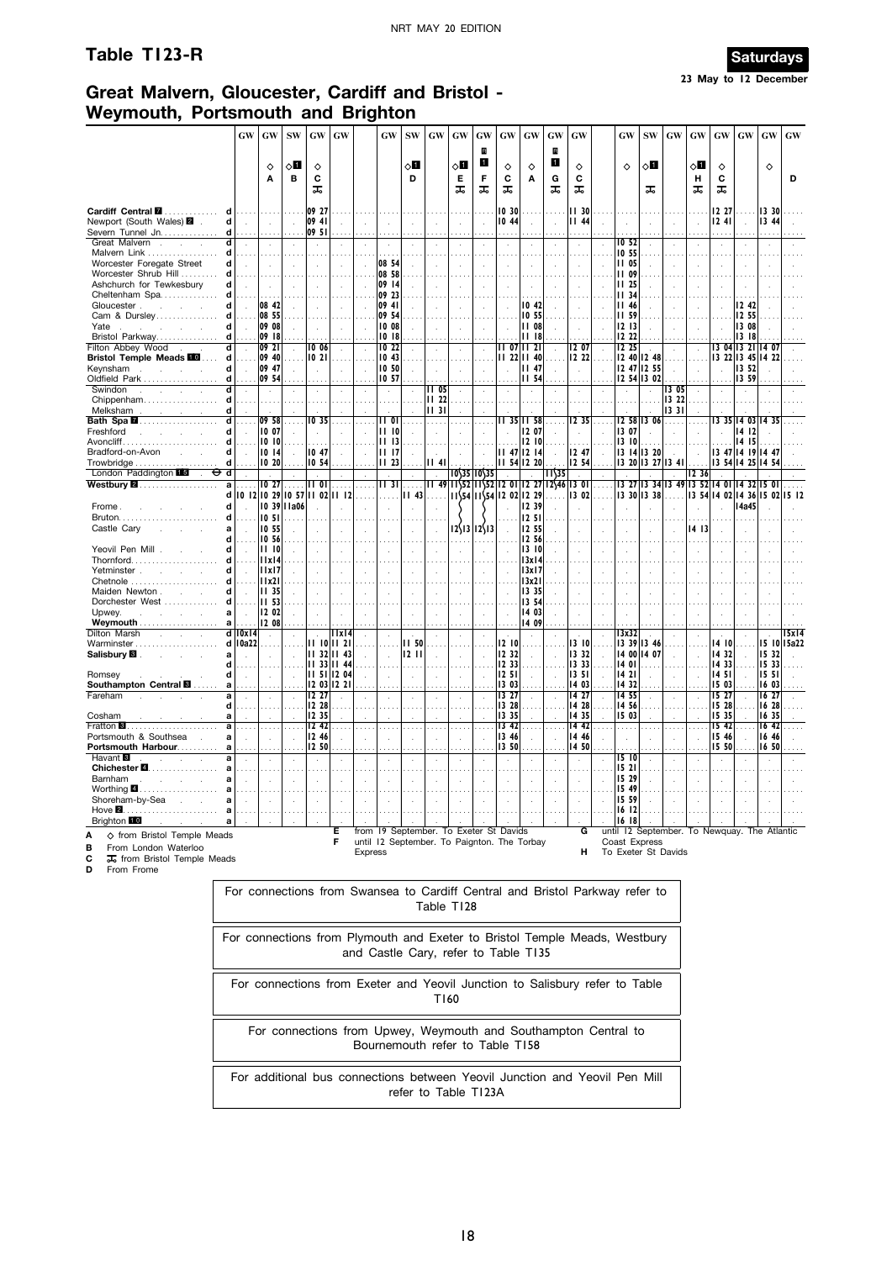# **Table T123-R Saturdays**



# **Great Malvern, Gloucester, Cardiff and Bristol - Weymouth, Portsmouth and Brighton**

|                                                                                     | <b>GW</b>                                              | GW                   | <b>SW</b>                   | GW                            | <b>GW</b>                   |                | GW                         | <b>SW</b>                 | <b>GW</b>                                                                        | GW                   | GW                               | GW                         | GW             | GW                         | <b>GW</b>                                                         |                      | <b>GW</b>     | <b>SW</b>                            | GW                  | GW                   | GW               | GW                                        | $\boldsymbol{\mathbf{G}}\boldsymbol{\mathbf{W}}$ | <b>GW</b>   |
|-------------------------------------------------------------------------------------|--------------------------------------------------------|----------------------|-----------------------------|-------------------------------|-----------------------------|----------------|----------------------------|---------------------------|----------------------------------------------------------------------------------|----------------------|----------------------------------|----------------------------|----------------|----------------------------|-------------------------------------------------------------------|----------------------|---------------|--------------------------------------|---------------------|----------------------|------------------|-------------------------------------------|--------------------------------------------------|-------------|
|                                                                                     |                                                        | ♦                    | √П                          | ♦                             |                             |                |                            | ◇Ш                        |                                                                                  | √П                   | R<br>П                           | ♦                          | ♦              | R<br>$\mathbf{1}$          | ♦                                                                 |                      | ♦             | ⊘∐                                   |                     | √П                   | ♦                |                                           | ♦                                                |             |
|                                                                                     |                                                        | A                    | в                           | c<br>ᇙ                        |                             |                |                            | D                         |                                                                                  | Е<br>ᠼ               | F<br>ᠼ                           | C<br>ᠼ                     | Α              | G<br>ᠼ                     | С<br>ᠼ                                                            |                      |               | ᠼ                                    |                     | н<br>ᠼ               | С<br>ᠼ           |                                           |                                                  | D           |
| Cardiff Central <b>M</b>                                                            | d<br>.                                                 |                      |                             | 09 27                         |                             |                |                            |                           |                                                                                  |                      |                                  | 10 30                      |                |                            | II 30                                                             |                      |               |                                      |                     |                      | 12 27            |                                           | 13 30                                            |             |
| Newport (South Wales) 2 .                                                           | d<br>$\sim$                                            | $\sim$               | $\bar{z}$                   | 09 41                         |                             | $\mathcal{L}$  | $\mathcal{L}_{\mathbf{a}}$ |                           | $\ddot{\phantom{a}}$                                                             | $\ddot{\phantom{a}}$ | $\mathcal{L}$                    | 10 44                      | ÷              | $\sim$                     | <b>III 44</b>                                                     |                      |               | $\sim$                               |                     | $\mathcal{A}$        | 1241             | $\sim$                                    | 13 44                                            |             |
| Severn Tunnel Jn<br>Great Malvern.<br>$\mathcal{A}^{\mathcal{A}}$<br>$\overline{a}$ | d<br>d<br>$\mathbf{r}$                                 |                      |                             | 09 51                         |                             |                |                            |                           |                                                                                  | $\cdot$              | ÷,                               |                            |                |                            |                                                                   |                      | IO 52         |                                      |                     |                      |                  |                                           |                                                  |             |
| Malvern Link                                                                        | d<br>.                                                 |                      |                             |                               |                             |                | $\sim$                     |                           |                                                                                  |                      |                                  |                            |                |                            |                                                                   |                      | 10 55         |                                      |                     |                      |                  |                                           |                                                  |             |
| Worcester Foregate Street                                                           | d<br>$\overline{a}$                                    | ÷.                   | $\mathbf{r}$                |                               | ÷.                          |                | 08 54                      |                           | ÷.                                                                               | ÷.                   | $\ddot{\phantom{a}}$             |                            |                | ÷.                         |                                                                   | $\overline{a}$       | 11 05         | $\mathcal{L}_{\mathcal{A}}$          |                     | ÷                    |                  | $\ddot{\phantom{a}}$                      | ÷.                                               |             |
| Worcester Shrub Hill                                                                | d                                                      |                      |                             |                               |                             |                | 08 58                      |                           |                                                                                  |                      |                                  |                            |                |                            |                                                                   |                      | <b>II 09</b>  |                                      |                     |                      |                  |                                           |                                                  |             |
| Ashchurch for Tewkesbury                                                            | d<br>$\sim$                                            | $\sim$               |                             |                               | $\sim$                      | $\overline{a}$ | 09 14                      |                           |                                                                                  |                      | $\bar{z}$                        |                            |                | $\bar{z}$                  |                                                                   |                      | <b>II</b> 25  | $\sim$                               |                     | ÷,                   |                  |                                           |                                                  |             |
| Cheltenham Spa                                                                      | d<br>d                                                 | 08 42                |                             |                               |                             |                | 09 23<br>09 41             |                           |                                                                                  |                      |                                  |                            | 1042           |                            |                                                                   |                      | 34<br>    46  |                                      |                     |                      |                  | 12 42                                     |                                                  |             |
| Gloucester<br>Cam & Dursley                                                         | $\mathcal{L}_{\mathcal{A}}$<br>d<br>.                  | 08 55                |                             |                               | $\mathcal{L}_{\mathbf{a}}$  |                | 09 54                      |                           | $\cdot$                                                                          |                      | $\ddot{\phantom{a}}$             | $\mathcal{L}_{\mathbf{a}}$ | 10 55          | $\mathcal{L}_{\mathbf{a}}$ |                                                                   |                      | <b>II 59</b>  | $\mathcal{L}_{\mathbf{r}}$<br>$\sim$ |                     | $\ddot{\phantom{a}}$ | $\mathbf{r}$     | 12 55                                     |                                                  |             |
| Yate<br>the contract of the con-                                                    | d<br>$\sim$                                            | 09 08                |                             | $\cdot$                       | $\sim$                      |                | 10 08                      |                           | $\cdot$                                                                          | ÷,                   | $\sim$                           | $\mathbf{r}$               | 11 08          |                            | $\cdot$                                                           |                      | 1213          | $\sim$                               |                     | $\mathbf{r}$         | $\mathbf{r}$     | 13 08                                     |                                                  |             |
| Bristol Parkway                                                                     | d                                                      | 09 18                |                             |                               |                             |                | 1018                       |                           |                                                                                  |                      |                                  |                            | 11 18          |                            |                                                                   |                      | 12 22         |                                      |                     |                      |                  | 1318                                      |                                                  |             |
| <b>Filton Abbey Wood</b>                                                            | $\overline{\mathsf{d}}$<br>$\mathcal{L}_{\mathcal{A}}$ | $ 09\rangle 21$      |                             | 10 06                         | $\ddot{\phantom{a}}$        |                | IO 22                      |                           | $\ddot{\phantom{a}}$                                                             | $\cdot$              | $\ddot{\phantom{a}}$             |                            | II 07 II 21    |                            | 12 07                                                             |                      | 1225          |                                      |                     |                      |                  | 13 04 13 21 14 07                         |                                                  |             |
| <b>Bristol Temple Meads III</b>                                                     | d                                                      | 09 40                |                             | 1021                          |                             |                | 1043                       |                           |                                                                                  |                      |                                  |                            | 11 22 11 40    |                            | 2 22                                                              |                      |               | 12 40 12 48                          |                     |                      |                  |                                           | 13 22 13 45 14 22                                |             |
| Keynsham .<br><b>Service</b>                                                        | d<br>$\sim$                                            | 09 47                |                             | $\mathbf{r}$                  | ÷                           |                | 10,50                      |                           | $\overline{a}$                                                                   |                      | ÷.                               |                            | 1147           |                            | $\overline{a}$                                                    |                      |               | 12 47 12 55                          | $\mathbf{r}$        | $\mathcal{L}$        | $\overline{a}$   | 13 52                                     |                                                  |             |
| Oldfield Park<br>Swindon<br>$\mathbf{r}$                                            | d<br>d                                                 | 09 54<br>$\sim$      |                             |                               |                             |                | 10 57                      |                           | 1105                                                                             |                      |                                  |                            | <b>II 54</b>   |                            |                                                                   |                      |               | 12 54 13 02                          | 13 05               |                      |                  | 1359                                      |                                                  |             |
| Chippenham                                                                          | d                                                      |                      |                             | $\lambda$                     | ÷.                          |                |                            |                           | II 22                                                                            |                      |                                  |                            |                |                            |                                                                   |                      |               |                                      | 13 22               |                      |                  | $\cdot$                                   |                                                  |             |
| Melksham                                                                            | d                                                      |                      |                             |                               |                             |                |                            |                           | 1131                                                                             |                      |                                  |                            |                |                            |                                                                   |                      |               |                                      | 1331                |                      |                  |                                           |                                                  |             |
|                                                                                     | त                                                      | 09 58                |                             | 10 35                         |                             |                | 11 OT                      |                           | .                                                                                |                      |                                  |                            | 35    58       |                            | 12 35                                                             |                      |               | 12 58 13 06                          | .                   |                      |                  |                                           | 13 35 14 03 14 35                                |             |
| Freshford<br>and the company of                                                     | d                                                      | 10 07                |                             |                               |                             |                | $ 1 $ $ 0 $                |                           | $\bar{z}$                                                                        |                      |                                  |                            | 1207           |                            |                                                                   |                      | 3 07          | $\mathbf{r}$                         |                     |                      |                  | 14 12                                     |                                                  |             |
| Avoncliff                                                                           | d                                                      | 10 10                |                             |                               |                             |                | 1113                       |                           |                                                                                  |                      |                                  |                            | 12 10          |                            |                                                                   |                      | 3  0          |                                      |                     |                      |                  | 14 15                                     |                                                  |             |
| Bradford-on-Avon<br><b>Contractor</b>                                               | d<br>$\sim$                                            | 10 14                | $\mathbf{r}$                | 10 47                         | $\mathcal{L}_{\mathcal{A}}$ |                | II 17                      |                           | $\overline{a}$                                                                   |                      |                                  |                            | 11 47 12 14    |                            | 247                                                               | $\sim$               |               | 13   14   13 20                      |                     |                      |                  | 13 47 14 19 14 47                         |                                                  |             |
|                                                                                     | d                                                      | 0 20                 |                             | 10,54                         |                             |                | 1123                       |                           | 1141                                                                             |                      |                                  |                            | 54  2 20       |                            | 12 54                                                             |                      |               |                                      | 13 20 13 27 13 41   |                      |                  |                                           | 3 54  4 25  4 54                                 |             |
| London Paddington<br>⊕<br>d<br>$\sim$<br>Westbury 2.                                | a<br>.                                                 | 1027                 | $\cdots$                    | <b>II 01</b>                  | $\ldots$ .                  | $\cdots$       | $\sim$<br>II 311           | $\ddot{\phantom{a}}$<br>. | $\overline{\phantom{a}}$                                                         |                      | $10\frac{35}{10}10\frac{35}{35}$ |                            |                | 11\35                      | $\sim$<br>$11$ 49 $11$ $52$ $11$ $52$ $12$ 01 12 27 12 $46$ 13 01 | $\ldots$ .           |               |                                      |                     | 12.36                |                  | 13 27 13 34 13 49 13 52 14 01 14 32 15 01 |                                                  |             |
|                                                                                     | d                                                      |                      |                             | 10 12 10 29 10 57 11 02 11 12 |                             |                |                            | 43                        | .                                                                                |                      | $11\frac{54}{1154}$ 12 02 12 29  |                            |                |                            | 13 02                                                             |                      |               | 13 30 13 38                          |                     |                      |                  |                                           | 13 54 14 02 14 36 15 02 15 12                    |             |
| Frome.                                                                              | d                                                      |                      | 10 39 1 a06                 |                               |                             |                |                            |                           |                                                                                  |                      |                                  |                            | 12 39          |                            |                                                                   |                      |               |                                      |                     |                      |                  | <b>14a45</b>                              |                                                  |             |
|                                                                                     | d                                                      | 1051                 |                             |                               |                             |                |                            |                           |                                                                                  |                      |                                  |                            | 12 51          |                            |                                                                   |                      |               |                                      |                     |                      |                  |                                           |                                                  |             |
| Castle Cary<br>and the control                                                      | a<br>$\sim$                                            | 10 55                |                             |                               |                             |                |                            |                           | $\cdot$                                                                          |                      | $12\frac{13}{12}\frac{12}{13}$   |                            | 12 55          |                            |                                                                   |                      |               |                                      |                     | 1413                 |                  |                                           |                                                  |             |
|                                                                                     | d                                                      | 10 56                |                             |                               |                             |                |                            |                           |                                                                                  |                      |                                  |                            | 12, 56         |                            |                                                                   |                      |               |                                      |                     | .                    |                  |                                           |                                                  |             |
| Yeovil Pen Mill.                                                                    | d<br>$\sim$                                            | <b>III 10</b>        |                             | $\cdot$                       | $\lambda$                   | $\cdot$        | $\lambda$                  |                           | $\cdot$                                                                          |                      |                                  |                            | 3 10           | $\sim$                     |                                                                   |                      |               | $\cdot$                              |                     |                      |                  | $\cdot$                                   |                                                  |             |
| <b>Thornford</b>                                                                    | d                                                      | x   4                |                             |                               |                             |                |                            |                           |                                                                                  |                      |                                  |                            | 3x 4           |                            |                                                                   |                      |               |                                      |                     |                      |                  |                                           |                                                  |             |
| Yetminster                                                                          | d                                                      | x   7                |                             |                               |                             |                |                            |                           | $\cdot$                                                                          |                      |                                  |                            | 13x17          |                            |                                                                   |                      |               |                                      |                     |                      |                  | $\mathbf{r}$                              |                                                  |             |
| Chetnole<br>Maiden Newton.<br><b>College</b>                                        | d<br>d                                                 | x2  <br> II 35       |                             |                               |                             |                |                            |                           |                                                                                  |                      |                                  |                            | 13x21<br>13 35 |                            |                                                                   |                      |               |                                      |                     |                      |                  |                                           |                                                  |             |
| Dorchester West                                                                     | d                                                      | II 53                |                             |                               |                             |                |                            |                           |                                                                                  |                      |                                  |                            | 13,54          |                            |                                                                   |                      |               |                                      |                     |                      |                  |                                           |                                                  |             |
| Upwev.<br>and the company of the company                                            | a                                                      | 2 02                 |                             |                               |                             |                |                            |                           |                                                                                  |                      |                                  |                            | 14 03          |                            |                                                                   |                      |               |                                      |                     |                      |                  |                                           |                                                  |             |
| Weymouth                                                                            | $\mathbf{a}$                                           | 12 08                |                             |                               |                             |                |                            |                           |                                                                                  |                      |                                  |                            | 14 09          |                            |                                                                   |                      |               |                                      |                     |                      |                  |                                           |                                                  |             |
| Dilton Marsh                                                                        | $d$   $0x$   $4$                                       | $\sim$               |                             |                               | 11x14                       |                |                            |                           | $\bar{z}$                                                                        | $\epsilon$           | $\bar{z}$                        |                            | $\cdot$        |                            |                                                                   | $\alpha$             | 13x32         |                                      |                     |                      |                  | $\epsilon$                                |                                                  | 15x14       |
| Warminster                                                                          | $d$   0a22                                             |                      |                             | $11 10$   $11 21$             |                             |                |                            | <b>II 50</b>              |                                                                                  |                      |                                  | 1210                       |                |                            | 13 10                                                             |                      |               | 3 39  3 46                           |                     |                      | 14 10            |                                           |                                                  | 15 10 15a22 |
| Salisbury <b>B</b> .                                                                | a                                                      | ÷.                   | $\cdot$                     | $1132$ $1143$                 |                             |                | $\mathcal{A}$              | 1211                      | $\ddot{\phantom{a}}$                                                             | $\cdot$              | $\ddot{\phantom{a}}$             | 12 32                      |                |                            | 3 32                                                              |                      |               | 14 00  4 07                          |                     |                      | 14 32            | $\mathcal{L}_{\mathcal{A}}$               | 15 32                                            |             |
| Romsey                                                                              | d<br>d<br>$\ddot{\phantom{a}}$                         | $\cdot$              | $\mathcal{L}_{\mathcal{A}}$ | 1133 1144<br>$1151$   1204    |                             |                | $\lambda$                  | $\epsilon$                | $\lambda$                                                                        | $\ddot{\phantom{a}}$ |                                  | 12 33<br>1251              |                |                            | 3 33<br>  35                                                      |                      | 1401<br>14 21 |                                      |                     |                      | 14 33<br>14 51   |                                           | 15 33<br>15 51                                   |             |
| Southampton Central <b>E</b>                                                        | a                                                      |                      |                             | 12 03 12 21                   |                             |                |                            |                           |                                                                                  |                      |                                  | 13 03                      |                |                            | 403                                                               |                      | 1432          |                                      |                     |                      | 15 03            |                                           | 16 03                                            |             |
| Fareham                                                                             | a<br>$\cdot$                                           | $\cdot$              | $\cdot$                     | 12,27                         | $\alpha$                    |                | $\cdot$                    | $\epsilon$                | $\epsilon$                                                                       | $\epsilon$           | $\epsilon$                       | 13 27                      | $\epsilon$     |                            | 14 27                                                             | $\ddot{\phantom{a}}$ | 14 55         | $\cdot$                              |                     |                      | 15 27            | $\epsilon$                                | 16 27                                            |             |
|                                                                                     | d<br>المعاد                                            |                      |                             | 1228                          | $\cdots$                    |                |                            |                           | .                                                                                |                      |                                  | 13 28                      | in L           |                            | 14 28                                                             |                      | 14 56         | $\sim$                               |                     |                      | 15 28            |                                           | 16 28                                            |             |
| Cosham                                                                              | a                                                      |                      |                             | 12 35                         |                             |                |                            |                           |                                                                                  |                      |                                  | 13 35                      |                |                            | 1435                                                              |                      | 15 03         |                                      |                     |                      | 15 35            |                                           | 16 35                                            |             |
|                                                                                     | a<br>$\cdots$                                          | $\ldots$             | $\cdots$                    | 12,42                         | $\cdots$                    |                | $\cdots$                   |                           | Н,                                                                               | $\cdots$             | $\cdots$                         | 13,42                      | $\cdots$       | $\cdots$                   | $\overline{1442}$                                                 | $\cdots$             | .             | $\cdots$                             |                     |                      | 15 <sub>42</sub> | $\cdots$                                  | 1642                                             |             |
| Portsmouth & Southsea.<br>Portsmouth Harbour                                        | a<br>$\mathcal{L}_{\mathbf{z}}$                        | $\ddot{\phantom{a}}$ | $\mathcal{L}_{\mathbf{z}}$  | 12 46<br>12 50                | $\ddot{\phantom{a}}$        |                |                            |                           | $\ddot{\phantom{a}}$                                                             | $\ddot{\phantom{a}}$ | $\ddot{\phantom{a}}$             | 13 46<br>13 50             |                |                            | 14 46<br>14 50                                                    |                      |               | $\ddot{\phantom{a}}$                 |                     |                      | 15 46<br>15 50   | $\ddot{\phantom{a}}$                      | 16 46<br>16 50                                   |             |
| Havant <b>8</b><br>$\sim$                                                           | a<br>a<br>$\mathbf{r}$                                 | $\ddot{\phantom{a}}$ | $\ddot{\phantom{a}}$        | $\cdot$                       | ÷.                          |                |                            |                           | .<br>$\cdot$                                                                     | $\cdot$              | ÷.                               |                            |                |                            | $\ddot{\phantom{a}}$                                              |                      | 15 10         | $\mathbf{r}$                         |                     |                      |                  | $\ddot{\phantom{a}}$                      |                                                  |             |
| Chichester <b>2.</b>                                                                | a                                                      |                      |                             |                               |                             |                |                            |                           |                                                                                  |                      |                                  |                            |                |                            |                                                                   |                      | 15 21         |                                      |                     |                      |                  |                                           |                                                  |             |
| Barnham<br>$\sim$<br>$\sim$                                                         | a                                                      |                      | $\overline{a}$              | $\mathbf{r}$                  | ÷.                          |                |                            |                           | $\ddot{\phantom{a}}$                                                             |                      | J.                               |                            |                |                            |                                                                   |                      | 15 29         |                                      |                     |                      |                  | $\overline{a}$                            | ÷.                                               |             |
| Worthing 4                                                                          | a                                                      |                      |                             |                               |                             |                |                            |                           |                                                                                  |                      |                                  |                            |                |                            |                                                                   |                      | 15 49         |                                      |                     |                      |                  |                                           |                                                  |             |
| Shoreham-by-Sea<br>and a state of                                                   | $\mathbf{a}$                                           |                      |                             |                               | $\cdot$                     |                |                            |                           |                                                                                  |                      |                                  |                            |                |                            |                                                                   |                      | 5 59          | $\overline{a}$                       |                     |                      |                  |                                           |                                                  |             |
|                                                                                     | a                                                      |                      |                             |                               |                             |                |                            |                           |                                                                                  |                      |                                  |                            |                |                            |                                                                   |                      | 16 12         |                                      |                     |                      |                  |                                           |                                                  |             |
| Brighton 10                                                                         | a                                                      |                      |                             |                               |                             |                |                            |                           |                                                                                  |                      |                                  |                            |                |                            |                                                                   |                      | 1618          |                                      |                     |                      |                  |                                           |                                                  |             |
| ♦ from Bristol Temple Meads                                                         |                                                        |                      |                             |                               | Е<br>F                      | from           |                            |                           | 19 September. To Exeter St Davids<br>until 12 September. To Paignton. The Torbay |                      |                                  |                            |                |                            | G                                                                 |                      | Coast Express |                                      |                     |                      |                  |                                           | until 12 September. To Newquay. The Atlantic     |             |
| From London Waterloo<br>в                                                           |                                                        |                      |                             |                               |                             | <b>Express</b> |                            |                           |                                                                                  |                      |                                  |                            |                |                            | н                                                                 |                      |               |                                      | To Exeter St Davids |                      |                  |                                           |                                                  |             |
| С<br>其 from Bristol Temple Meads                                                    |                                                        |                      |                             |                               |                             |                |                            |                           |                                                                                  |                      |                                  |                            |                |                            |                                                                   |                      |               |                                      |                     |                      |                  |                                           |                                                  |             |
| D<br>From Frome                                                                     |                                                        |                      |                             |                               |                             |                |                            |                           |                                                                                  |                      |                                  |                            |                |                            |                                                                   |                      |               |                                      |                     |                      |                  |                                           |                                                  |             |

| Table T128                                                                                                         |
|--------------------------------------------------------------------------------------------------------------------|
| For connections from Plymouth and Exeter to Bristol Temple Meads, Westbury<br>and Castle Cary, refer to Table T135 |
| For connections from Exeter and Yeovil Junction to Salisbury refer to Table<br>T160                                |
| For connections from Upwey, Weymouth and Southampton Central to<br>Bournemouth refer to Table T158                 |
| For additional bus connections between Yeovil Junction and Yeovil Pen Mill<br>refer to Table T123A                 |

For connections from Swansea to Cardiff Central and Bristol Parkway refer to  $\vert$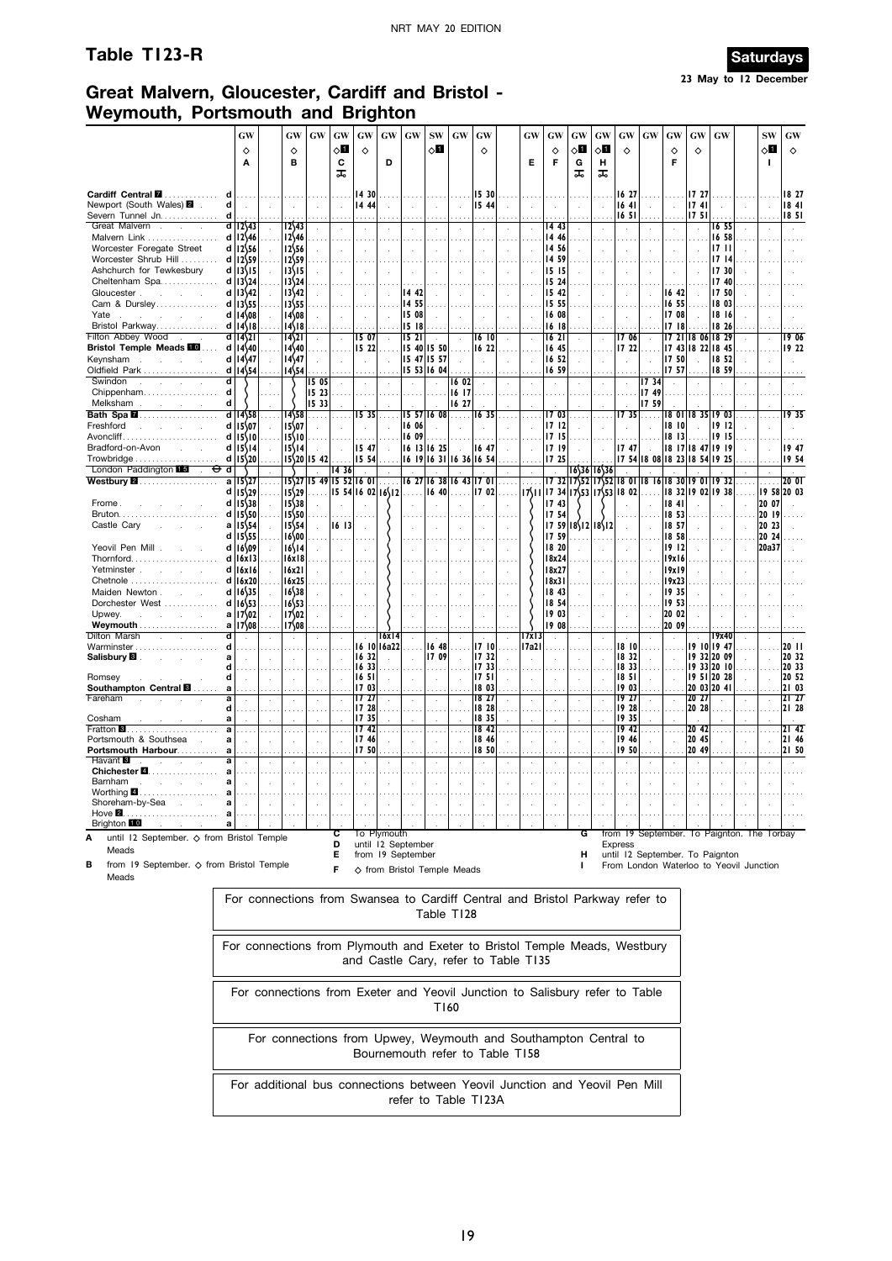# **Table T123-R Saturdays**



# **Great Malvern, Gloucester, Cardiff and Bristol - Weymouth, Portsmouth and Brighton**

|                                                                                                                   |                  | GW<br>♦<br>A                                              |    | GW<br>♦<br>в                                   | <b>GW</b>       | GW<br>⊘П<br>c<br>ᠼ | GW<br>$\Diamond$                                                                                                   | GW<br>D                                                | <b>GW</b>                          | <b>SW</b><br>ू∏                                       | <b>GW</b>                   | GW<br>♦                          |      | GW<br>Е                                        | GW<br>♦<br>F                     | GW<br>◇О<br>G<br>ᠼ     | GW<br>⊘Ш<br>н<br>ᠼ | GW<br>♦                                  | <b>GW</b>     | GW<br>♦<br>F                               | GW<br>♦                 | GW                                                                                                                       | <b>SW</b><br>◇Ø<br>п    | GW<br>$\Diamond$                 |
|-------------------------------------------------------------------------------------------------------------------|------------------|-----------------------------------------------------------|----|------------------------------------------------|-----------------|--------------------|--------------------------------------------------------------------------------------------------------------------|--------------------------------------------------------|------------------------------------|-------------------------------------------------------|-----------------------------|----------------------------------|------|------------------------------------------------|----------------------------------|------------------------|--------------------|------------------------------------------|---------------|--------------------------------------------|-------------------------|--------------------------------------------------------------------------------------------------------------------------|-------------------------|----------------------------------|
| Cardiff Central <b>M</b><br>.<br>Newport (South Wales) 2<br>Severn Tunnel Jn.                                     | d<br>d           |                                                           |    |                                                |                 |                    | 14 30<br>  444                                                                                                     |                                                        |                                    |                                                       |                             | 15 30<br>15 44                   |      |                                                |                                  |                        |                    | 16 27<br>1641<br>1651                    |               |                                            | 17 27<br>1741<br>1751   |                                                                                                                          |                         | 18 27<br>1841<br>1851            |
| Great Malvern<br>$\sim$<br>$\mathbf{r}$<br>Malvern Link<br>Worcester Foregate Street                              | d l              | $12\sqrt{43}$<br>$d$   12 \ 46<br>d 12\56                 |    | 12\43<br>$12$ 46<br>1256                       |                 |                    | $\mathcal{L}$                                                                                                      |                                                        |                                    | $\ddot{\phantom{1}}$<br>$\sim$ $\sim$<br>$\mathbf{r}$ |                             |                                  |      |                                                | 14 43<br>14 46<br>14 56          |                        |                    | $\cdots$<br>$\mathbf{r}$                 |               |                                            |                         | 16 55<br>16 58<br>1711                                                                                                   |                         |                                  |
| Worcester Shrub Hill<br>Ashchurch for Tewkesbury<br>Cheltenham Spa                                                | d                | d 12\59<br>d   13\15<br>$13\frac{24}{7}$                  |    | 12\59<br>13\15<br>13\24                        |                 |                    |                                                                                                                    |                                                        |                                    |                                                       |                             |                                  |      |                                                | 14 59<br>15 15<br>15 24          |                        |                    |                                          |               |                                            |                         | 1714<br>17 30<br>17 40                                                                                                   |                         |                                  |
| Gloucester.<br>and the control of<br>Cam & Dursley<br>Yate<br>Bristol Parkway                                     | d<br>d<br>d<br>d | 13542<br>$13\frac{55}{5}$<br>14\08<br>$14\sqrt{8}$        |    | 13\42<br>13\55<br>14\08<br>14\18               |                 |                    |                                                                                                                    |                                                        | 14 42<br>14 55<br>  5 08<br>15 18  |                                                       |                             |                                  |      |                                                | 15 42<br>15 55<br>16 08<br>16 18 |                        |                    |                                          |               | 16 42<br>1655<br>17 08<br>1718             |                         | 17 50<br>18 03<br>18 16<br>18 26                                                                                         |                         |                                  |
| Filton Abbey Wood<br><b>Bristol Temple Meads FOO</b><br>Keynsham<br>$\sim$<br>$\sim$<br>$\sim$                    | ď<br>d<br>d      | 14\21<br>$14$ 40<br>14\47                                 |    | 14\21<br>$14\frac{40}{3}$<br>$14\frac{47}{47}$ |                 |                    | 5 07<br>15 22                                                                                                      |                                                        | 1521<br>15 40 15 50<br>15 47 15 57 |                                                       |                             | 16 10<br>1622                    |      | $\mathbf{r}$                                   | 1621<br>16 45<br>16 52           |                        |                    | 1706<br>17 22                            |               | 1750                                       |                         | 17 21 18 06 18 29<br>17 43 18 22 18 45<br>18 52                                                                          |                         | 19 06<br>19 22                   |
| Oldfield Park<br>Swindon<br>$\mathcal{L}$<br>i.<br>$\sim$<br>Chippenham                                           | d<br>d<br>d      | 14\54                                                     |    | 14\54                                          | 1505<br>15 23   |                    |                                                                                                                    |                                                        | 15 53 16 04                        |                                                       | 16 02<br>16 17              |                                  |      |                                                | 16 59<br>$\cdot$                 |                        |                    | à.                                       | 17 34<br>1749 | 17 57<br>$\mathbf{r}$                      |                         | 18 59                                                                                                                    |                         |                                  |
| Melksham<br>and the control of<br>Bath Spa <b>M</b><br>Freshford                                                  | d                | $d$ 1458<br>d 15\07                                       |    | 14\58<br>15\07                                 | 15 33<br>$\sim$ | .                  | 15 35                                                                                                              |                                                        | 16 06                              | $15$ 57 16 08                                         | 16 27<br>$\sim$             | T6 35                            |      |                                                | 1703<br>1712                     | $\sim$                 |                    | 1735                                     | 17 59         | 18 OI <br>18 10                            |                         | 18 35 19 03<br>1912                                                                                                      |                         | 1935                             |
| Avoncliff<br>Bradford-on-Avon<br>and the<br>Trowbridge                                                            | d<br>d           | $d$   $15\sqrt{10}$<br>$15\sqrt{14}$<br>$15\frac{20}{20}$ |    | 15\10<br>15\14<br>15\20                        | 15 42           |                    | 15 47<br>15 54                                                                                                     |                                                        | 16 09<br>  16   3   16 25          |                                                       | 16 19 16 31 16 36 16 54     | 1647                             |      |                                                | 17 15<br>1719<br>17 25           |                        |                    | 1747                                     |               | $18$ $13$<br>17 54 18 08 18 23 18 54 19 25 |                         | 1915<br>18 17 18 47 19 19                                                                                                |                         | 1947<br>1954                     |
| London Paddington 15<br>⊖<br>$\mathbf{r}$<br>Westbury 2.                                                          | d<br>a<br>d      | 15\27<br>$15\frac{29}{2}$                                 |    | 15\27<br>$15\frac{29}{2}$                      | $\cdot$         | 14 36              | $1549$  15 52 16 01<br>  5 54  6 02  6\ 2                                                                          | $\cdot$                                                |                                    | 16 40                                                 | 6 27  6 38  6 43  7 01      | ÷.<br>1702                       | .    | $\mathcal{L}_{\mathcal{A}}$<br>$\sim$<br>17\11 |                                  | 7 34  7\53  7\53  8 02 | 16\36 16\36        |                                          |               | $\mathbf{r}$                               |                         | 17 32 17 52 17 52 18 01 18 16 18 30 19 01 19 32<br>18 32 19 02 19 38                                                     |                         | 20 01<br>19 58 20 03             |
| Frome.<br>Bruton.<br>Castle Cary<br>$\sim$                                                                        | d<br>d<br>a      | $15\frac{38}{3}$<br>15\50<br>15\54                        |    | $15\frac{38}{3}$<br>15\50<br>15\54             |                 | 1613               |                                                                                                                    |                                                        |                                    |                                                       |                             |                                  |      |                                                | 1743<br>17 54                    | 17 59 18 12 18 12      |                    |                                          |               | 18 41<br>18 53<br>1857                     |                         |                                                                                                                          | 20 07<br>20 19<br>20 23 |                                  |
| Yeovil Pen Mill.<br>Thornford                                                                                     | d<br>d           | 15\55<br>16\09<br>16x13                                   |    | 16\00<br>16\14<br>16x18                        |                 |                    |                                                                                                                    |                                                        |                                    |                                                       |                             |                                  |      |                                                | 1759<br>18 20<br>18x24           |                        |                    |                                          |               | 18 58<br>1912<br>19x16                     |                         | ÷                                                                                                                        | 20 24<br>20a37          |                                  |
| Yetminster.<br>Chetnole<br>Maiden Newton.                                                                         |                  | d 16x16<br>d   16x20<br>d 16\35                           |    | 16x21<br>16x25<br>$16\frac{38}{3}$             | $\sim$          |                    |                                                                                                                    |                                                        |                                    |                                                       |                             |                                  |      |                                                | 18x27<br>18x31<br>18 43          |                        |                    | $\mathbf{r}$                             |               | 19x19<br>19x23<br>1935                     |                         |                                                                                                                          |                         |                                  |
| Dorchester West<br>Upwey.<br>$\sim$<br>Weymouth<br>Dilton Marsh                                                   | d<br>a<br>a<br>d | 1653<br>17\02<br>17\08                                    |    | $16\frac{53}{53}$<br>17\02<br>17\08            |                 |                    |                                                                                                                    | 16x 14                                                 |                                    |                                                       |                             |                                  |      | 17x13                                          | 18 54<br>1903<br>19 08           |                        |                    |                                          |               | 19 53<br>20 02<br>20 09                    |                         | l9x40                                                                                                                    |                         |                                  |
| Warminster<br>Salisbury <b>8</b><br>Romsey                                                                        | d<br>a<br>d      |                                                           |    |                                                |                 |                    | 16 10<br>1632<br>1633<br>1651                                                                                      | <b>16a22</b>                                           |                                    | 16481<br>17 09                                        |                             | 1710<br>17 32<br>1733<br>1751    | لتنب | 17a2 I                                         |                                  |                        |                    | 1810<br>18 32<br>1833<br>18 51           |               |                                            | 1933                    | 19 10 19 47<br>19 32 20 09<br>20 10<br>19 51 20 28                                                                       |                         | 20 11<br>20 32<br>20 33<br>20 52 |
| Southampton Central <b>B</b><br>Fareham                                                                           | a<br>a<br>d      | $\lambda$                                                 | ÷. | $\overline{a}$                                 | $\mathbf{r}$    |                    | 17 03<br>17 27<br>  7 28                                                                                           | $\overline{a}$                                         |                                    | $\mathcal{L}$<br>$\cdot$<br>$\cdots$                  |                             | 18 03<br>1827<br>18 28           |      | $\cdot$                                        |                                  | $\mathcal{L}$          |                    | 1903<br>19 27<br>19 28                   |               |                                            | 20 27<br>20 28          | 20 03 20 41                                                                                                              |                         | 21 03<br>21 27<br>21 28          |
| Cosham<br>Fratton 8<br>Portsmouth & Southsea<br>Portsmouth Harbour                                                | a<br>a<br>a<br>a |                                                           |    |                                                | $\sim$          |                    | 735<br>$\frac{17}{42}$<br>  746<br>17 50                                                                           |                                                        |                                    | $\cdots$                                              |                             | 18 35<br>18,42<br>18 46<br>18 50 |      | $\cdots$                                       |                                  | $\cdots$               |                    | 1935<br>19 <sub>42</sub><br>1946<br>1950 |               | $\mathbf{r}$                               | 20 42<br>20 45<br>20 49 | $\cdots$                                                                                                                 |                         | 2142<br>21 46<br>21 50           |
| Havant <sup>8</sup><br>Chichester <b>■</b><br>Barnham                                                             | a                |                                                           |    |                                                |                 |                    |                                                                                                                    |                                                        |                                    |                                                       |                             |                                  |      |                                                |                                  |                        |                    |                                          |               |                                            |                         |                                                                                                                          |                         |                                  |
| Worthing <b>4</b><br>Shoreham-by-Sea<br>Hove $\blacksquare$<br>Brighton <b>10</b>                                 | a<br>а<br>a<br>a |                                                           |    |                                                |                 |                    |                                                                                                                    |                                                        |                                    |                                                       |                             |                                  |      |                                                |                                  |                        |                    |                                          |               |                                            |                         |                                                                                                                          |                         |                                  |
| until 12 September. ◇ from Bristol Temple<br>А<br>Meads<br>from 19 September. ◇ from Bristol Temple<br>в<br>Meads |                  |                                                           |    |                                                |                 | С<br>D<br>Ε<br>F   |                                                                                                                    | To Plymouth<br>until 12 September<br>from 19 September |                                    |                                                       | ♦ from Bristol Temple Meads |                                  |      |                                                |                                  | G<br>н                 |                    | <b>Express</b>                           |               |                                            |                         | from 19 September. To Paignton. The Torbay<br>until 12 September. To Paignton<br>From London Waterloo to Yeovil Junction |                         |                                  |
|                                                                                                                   |                  |                                                           |    |                                                |                 |                    | For connections from Swansea to Cardiff Central and Bristol Parkway refer to                                       |                                                        |                                    |                                                       | Table T128                  |                                  |      |                                                |                                  |                        |                    |                                          |               |                                            |                         |                                                                                                                          |                         |                                  |
|                                                                                                                   |                  |                                                           |    |                                                |                 |                    | For connections from Plymouth and Exeter to Bristol Temple Meads, Westbury<br>and Castle Cary, refer to Table T135 |                                                        |                                    |                                                       |                             |                                  |      |                                                |                                  |                        |                    |                                          |               |                                            |                         |                                                                                                                          |                         |                                  |
|                                                                                                                   |                  |                                                           |    |                                                |                 |                    |                                                                                                                    |                                                        |                                    |                                                       |                             |                                  |      |                                                |                                  |                        |                    |                                          |               |                                            |                         |                                                                                                                          |                         |                                  |

For connections from Exeter and Yeovil Junction to Salisbury refer to Table T160

For connections from Upwey, Weymouth and Southampton Central to Bournemouth refer to Table T158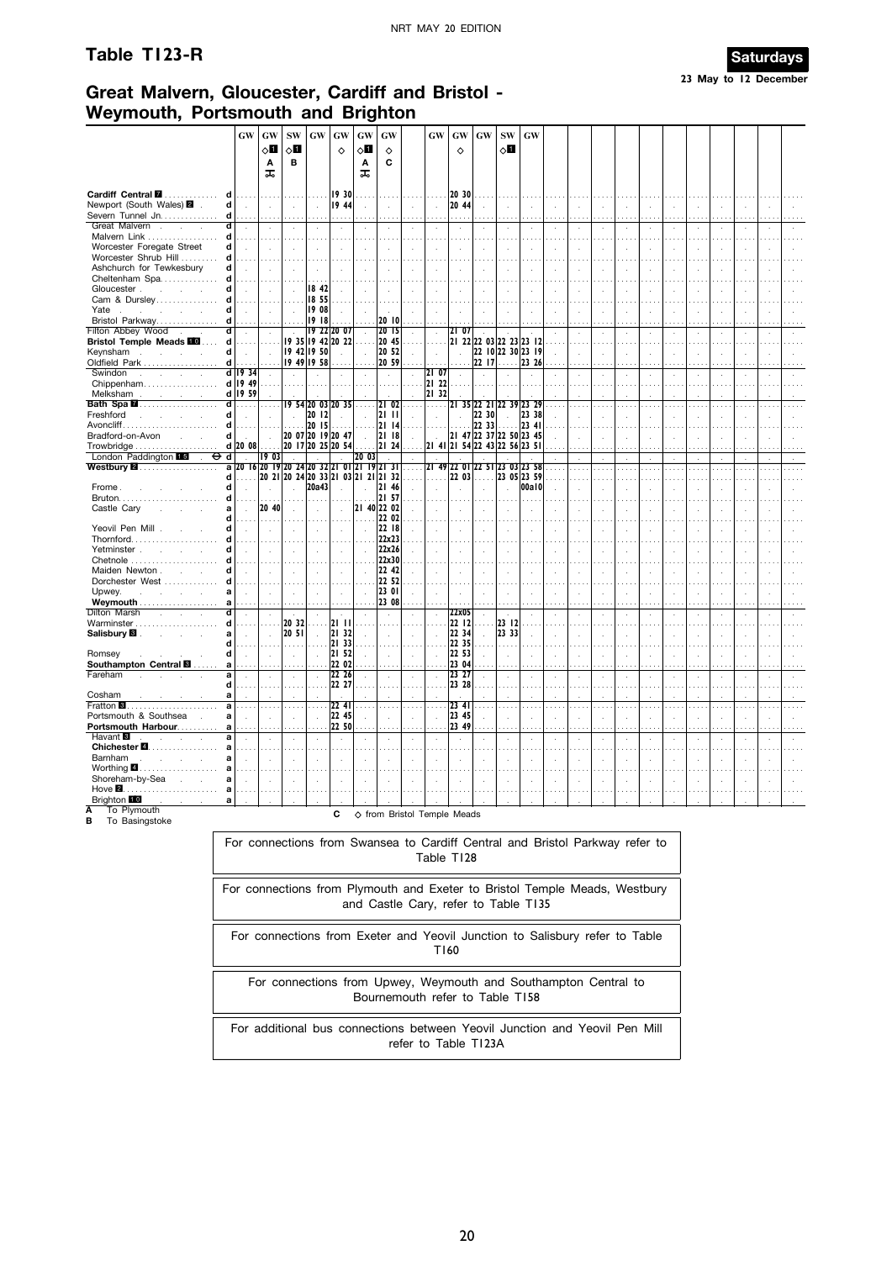#### Table T123-R



# Great Malvern, Gloucester, Cardiff and Bristol -Weymouth, Portsmouth and Brighton

|                                                                                                                          | <b>GW</b>                                   | GW                 | <b>SW</b>            | GW                                  | GW                                                 | <b>GW</b>                   | <b>GW</b>                   |                                           | <b>GW</b>                   | <b>GW</b>                                | <b>GW</b>                        | <b>SW</b>                | <b>GW</b>                                    |              |                      |              |                           |                |                      |  |              |  |
|--------------------------------------------------------------------------------------------------------------------------|---------------------------------------------|--------------------|----------------------|-------------------------------------|----------------------------------------------------|-----------------------------|-----------------------------|-------------------------------------------|-----------------------------|------------------------------------------|----------------------------------|--------------------------|----------------------------------------------|--------------|----------------------|--------------|---------------------------|----------------|----------------------|--|--------------|--|
|                                                                                                                          |                                             | $\diamond$ li      | 80                   |                                     | ♦                                                  | $\diamond \mathbf{H}$       | ♦                           |                                           |                             | ♦                                        |                                  | 0П                       |                                              |              |                      |              |                           |                |                      |  |              |  |
|                                                                                                                          |                                             | Α<br>ᠼ             | B                    |                                     |                                                    | Α<br>ᠼ                      | C                           |                                           |                             |                                          |                                  |                          |                                              |              |                      |              |                           |                |                      |  |              |  |
| Cardiff Central<br>d                                                                                                     |                                             |                    |                      |                                     | 19 30                                              |                             |                             |                                           |                             | 20 30                                    |                                  |                          |                                              |              |                      |              |                           |                |                      |  |              |  |
| Newport (South Wales) 2 .<br>d l<br>Severn Tunnel Jn.<br>d                                                               | $\sim$<br>.                                 | $\mathcal{L}$<br>. | $\sim$<br>$\cdots$   | $\mathcal{L}$                       | 19 44<br>.                                         | ÷.                          | $\bar{z}$<br>$\sim$         |                                           | $\mathcal{L}_{\mathcal{A}}$ | 20 44<br>.                               |                                  |                          | $\mathbf{r}$<br>$\cdots$                     | $\mathbf{r}$ | ÷,<br>.              |              | $\mathcal{L}$<br>$\cdots$ | $\cdot$        | $\cdot$              |  |              |  |
| Great Malvern<br>ď<br>$\sim$<br>d<br>Malvern Link                                                                        | $\cdot$                                     | ÷.                 | $\cdot$              |                                     | $\cdot$<br>$\sim$ $\sim$                           |                             | $\cdot$<br>$\sim$ $\sim$    |                                           | $\cdot$                     | $\cdot$                                  |                                  |                          | $\cdot$                                      |              | $\ddot{\phantom{a}}$ |              | $\cdot$                   |                |                      |  |              |  |
| Worcester Foregate Street<br>d                                                                                           | $\mathbf{r}$                                | $\mathcal{L}$      |                      | $\mathbf{r}$                        |                                                    | ÷,                          | $\bar{a}$                   |                                           |                             |                                          |                                  |                          |                                              |              |                      |              |                           |                |                      |  |              |  |
| Worcester Shrub Hill<br>d                                                                                                |                                             |                    |                      |                                     |                                                    |                             |                             |                                           |                             |                                          |                                  |                          |                                              |              |                      |              |                           |                |                      |  |              |  |
| Ashchurch for Tewkesbury<br>d                                                                                            |                                             |                    |                      |                                     |                                                    |                             |                             |                                           |                             |                                          |                                  |                          |                                              |              |                      |              |                           |                |                      |  |              |  |
| Cheltenham Spa<br>Gloucester<br>d                                                                                        | $\mathbf{r}$                                | $\sim$             | $\sim$               | 18 42                               |                                                    |                             |                             |                                           |                             |                                          |                                  |                          |                                              |              |                      |              |                           |                |                      |  |              |  |
| Cam & Dursley<br>d                                                                                                       |                                             |                    |                      | 18 55                               |                                                    |                             |                             |                                           |                             |                                          |                                  |                          |                                              |              |                      |              |                           |                |                      |  |              |  |
| d<br>Yate<br><b>Contractor</b><br>$\sim$<br>s.                                                                           | $\mathcal{L}_{\mathcal{A}}$                 | $\mathcal{L}$      |                      | 19 08                               |                                                    |                             |                             |                                           |                             |                                          |                                  |                          |                                              |              |                      |              |                           |                |                      |  |              |  |
| d<br>Bristol Parkway                                                                                                     |                                             | .                  |                      | 19 18                               |                                                    |                             | 20 10                       |                                           |                             |                                          |                                  |                          |                                              |              |                      |              |                           |                |                      |  |              |  |
| Filton Abbey Wood<br>ď                                                                                                   | $\sim$                                      | $\sim$             | $\sim 10^{-1}$       | 19 22 20 07                         |                                                    | $\cdot$                     | 2015                        | $\sim$                                    | $\sim$                      | 2107                                     |                                  |                          |                                              |              | ÷.                   |              | ÷                         |                |                      |  |              |  |
| <b>Bristol Temple Meads III</b><br>d<br>Keynsham<br>d<br>$\sim$                                                          | $\sim$                                      | .<br>$\sim$        |                      | 9 35   9 42   20 22<br> 1942 1950   | $\sim$                                             | $\sim$                      | 20 45<br>20 52              | $\cdots$<br>$\sim$                        | $\mathbf{r}$<br>$\sim$      | $\sim$                                   |                                  |                          | 21 22 22 03 22 23 23 12<br>22 10 22 30 23 19 |              | ÷                    |              | ÷                         |                |                      |  |              |  |
| Oldfield Park<br>d                                                                                                       |                                             | .                  |                      | 19 49 19 58                         |                                                    |                             | 20 59                       | .                                         | .                           |                                          | 22 17                            | 11111                    | 23 26                                        |              |                      | ÷.           |                           | $\mathbf{r}$   | $\mathbf{r}$         |  | $\mathbf{r}$ |  |
| Swindon<br>$\sim$<br>$\sim$<br>$\sim 10$                                                                                 | $d$ 19 34                                   | $\mathcal{L}$      | $\ddot{\phantom{a}}$ |                                     | ÷                                                  |                             | $\sim$                      | ÷                                         | $ 2 $ 07                    |                                          |                                  |                          |                                              |              |                      |              | ÷                         |                |                      |  |              |  |
| Chippenham                                                                                                               | d 19 49                                     |                    |                      |                                     |                                                    |                             |                             |                                           | 21 22                       |                                          |                                  |                          |                                              |              |                      |              |                           |                |                      |  |              |  |
| Melksham<br>and the company of the com-                                                                                  | $d$   19 59                                 | $\sim$             |                      |                                     |                                                    |                             |                             |                                           | 21 32                       |                                          |                                  |                          |                                              |              |                      |              | ÷                         |                |                      |  |              |  |
| <b>Bath Spa 2</b><br>$\overline{\mathsf{d}}$<br>Freshford<br>d<br><b>Contract Contract</b><br>$\mathcal{L}^{\text{max}}$ | .                                           | .<br>$\sim$        | $\sim$               | $ 19\;54 20\;03 20\;35 $<br>20 12   | $\sim$                                             | .<br>$\sim$                 | 2102<br>21 TH               | $\ldots$ .<br>$\mathcal{L}^{\mathcal{L}}$ | 1.1.1                       |                                          | 21 35 22 21 22 39 23 29<br>22 30 |                          | 23 38                                        |              | $\sim$               | $\cdots$     | $\cdots$                  | $\cdots$       | $\cdots$             |  |              |  |
| Avoncliff<br>d                                                                                                           | $\sim$                                      |                    | 1.1.1                | 20 15                               | $\cdots$                                           |                             | 2114                        |                                           | $\sim$                      |                                          | 22 33                            |                          | 23 41                                        |              | $\overline{a}$       |              | ÷.                        |                | ÷                    |  |              |  |
| Bradford-on-Avon<br>d l<br><b>Carl Carl Corporation</b>                                                                  | $\sim$                                      | $\sim 10^{-1}$     |                      | 20 07 20 19 20 47                   |                                                    | $\mathcal{L}$               | 21 18                       | $\sim$                                    | $\sim$                      | 21 47 22 37 22 50 23 45                  |                                  |                          |                                              |              | $\overline{a}$       |              | ÷                         | $\mathbb{R}^2$ | ÷.                   |  |              |  |
|                                                                                                                          | d 20 08                                     | .                  |                      | 20 17 20 25 20 54                   |                                                    |                             | 2124                        |                                           |                             | 2141 2154 2243 2256 2351                 |                                  |                          |                                              |              |                      |              |                           |                |                      |  |              |  |
| London Paddington 15<br>⊖<br>ਰ<br>$\mathcal{L}$                                                                          | $\sim$                                      | 1903               |                      |                                     |                                                    | 20 03                       |                             |                                           |                             |                                          |                                  |                          |                                              |              |                      |              | $\epsilon$                |                | $\mathbf{r}$         |  |              |  |
| <b>Westbury 2</b><br>d                                                                                                   | a 20 16 20 19 20 24 20 32 21 01 21 19 21 31 |                    |                      | 20 21 20 24 20 33 21 03 21 21 21 32 |                                                    |                             |                             | $\cdots$<br>.                             | .                           | 21 49 22 01 22 51 23 03 23 58<br>$22 03$ |                                  |                          | 23 05 23 59                                  |              | $\cdots$             |              | $\cdots$                  |                | $\cdots$             |  | $\cdots$     |  |
| Frome.<br>d                                                                                                              | $\mathbf{r}$                                | $\mathcal{L}$      | $\mathbf{r}$         | 20a43                               |                                                    |                             | 21 46                       | $\sim$                                    | $\sim$                      |                                          |                                  |                          | 00a10                                        |              | ÷.                   |              |                           |                |                      |  |              |  |
| d                                                                                                                        |                                             | .                  | .                    | .                                   |                                                    | 1.111                       | 21 57                       |                                           |                             |                                          |                                  |                          |                                              |              |                      |              |                           |                |                      |  |              |  |
| Castle Cary<br>a                                                                                                         | $\mathcal{L}$                               | 20 40              | $\mathcal{L}$        | $\mathcal{L}_{\mathbf{r}}$          | $\mathcal{L}_{\mathcal{A}}$                        | 21 40 22 02                 |                             |                                           |                             |                                          |                                  |                          |                                              |              |                      |              |                           |                |                      |  |              |  |
|                                                                                                                          |                                             | .                  |                      |                                     |                                                    |                             | 22 02                       |                                           |                             |                                          |                                  |                          |                                              |              |                      |              |                           |                |                      |  |              |  |
| Yeovil Pen Mill.<br>d<br>Thornford                                                                                       | $\sim$                                      | $\sim$<br>$\cdots$ | $\sim$               | $\sim$                              | $\sim$<br>.                                        | $\mathbf{r}$                | 22 18<br>22x23              |                                           |                             | n.                                       | ÷.                               |                          |                                              |              |                      |              |                           |                |                      |  |              |  |
| Yetminster,<br>d<br>$\sim$                                                                                               |                                             | $\mathcal{L}$      |                      | $\ddot{\phantom{a}}$                | $\mathcal{L}$                                      |                             | 22x26                       |                                           |                             |                                          |                                  |                          |                                              |              |                      |              |                           |                |                      |  |              |  |
| Chetnole                                                                                                                 |                                             |                    |                      |                                     |                                                    |                             | 22x30                       |                                           |                             |                                          |                                  |                          |                                              |              |                      |              |                           |                |                      |  |              |  |
| Maiden Newton<br>d                                                                                                       | $\mathbf{r}$                                | $\sim$             | $\mathbf{r}$         | $\sim$                              | $\mathcal{L}$                                      | $\mathcal{A}$               | 2242                        |                                           |                             |                                          |                                  |                          |                                              |              |                      |              |                           |                |                      |  |              |  |
| Dorchester West<br>d                                                                                                     |                                             |                    |                      |                                     | $\cdots$                                           |                             | 22 52                       |                                           |                             |                                          |                                  |                          |                                              |              |                      |              |                           |                |                      |  |              |  |
| Upwey.<br>a<br>and a state<br>$\mathcal{L}^{\text{max}}$<br>Weymouth                                                     | $\mathbf{r}$                                | ÷                  | $\sim$               | $\mathcal{L}$                       | $\mathcal{L}$                                      | $\mathcal{L}_{\mathcal{A}}$ | 23 01<br>23 08              |                                           | $\ddot{\phantom{a}}$        |                                          |                                  |                          |                                              |              |                      |              |                           |                |                      |  |              |  |
| Dilton Marsh<br><b>Contractor</b>                                                                                        | $\ddot{\phantom{a}}$                        | $\mathcal{L}$      | $\sim$               | $\mathcal{L}$                       | $\cdot$                                            | ÷                           | $\sim$                      |                                           | $\mathbf{r}$                | 22x05                                    | ÷                                |                          |                                              | ÷            | J.                   |              |                           |                |                      |  |              |  |
| Warminster<br>d                                                                                                          |                                             | a a a              | 20 32                | .                                   | 12 I I I                                           |                             |                             |                                           |                             | 22 12                                    | $\sim$                           | 23   12                  |                                              |              |                      |              |                           |                |                      |  |              |  |
| Salisbury <b>B</b> .<br>a<br>$\sim$                                                                                      |                                             | $\mathcal{L}$      | 20 51                | $\ddot{\phantom{a}}$                | 21 32                                              | $\mathcal{L}$               | $\mathcal{L}_{\mathcal{A}}$ |                                           |                             | 22 34                                    | $\ddot{\phantom{a}}$             | 23 33                    |                                              |              |                      |              |                           |                |                      |  |              |  |
| d<br>Romsey<br>d                                                                                                         | .<br>$\sim$                                 | $\sim$             | .<br>$\sim$          | $\ldots$ .<br>$\ddot{\phantom{a}}$  | 21 33                                              | $\cdots$<br>$\mathbf{r}$    | $\cdots$<br>$\sim$          | ÷                                         | $\overline{\phantom{a}}$    | 22 35<br>22 53                           | $\cdots$<br>÷                    | $\overline{\phantom{a}}$ | $\mathbf{r}$                                 | ÷            |                      | $\mathbf{r}$ | ÷                         |                | $\mathbf{r}$         |  |              |  |
| Southampton Central <b>E</b><br>a                                                                                        |                                             |                    |                      |                                     | $\begin{bmatrix} 21 & 52 \\ 22 & 02 \end{bmatrix}$ |                             | $\cdots$                    |                                           |                             | 23 04                                    |                                  |                          | $\cdots$                                     |              | $\mathcal{L}$<br>.   |              | $\cdots$                  | $\cdot$        |                      |  |              |  |
| Fareham<br>a                                                                                                             | $\cdot$                                     | $\sim$             | $\sim$               | $\cdot$                             | 22 26                                              |                             | $\bar{a}$                   | ÷.                                        | $\cdot$                     | 23 27                                    | à,                               |                          | $\cdot$                                      | $\cdot$      | $\cdot$              |              | $\sim$                    | $\cdot$        | $\cdot$              |  | $\lambda$    |  |
| d                                                                                                                        |                                             |                    |                      |                                     | 22 27                                              |                             |                             |                                           |                             | 23 28                                    |                                  |                          |                                              |              |                      |              |                           |                |                      |  |              |  |
| Cosham<br>a                                                                                                              | $\mathcal{L}$                               | ÷                  |                      |                                     |                                                    |                             |                             |                                           |                             |                                          |                                  |                          |                                              |              |                      |              |                           |                |                      |  |              |  |
| Fratton <sup>8</sup><br>a<br>Portsmouth & Southsea<br>a                                                                  | $\cdots$                                    | $\sim$             | $\cdots$             |                                     | 2241<br>22 45                                      |                             |                             |                                           |                             | 2341<br>23 45                            |                                  |                          |                                              |              |                      |              |                           |                |                      |  |              |  |
| Portsmouth Harbour                                                                                                       |                                             |                    |                      |                                     | 22 50                                              |                             |                             |                                           |                             | 23 49                                    |                                  |                          |                                              |              |                      |              |                           |                |                      |  |              |  |
| Havant <sup>8</sup><br>$\overline{\mathbf{a}}$<br>$\sim$<br>$\mathcal{L}_{\mathcal{A}}$<br>$\mathcal{L}$                 | $\bar{z}$                                   | $\mathcal{L}$      | $\ddot{\phantom{a}}$ |                                     | $\cdot$                                            |                             | ÷,                          |                                           |                             | $\cdot$                                  |                                  |                          | $\ddot{\phantom{a}}$                         | ÷,           | $\ddot{\phantom{0}}$ |              | ÷,                        |                | $\ddot{\phantom{a}}$ |  |              |  |
| Chichester 4.<br>a                                                                                                       |                                             |                    |                      |                                     |                                                    |                             |                             |                                           |                             |                                          |                                  |                          |                                              |              |                      |              |                           |                |                      |  |              |  |
| Barnham<br>a<br>$\mathbf{r}$<br>$\sim$                                                                                   |                                             |                    |                      |                                     | ÷,                                                 |                             |                             |                                           |                             |                                          |                                  |                          |                                              |              |                      |              |                           |                |                      |  |              |  |
| Worthing $\blacksquare$<br>Shoreham-by-Sea                                                                               |                                             |                    |                      |                                     | $\mathcal{L}$                                      |                             |                             |                                           |                             |                                          |                                  |                          |                                              |              |                      |              |                           |                |                      |  |              |  |
| Hove $\blacksquare$                                                                                                      |                                             |                    |                      |                                     |                                                    |                             |                             |                                           |                             |                                          |                                  |                          |                                              |              |                      |              |                           |                |                      |  |              |  |
| Brighton 10<br>a                                                                                                         |                                             |                    |                      |                                     |                                                    |                             |                             |                                           |                             |                                          |                                  |                          |                                              |              |                      |              |                           |                |                      |  |              |  |
| To Plymouth<br>Ā                                                                                                         |                                             |                    |                      |                                     | $\mathbf{c}$                                       |                             |                             |                                           |                             | △ from Bristol Temple Meads              |                                  |                          |                                              |              |                      |              |                           |                |                      |  |              |  |

**B** To Basingstoke

For connections from Swansea to Cardiff Central and Bristol Parkway refer to Table T128

For connections from Plymouth and Exeter to Bristol Temple Meads, Westbury and Castle Cary, refer to Table T135

For connections from Exeter and Yeovil Junction to Salisbury refer to Table T160

For connections from Upwey, Weymouth and Southampton Central to Bournemouth refer to Table T158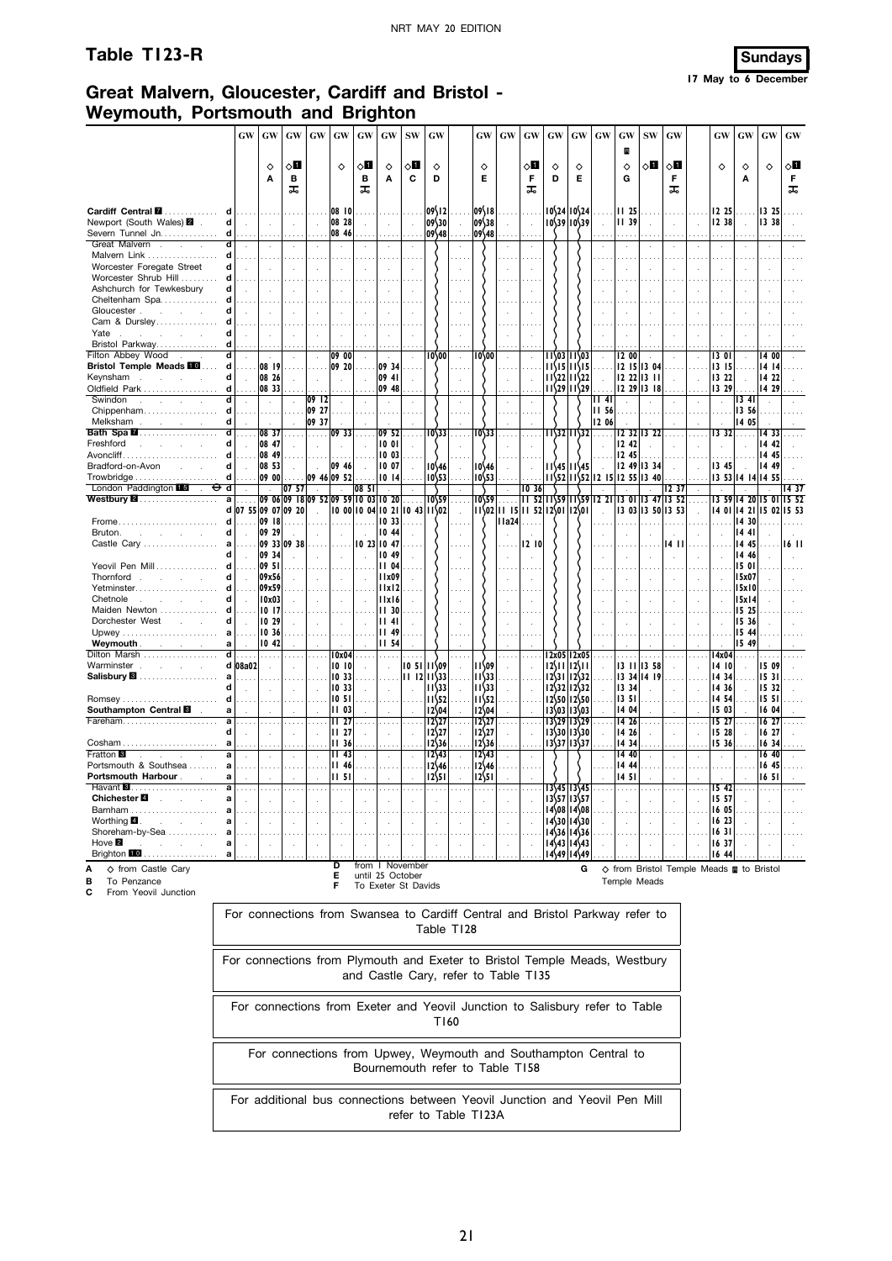## **Table T123-R Sundays**

#### **17 May to 6 December**

# **Great Malvern, Gloucester, Cardiff and Bristol - Weymouth, Portsmouth and Brighton**

|                                                                         | GW                | GW                          | $\boldsymbol{\mathrm{GW}}$ | $\boldsymbol{\mathrm{GW}}$          | GW                   | $\boldsymbol{\mathrm{GW}}$ | GW                  | $\mathbf{SW}$ | GW                              |                      | <b>GW</b>          | GW      | $\boldsymbol{\mathbf{G}}\boldsymbol{\mathbf{W}}$ | GW | $\boldsymbol{\mathrm{GW}}$                                                                                                    | $\boldsymbol{\mathbf{G}}\boldsymbol{\mathbf{W}}$ | GW                   | $\mathrm{SW}$                            | GW             |    | $\boldsymbol{\mathbf{G}}\boldsymbol{\mathbf{W}}$ | $\boldsymbol{\mathbf{G}}\boldsymbol{\mathbf{W}}$ | GW                      | GW                      |
|-------------------------------------------------------------------------|-------------------|-----------------------------|----------------------------|-------------------------------------|----------------------|----------------------------|---------------------|---------------|---------------------------------|----------------------|--------------------|---------|--------------------------------------------------|----|-------------------------------------------------------------------------------------------------------------------------------|--------------------------------------------------|----------------------|------------------------------------------|----------------|----|--------------------------------------------------|--------------------------------------------------|-------------------------|-------------------------|
|                                                                         |                   |                             |                            |                                     |                      |                            |                     |               |                                 |                      |                    |         |                                                  |    |                                                                                                                               |                                                  | B                    |                                          |                |    |                                                  |                                                  |                         |                         |
|                                                                         |                   | ♦                           | √П                         |                                     | ♦                    | $\diamond$ l               | ♦                   | √П            | ♦                               |                      | ♦                  |         | √П                                               | ♦  | ♦                                                                                                                             |                                                  | $\Diamond$           | ◇Ш                                       | √П             |    | ♦                                                | ♦                                                | $\Diamond$              | ू∏                      |
|                                                                         |                   | Α                           | в<br>ᠼ                     |                                     |                      | в<br>ᠼ                     | A                   | C             | D                               |                      | Е                  |         | F<br>ᠼ                                           | D  | Е                                                                                                                             |                                                  | G                    |                                          | F<br>ᠼ         |    |                                                  | Α                                                |                         | F<br>ᠼ                  |
| d                                                                       |                   |                             |                            |                                     |                      |                            |                     |               |                                 |                      |                    |         |                                                  |    |                                                                                                                               |                                                  |                      |                                          |                |    |                                                  |                                                  |                         |                         |
| Cardiff Central <b>M</b><br>Newport (South Wales) 2<br>d                |                   | $\mathcal{L}^{\mathcal{L}}$ | $\overline{a}$             | $\mathcal{L}$                       | 08   0<br>08 28      | ÷                          |                     |               | 09\12<br>09\30                  |                      | $09\{18$<br> 09\38 |         | $\mathcal{L}_{\mathbf{r}}$                       |    | $10\frac{24}{10\frac{24}{2}}$<br>$10\frac{39}{10\frac{39}{2}}$                                                                |                                                  | 11 25<br>    39      |                                          | $\mathcal{L}$  | l. | 12 25<br>12 38                                   |                                                  | 13 25<br>13 38          |                         |
| Severn Tunnel Jn<br>d                                                   |                   | .                           |                            |                                     | 08 46                |                            |                     |               | 09\48                           |                      | 09\48              |         | $\cdots$                                         |    |                                                                                                                               |                                                  |                      |                                          |                |    | $\ldots$                                         |                                                  |                         |                         |
| Great Malvern .<br>त                                                    |                   | $\ddot{\phantom{a}}$        |                            |                                     |                      |                            |                     |               |                                 |                      |                    |         | $\mathcal{L}_{\mathbf{z}}$                       |    |                                                                                                                               |                                                  | $\ddot{\phantom{a}}$ |                                          |                |    | $\cdot$                                          |                                                  |                         |                         |
| Malvern Link<br>d                                                       |                   |                             |                            |                                     |                      |                            |                     |               |                                 |                      |                    |         |                                                  |    |                                                                                                                               |                                                  |                      |                                          |                |    |                                                  |                                                  |                         |                         |
| Worcester Foregate Street<br>d                                          |                   | ÷                           |                            |                                     | ÷.                   |                            |                     |               |                                 |                      |                    |         |                                                  |    |                                                                                                                               |                                                  |                      |                                          |                |    | $\ddot{\phantom{a}}$                             |                                                  |                         |                         |
| Worcester Shrub Hill<br>d                                               |                   |                             |                            |                                     |                      |                            |                     |               |                                 |                      |                    |         |                                                  |    |                                                                                                                               |                                                  |                      |                                          |                |    |                                                  |                                                  |                         |                         |
| Ashchurch for Tewkesbury<br>d                                           |                   |                             |                            |                                     |                      |                            |                     |               |                                 |                      |                    |         |                                                  |    |                                                                                                                               |                                                  |                      |                                          |                |    |                                                  |                                                  |                         |                         |
| Cheltenham Spa<br>d                                                     |                   |                             |                            |                                     |                      |                            |                     |               |                                 |                      |                    |         |                                                  |    |                                                                                                                               |                                                  |                      |                                          |                |    |                                                  |                                                  |                         |                         |
| Gloucester.<br>d                                                        |                   |                             |                            |                                     |                      |                            |                     |               |                                 |                      |                    |         |                                                  |    |                                                                                                                               |                                                  |                      |                                          |                |    |                                                  |                                                  |                         |                         |
| Cam & Dursley<br>d                                                      |                   |                             |                            |                                     |                      |                            |                     |               |                                 |                      |                    |         |                                                  |    |                                                                                                                               |                                                  |                      |                                          |                |    |                                                  |                                                  |                         |                         |
| Yate .<br>d<br>and the con-                                             |                   |                             |                            |                                     |                      |                            |                     |               |                                 |                      |                    |         |                                                  |    |                                                                                                                               |                                                  |                      |                                          |                |    |                                                  |                                                  |                         |                         |
| Bristol Parkway<br>d                                                    |                   |                             |                            |                                     |                      |                            |                     |               |                                 |                      |                    |         |                                                  |    |                                                                                                                               |                                                  |                      |                                          |                |    |                                                  |                                                  |                         |                         |
| Filton Abbey Wood.<br>d                                                 |                   |                             |                            | $\mathcal{L}$                       | 09 00                |                            |                     |               | 10\00                           | $\cdot$              | 10\00              |         |                                                  |    | 11\03 11\03                                                                                                                   |                                                  | I2 00                |                                          |                |    | 13 OI                                            |                                                  | 1400                    |                         |
| <b>Bristol Temple Meads</b><br>d                                        |                   | 08 19                       |                            |                                     | 09 20                |                            | 09 34               |               |                                 |                      |                    |         |                                                  |    | $11\frac{15}{11}\frac{11}{15}$                                                                                                |                                                  |                      | 12 15 13 04                              |                |    | 13 15                                            |                                                  | 14 14                   |                         |
| Keynsham<br>d<br>$\sim$<br>$\sim$                                       | $\mathbf{r}$      | 08 26                       |                            |                                     |                      |                            | 09 41               |               |                                 |                      |                    |         |                                                  |    | $11\frac{22}{11\frac{22}{22}}$                                                                                                | $\overline{a}$                                   |                      | 12 22 13 11                              | $\overline{a}$ |    | 13 22                                            |                                                  | 14 22                   |                         |
| Oldfield Park<br>d                                                      |                   | 08 33                       |                            |                                     |                      |                            | 09 48               |               |                                 |                      |                    |         |                                                  |    | $11\frac{29}{11\frac{29}{29}}$                                                                                                |                                                  |                      | 2 29  3 18                               |                |    | 13 29                                            |                                                  | 14 29                   |                         |
| Swindon<br>$\mathcal{L}$<br>$\mathcal{L}^{\mathcal{L}}$                 |                   | $\mathcal{L}$               |                            | 0912                                | $\ddot{\phantom{a}}$ |                            |                     |               |                                 | $\ddot{\phantom{a}}$ |                    |         | $\ddot{\phantom{a}}$                             |    |                                                                                                                               | 4                                                | ÷.                   |                                          |                |    | $\mathcal{L}$                                    | 1341                                             |                         |                         |
| Chippenham<br>d                                                         |                   | $\cdots$                    |                            | 09 27                               |                      |                            |                     |               |                                 |                      |                    |         |                                                  |    |                                                                                                                               | <b>II 56</b>                                     |                      |                                          |                |    |                                                  | 13 56                                            |                         |                         |
| d<br>Melksham<br>$\mathcal{L}^{\text{max}}(\mathcal{L}^{\text{max}})$ . |                   |                             |                            | 09 37                               |                      |                            |                     |               |                                 |                      |                    |         |                                                  |    |                                                                                                                               | 12 06                                            |                      |                                          |                |    |                                                  | 14 05                                            |                         |                         |
| Bath Spa <b>M</b><br>d                                                  |                   | 08 37                       |                            | .                                   | $ 09\rangle$ 33      |                            | 0952                |               | $10\frac{33}{3}$                |                      | $10\sqrt{33}$      |         |                                                  |    | 11\32 11\32                                                                                                                   |                                                  |                      | 12 32 13 22                              |                |    | 1332                                             | $\ddotsc$                                        | Ī4 33                   |                         |
| Freshford<br>d<br>and a state of                                        |                   | 08 47                       |                            |                                     |                      |                            | 10 01               |               |                                 |                      |                    |         |                                                  |    |                                                                                                                               |                                                  | 12 42                |                                          |                |    |                                                  |                                                  | 14 42                   |                         |
| Avoncliff<br>d                                                          |                   | 08 49                       |                            |                                     |                      |                            | 10 03               |               |                                 |                      |                    |         |                                                  |    |                                                                                                                               |                                                  | 12 45                |                                          |                |    |                                                  |                                                  | 14 45                   |                         |
| Bradford-on-Avon<br>$\mathbf{d}$<br><b>Service</b>                      |                   | 08 53                       |                            | $\sim$                              | 09 46                |                            | 10 07               |               | $10\frac{46}{3}$                |                      | $10\frac{46}{3}$   |         |                                                  |    | $11\frac{45}{11}$ $11\frac{45}{45}$                                                                                           |                                                  |                      | 12 49   13 34                            |                |    | 13 45                                            |                                                  | 14 49                   |                         |
| d<br>Trowbridge                                                         |                   | 09 00                       |                            | 09 46 09 52                         |                      |                            | 1014                |               | $10\frac{53}{5}$                |                      | $10\frac{53}{5}$   |         |                                                  |    | $11\frac{52}{1152}$ 15 $12$ 55 13 40                                                                                          |                                                  |                      |                                          |                |    |                                                  |                                                  | 13 53 14 14 14 55       |                         |
| London Paddington 15<br>$\overline{\Theta}$ d                           |                   |                             | 0757                       |                                     |                      | 08 51                      |                     |               |                                 |                      |                    |         | 10 36                                            |    |                                                                                                                               |                                                  |                      |                                          | 12.37          |    |                                                  |                                                  |                         | 1437                    |
| Westbury <b>2</b><br>$\overline{a}$                                     |                   |                             |                            | 09 06 09 18 09 52 09 59 10 03 10 20 |                      |                            |                     |               | $10\frac{59}{59}$               |                      | $10\sqrt{29}$      | .       |                                                  |    | $11\overline{52}$ $11\overline{59}$ $11\overline{59}$ $12\overline{21}$ $13\overline{01}$ $13\overline{47}$ $13\overline{52}$ |                                                  |                      |                                          |                |    |                                                  |                                                  |                         | 13 59 14 20 15 01 15 52 |
| d                                                                       |                   | 07 55 09 07 09 20           |                            | $\mathbf{r}$                        |                      |                            |                     |               | 10 00 10 04 10 21 10 43 11 \ 02 |                      |                    |         |                                                  |    | 11\02 11 15 11 52 12\01 12\01                                                                                                 |                                                  |                      | 3 03  3 50  3 53                         |                |    |                                                  |                                                  | 14 01 14 21 15 02 15 53 |                         |
| d<br>Frome                                                              | .                 | 09 18                       |                            |                                     |                      |                            | 10 33               |               |                                 |                      |                    | $IIa24$ |                                                  |    |                                                                                                                               |                                                  |                      |                                          |                |    |                                                  | 14 30                                            |                         |                         |
| Bruton.<br>d<br>and a state                                             | $\mathbf{r}$      | 09 29                       |                            |                                     |                      |                            | 10 44               |               |                                 |                      |                    |         |                                                  |    |                                                                                                                               |                                                  |                      |                                          |                |    |                                                  | 14 41                                            |                         |                         |
| Castle Cary<br>a                                                        |                   |                             | 09 33 09 38                |                                     |                      |                            | 10 23 10 47         |               |                                 |                      |                    |         | 12  10                                           |    |                                                                                                                               |                                                  |                      |                                          | 14 II          |    |                                                  | 14 45                                            |                         | 16 11                   |
| d                                                                       |                   | 09 34                       |                            | $\sim$                              | $\sim$               |                            | 10 49               |               |                                 |                      |                    |         |                                                  |    |                                                                                                                               |                                                  |                      |                                          |                |    | $\overline{\phantom{a}}$                         | 14 46                                            |                         |                         |
| Yeovil Pen Mill<br>d                                                    |                   | 09 51                       |                            |                                     |                      |                            | 104                 |               |                                 |                      |                    |         |                                                  |    |                                                                                                                               |                                                  |                      |                                          |                |    |                                                  | 15 01                                            |                         |                         |
| Thornford .<br>d                                                        |                   | 09x56                       |                            |                                     |                      |                            | IIx09               |               |                                 |                      |                    |         |                                                  |    |                                                                                                                               |                                                  |                      |                                          |                |    |                                                  | 15x07                                            |                         |                         |
| Yetminster<br>d                                                         |                   | 09x59                       |                            |                                     |                      |                            | x 2                 |               |                                 |                      |                    |         |                                                  |    |                                                                                                                               |                                                  |                      |                                          |                |    |                                                  | 15x10                                            |                         |                         |
| Chetnole                                                                |                   | 10x03                       |                            |                                     |                      |                            | IIxI6               |               |                                 |                      |                    |         |                                                  |    |                                                                                                                               |                                                  |                      |                                          |                |    |                                                  | 15x14                                            |                         |                         |
| Maiden Newton<br>d<br>Dorchester West<br>d                              |                   | 1017<br>10 29               |                            |                                     |                      |                            | 1130<br>$II$ 41     |               |                                 |                      |                    |         |                                                  |    |                                                                                                                               |                                                  |                      |                                          |                |    |                                                  | 15 25                                            |                         |                         |
|                                                                         |                   | 10 36                       |                            | $\mathbf{r}$                        |                      |                            | <b>II 49</b>        |               |                                 |                      |                    |         |                                                  |    |                                                                                                                               |                                                  |                      |                                          |                |    |                                                  | 15 36                                            |                         |                         |
| a<br>Weymouth News<br>a                                                 |                   | 1042                        |                            |                                     |                      |                            | 1154                |               |                                 |                      |                    |         |                                                  |    |                                                                                                                               |                                                  |                      |                                          |                |    |                                                  | 15 44<br>15 49                                   |                         |                         |
| Dilton Marsh<br>ď                                                       |                   |                             |                            | $\ddotsc$                           | 10x04                |                            |                     |               |                                 |                      |                    |         |                                                  |    | 12x05 12x05                                                                                                                   |                                                  |                      |                                          |                |    |                                                  |                                                  |                         |                         |
| Warminster .<br>d<br>$\mathcal{L}^{\mathcal{L}}$                        | $\cdots$<br>08a02 | .                           |                            |                                     | 1010                 |                            |                     | 10 51         | I I \09                         |                      | 11\09              |         |                                                  |    | $12\{11 12\{11$                                                                                                               |                                                  |                      | $13$ 11 13 58                            |                |    | l 4x04<br>14 10                                  |                                                  | 15 09                   |                         |
| $\mathbf{a}$                                                            |                   | ÷.                          |                            |                                     | 10 33                |                            |                     |               | 2                               |                      | 11\33              |         |                                                  |    | $12\frac{31}{12}32$                                                                                                           |                                                  |                      | 3 34   4   9                             |                |    | 14 34                                            |                                                  | 1531                    |                         |
| d                                                                       |                   | ÷                           |                            |                                     | 10.33                |                            |                     |               | 11\33                           |                      | 11\33              |         |                                                  |    | $12\frac{32}{12}$                                                                                                             |                                                  | 13 34                |                                          |                |    | 14 36                                            |                                                  | 15 32                   |                         |
| d                                                                       |                   |                             |                            |                                     | 10 51                |                            |                     |               | 11\52                           |                      | 1152               |         |                                                  |    | $12\frac{50}{1250}$                                                                                                           |                                                  | 35                   |                                          |                |    | 14 54                                            |                                                  | 1551                    |                         |
| Southampton Central<br>a                                                |                   |                             |                            |                                     | 1103                 |                            |                     |               | $12$ 4                          |                      | $12^{64}$          |         |                                                  |    | $13$ (03   13 (03                                                                                                             |                                                  | 14 04                |                                          |                |    | 15 03                                            |                                                  | 16 04                   |                         |
| Fareham                                                                 |                   |                             |                            |                                     | 1127                 |                            |                     |               | $12\sqrt{27}$                   |                      | $12\overline{27}$  |         |                                                  |    | $13\sqrt{29}13\sqrt{29}$                                                                                                      |                                                  | 1426                 |                                          |                |    | 1527                                             |                                                  | 1627                    |                         |
|                                                                         |                   |                             |                            |                                     | II 27                |                            |                     |               | $12\frac{27}{27}$               |                      | 12\27              |         |                                                  |    | 13\30 13\30                                                                                                                   |                                                  | 14 26                |                                          |                |    | 15 28                                            |                                                  | 16 27                   |                         |
| Cosham                                                                  |                   |                             |                            |                                     | <b>II</b> 36         |                            |                     |               | $12\frac{36}{3}$                |                      | $12\frac{36}{3}$   |         |                                                  |    | $13\frac{37}{13}\frac{37}{37}$                                                                                                |                                                  | 14 34                |                                          |                |    | 15 36                                            |                                                  | 16 34                   |                         |
| Fratton <sup>8</sup><br>a<br>$\sim$                                     |                   | ÷.                          |                            |                                     | $\overline{11}$ 43   |                            |                     |               | $12\overline{43}$               |                      | $12\overline{43}$  |         |                                                  |    |                                                                                                                               |                                                  | 1440                 |                                          |                |    | $\mathcal{L}$                                    |                                                  | 1640                    |                         |
| Portsmouth & Southsea<br>a                                              |                   | $\cdots$                    |                            |                                     | <b>II 46</b>         |                            |                     |               | $12\frac{46}{5}$                |                      | $12\frac{46}{3}$   |         |                                                  |    |                                                                                                                               |                                                  | 14 44                |                                          |                |    |                                                  |                                                  | 16 45                   |                         |
| Portsmouth Harbour.<br>a                                                |                   |                             |                            |                                     | 11 <sub>51</sub>     |                            |                     |               | 12\51                           |                      | 12\51              |         |                                                  |    |                                                                                                                               |                                                  | 1451                 |                                          |                |    |                                                  |                                                  | 165                     |                         |
| a                                                                       |                   | $\cdots$                    |                            |                                     | $\mathbf{r}$         |                            |                     |               |                                 |                      |                    |         |                                                  |    | $13\frac{45}{1345}$                                                                                                           |                                                  | $\sim$               |                                          | .              |    | 15 42                                            |                                                  |                         |                         |
| Chichester <sup>1</sup><br>$\sim$<br><b>Contract Contract</b><br>a      |                   |                             |                            |                                     |                      |                            |                     |               |                                 |                      |                    |         |                                                  |    | 13571357                                                                                                                      |                                                  | ÷.                   |                                          |                |    | 15 57                                            |                                                  |                         |                         |
| Barnham<br>$\mathbf{a}$                                                 |                   |                             |                            |                                     |                      |                            |                     |               |                                 |                      |                    |         |                                                  |    | $14\sqrt{08}$ 14 $\sqrt{08}$                                                                                                  |                                                  |                      |                                          |                |    | 16 05                                            |                                                  |                         |                         |
| Worthing <b>21</b> .<br>a<br>$\sim$<br>÷                                |                   |                             |                            |                                     |                      |                            |                     |               |                                 |                      |                    |         |                                                  |    | $14$ 30 $14$ 30                                                                                                               |                                                  |                      |                                          |                |    | 16 23                                            |                                                  |                         |                         |
| Shoreham-by-Sea<br>a                                                    |                   |                             |                            |                                     |                      |                            |                     |               |                                 |                      |                    |         |                                                  |    | $14\frac{36}{14}36$                                                                                                           |                                                  |                      |                                          |                |    | 1631                                             |                                                  |                         |                         |
| Hove <sup>2</sup><br>and the control<br>a                               |                   | à.                          |                            |                                     | ÷.                   |                            |                     |               |                                 |                      |                    |         |                                                  |    | $14\frac{43}{14}$ $14\frac{43}{14}$                                                                                           |                                                  |                      |                                          |                |    | 16 37                                            |                                                  |                         |                         |
| Brighton 10<br>a                                                        |                   |                             |                            |                                     |                      |                            |                     |               |                                 |                      |                    |         |                                                  |    | $14\frac{49}{14\frac{49}{49}}$                                                                                                |                                                  |                      |                                          |                |    | 16 44                                            |                                                  |                         |                         |
| ♦ from Castle Cary                                                      |                   |                             |                            |                                     | চ                    |                            | from I November     |               |                                 |                      |                    |         |                                                  |    | G                                                                                                                             |                                                  |                      | ◇ from Bristol Temple Meads a to Bristol |                |    |                                                  |                                                  |                         |                         |
| В<br>To Penzance                                                        |                   |                             |                            |                                     | Ε                    |                            | until 25 October    |               |                                 |                      |                    |         |                                                  |    |                                                                                                                               |                                                  |                      | Temple Meads                             |                |    |                                                  |                                                  |                         |                         |
| From Yeovil Junction                                                    |                   |                             |                            |                                     | F                    |                            | To Exeter St Davids |               |                                 |                      |                    |         |                                                  |    |                                                                                                                               |                                                  |                      |                                          |                |    |                                                  |                                                  |                         |                         |

For connections from Swansea to Cardiff Central and Bristol Parkway refer to Table T128

For connections from Plymouth and Exeter to Bristol Temple Meads, Westbury and Castle Cary, refer to Table T135

For connections from Exeter and Yeovil Junction to Salisbury refer to Table T160

For connections from Upwey, Weymouth and Southampton Central to Bournemouth refer to Table T158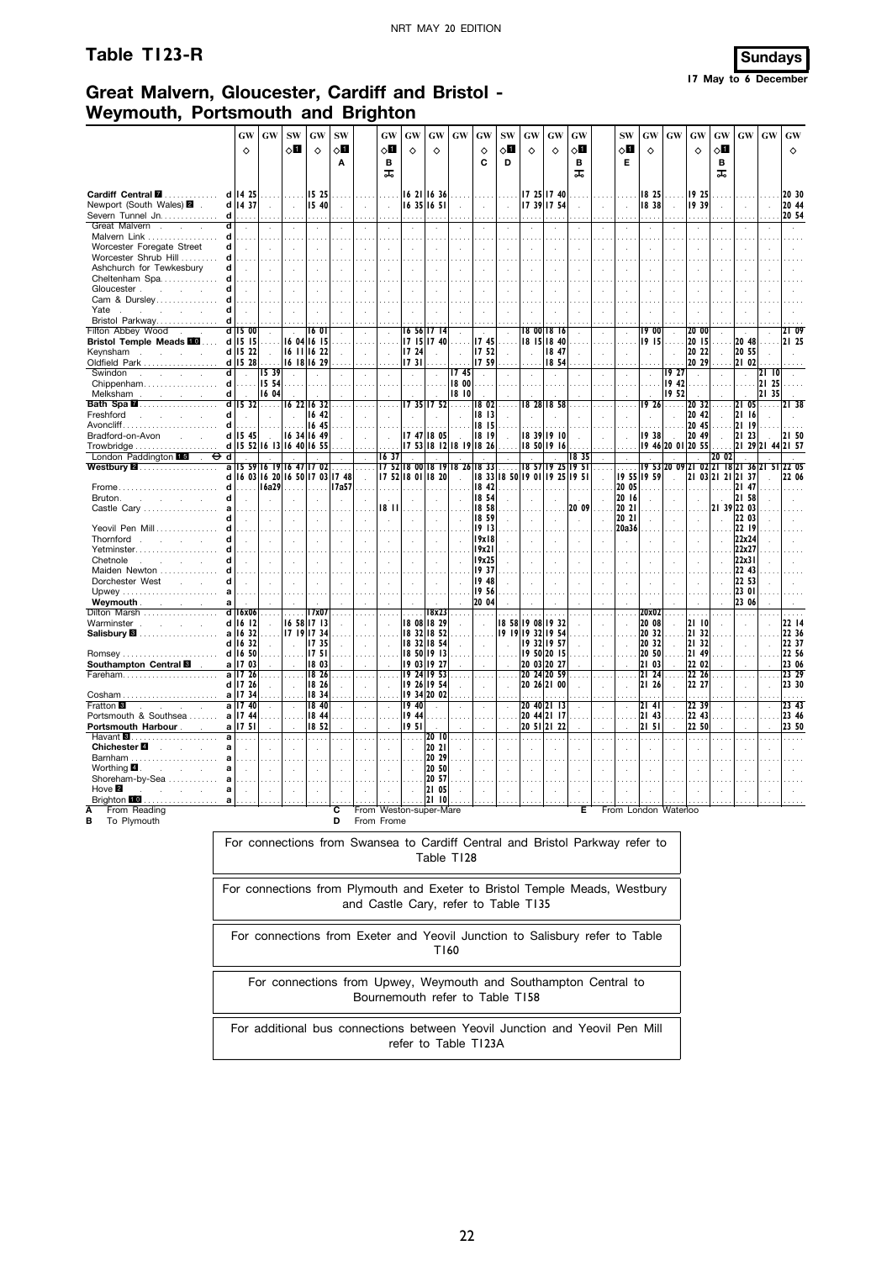# **Table T123-R Sundays**



# **Great Malvern, Gloucester, Cardiff and Bristol - Weymouth, Portsmouth and Brighton**

|                                                                              |                     | GW                          | GW            | <b>SW</b><br>◇Ø                  | <b>GW</b>                         | <b>SW</b><br>8П | GW<br>⊘П                 | <b>GW</b><br>♦    | GW                         | <b>GW</b> | GW                                   | <b>SW</b><br>◇О | GW                   | GW                               | GW<br>0П                                                                     | SW<br>◇Ø       | GW<br>♦        | <b>GW</b>                  | GW<br>♦         | GW<br>√Ц                                     | <b>GW</b>             | <b>GW</b> | GW                              |
|------------------------------------------------------------------------------|---------------------|-----------------------------|---------------|----------------------------------|-----------------------------------|-----------------|--------------------------|-------------------|----------------------------|-----------|--------------------------------------|-----------------|----------------------|----------------------------------|------------------------------------------------------------------------------|----------------|----------------|----------------------------|-----------------|----------------------------------------------|-----------------------|-----------|---------------------------------|
|                                                                              |                     | ♦                           |               |                                  | ♦                                 | Α               | в<br>ᠼ                   |                   | ♦                          |           | ♦<br>C                               | D               | ♦                    | ♦                                | в<br>ᠼ                                                                       | Е              |                |                            |                 | в<br>ᠼ                                       |                       |           | ♦                               |
| Cardiff Central <b>⊠</b><br>Newport (South Wales) 2                          | d<br>d              | 14 25<br>14 37              | $\mathcal{L}$ | .<br>$\mathcal{L}_{\mathcal{A}}$ | 15 25<br>15 40                    | $\lambda$       | $\overline{\phantom{a}}$ |                   | 16 21 16 36<br>16 35 16 51 |           |                                      |                 |                      | 17 25 17 40<br>17 39 17 54       | $\ddot{\phantom{a}}$                                                         | ÷              | 18 25<br>1838  | $\cdots$<br>$\mathcal{L}$  | 19 25<br>19 39  |                                              |                       |           | 20 30<br>20 44                  |
| Severn Tunnel Jn                                                             | d                   |                             |               |                                  |                                   |                 |                          |                   |                            |           |                                      |                 |                      |                                  |                                                                              |                |                |                            |                 |                                              |                       |           | 20 54                           |
| Great Malvern.<br>÷<br>Malvern Link                                          | d<br>d              | $\mathcal{A}$               |               |                                  | $\cdot$                           |                 |                          |                   |                            |           |                                      |                 | $\ddot{\phantom{a}}$ |                                  | ÷,                                                                           |                |                |                            |                 |                                              |                       |           |                                 |
| Worcester Foregate Street                                                    | d                   | $\mathcal{A}$               |               |                                  |                                   |                 |                          |                   |                            |           |                                      |                 |                      |                                  | ÷,                                                                           |                |                |                            |                 |                                              |                       |           |                                 |
| Worcester Shrub Hill                                                         | d                   |                             |               |                                  |                                   |                 |                          |                   |                            |           |                                      |                 |                      |                                  |                                                                              |                |                |                            |                 |                                              |                       |           |                                 |
| Ashchurch for Tewkesbury                                                     | d                   |                             |               |                                  |                                   |                 |                          |                   |                            |           |                                      |                 |                      |                                  |                                                                              |                |                |                            |                 |                                              |                       |           |                                 |
| Cheltenham Spa<br>Gloucester.<br><b>Service</b> State                        | d<br>d              |                             |               |                                  |                                   |                 |                          |                   |                            |           |                                      |                 |                      |                                  |                                                                              |                |                |                            |                 |                                              |                       |           |                                 |
| Cam & Dursley                                                                | d                   |                             |               |                                  |                                   |                 |                          |                   |                            |           |                                      |                 |                      |                                  |                                                                              |                |                |                            |                 |                                              |                       |           |                                 |
| Yate<br><b>College</b><br>$\sim$                                             | d                   |                             |               |                                  |                                   |                 |                          |                   |                            |           |                                      |                 |                      |                                  |                                                                              |                |                |                            |                 |                                              |                       |           |                                 |
| Bristol Parkway<br>Filton Abbey Wood                                         | d<br>d              | 15 00                       |               |                                  | 160                               |                 |                          |                   | 16 56 17 14                |           |                                      |                 |                      | 8 00 18 16                       |                                                                              |                | 19 00          |                            | 20 00           |                                              |                       |           | 2109                            |
| Bristol Temple Meads <b>EM</b>                                               |                     | $d$   15   15               | $\cdots$      |                                  | 16 04 16 15                       |                 |                          |                   | 17 15 17 40                |           | 1745                                 |                 |                      | 18 15 18 40                      |                                                                              |                | 1915           | $\sim$                     | 20 15           | $\sim 100$                                   | 20 48                 | in in     | I2I 25                          |
| Keynsham<br>÷.                                                               | d                   | 15 22                       |               |                                  | 16 11 16 22                       |                 |                          | 17 24             |                            |           | 17 52                                |                 | $\ddot{\phantom{a}}$ | 18 47                            | $\ddot{\phantom{a}}$                                                         | ÷              |                |                            | 20 22           |                                              | 20 55                 |           |                                 |
| Oldfield Park<br>Swindon<br>S.<br>$\sim$<br>$\sim$                           | d<br>ਰ              | 1528                        | 1539          |                                  | 16 18 16 29                       |                 |                          | 1731              |                            | 1745      | 1759                                 |                 |                      | 18 54                            |                                                                              |                |                | 19 27                      | 20 29           |                                              | 21 02<br>$\mathbf{r}$ | 21   0    |                                 |
| Chippenham                                                                   | d                   | $\mathcal{L}_{\mathcal{A}}$ | 15 54         |                                  |                                   |                 |                          |                   |                            | 18 00     |                                      |                 |                      |                                  |                                                                              |                | $\lambda$      | 19.42                      |                 |                                              |                       | 21 25     |                                 |
| Melksham<br><b>Contract Contract</b>                                         | d                   |                             | 16 04         |                                  |                                   |                 |                          |                   |                            | 18 10     |                                      |                 |                      |                                  |                                                                              |                |                | 19 52                      |                 |                                              |                       | 21 35     |                                 |
| Bath Spa <b>M</b> …………………                                                    | d<br>d              | $\overline{15}$ 32 $\ldots$ |               |                                  | 16 22 16 32<br>16 42              |                 |                          |                   | 17 35 17 52                | .         | 1802<br>18 13                        | $\ldots$ .      |                      | 8 28  8 58                       | $\cdots$                                                                     | $\cdots$       |                | $\overline{19}$ 26 $\dots$ | 20 32<br>20 42  | $\ldots$                                     | 21 05<br>21 16        | .         |                                 |
| Freshford<br>Avoncliff…                                                      | d                   |                             | $\mathcal{L}$ |                                  | 16 45                             |                 |                          |                   |                            |           | 18 15                                |                 |                      |                                  |                                                                              |                |                | $\mathbf{r}$               | 20 45           |                                              | 21 19                 |           |                                 |
| Bradford-on-Avon<br><b>Service</b>                                           | d                   | 15 45                       |               |                                  | 16 34 16 49                       |                 |                          |                   | 17 47 18 05                |           | 8  9                                 |                 |                      | 18 39 19 10                      |                                                                              | ÷.             | 1938           |                            | 20 49           |                                              | 21 23                 |           | I2I 50                          |
| London Paddington 15                                                         |                     |                             |               |                                  | d   15 52   16 13   16 40   16 55 |                 |                          |                   |                            |           | 17 53 18 12 18 19 18 26              |                 |                      | 18 50 19 16                      |                                                                              |                |                | 19 46 20 01 20 55          |                 |                                              | 21 29 21              | -44       | 2157                            |
| ⊖<br>$\sim$<br>Westbury $\blacksquare$                                       | d<br>$\overline{a}$ |                             |               |                                  | 15 59 16 19 16 47 17 02           |                 | 1637                     |                   |                            |           | 17 52  8 00  8 19  8 26  8 33        |                 | 18 57 19             |                                  | 1835<br>25 195                                                               |                |                |                            |                 | 20 02<br>19 53 20 09 21 02 21 18 21 36 21 51 |                       |           | 220                             |
|                                                                              | d                   |                             |               |                                  | 6 03  6 20  6 50  7 03  7 48      |                 |                          | 17 52 18 01 18 20 |                            |           |                                      |                 |                      | 8 33  8 50  9 01  9 25           | 95                                                                           |                | 19 55 19 59    |                            |                 | 21 03 21 21 21 37                            |                       |           | 22 06                           |
| Frome<br>Bruton.<br>and the con-                                             | d<br>d              |                             | 16a29         |                                  |                                   | I 7a57          |                          |                   |                            |           | 18 42<br>18 54                       |                 |                      |                                  |                                                                              | 20 05<br>20 16 |                |                            |                 |                                              | 21 47<br>21 58        |           |                                 |
| Castle Carv                                                                  | a                   |                             |               |                                  |                                   |                 | 18 I                     |                   |                            |           | 18 58                                |                 |                      |                                  | $\mathbf{r}$<br>20 09                                                        | 20 21          |                |                            |                 | 21 39 22 03                                  |                       |           |                                 |
|                                                                              |                     |                             |               |                                  |                                   |                 |                          |                   |                            |           | 18 59                                |                 |                      |                                  | ÷.                                                                           | 20 21          |                |                            |                 |                                              | 22 03                 |           |                                 |
| Yeovil Pen Mill                                                              | d                   |                             |               |                                  |                                   |                 |                          |                   |                            |           | 19 13                                |                 |                      |                                  |                                                                              | 20a36          |                |                            |                 |                                              | 22 19                 |           |                                 |
| Thornford<br>$\sim$<br><b>Service</b><br>Yetminster                          | d                   |                             |               |                                  | $\mathcal{L}$                     |                 |                          |                   | $\mathbf{r}$               |           | 19x18<br>19x21                       |                 |                      |                                  |                                                                              | ÷,             |                | $\mathbf{r}$               |                 |                                              | 22x24<br>22x27        |           |                                 |
| Chetnole                                                                     | d                   |                             |               |                                  |                                   |                 |                          |                   |                            |           | 19x25                                |                 |                      |                                  |                                                                              |                |                |                            |                 |                                              | 22x31                 |           |                                 |
| Maiden Newton                                                                | d                   |                             |               |                                  |                                   |                 |                          |                   |                            |           | 1937                                 |                 |                      |                                  |                                                                              |                |                |                            |                 |                                              | 22 43                 |           |                                 |
| Dorchester West<br><b>College</b>                                            | d<br>a              |                             |               |                                  |                                   |                 |                          |                   |                            |           | 19 48<br>19 56                       |                 |                      |                                  |                                                                              |                |                |                            |                 |                                              | 22 53<br>23 01        |           |                                 |
| Weymouth.<br>and the control of                                              | a                   |                             |               |                                  |                                   |                 |                          |                   |                            |           | 20 04                                |                 |                      |                                  |                                                                              |                |                |                            |                 |                                              | 23 06                 |           |                                 |
| Dilton Marsh                                                                 | d                   | 16x06                       |               |                                  | 17x07                             |                 |                          |                   | 18x23                      |           |                                      |                 |                      |                                  |                                                                              |                | 20x02          |                            |                 |                                              |                       |           |                                 |
| Warminster<br>$\sim$<br>$\sim$<br>$\mathbf{r}$<br>Salisbury <b>⊠</b> ………………… | d                   | 1612<br>a   16 32           |               |                                  | 16 58 17 13<br>17 19 17 34        |                 |                          |                   | 18 08 18 29<br>18 32 18 52 |           |                                      | 18 58           |                      | 19 08 19 32<br>19 19 19 32 19 54 |                                                                              |                | 20 08<br>20 32 |                            | 21 10<br>21 321 |                                              |                       |           | 22 14<br>22 36                  |
|                                                                              |                     | $d$ 16 32                   |               | $\ddot{\phantom{a}}$             | 17 35                             |                 |                          |                   | 18 32 18 54                |           |                                      |                 |                      | 19 32 19 57                      |                                                                              |                | 20 32          |                            | 21 32           |                                              | n.                    |           | 22 37                           |
|                                                                              |                     | d 16 50                     |               |                                  | 1751                              |                 |                          |                   | 18 50 19 13                |           |                                      |                 |                      | 19 50 20 15                      |                                                                              |                | 20 50          |                            | 21 49           |                                              |                       |           | 22 56                           |
| Southampton Central <b>8</b>                                                 |                     | a 17 03<br>a 17 26          |               |                                  | 18 03<br>18 26                    | $\cdots$        |                          |                   | 19 03 19 27<br>19 24 19 53 |           | $\cdots$                             |                 |                      | 20 03 20 27<br>20 24 20 59       |                                                                              |                | 21 03<br>21 24 | $\cdots$                   | 22 02<br>22 26  |                                              |                       |           | 23 06<br>23 29                  |
|                                                                              | d                   | 17 26                       |               | ÷.                               | 18 26                             |                 |                          | 19                | 26 19 54                   |           |                                      |                 |                      | 20 26 21 00                      |                                                                              |                | 21 26          |                            | 22 27           |                                              |                       |           | 23 30                           |
|                                                                              |                     | a 17 34                     |               |                                  | 18 34                             |                 |                          |                   | 19 34 20 02                |           |                                      |                 |                      |                                  |                                                                              |                |                |                            |                 |                                              |                       |           |                                 |
| <b>Fratton</b> 8<br>$\sim$<br>$\mathbf{r}$<br>n.<br>Portsmouth & Southsea    | a                   | a 17 40<br>1744             |               | $\overline{a}$                   | 18 40<br>18 44                    |                 | ÷.                       | 19 40<br>19 44    |                            |           |                                      |                 |                      | 20 40 21 13<br>20 44 21 17       |                                                                              | $\mathbf{r}$   | 2141<br>21 43  |                            | 22 39<br>22 43  |                                              |                       |           | 23,43<br>23 46                  |
| Portsmouth Harbour                                                           | a                   | 1751                        |               |                                  | 18 52                             |                 |                          | 1951              |                            |           |                                      |                 |                      | 20 51 21 22                      |                                                                              |                | 2151           |                            | 22 50           |                                              |                       |           | 23 50                           |
| Havant <b>8</b><br>Chichester <sup>2</sup>                                   | a                   |                             |               | $\cdots$                         | a a c                             |                 | $\sim$                   |                   | 2010                       | $\sim$    | $\cdots$                             | $\sim$          |                      |                                  | $\cdots$                                                                     | $\sim$         | .              |                            | .               |                                              |                       |           |                                 |
| $\sim 10^{-1}$<br>Barnham                                                    | a                   |                             |               |                                  | ÷.                                |                 |                          |                   | 20 21<br>20 29             |           |                                      |                 |                      |                                  |                                                                              |                |                |                            |                 |                                              |                       |           |                                 |
| Worthing 4<br>$\sim$                                                         | a                   |                             |               |                                  |                                   |                 |                          |                   | 20 50                      |           |                                      |                 |                      |                                  |                                                                              |                |                |                            |                 |                                              |                       |           |                                 |
| Shoreham-by-Sea                                                              | a                   |                             |               |                                  |                                   |                 |                          |                   | 20 57                      |           |                                      |                 |                      |                                  |                                                                              |                |                |                            |                 |                                              |                       |           |                                 |
| Hove 2<br>Brighton 10 a $\vert \ldots \vert$ $\vert \ldots \vert$            | a                   |                             |               |                                  |                                   |                 |                          |                   | 21 05                      |           |                                      |                 |                      |                                  |                                                                              |                |                |                            |                 |                                              |                       |           | المتميز المتميز المتميز المتميز |
| From Reading                                                                 |                     |                             |               |                                  |                                   | С               | From Weston-super-Mare   |                   |                            |           |                                      |                 |                      |                                  |                                                                              |                |                | From London Waterloo       |                 |                                              |                       |           |                                 |
| To Plymouth<br>в                                                             |                     |                             |               |                                  |                                   | D               | From Frome               |                   |                            |           |                                      |                 |                      |                                  |                                                                              |                |                |                            |                 |                                              |                       |           |                                 |
|                                                                              |                     |                             |               |                                  |                                   |                 |                          |                   |                            |           |                                      |                 |                      |                                  | For connections from Swansea to Cardiff Central and Bristol Parkway refer to |                |                |                            |                 |                                              |                       |           |                                 |
|                                                                              |                     |                             |               |                                  |                                   |                 |                          |                   | Table T128                 |           |                                      |                 |                      |                                  |                                                                              |                |                |                            |                 |                                              |                       |           |                                 |
|                                                                              |                     |                             |               |                                  |                                   |                 |                          |                   |                            |           |                                      |                 |                      |                                  |                                                                              |                |                |                            |                 |                                              |                       |           |                                 |
|                                                                              |                     |                             |               |                                  |                                   |                 |                          |                   |                            |           |                                      |                 |                      |                                  |                                                                              |                |                |                            |                 |                                              |                       |           |                                 |
|                                                                              |                     |                             |               |                                  |                                   |                 |                          |                   |                            |           |                                      |                 |                      |                                  | For connections from Plymouth and Exeter to Bristol Temple Meads, Westbury   |                |                |                            |                 |                                              |                       |           |                                 |
|                                                                              |                     |                             |               |                                  |                                   |                 |                          |                   |                            |           | and Castle Cary, refer to Table T135 |                 |                      |                                  |                                                                              |                |                |                            |                 |                                              |                       |           |                                 |
|                                                                              |                     |                             |               |                                  |                                   |                 |                          |                   |                            |           |                                      |                 |                      |                                  |                                                                              |                |                |                            |                 |                                              |                       |           |                                 |
|                                                                              |                     |                             |               |                                  |                                   |                 |                          |                   |                            |           |                                      |                 |                      |                                  | For connections from Exeter and Yeovil Junction to Salisbury refer to Table  |                |                |                            |                 |                                              |                       |           |                                 |
|                                                                              |                     |                             |               |                                  |                                   |                 |                          |                   | T160                       |           |                                      |                 |                      |                                  |                                                                              |                |                |                            |                 |                                              |                       |           |                                 |

For connections from Upwey, Weymouth and Southampton Central to Bournemouth refer to Table T158